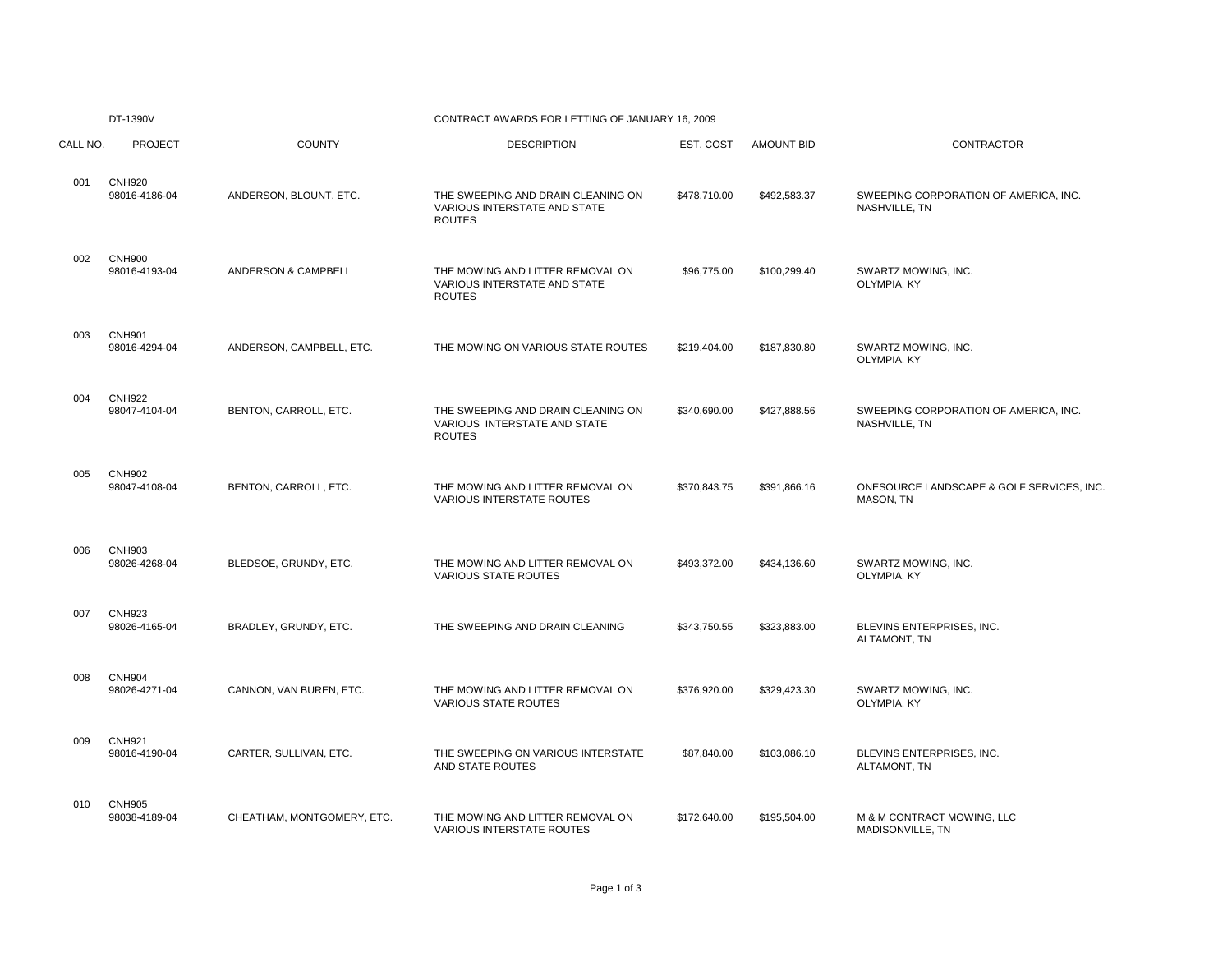|          | DT-1390V                       |                            | CONTRACT AWARDS FOR LETTING OF JANUARY 16, 2009                                     |              |                   |                                                        |
|----------|--------------------------------|----------------------------|-------------------------------------------------------------------------------------|--------------|-------------------|--------------------------------------------------------|
| CALL NO. | <b>PROJECT</b>                 | <b>COUNTY</b>              | <b>DESCRIPTION</b>                                                                  | EST. COST    | <b>AMOUNT BID</b> | CONTRACTOR                                             |
| 001      | <b>CNH920</b><br>98016-4186-04 | ANDERSON, BLOUNT, ETC.     | THE SWEEPING AND DRAIN CLEANING ON<br>VARIOUS INTERSTATE AND STATE<br><b>ROUTES</b> | \$478,710.00 | \$492,583.37      | SWEEPING CORPORATION OF AMERICA, INC.<br>NASHVILLE, TN |
| 002      | <b>CNH900</b><br>98016-4193-04 | ANDERSON & CAMPBELL        | THE MOWING AND LITTER REMOVAL ON<br>VARIOUS INTERSTATE AND STATE<br><b>ROUTES</b>   | \$96,775.00  | \$100,299.40      | SWARTZ MOWING, INC.<br>OLYMPIA, KY                     |
| 003      | <b>CNH901</b><br>98016-4294-04 | ANDERSON, CAMPBELL, ETC.   | THE MOWING ON VARIOUS STATE ROUTES                                                  | \$219,404.00 | \$187,830.80      | SWARTZ MOWING, INC.<br>OLYMPIA, KY                     |
| 004      | <b>CNH922</b><br>98047-4104-04 | BENTON, CARROLL, ETC.      | THE SWEEPING AND DRAIN CLEANING ON<br>VARIOUS INTERSTATE AND STATE<br><b>ROUTES</b> | \$340,690.00 | \$427,888.56      | SWEEPING CORPORATION OF AMERICA, INC.<br>NASHVILLE, TN |
| 005      | <b>CNH902</b><br>98047-4108-04 | BENTON, CARROLL, ETC.      | THE MOWING AND LITTER REMOVAL ON<br><b>VARIOUS INTERSTATE ROUTES</b>                | \$370,843.75 | \$391,866.16      | ONESOURCE LANDSCAPE & GOLF SERVICES, INC<br>MASON, TN  |
| 006      | <b>CNH903</b><br>98026-4268-04 | BLEDSOE, GRUNDY, ETC.      | THE MOWING AND LITTER REMOVAL ON<br><b>VARIOUS STATE ROUTES</b>                     | \$493,372.00 | \$434,136.60      | SWARTZ MOWING, INC.<br>OLYMPIA, KY                     |
| 007      | <b>CNH923</b><br>98026-4165-04 | BRADLEY, GRUNDY, ETC.      | THE SWEEPING AND DRAIN CLEANING                                                     | \$343,750.55 | \$323,883.00      | BLEVINS ENTERPRISES, INC.<br>ALTAMONT, TN              |
| 008      | <b>CNH904</b><br>98026-4271-04 | CANNON, VAN BUREN, ETC.    | THE MOWING AND LITTER REMOVAL ON<br>VARIOUS STATE ROUTES                            | \$376,920.00 | \$329,423.30      | SWARTZ MOWING, INC.<br>OLYMPIA, KY                     |
| 009      | <b>CNH921</b><br>98016-4190-04 | CARTER, SULLIVAN, ETC.     | THE SWEEPING ON VARIOUS INTERSTATE<br>AND STATE ROUTES                              | \$87,840.00  | \$103,086.10      | BLEVINS ENTERPRISES, INC.<br>ALTAMONT, TN              |
| 010      | <b>CNH905</b><br>98038-4189-04 | CHEATHAM, MONTGOMERY, ETC. | THE MOWING AND LITTER REMOVAL ON<br><b>VARIOUS INTERSTATE ROUTES</b>                | \$172,640.00 | \$195,504.00      | M & M CONTRACT MOWING, LLC<br>MADISONVILLE, TN         |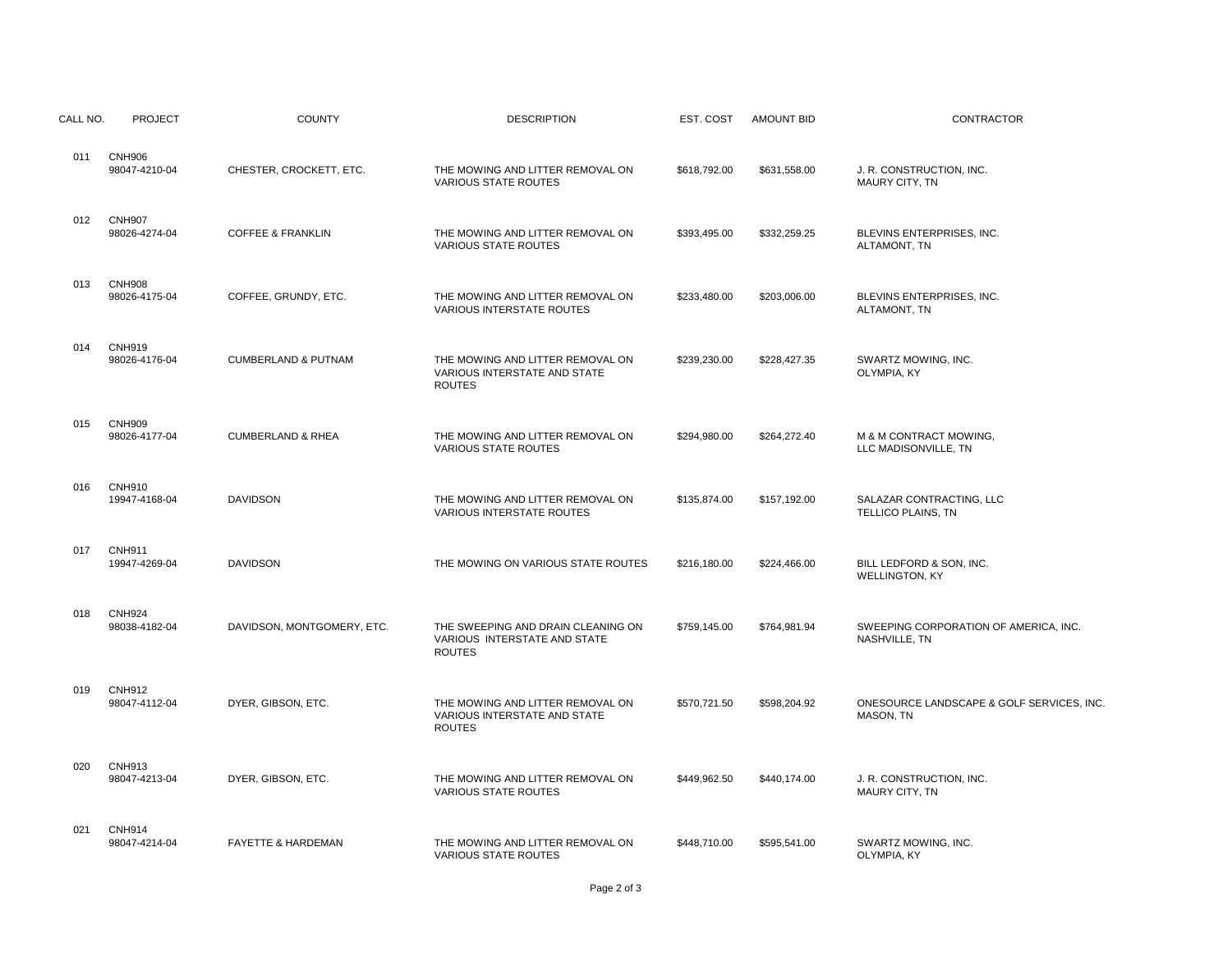| CALL NO. | <b>PROJECT</b>                 | <b>COUNTY</b>                  | <b>DESCRIPTION</b>                                                                  | EST. COST    | <b>AMOUNT BID</b> | CONTRACTOR                                             |
|----------|--------------------------------|--------------------------------|-------------------------------------------------------------------------------------|--------------|-------------------|--------------------------------------------------------|
| 011      | <b>CNH906</b><br>98047-4210-04 | CHESTER, CROCKETT, ETC.        | THE MOWING AND LITTER REMOVAL ON<br><b>VARIOUS STATE ROUTES</b>                     | \$618,792.00 | \$631,558.00      | J. R. CONSTRUCTION, INC.<br>MAURY CITY, TN             |
| 012      | <b>CNH907</b><br>98026-4274-04 | <b>COFFEE &amp; FRANKLIN</b>   | THE MOWING AND LITTER REMOVAL ON<br><b>VARIOUS STATE ROUTES</b>                     | \$393,495.00 | \$332,259.25      | BLEVINS ENTERPRISES, INC.<br>ALTAMONT, TN              |
| 013      | <b>CNH908</b><br>98026-4175-04 | COFFEE, GRUNDY, ETC.           | THE MOWING AND LITTER REMOVAL ON<br><b>VARIOUS INTERSTATE ROUTES</b>                | \$233,480.00 | \$203,006.00      | BLEVINS ENTERPRISES, INC.<br>ALTAMONT, TN              |
| 014      | <b>CNH919</b><br>98026-4176-04 | <b>CUMBERLAND &amp; PUTNAM</b> | THE MOWING AND LITTER REMOVAL ON<br>VARIOUS INTERSTATE AND STATE<br><b>ROUTES</b>   | \$239,230.00 | \$228,427.35      | SWARTZ MOWING, INC.<br>OLYMPIA, KY                     |
| 015      | <b>CNH909</b><br>98026-4177-04 | <b>CUMBERLAND &amp; RHEA</b>   | THE MOWING AND LITTER REMOVAL ON<br>VARIOUS STATE ROUTES                            | \$294,980.00 | \$264,272.40      | M & M CONTRACT MOWING,<br>LLC MADISONVILLE, TN         |
| 016      | <b>CNH910</b><br>19947-4168-04 | <b>DAVIDSON</b>                | THE MOWING AND LITTER REMOVAL ON<br><b>VARIOUS INTERSTATE ROUTES</b>                | \$135,874.00 | \$157,192.00      | SALAZAR CONTRACTING, LLC<br>TELLICO PLAINS, TN         |
| 017      | <b>CNH911</b><br>19947-4269-04 | <b>DAVIDSON</b>                | THE MOWING ON VARIOUS STATE ROUTES                                                  | \$216,180.00 | \$224,466.00      | BILL LEDFORD & SON, INC.<br><b>WELLINGTON, KY</b>      |
| 018      | <b>CNH924</b><br>98038-4182-04 | DAVIDSON, MONTGOMERY, ETC.     | THE SWEEPING AND DRAIN CLEANING ON<br>VARIOUS INTERSTATE AND STATE<br><b>ROUTES</b> | \$759,145.00 | \$764,981.94      | SWEEPING CORPORATION OF AMERICA, INC.<br>NASHVILLE, TN |
| 019      | <b>CNH912</b><br>98047-4112-04 | DYER, GIBSON, ETC.             | THE MOWING AND LITTER REMOVAL ON<br>VARIOUS INTERSTATE AND STATE<br><b>ROUTES</b>   | \$570,721.50 | \$598,204.92      | ONESOURCE LANDSCAPE & GOLF SERVICES, INC<br>MASON, TN  |
| 020      | <b>CNH913</b><br>98047-4213-04 | DYER, GIBSON, ETC.             | THE MOWING AND LITTER REMOVAL ON<br><b>VARIOUS STATE ROUTES</b>                     | \$449,962.50 | \$440,174.00      | J. R. CONSTRUCTION, INC.<br><b>MAURY CITY, TN</b>      |
| 021      | <b>CNH914</b><br>98047-4214-04 | <b>FAYETTE &amp; HARDEMAN</b>  | THE MOWING AND LITTER REMOVAL ON<br><b>VARIOUS STATE ROUTES</b>                     | \$448,710.00 | \$595,541.00      | SWARTZ MOWING, INC.<br>OLYMPIA, KY                     |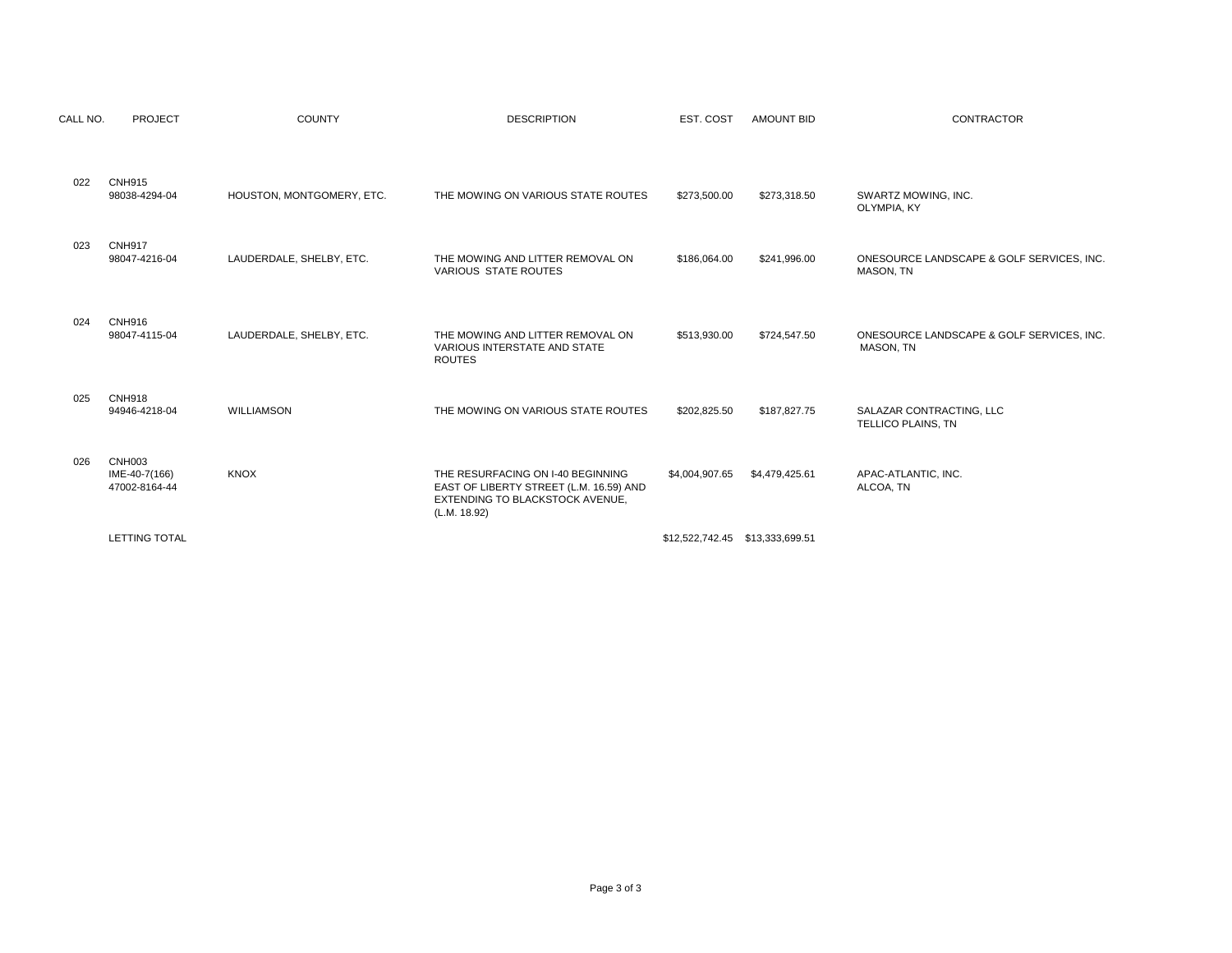| CALL NO. | <b>PROJECT</b>                           | <b>COUNTY</b>             | <b>DESCRIPTION</b>                                                                                                              | EST. COST      | <b>AMOUNT BID</b> | <b>CONTRACTOR</b>                                      |
|----------|------------------------------------------|---------------------------|---------------------------------------------------------------------------------------------------------------------------------|----------------|-------------------|--------------------------------------------------------|
| 022      | <b>CNH915</b><br>98038-4294-04           | HOUSTON, MONTGOMERY, ETC. | THE MOWING ON VARIOUS STATE ROUTES                                                                                              | \$273,500.00   | \$273,318.50      | SWARTZ MOWING, INC.<br>OLYMPIA, KY                     |
| 023      | <b>CNH917</b><br>98047-4216-04           | LAUDERDALE, SHELBY, ETC.  | THE MOWING AND LITTER REMOVAL ON<br>VARIOUS STATE ROUTES                                                                        | \$186,064.00   | \$241,996.00      | ONESOURCE LANDSCAPE & GOLF SERVICES, INC.<br>MASON, TN |
| 024      | <b>CNH916</b><br>98047-4115-04           | LAUDERDALE, SHELBY, ETC.  | THE MOWING AND LITTER REMOVAL ON<br>VARIOUS INTERSTATE AND STATE<br><b>ROUTES</b>                                               | \$513,930.00   | \$724,547.50      | ONESOURCE LANDSCAPE & GOLF SERVICES. INC.<br>MASON, TN |
| 025      | <b>CNH918</b><br>94946-4218-04           | WILLIAMSON                | THE MOWING ON VARIOUS STATE ROUTES                                                                                              | \$202,825.50   | \$187,827.75      | SALAZAR CONTRACTING, LLC<br>TELLICO PLAINS, TN         |
| 026      | CNH003<br>IME-40-7(166)<br>47002-8164-44 | <b>KNOX</b>               | THE RESURFACING ON I-40 BEGINNING<br>EAST OF LIBERTY STREET (L.M. 16.59) AND<br>EXTENDING TO BLACKSTOCK AVENUE,<br>(L.M. 18.92) | \$4,004,907.65 | \$4,479,425.61    | APAC-ATLANTIC, INC.<br>ALCOA, TN                       |
|          | <b>LETTING TOTAL</b>                     |                           |                                                                                                                                 |                |                   |                                                        |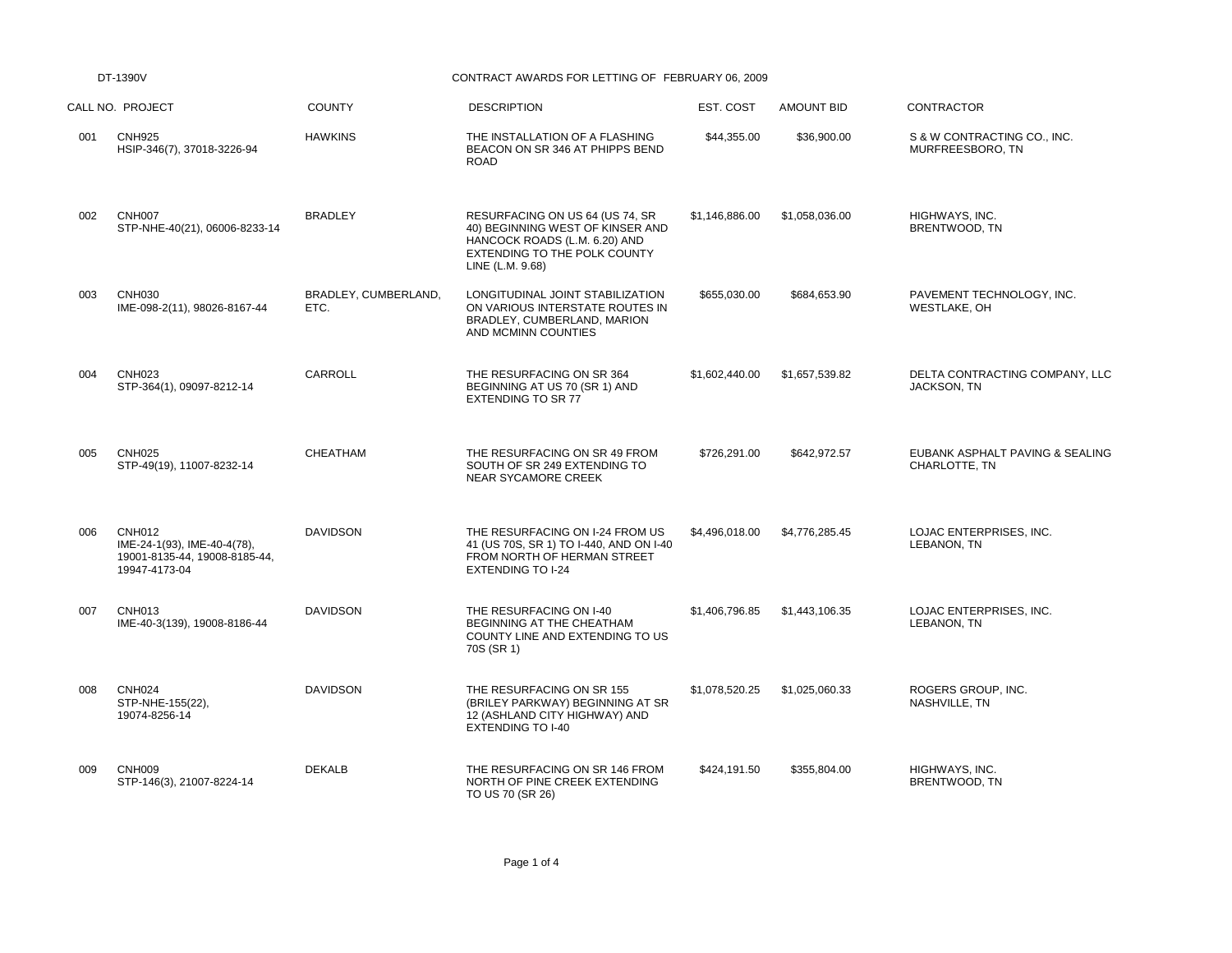DT-1390V CONTRACT AWARDS FOR LETTING OF FEBRUARY 06, 2009

|     | CALL NO. PROJECT                                                                               | <b>COUNTY</b>                | <b>DESCRIPTION</b>                                                                                                                                       | EST. COST      | <b>AMOUNT BID</b> | CONTRACTOR                                       |
|-----|------------------------------------------------------------------------------------------------|------------------------------|----------------------------------------------------------------------------------------------------------------------------------------------------------|----------------|-------------------|--------------------------------------------------|
| 001 | <b>CNH925</b><br>HSIP-346(7), 37018-3226-94                                                    | <b>HAWKINS</b>               | THE INSTALLATION OF A FLASHING<br>BEACON ON SR 346 AT PHIPPS BEND<br><b>ROAD</b>                                                                         | \$44,355.00    | \$36,900.00       | S & W CONTRACTING CO., INC.<br>MURFREESBORO, TN  |
| 002 | <b>CNH007</b><br>STP-NHE-40(21), 06006-8233-14                                                 | <b>BRADLEY</b>               | RESURFACING ON US 64 (US 74, SR<br>40) BEGINNING WEST OF KINSER AND<br>HANCOCK ROADS (L.M. 6.20) AND<br>EXTENDING TO THE POLK COUNTY<br>LINE (L.M. 9.68) | \$1,146,886.00 | \$1,058,036.00    | HIGHWAYS, INC.<br>BRENTWOOD, TN                  |
| 003 | <b>CNH030</b><br>IME-098-2(11), 98026-8167-44                                                  | BRADLEY, CUMBERLAND,<br>ETC. | LONGITUDINAL JOINT STABILIZATION<br>ON VARIOUS INTERSTATE ROUTES IN<br>BRADLEY, CUMBERLAND, MARION<br>AND MCMINN COUNTIES                                | \$655,030.00   | \$684,653.90      | PAVEMENT TECHNOLOGY, INC.<br>WESTLAKE, OH        |
| 004 | <b>CNH023</b><br>STP-364(1), 09097-8212-14                                                     | CARROLL                      | THE RESURFACING ON SR 364<br>BEGINNING AT US 70 (SR 1) AND<br><b>EXTENDING TO SR 77</b>                                                                  | \$1,602,440.00 | \$1,657,539.82    | DELTA CONTRACTING COMPANY, LLC<br>JACKSON, TN    |
| 005 | <b>CNH025</b><br>STP-49(19), 11007-8232-14                                                     | <b>CHEATHAM</b>              | THE RESURFACING ON SR 49 FROM<br>SOUTH OF SR 249 EXTENDING TO<br><b>NEAR SYCAMORE CREEK</b>                                                              | \$726,291.00   | \$642,972.57      | EUBANK ASPHALT PAVING & SEALING<br>CHARLOTTE, TN |
| 006 | <b>CNH012</b><br>IME-24-1(93), IME-40-4(78),<br>19001-8135-44, 19008-8185-44,<br>19947-4173-04 | <b>DAVIDSON</b>              | THE RESURFACING ON I-24 FROM US<br>41 (US 70S, SR 1) TO I-440, AND ON I-40<br>FROM NORTH OF HERMAN STREET<br><b>EXTENDING TO I-24</b>                    | \$4,496,018.00 | \$4,776,285.45    | LOJAC ENTERPRISES, INC.<br>LEBANON, TN           |
| 007 | <b>CNH013</b><br>IME-40-3(139), 19008-8186-44                                                  | <b>DAVIDSON</b>              | THE RESURFACING ON I-40<br>BEGINNING AT THE CHEATHAM<br>COUNTY LINE AND EXTENDING TO US<br>70S (SR 1)                                                    | \$1,406,796.85 | \$1,443,106.35    | LOJAC ENTERPRISES, INC.<br>LEBANON, TN           |
| 008 | <b>CNH024</b><br>STP-NHE-155(22),<br>19074-8256-14                                             | <b>DAVIDSON</b>              | THE RESURFACING ON SR 155<br>(BRILEY PARKWAY) BEGINNING AT SR<br>12 (ASHLAND CITY HIGHWAY) AND<br><b>EXTENDING TO I-40</b>                               | \$1,078,520.25 | \$1,025,060.33    | ROGERS GROUP, INC.<br>NASHVILLE, TN              |
| 009 | CNH <sub>009</sub><br>STP-146(3), 21007-8224-14                                                | <b>DEKALB</b>                | THE RESURFACING ON SR 146 FROM<br>NORTH OF PINE CREEK EXTENDING<br>TO US 70 (SR 26)                                                                      | \$424,191.50   | \$355,804.00      | HIGHWAYS, INC.<br>BRENTWOOD, TN                  |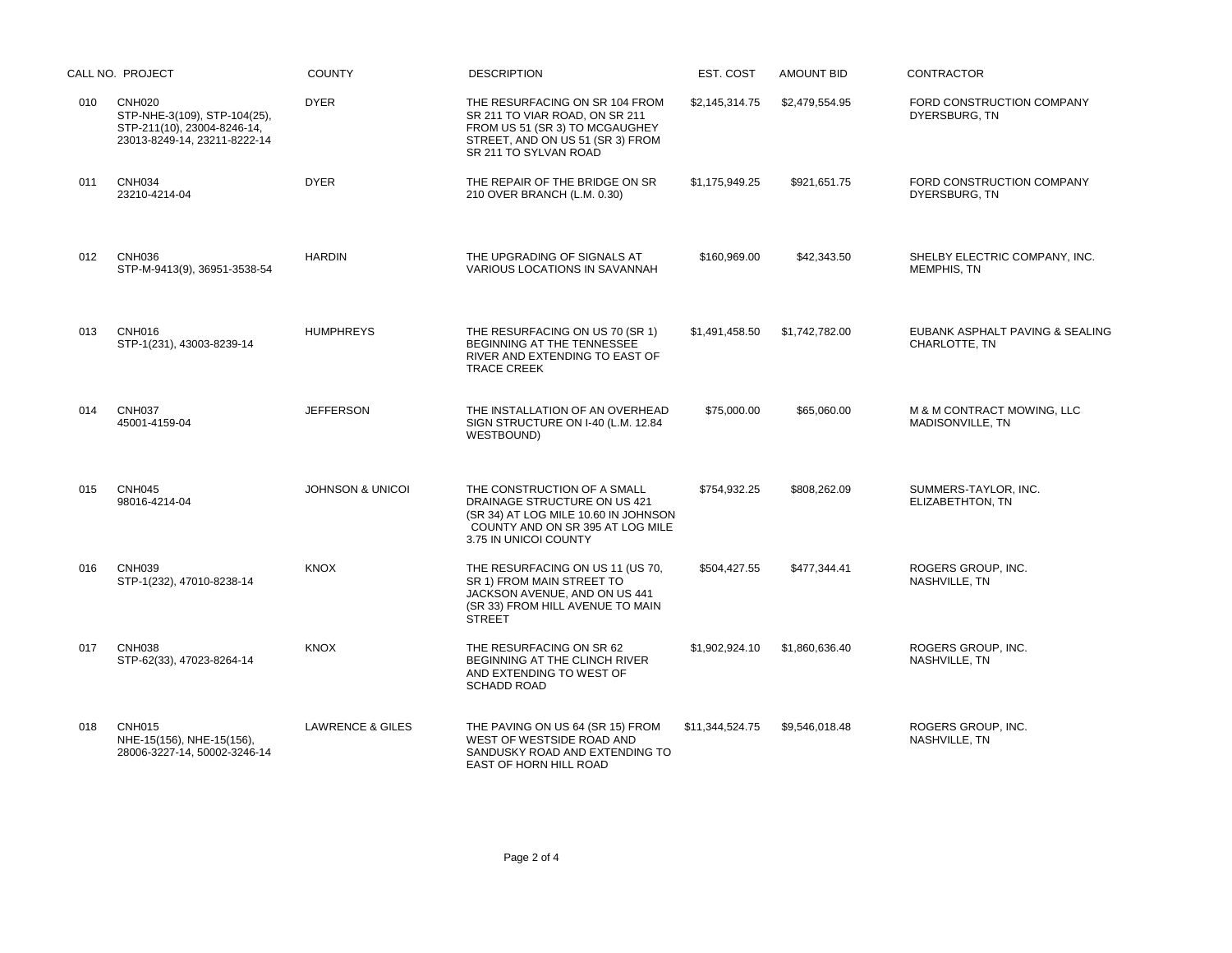|     | CALL NO. PROJECT                                                                                             | <b>COUNTY</b>               | <b>DESCRIPTION</b>                                                                                                                                               | EST. COST       | <b>AMOUNT BID</b> | <b>CONTRACTOR</b>                                |
|-----|--------------------------------------------------------------------------------------------------------------|-----------------------------|------------------------------------------------------------------------------------------------------------------------------------------------------------------|-----------------|-------------------|--------------------------------------------------|
| 010 | <b>CNH020</b><br>STP-NHE-3(109), STP-104(25),<br>STP-211(10), 23004-8246-14,<br>23013-8249-14, 23211-8222-14 | <b>DYER</b>                 | THE RESURFACING ON SR 104 FROM<br>SR 211 TO VIAR ROAD, ON SR 211<br>FROM US 51 (SR 3) TO MCGAUGHEY<br>STREET, AND ON US 51 (SR 3) FROM<br>SR 211 TO SYLVAN ROAD  | \$2,145,314.75  | \$2,479,554.95    | FORD CONSTRUCTION COMPANY<br>DYERSBURG, TN       |
| 011 | <b>CNH034</b><br>23210-4214-04                                                                               | <b>DYER</b>                 | THE REPAIR OF THE BRIDGE ON SR<br>210 OVER BRANCH (L.M. 0.30)                                                                                                    | \$1.175.949.25  | \$921.651.75      | FORD CONSTRUCTION COMPANY<br>DYERSBURG, TN       |
| 012 | <b>CNH036</b><br>STP-M-9413(9), 36951-3538-54                                                                | <b>HARDIN</b>               | THE UPGRADING OF SIGNALS AT<br>VARIOUS LOCATIONS IN SAVANNAH                                                                                                     | \$160,969.00    | \$42,343.50       | SHELBY ELECTRIC COMPANY, INC.<br>MEMPHIS, TN     |
| 013 | <b>CNH016</b><br>STP-1(231), 43003-8239-14                                                                   | <b>HUMPHREYS</b>            | THE RESURFACING ON US 70 (SR 1)<br>BEGINNING AT THE TENNESSEE<br>RIVER AND EXTENDING TO EAST OF<br><b>TRACE CREEK</b>                                            | \$1,491,458.50  | \$1,742,782.00    | EUBANK ASPHALT PAVING & SEALING<br>CHARLOTTE, TN |
| 014 | <b>CNH037</b><br>45001-4159-04                                                                               | <b>JEFFERSON</b>            | THE INSTALLATION OF AN OVERHEAD<br>SIGN STRUCTURE ON I-40 (L.M. 12.84<br>WESTBOUND)                                                                              | \$75,000.00     | \$65,060.00       | M & M CONTRACT MOWING, LLC<br>MADISONVILLE, TN   |
| 015 | <b>CNH045</b><br>98016-4214-04                                                                               | <b>JOHNSON &amp; UNICOI</b> | THE CONSTRUCTION OF A SMALL<br>DRAINAGE STRUCTURE ON US 421<br>(SR 34) AT LOG MILE 10.60 IN JOHNSON<br>COUNTY AND ON SR 395 AT LOG MILE<br>3.75 IN UNICOI COUNTY | \$754,932.25    | \$808,262.09      | SUMMERS-TAYLOR, INC.<br>ELIZABETHTON, TN         |
| 016 | <b>CNH039</b><br>STP-1(232), 47010-8238-14                                                                   | <b>KNOX</b>                 | THE RESURFACING ON US 11 (US 70,<br>SR 1) FROM MAIN STREET TO<br>JACKSON AVENUE, AND ON US 441<br>(SR 33) FROM HILL AVENUE TO MAIN<br><b>STREET</b>              | \$504,427.55    | \$477,344.41      | ROGERS GROUP, INC.<br>NASHVILLE, TN              |
| 017 | <b>CNH038</b><br>STP-62(33), 47023-8264-14                                                                   | <b>KNOX</b>                 | THE RESURFACING ON SR 62<br>BEGINNING AT THE CLINCH RIVER<br>AND EXTENDING TO WEST OF<br><b>SCHADD ROAD</b>                                                      | \$1,902,924.10  | \$1,860,636.40    | ROGERS GROUP, INC.<br>NASHVILLE, TN              |
| 018 | <b>CNH015</b><br>NHE-15(156), NHE-15(156),<br>28006-3227-14, 50002-3246-14                                   | <b>LAWRENCE &amp; GILES</b> | THE PAVING ON US 64 (SR 15) FROM<br>WEST OF WESTSIDE ROAD AND<br>SANDUSKY ROAD AND EXTENDING TO<br>EAST OF HORN HILL ROAD                                        | \$11,344,524.75 | \$9,546,018.48    | ROGERS GROUP, INC.<br>NASHVILLE, TN              |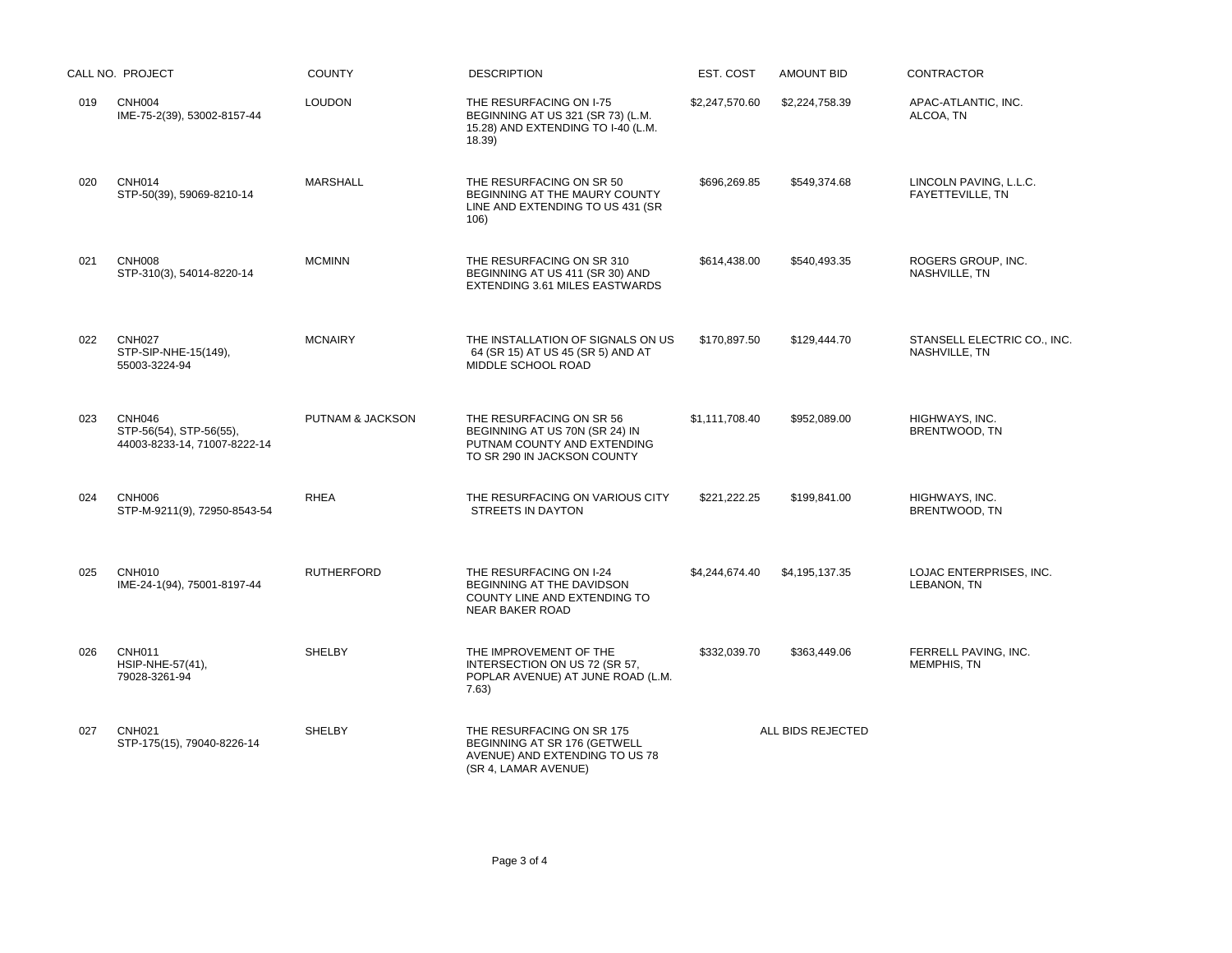|     | CALL NO. PROJECT                                                         | <b>COUNTY</b>     | <b>DESCRIPTION</b>                                                                                                       | EST. COST      | <b>AMOUNT BID</b> | <b>CONTRACTOR</b>                                 |
|-----|--------------------------------------------------------------------------|-------------------|--------------------------------------------------------------------------------------------------------------------------|----------------|-------------------|---------------------------------------------------|
| 019 | <b>CNH004</b><br>IME-75-2(39), 53002-8157-44                             | <b>LOUDON</b>     | THE RESURFACING ON I-75<br>BEGINNING AT US 321 (SR 73) (L.M.<br>15.28) AND EXTENDING TO I-40 (L.M.<br>18.39              | \$2,247,570.60 | \$2,224,758.39    | APAC-ATLANTIC, INC.<br>ALCOA, TN                  |
| 020 | <b>CNH014</b><br>STP-50(39), 59069-8210-14                               | <b>MARSHALL</b>   | THE RESURFACING ON SR 50<br>BEGINNING AT THE MAURY COUNTY<br>LINE AND EXTENDING TO US 431 (SR<br>106)                    | \$696,269.85   | \$549,374.68      | LINCOLN PAVING, L.L.C.<br><b>FAYETTEVILLE, TN</b> |
| 021 | <b>CNH008</b><br>STP-310(3), 54014-8220-14                               | <b>MCMINN</b>     | THE RESURFACING ON SR 310<br>BEGINNING AT US 411 (SR 30) AND<br>EXTENDING 3.61 MILES EASTWARDS                           | \$614.438.00   | \$540.493.35      | ROGERS GROUP, INC.<br>NASHVILLE, TN               |
| 022 | <b>CNH027</b><br>STP-SIP-NHE-15(149),<br>55003-3224-94                   | <b>MCNAIRY</b>    | THE INSTALLATION OF SIGNALS ON US<br>64 (SR 15) AT US 45 (SR 5) AND AT<br>MIDDLE SCHOOL ROAD                             | \$170,897.50   | \$129,444.70      | STANSELL ELECTRIC CO., INC.<br>NASHVILLE, TN      |
| 023 | <b>CNH046</b><br>STP-56(54), STP-56(55),<br>44003-8233-14, 71007-8222-14 | PUTNAM & JACKSON  | THE RESURFACING ON SR 56<br>BEGINNING AT US 70N (SR 24) IN<br>PUTNAM COUNTY AND EXTENDING<br>TO SR 290 IN JACKSON COUNTY | \$1,111,708.40 | \$952,089.00      | HIGHWAYS, INC.<br>BRENTWOOD, TN                   |
| 024 | <b>CNH006</b><br>STP-M-9211(9), 72950-8543-54                            | <b>RHEA</b>       | THE RESURFACING ON VARIOUS CITY<br><b>STREETS IN DAYTON</b>                                                              | \$221.222.25   | \$199,841.00      | HIGHWAYS, INC.<br>BRENTWOOD, TN                   |
| 025 | <b>CNH010</b><br>IME-24-1(94), 75001-8197-44                             | <b>RUTHERFORD</b> | THE RESURFACING ON I-24<br>BEGINNING AT THE DAVIDSON<br>COUNTY LINE AND EXTENDING TO<br><b>NEAR BAKER ROAD</b>           | \$4,244,674.40 | \$4,195,137.35    | LOJAC ENTERPRISES, INC.<br>LEBANON, TN            |
| 026 | CNH <sub>011</sub><br>HSIP-NHE-57(41),<br>79028-3261-94                  | <b>SHELBY</b>     | THE IMPROVEMENT OF THE<br>INTERSECTION ON US 72 (SR 57,<br>POPLAR AVENUE) AT JUNE ROAD (L.M.<br>7.63)                    | \$332,039.70   | \$363,449.06      | FERRELL PAVING, INC.<br><b>MEMPHIS, TN</b>        |
| 027 | <b>CNH021</b><br>STP-175(15), 79040-8226-14                              | <b>SHELBY</b>     | THE RESURFACING ON SR 175<br>BEGINNING AT SR 176 (GETWELL<br>AVENUE) AND EXTENDING TO US 78<br>(SR 4, LAMAR AVENUE)      |                | ALL BIDS REJECTED |                                                   |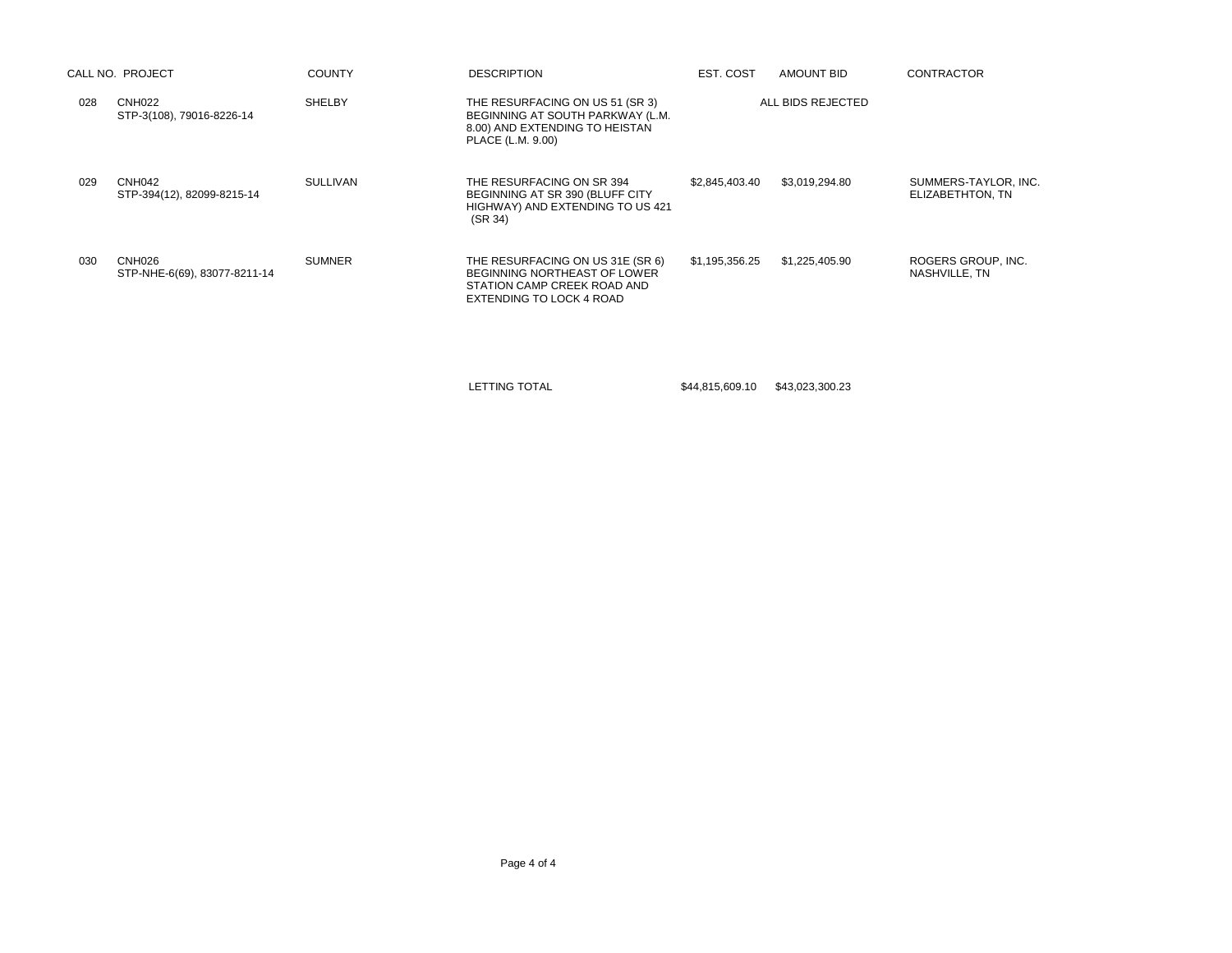|        | <b>COUNTY</b>                                                                                                         | <b>DESCRIPTION</b>                                                                                                          | EST. COST      | AMOUNT BID     | <b>CONTRACTOR</b>                        |
|--------|-----------------------------------------------------------------------------------------------------------------------|-----------------------------------------------------------------------------------------------------------------------------|----------------|----------------|------------------------------------------|
| CNH022 | <b>SHELBY</b>                                                                                                         | THE RESURFACING ON US 51 (SR 3)<br>BEGINNING AT SOUTH PARKWAY (L.M.<br>8.00) AND EXTENDING TO HEISTAN<br>PLACE (L.M. 9.00)  |                |                |                                          |
| CNH042 | <b>SULLIVAN</b>                                                                                                       | THE RESURFACING ON SR 394<br>BEGINNING AT SR 390 (BLUFF CITY<br>HIGHWAY) AND EXTENDING TO US 421<br>(SR 34)                 | \$2,845,403.40 | \$3,019,294.80 | SUMMERS-TAYLOR, INC.<br>ELIZABETHTON, TN |
|        | <b>SUMNER</b>                                                                                                         | THE RESURFACING ON US 31E (SR 6)<br>BEGINNING NORTHEAST OF LOWER<br>STATION CAMP CREEK ROAD AND<br>EXTENDING TO LOCK 4 ROAD | \$1,195,356.25 | \$1,225,405.90 | ROGERS GROUP, INC.<br>NASHVILLE, TN      |
|        | CALL NO. PROJECT<br>STP-3(108), 79016-8226-14<br>STP-394(12), 82099-8215-14<br>CNH026<br>STP-NHE-6(69), 83077-8211-14 |                                                                                                                             |                |                | ALL BIDS REJECTED                        |

LETTING TOTAL \$44,815,609.10 \$43,023,300.23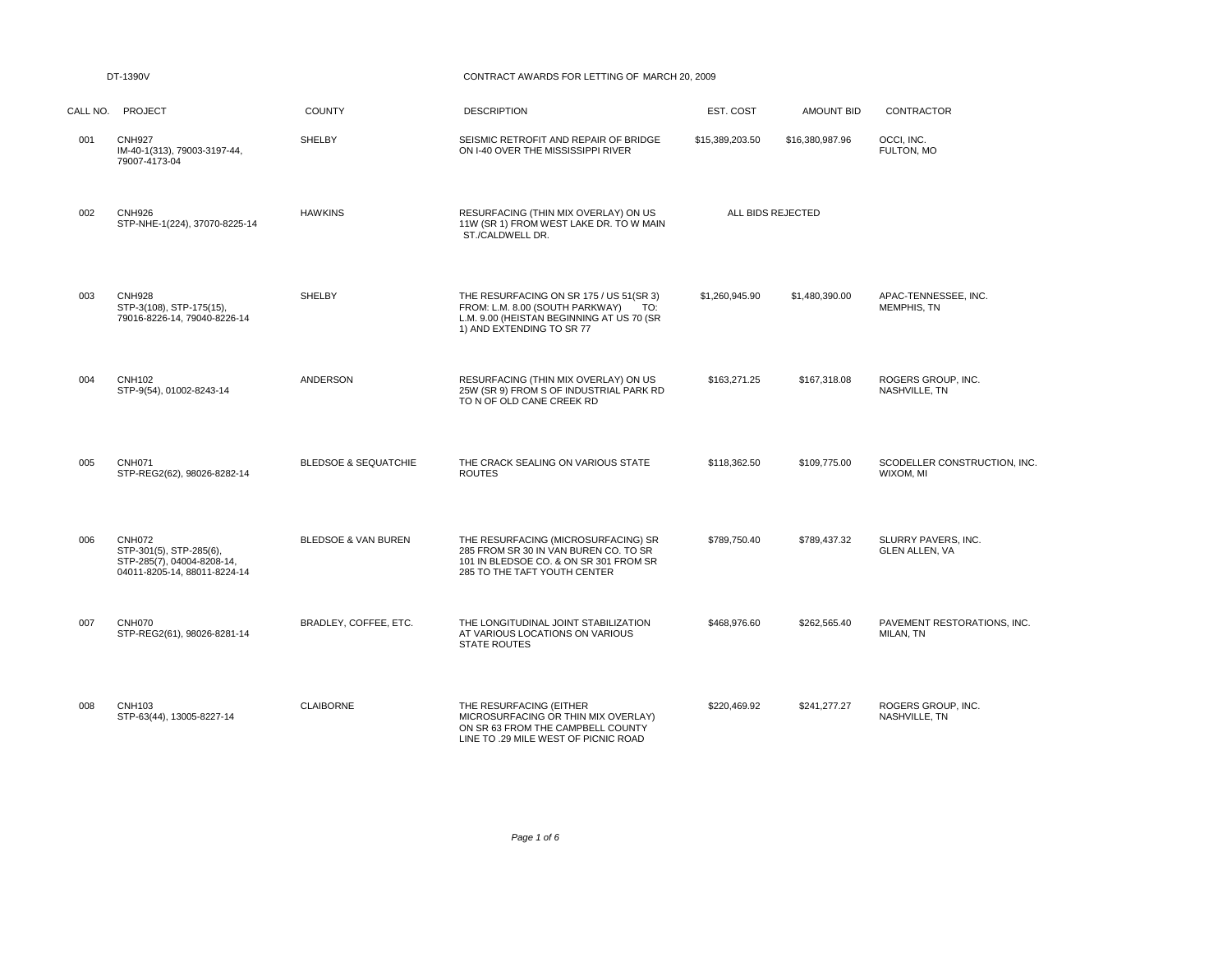## DT-1390V CONTRACT AWARDS FOR LETTING OF MARCH 20, 2009

| CALL NO. | <b>PROJECT</b>                                                                                         | <b>COUNTY</b>                   | <b>DESCRIPTION</b>                                                                                                                                          | EST. COST         | <b>AMOUNT BID</b> | <b>CONTRACTOR</b>                            |
|----------|--------------------------------------------------------------------------------------------------------|---------------------------------|-------------------------------------------------------------------------------------------------------------------------------------------------------------|-------------------|-------------------|----------------------------------------------|
| 001      | <b>CNH927</b><br>IM-40-1(313), 79003-3197-44,<br>79007-4173-04                                         | SHELBY                          | SEISMIC RETROFIT AND REPAIR OF BRIDGE<br>ON I-40 OVER THE MISSISSIPPI RIVER                                                                                 | \$15,389,203.50   | \$16,380,987.96   | OCCI, INC.<br>FULTON, MO                     |
| 002      | <b>CNH926</b><br>STP-NHE-1(224), 37070-8225-14                                                         | <b>HAWKINS</b>                  | RESURFACING (THIN MIX OVERLAY) ON US<br>11W (SR 1) FROM WEST LAKE DR. TO W MAIN<br>ST./CALDWELL DR.                                                         | ALL BIDS REJECTED |                   |                                              |
| 003      | <b>CNH928</b><br>STP-3(108), STP-175(15),<br>79016-8226-14, 79040-8226-14                              | <b>SHELBY</b>                   | THE RESURFACING ON SR 175 / US 51(SR 3)<br>FROM: L.M. 8.00 (SOUTH PARKWAY)<br>TO:<br>L.M. 9.00 (HEISTAN BEGINNING AT US 70 (SR<br>1) AND EXTENDING TO SR 77 | \$1.260.945.90    | \$1,480,390.00    | APAC-TENNESSEE. INC.<br>MEMPHIS, TN          |
| 004      | <b>CNH102</b><br>STP-9(54), 01002-8243-14                                                              | <b>ANDERSON</b>                 | RESURFACING (THIN MIX OVERLAY) ON US<br>25W (SR 9) FROM S OF INDUSTRIAL PARK RD<br>TO N OF OLD CANE CREEK RD                                                | \$163,271.25      | \$167,318.08      | ROGERS GROUP, INC.<br>NASHVILLE, TN          |
| 005      | <b>CNH071</b><br>STP-REG2(62), 98026-8282-14                                                           | <b>BLEDSOE &amp; SEQUATCHIE</b> | THE CRACK SEALING ON VARIOUS STATE<br><b>ROUTES</b>                                                                                                         | \$118,362.50      | \$109,775.00      | SCODELLER CONSTRUCTION, INC.<br>WIXOM, MI    |
| 006      | <b>CNH072</b><br>STP-301(5), STP-285(6),<br>STP-285(7), 04004-8208-14,<br>04011-8205-14, 88011-8224-14 | <b>BLEDSOE &amp; VAN BUREN</b>  | THE RESURFACING (MICROSURFACING) SR<br>285 FROM SR 30 IN VAN BUREN CO. TO SR<br>101 IN BLEDSOE CO. & ON SR 301 FROM SR<br>285 TO THE TAFT YOUTH CENTER      | \$789.750.40      | \$789,437.32      | SLURRY PAVERS, INC.<br><b>GLEN ALLEN, VA</b> |
| 007      | CNH070<br>STP-REG2(61), 98026-8281-14                                                                  | BRADLEY, COFFEE, ETC.           | THE LONGITUDINAL JOINT STABILIZATION<br>AT VARIOUS LOCATIONS ON VARIOUS<br><b>STATE ROUTES</b>                                                              | \$468,976.60      | \$262,565.40      | PAVEMENT RESTORATIONS, INC.<br>MILAN, TN     |
| 008      | <b>CNH103</b><br>STP-63(44), 13005-8227-14                                                             | <b>CLAIBORNE</b>                | THE RESURFACING (EITHER<br>MICROSURFACING OR THIN MIX OVERLAY)<br>ON SR 63 FROM THE CAMPBELL COUNTY<br>LINE TO .29 MILE WEST OF PICNIC ROAD                 | \$220,469.92      | \$241,277.27      | ROGERS GROUP, INC.<br>NASHVILLE, TN          |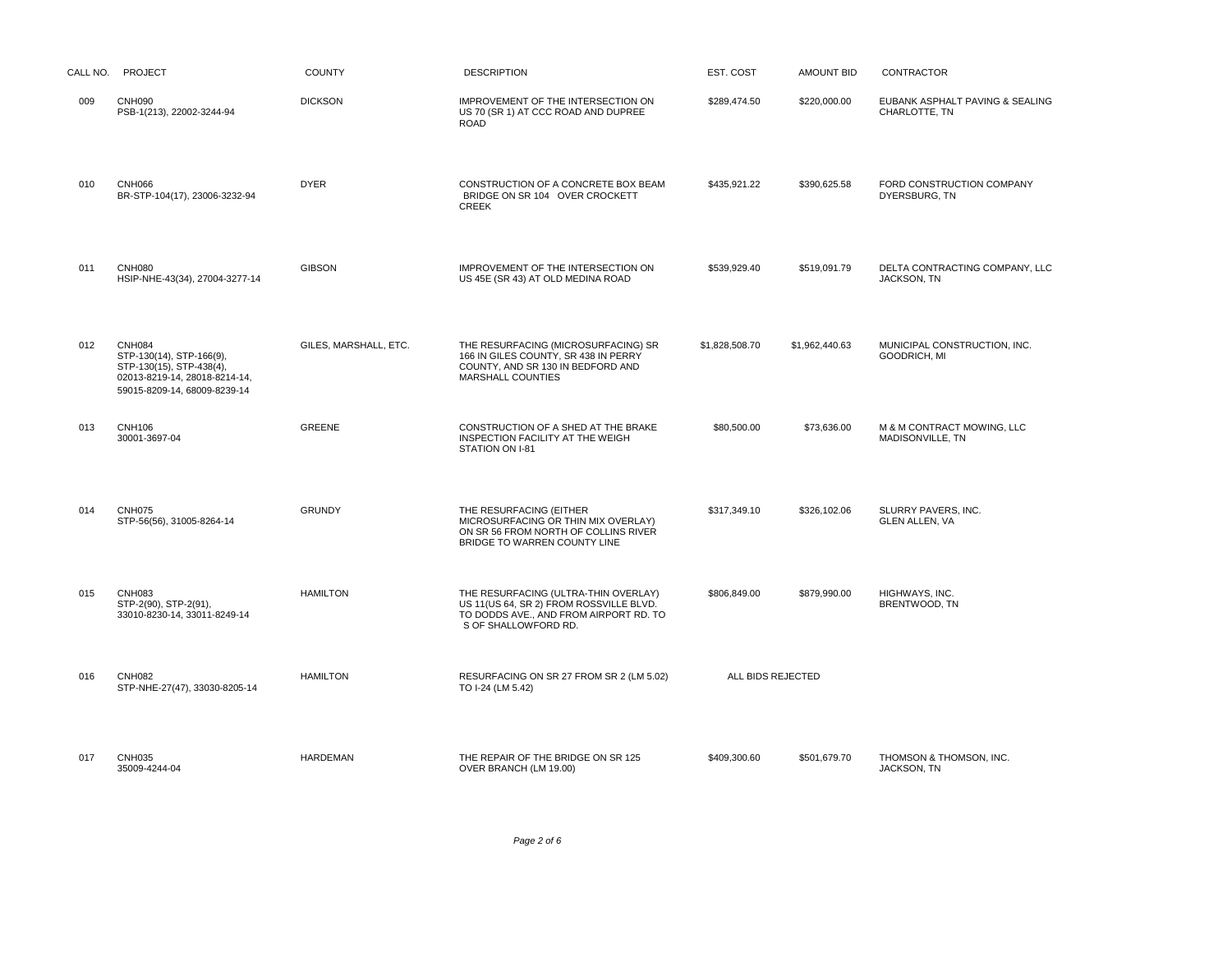| CALL NO. | <b>PROJECT</b>                                                                                                                         | <b>COUNTY</b>         | <b>DESCRIPTION</b>                                                                                                                                | EST. COST         | <b>AMOUNT BID</b> | <b>CONTRACTOR</b>                                |
|----------|----------------------------------------------------------------------------------------------------------------------------------------|-----------------------|---------------------------------------------------------------------------------------------------------------------------------------------------|-------------------|-------------------|--------------------------------------------------|
| 009      | <b>CNH090</b><br>PSB-1(213), 22002-3244-94                                                                                             | <b>DICKSON</b>        | IMPROVEMENT OF THE INTERSECTION ON<br>US 70 (SR 1) AT CCC ROAD AND DUPREE<br><b>ROAD</b>                                                          | \$289,474.50      | \$220,000.00      | EUBANK ASPHALT PAVING & SEALING<br>CHARLOTTE, TN |
| 010      | <b>CNH066</b><br>BR-STP-104(17), 23006-3232-94                                                                                         | <b>DYER</b>           | CONSTRUCTION OF A CONCRETE BOX BEAM<br>BRIDGE ON SR 104 OVER CROCKETT<br><b>CREEK</b>                                                             | \$435.921.22      | \$390,625.58      | FORD CONSTRUCTION COMPANY<br>DYERSBURG, TN       |
| 011      | <b>CNH080</b><br>HSIP-NHE-43(34), 27004-3277-14                                                                                        | <b>GIBSON</b>         | IMPROVEMENT OF THE INTERSECTION ON<br>US 45E (SR 43) AT OLD MEDINA ROAD                                                                           | \$539,929.40      | \$519,091.79      | DELTA CONTRACTING COMPANY, LLC<br>JACKSON, TN    |
| 012      | <b>CNH084</b><br>STP-130(14), STP-166(9),<br>STP-130(15), STP-438(4),<br>02013-8219-14, 28018-8214-14,<br>59015-8209-14, 68009-8239-14 | GILES, MARSHALL, ETC. | THE RESURFACING (MICROSURFACING) SR<br>166 IN GILES COUNTY, SR 438 IN PERRY<br>COUNTY, AND SR 130 IN BEDFORD AND<br>MARSHALL COUNTIES             | \$1.828.508.70    | \$1.962.440.63    | MUNICIPAL CONSTRUCTION. INC.<br>GOODRICH, MI     |
| 013      | <b>CNH106</b><br>30001-3697-04                                                                                                         | <b>GREENE</b>         | CONSTRUCTION OF A SHED AT THE BRAKE<br>INSPECTION FACILITY AT THE WEIGH<br>STATION ON I-81                                                        | \$80,500.00       | \$73,636.00       | M & M CONTRACT MOWING, LLC<br>MADISONVILLE, TN   |
| 014      | <b>CNH075</b><br>STP-56(56), 31005-8264-14                                                                                             | <b>GRUNDY</b>         | THE RESURFACING (EITHER<br>MICROSURFACING OR THIN MIX OVERLAY)<br>ON SR 56 FROM NORTH OF COLLINS RIVER<br>BRIDGE TO WARREN COUNTY LINE            | \$317,349.10      | \$326,102.06      | SLURRY PAVERS, INC.<br><b>GLEN ALLEN, VA</b>     |
| 015      | <b>CNH083</b><br>STP-2(90), STP-2(91),<br>33010-8230-14, 33011-8249-14                                                                 | <b>HAMILTON</b>       | THE RESURFACING (ULTRA-THIN OVERLAY)<br>US 11(US 64, SR 2) FROM ROSSVILLE BLVD.<br>TO DODDS AVE., AND FROM AIRPORT RD. TO<br>S OF SHALLOWFORD RD. | \$806.849.00      | \$879,990.00      | HIGHWAYS, INC.<br>BRENTWOOD, TN                  |
| 016      | <b>CNH082</b><br>STP-NHE-27(47), 33030-8205-14                                                                                         | <b>HAMILTON</b>       | RESURFACING ON SR 27 FROM SR 2 (LM 5.02)<br>TO I-24 (LM 5.42)                                                                                     | ALL BIDS REJECTED |                   |                                                  |
| 017      | <b>CNH035</b><br>35009-4244-04                                                                                                         | <b>HARDEMAN</b>       | THE REPAIR OF THE BRIDGE ON SR 125<br>OVER BRANCH (LM 19.00)                                                                                      | \$409,300.60      | \$501,679.70      | THOMSON & THOMSON, INC.<br>JACKSON, TN           |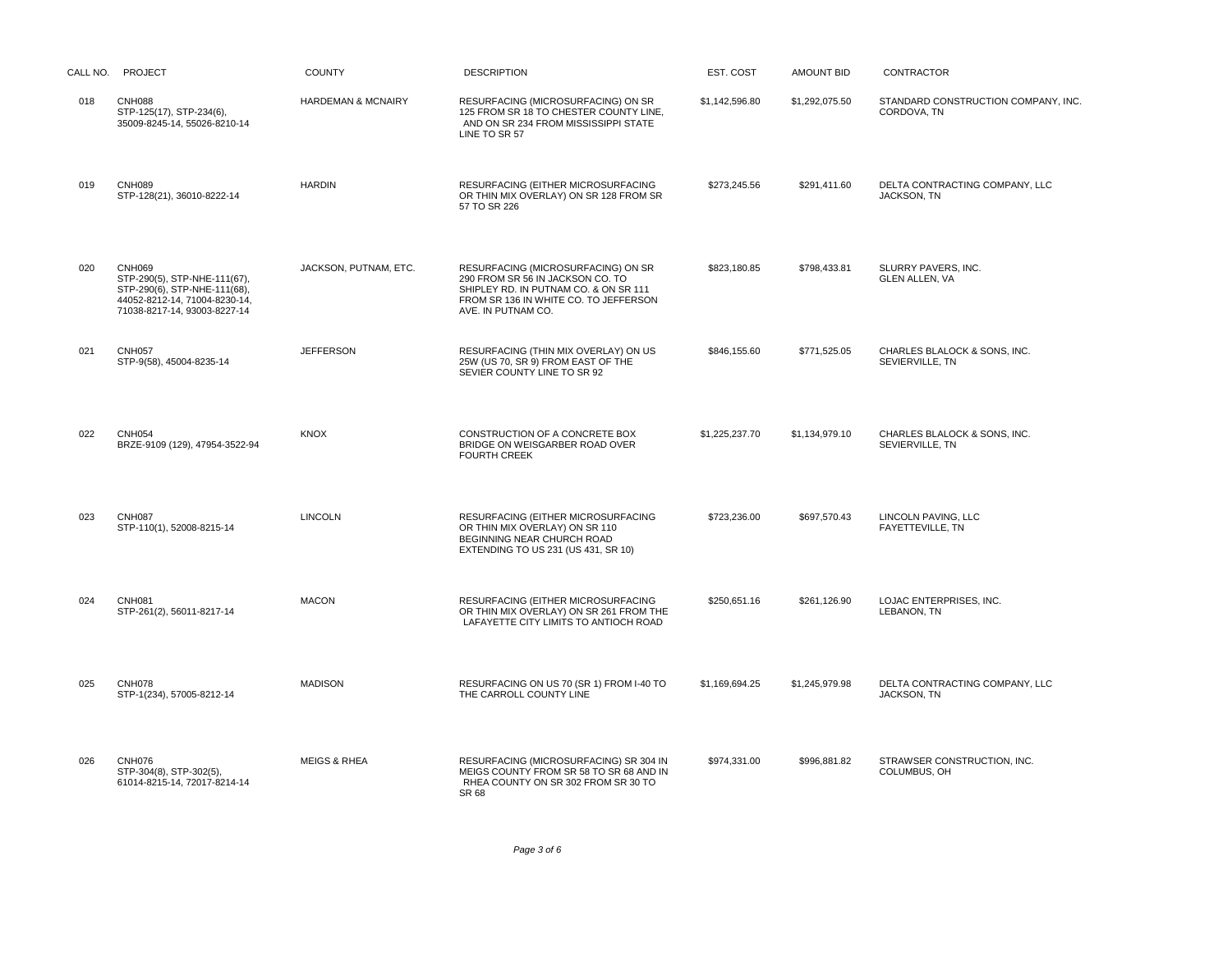| CALL NO. | <b>PROJECT</b>                                                                                                                                 | <b>COUNTY</b>           | <b>DESCRIPTION</b>                                                                                                                                                             | EST. COST      | <b>AMOUNT BID</b> | CONTRACTOR                                         |
|----------|------------------------------------------------------------------------------------------------------------------------------------------------|-------------------------|--------------------------------------------------------------------------------------------------------------------------------------------------------------------------------|----------------|-------------------|----------------------------------------------------|
| 018      | <b>CNH088</b><br>STP-125(17), STP-234(6),<br>35009-8245-14, 55026-8210-14                                                                      | HARDEMAN & MCNAIRY      | RESURFACING (MICROSURFACING) ON SR<br>125 FROM SR 18 TO CHESTER COUNTY LINE,<br>AND ON SR 234 FROM MISSISSIPPI STATE<br>LINE TO SR 57                                          | \$1,142,596.80 | \$1,292,075.50    | STANDARD CONSTRUCTION COMPANY, INC.<br>CORDOVA, TN |
| 019      | <b>CNH089</b><br>STP-128(21), 36010-8222-14                                                                                                    | <b>HARDIN</b>           | RESURFACING (EITHER MICROSURFACING<br>OR THIN MIX OVERLAY) ON SR 128 FROM SR<br>57 TO SR 226                                                                                   | \$273,245.56   | \$291,411.60      | DELTA CONTRACTING COMPANY, LLC<br>JACKSON, TN      |
| 020      | <b>CNH069</b><br>STP-290(5), STP-NHE-111(67),<br>STP-290(6), STP-NHE-111(68),<br>44052-8212-14, 71004-8230-14,<br>71038-8217-14, 93003-8227-14 | JACKSON, PUTNAM, ETC.   | RESURFACING (MICROSURFACING) ON SR<br>290 FROM SR 56 IN JACKSON CO. TO<br>SHIPLEY RD. IN PUTNAM CO. & ON SR 111<br>FROM SR 136 IN WHITE CO. TO JEFFERSON<br>AVE. IN PUTNAM CO. | \$823,180.85   | \$798,433.81      | SLURRY PAVERS, INC.<br><b>GLEN ALLEN, VA</b>       |
| 021      | <b>CNH057</b><br>STP-9(58), 45004-8235-14                                                                                                      | <b>JEFFERSON</b>        | RESURFACING (THIN MIX OVERLAY) ON US<br>25W (US 70, SR 9) FROM EAST OF THE<br>SEVIER COUNTY LINE TO SR 92                                                                      | \$846,155.60   | \$771,525.05      | CHARLES BLALOCK & SONS, INC.<br>SEVIERVILLE, TN    |
| 022      | <b>CNH054</b><br>BRZE-9109 (129), 47954-3522-94                                                                                                | <b>KNOX</b>             | CONSTRUCTION OF A CONCRETE BOX<br>BRIDGE ON WEISGARBER ROAD OVER<br><b>FOURTH CREEK</b>                                                                                        | \$1,225,237.70 | \$1,134,979.10    | CHARLES BLALOCK & SONS, INC.<br>SEVIERVILLE, TN    |
| 023      | <b>CNH087</b><br>STP-110(1), 52008-8215-14                                                                                                     | <b>LINCOLN</b>          | RESURFACING (EITHER MICROSURFACING<br>OR THIN MIX OVERLAY) ON SR 110<br>BEGINNING NEAR CHURCH ROAD<br>EXTENDING TO US 231 (US 431, SR 10)                                      | \$723,236.00   | \$697,570.43      | LINCOLN PAVING, LLC<br>FAYETTEVILLE, TN            |
| 024      | <b>CNH081</b><br>STP-261(2), 56011-8217-14                                                                                                     | <b>MACON</b>            | RESURFACING (EITHER MICROSURFACING<br>OR THIN MIX OVERLAY) ON SR 261 FROM THE<br>LAFAYETTE CITY LIMITS TO ANTIOCH ROAD                                                         | \$250,651.16   | \$261,126.90      | LOJAC ENTERPRISES, INC.<br>LEBANON, TN             |
| 025      | <b>CNH078</b><br>STP-1(234), 57005-8212-14                                                                                                     | <b>MADISON</b>          | RESURFACING ON US 70 (SR 1) FROM I-40 TO<br>THE CARROLL COUNTY LINE                                                                                                            | \$1,169,694.25 | \$1,245,979.98    | DELTA CONTRACTING COMPANY, LLC<br>JACKSON, TN      |
| 026      | <b>CNH076</b><br>STP-304(8), STP-302(5),<br>61014-8215-14, 72017-8214-14                                                                       | <b>MEIGS &amp; RHEA</b> | RESURFACING (MICROSURFACING) SR 304 IN<br>MEIGS COUNTY FROM SR 58 TO SR 68 AND IN<br>RHEA COUNTY ON SR 302 FROM SR 30 TO<br>SR 68                                              | \$974,331.00   | \$996,881.82      | STRAWSER CONSTRUCTION, INC.<br>COLUMBUS, OH        |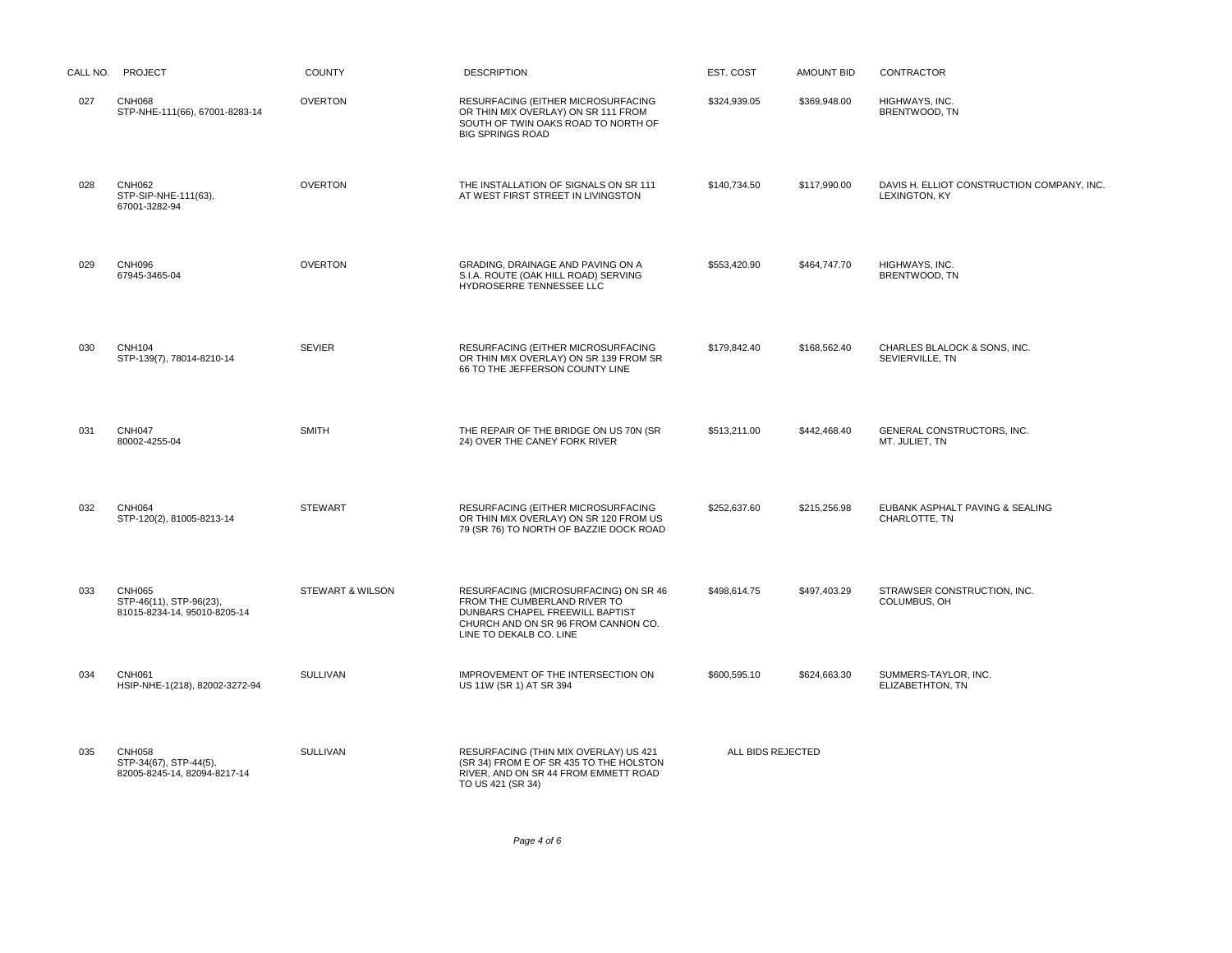|     | CALL NO. PROJECT                                                         | <b>COUNTY</b>               | <b>DESCRIPTION</b>                                                                                                                                                         | EST. COST         | <b>AMOUNT BID</b> | <b>CONTRACTOR</b>                                           |
|-----|--------------------------------------------------------------------------|-----------------------------|----------------------------------------------------------------------------------------------------------------------------------------------------------------------------|-------------------|-------------------|-------------------------------------------------------------|
| 027 | <b>CNH068</b><br>STP-NHE-111(66), 67001-8283-14                          | <b>OVERTON</b>              | RESURFACING (EITHER MICROSURFACING<br>OR THIN MIX OVERLAY) ON SR 111 FROM<br>SOUTH OF TWIN OAKS ROAD TO NORTH OF<br><b>BIG SPRINGS ROAD</b>                                | \$324,939.05      | \$369,948.00      | HIGHWAYS, INC.<br>BRENTWOOD, TN                             |
| 028 | <b>CNH062</b><br>STP-SIP-NHE-111(63),<br>67001-3282-94                   | <b>OVERTON</b>              | THE INSTALLATION OF SIGNALS ON SR 111<br>AT WEST FIRST STREET IN LIVINGSTON                                                                                                | \$140,734.50      | \$117,990.00      | DAVIS H. ELLIOT CONSTRUCTION COMPANY, INC.<br>LEXINGTON, KY |
| 029 | <b>CNH096</b><br>67945-3465-04                                           | <b>OVERTON</b>              | GRADING, DRAINAGE AND PAVING ON A<br>S.I.A. ROUTE (OAK HILL ROAD) SERVING<br>HYDROSERRE TENNESSEE LLC                                                                      | \$553,420.90      | \$464,747.70      | HIGHWAYS, INC.<br>BRENTWOOD, TN                             |
| 030 | <b>CNH104</b><br>STP-139(7), 78014-8210-14                               | <b>SEVIER</b>               | RESURFACING (EITHER MICROSURFACING<br>OR THIN MIX OVERLAY) ON SR 139 FROM SR<br>66 TO THE JEFFERSON COUNTY LINE                                                            | \$179,842.40      | \$168,562.40      | CHARLES BLALOCK & SONS, INC.<br>SEVIERVILLE, TN             |
| 031 | <b>CNH047</b><br>80002-4255-04                                           | <b>SMITH</b>                | THE REPAIR OF THE BRIDGE ON US 70N (SR<br>24) OVER THE CANEY FORK RIVER                                                                                                    | \$513,211.00      | \$442,468.40      | GENERAL CONSTRUCTORS, INC.<br>MT. JULIET, TN                |
| 032 | <b>CNH064</b><br>STP-120(2), 81005-8213-14                               | <b>STEWART</b>              | RESURFACING (EITHER MICROSURFACING<br>OR THIN MIX OVERLAY) ON SR 120 FROM US<br>79 (SR 76) TO NORTH OF BAZZIE DOCK ROAD                                                    | \$252,637.60      | \$215,256.98      | EUBANK ASPHALT PAVING & SEALING<br>CHARLOTTE, TN            |
| 033 | <b>CNH065</b><br>STP-46(11), STP-96(23),<br>81015-8234-14, 95010-8205-14 | <b>STEWART &amp; WILSON</b> | RESURFACING (MICROSURFACING) ON SR 46<br>FROM THE CUMBERLAND RIVER TO<br>DUNBARS CHAPEL FREEWILL BAPTIST<br>CHURCH AND ON SR 96 FROM CANNON CO.<br>LINE TO DEKALB CO. LINE | \$498,614.75      | \$497,403.29      | STRAWSER CONSTRUCTION, INC.<br>COLUMBUS, OH                 |
| 034 | <b>CNH061</b><br>HSIP-NHE-1(218), 82002-3272-94                          | <b>SULLIVAN</b>             | IMPROVEMENT OF THE INTERSECTION ON<br>US 11W (SR 1) AT SR 394                                                                                                              | \$600,595.10      | \$624,663.30      | SUMMERS-TAYLOR, INC.<br>ELIZABETHTON, TN                    |
| 035 | <b>CNH058</b><br>STP-34(67), STP-44(5),<br>82005-8245-14, 82094-8217-14  | <b>SULLIVAN</b>             | RESURFACING (THIN MIX OVERLAY) US 421<br>(SR 34) FROM E OF SR 435 TO THE HOLSTON<br>RIVER, AND ON SR 44 FROM EMMETT ROAD<br>TO US 421 (SR 34)                              | ALL BIDS REJECTED |                   |                                                             |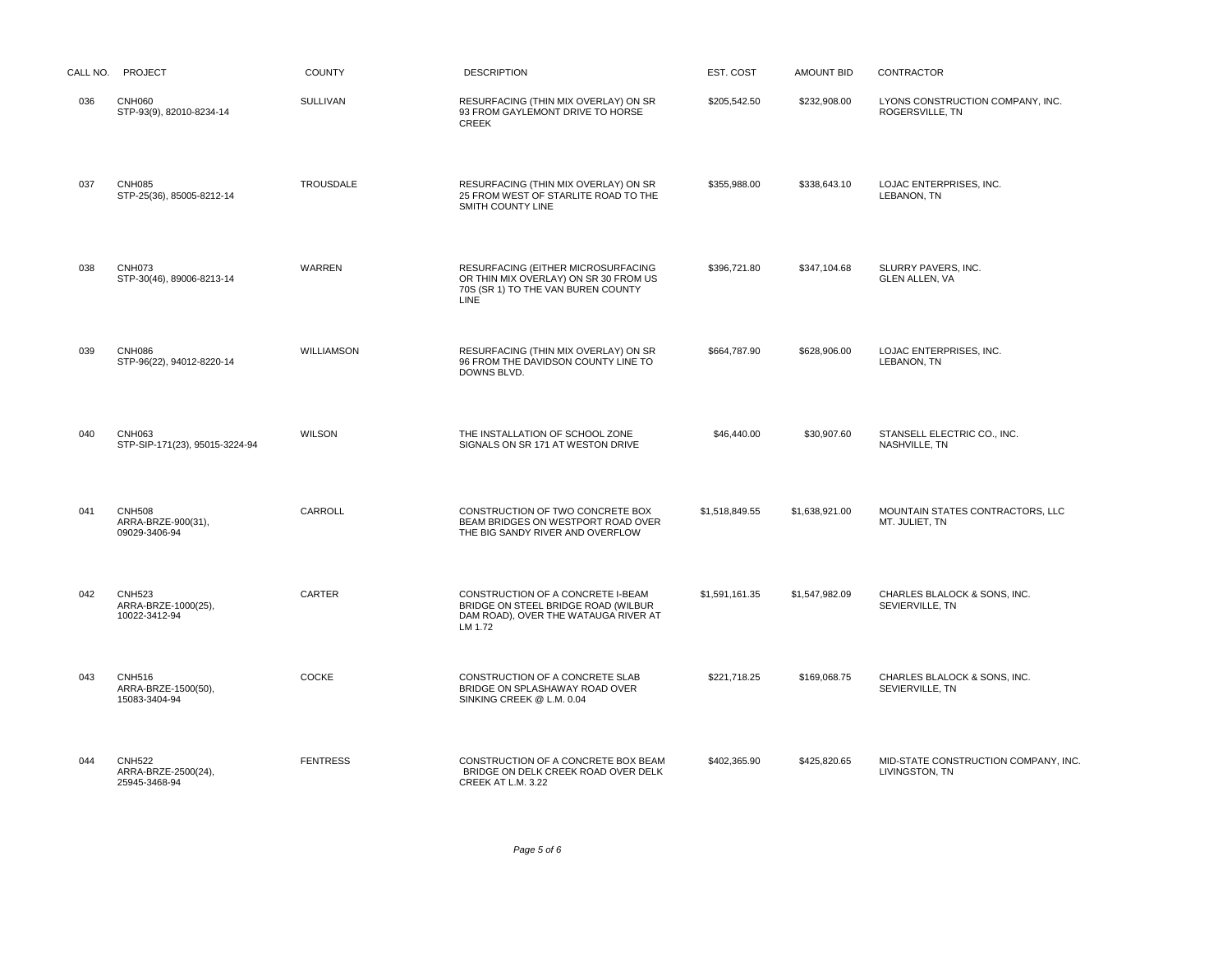| CALL NO. | PROJECT                                               | <b>COUNTY</b>   | <b>DESCRIPTION</b>                                                                                                                     | EST. COST      | <b>AMOUNT BID</b> | <b>CONTRACTOR</b>                                      |
|----------|-------------------------------------------------------|-----------------|----------------------------------------------------------------------------------------------------------------------------------------|----------------|-------------------|--------------------------------------------------------|
| 036      | <b>CNH060</b><br>STP-93(9), 82010-8234-14             | SULLIVAN        | RESURFACING (THIN MIX OVERLAY) ON SR<br>93 FROM GAYLEMONT DRIVE TO HORSE<br><b>CREEK</b>                                               | \$205,542.50   | \$232,908.00      | LYONS CONSTRUCTION COMPANY, INC.<br>ROGERSVILLE, TN    |
| 037      | <b>CNH085</b><br>STP-25(36), 85005-8212-14            | TROUSDALE       | RESURFACING (THIN MIX OVERLAY) ON SR<br>25 FROM WEST OF STARLITE ROAD TO THE<br>SMITH COUNTY LINE                                      | \$355,988.00   | \$338,643.10      | LOJAC ENTERPRISES, INC.<br>LEBANON, TN                 |
| 038      | <b>CNH073</b><br>STP-30(46), 89006-8213-14            | WARREN          | RESURFACING (EITHER MICROSURFACING<br>OR THIN MIX OVERLAY) ON SR 30 FROM US<br>70S (SR 1) TO THE VAN BUREN COUNTY<br>LINE <sup>®</sup> | \$396,721.80   | \$347,104.68      | SLURRY PAVERS, INC.<br>GLEN ALLEN, VA                  |
| 039      | <b>CNH086</b><br>STP-96(22), 94012-8220-14            | WILLIAMSON      | RESURFACING (THIN MIX OVERLAY) ON SR<br>96 FROM THE DAVIDSON COUNTY LINE TO<br>DOWNS BLVD.                                             | \$664,787.90   | \$628,906.00      | LOJAC ENTERPRISES, INC.<br>LEBANON, TN                 |
| 040      | CNH063<br>STP-SIP-171(23), 95015-3224-94              | <b>WILSON</b>   | THE INSTALLATION OF SCHOOL ZONE<br>SIGNALS ON SR 171 AT WESTON DRIVE                                                                   | \$46,440.00    | \$30,907.60       | STANSELL ELECTRIC CO., INC.<br>NASHVILLE, TN           |
| 041      | <b>CNH508</b><br>ARRA-BRZE-900(31),<br>09029-3406-94  | CARROLL         | CONSTRUCTION OF TWO CONCRETE BOX<br>BEAM BRIDGES ON WESTPORT ROAD OVER<br>THE BIG SANDY RIVER AND OVERFLOW                             | \$1,518,849.55 | \$1,638,921.00    | MOUNTAIN STATES CONTRACTORS, LLC<br>MT. JULIET, TN     |
| 042      | <b>CNH523</b><br>ARRA-BRZE-1000(25),<br>10022-3412-94 | CARTER          | CONSTRUCTION OF A CONCRETE I-BEAM<br>BRIDGE ON STEEL BRIDGE ROAD (WILBUR<br>DAM ROAD), OVER THE WATAUGA RIVER AT<br>LM 1.72            | \$1,591,161.35 | \$1,547,982.09    | CHARLES BLALOCK & SONS, INC.<br>SEVIERVILLE, TN        |
| 043      | <b>CNH516</b><br>ARRA-BRZE-1500(50).<br>15083-3404-94 | COCKE           | CONSTRUCTION OF A CONCRETE SLAB<br>BRIDGE ON SPLASHAWAY ROAD OVER<br>SINKING CREEK @ L.M. 0.04                                         | \$221,718.25   | \$169,068.75      | CHARLES BLALOCK & SONS, INC.<br>SEVIERVILLE, TN        |
| 044      | <b>CNH522</b><br>ARRA-BRZE-2500(24),<br>25945-3468-94 | <b>FENTRESS</b> | CONSTRUCTION OF A CONCRETE BOX BEAM<br>BRIDGE ON DELK CREEK ROAD OVER DELK<br>CREEK AT L.M. 3.22                                       | \$402,365.90   | \$425,820.65      | MID-STATE CONSTRUCTION COMPANY, INC.<br>LIVINGSTON, TN |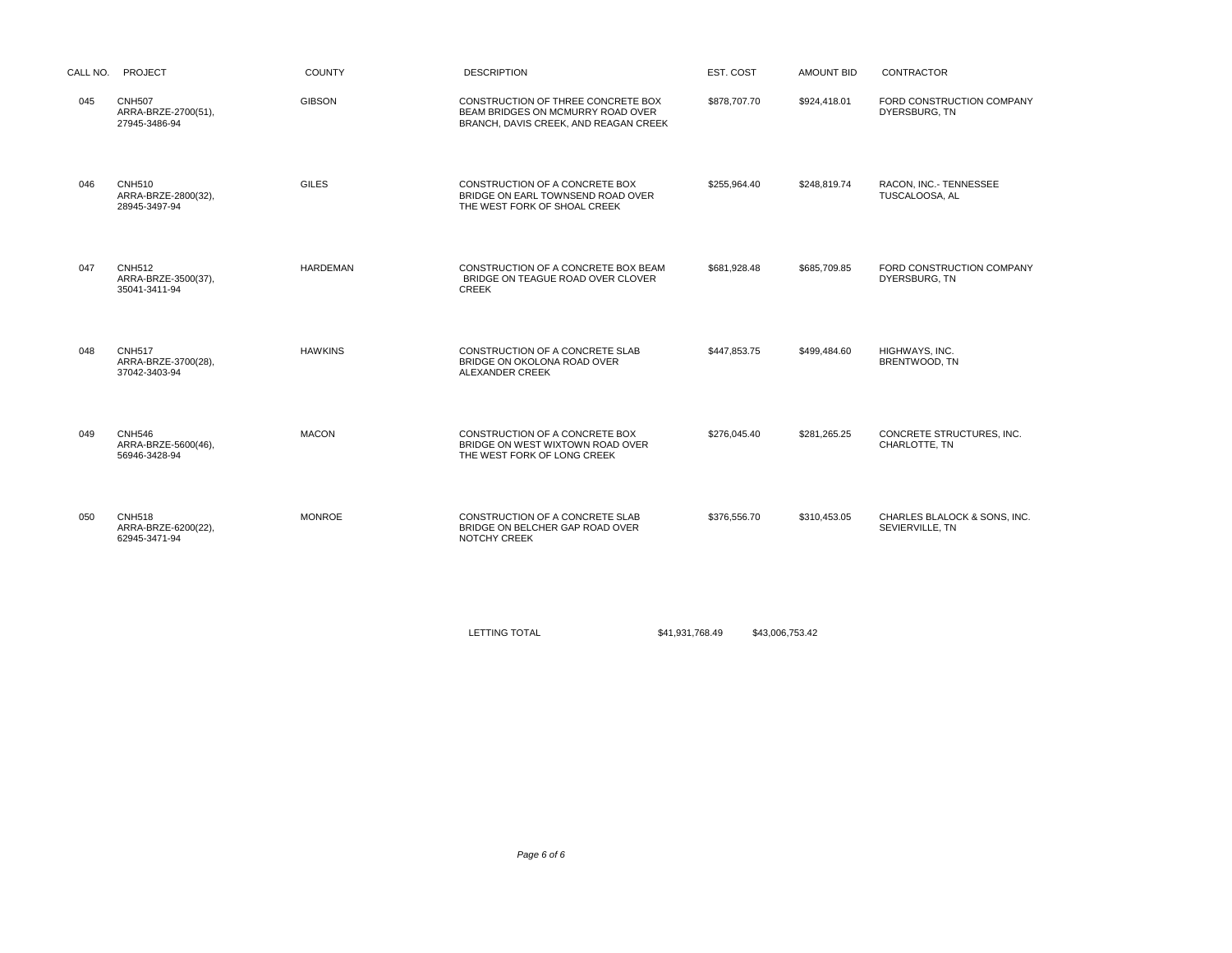|     | CALL NO. PROJECT                                      | <b>COUNTY</b>   | <b>DESCRIPTION</b>                                                                                               | EST. COST                          | AMOUNT BID   | <b>CONTRACTOR</b>                               |
|-----|-------------------------------------------------------|-----------------|------------------------------------------------------------------------------------------------------------------|------------------------------------|--------------|-------------------------------------------------|
| 045 | <b>CNH507</b><br>ARRA-BRZE-2700(51),<br>27945-3486-94 | <b>GIBSON</b>   | CONSTRUCTION OF THREE CONCRETE BOX<br>BEAM BRIDGES ON MCMURRY ROAD OVER<br>BRANCH, DAVIS CREEK, AND REAGAN CREEK | \$878,707.70                       | \$924,418.01 | FORD CONSTRUCTION COMPANY<br>DYERSBURG, TN      |
| 046 | <b>CNH510</b><br>ARRA-BRZE-2800(32),<br>28945-3497-94 | <b>GILES</b>    | CONSTRUCTION OF A CONCRETE BOX<br>BRIDGE ON EARL TOWNSEND ROAD OVER<br>THE WEST FORK OF SHOAL CREEK              | \$255,964.40                       | \$248,819.74 | RACON, INC.- TENNESSEE<br>TUSCALOOSA, AL        |
| 047 | <b>CNH512</b><br>ARRA-BRZE-3500(37),<br>35041-3411-94 | <b>HARDEMAN</b> | CONSTRUCTION OF A CONCRETE BOX BEAM<br>BRIDGE ON TEAGUE ROAD OVER CLOVER<br><b>CREEK</b>                         | \$681,928.48                       | \$685,709.85 | FORD CONSTRUCTION COMPANY<br>DYERSBURG, TN      |
| 048 | <b>CNH517</b><br>ARRA-BRZE-3700(28),<br>37042-3403-94 | <b>HAWKINS</b>  | CONSTRUCTION OF A CONCRETE SLAB<br>BRIDGE ON OKOLONA ROAD OVER<br>ALEXANDER CREEK                                | \$447,853.75                       | \$499,484.60 | HIGHWAYS, INC.<br>BRENTWOOD, TN                 |
| 049 | <b>CNH546</b><br>ARRA-BRZE-5600(46),<br>56946-3428-94 | <b>MACON</b>    | CONSTRUCTION OF A CONCRETE BOX<br>BRIDGE ON WEST WIXTOWN ROAD OVER<br>THE WEST FORK OF LONG CREEK                | \$276,045.40                       | \$281,265.25 | CONCRETE STRUCTURES, INC.<br>CHARLOTTE, TN      |
| 050 | <b>CNH518</b><br>ARRA-BRZE-6200(22),<br>62945-3471-94 | <b>MONROE</b>   | CONSTRUCTION OF A CONCRETE SLAB<br>BRIDGE ON BELCHER GAP ROAD OVER<br>NOTCHY CREEK                               | \$376,556.70                       | \$310,453.05 | CHARLES BLALOCK & SONS, INC.<br>SEVIERVILLE, TN |
|     |                                                       |                 | LETTING TOTAL                                                                                                    | \$41,931,768.49<br>\$43,006,753.42 |              |                                                 |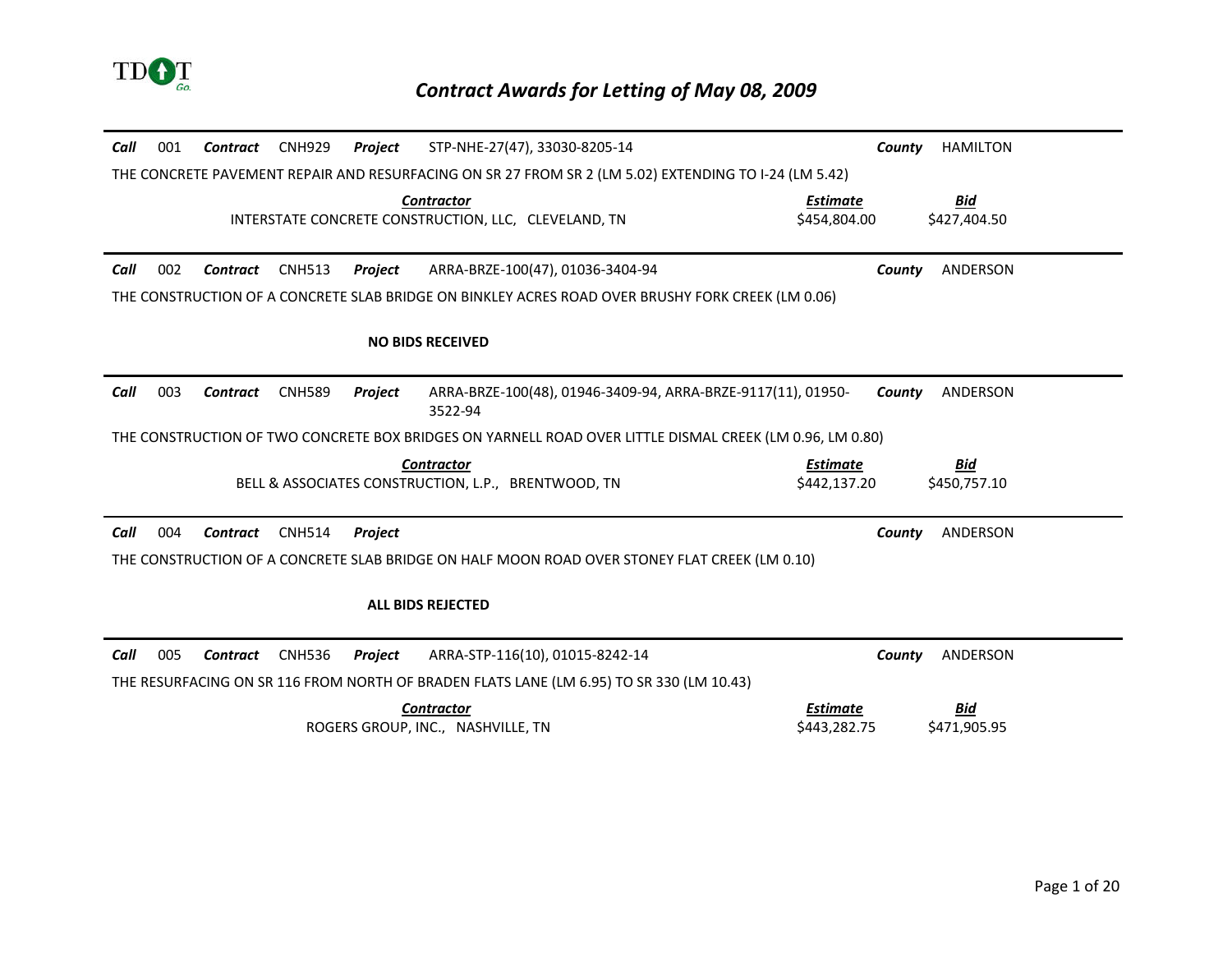

| Call                                                                                                  | 001 | <b>Contract</b> | <b>CNH929</b> | Project        | STP-NHE-27(47), 33030-8205-14                                                                            | County                          | <b>HAMILTON</b>            |
|-------------------------------------------------------------------------------------------------------|-----|-----------------|---------------|----------------|----------------------------------------------------------------------------------------------------------|---------------------------------|----------------------------|
| THE CONCRETE PAVEMENT REPAIR AND RESURFACING ON SR 27 FROM SR 2 (LM 5.02) EXTENDING TO I-24 (LM 5.42) |     |                 |               |                |                                                                                                          |                                 |                            |
|                                                                                                       |     |                 |               |                | <b>Contractor</b><br>INTERSTATE CONCRETE CONSTRUCTION, LLC, CLEVELAND, TN                                | Estimate<br>\$454,804.00        | <u>Bid</u><br>\$427.404.50 |
| Call                                                                                                  | 002 | <b>Contract</b> | <b>CNH513</b> | Project        | ARRA-BRZE-100(47), 01036-3404-94                                                                         | County                          | ANDERSON                   |
|                                                                                                       |     |                 |               |                | THE CONSTRUCTION OF A CONCRETE SLAB BRIDGE ON BINKLEY ACRES ROAD OVER BRUSHY FORK CREEK (LM 0.06)        |                                 |                            |
|                                                                                                       |     |                 |               |                | <b>NO BIDS RECEIVED</b>                                                                                  |                                 |                            |
| Call                                                                                                  | 003 | <b>Contract</b> | <b>CNH589</b> | Project        | ARRA-BRZE-100(48), 01946-3409-94, ARRA-BRZE-9117(11), 01950-<br>3522-94                                  | County                          | <b>ANDERSON</b>            |
|                                                                                                       |     |                 |               |                | THE CONSTRUCTION OF TWO CONCRETE BOX BRIDGES ON YARNELL ROAD OVER LITTLE DISMAL CREEK (LM 0.96, LM 0.80) |                                 |                            |
|                                                                                                       |     |                 |               |                | <b>Contractor</b><br>BELL & ASSOCIATES CONSTRUCTION, L.P., BRENTWOOD, TN                                 | <b>Estimate</b><br>\$442,137.20 | <u>Bid</u><br>\$450,757.10 |
| Call                                                                                                  | 004 | Contract        | <b>CNH514</b> | <b>Project</b> |                                                                                                          | County                          | ANDERSON                   |
|                                                                                                       |     |                 |               |                | THE CONSTRUCTION OF A CONCRETE SLAB BRIDGE ON HALF MOON ROAD OVER STONEY FLAT CREEK (LM 0.10)            |                                 |                            |
|                                                                                                       |     |                 |               |                | <b>ALL BIDS REJECTED</b>                                                                                 |                                 |                            |
| Call                                                                                                  | 005 | <b>Contract</b> | <b>CNH536</b> | Project        | ARRA-STP-116(10), 01015-8242-14                                                                          | County                          | ANDERSON                   |
|                                                                                                       |     |                 |               |                | THE RESURFACING ON SR 116 FROM NORTH OF BRADEN FLATS LANE (LM 6.95) TO SR 330 (LM 10.43)                 |                                 |                            |
|                                                                                                       |     |                 |               |                | <b>Contractor</b><br>ROGERS GROUP. INC NASHVILLE. TN                                                     | <b>Estimate</b><br>\$443.282.75 | Bid<br>\$471,905.95        |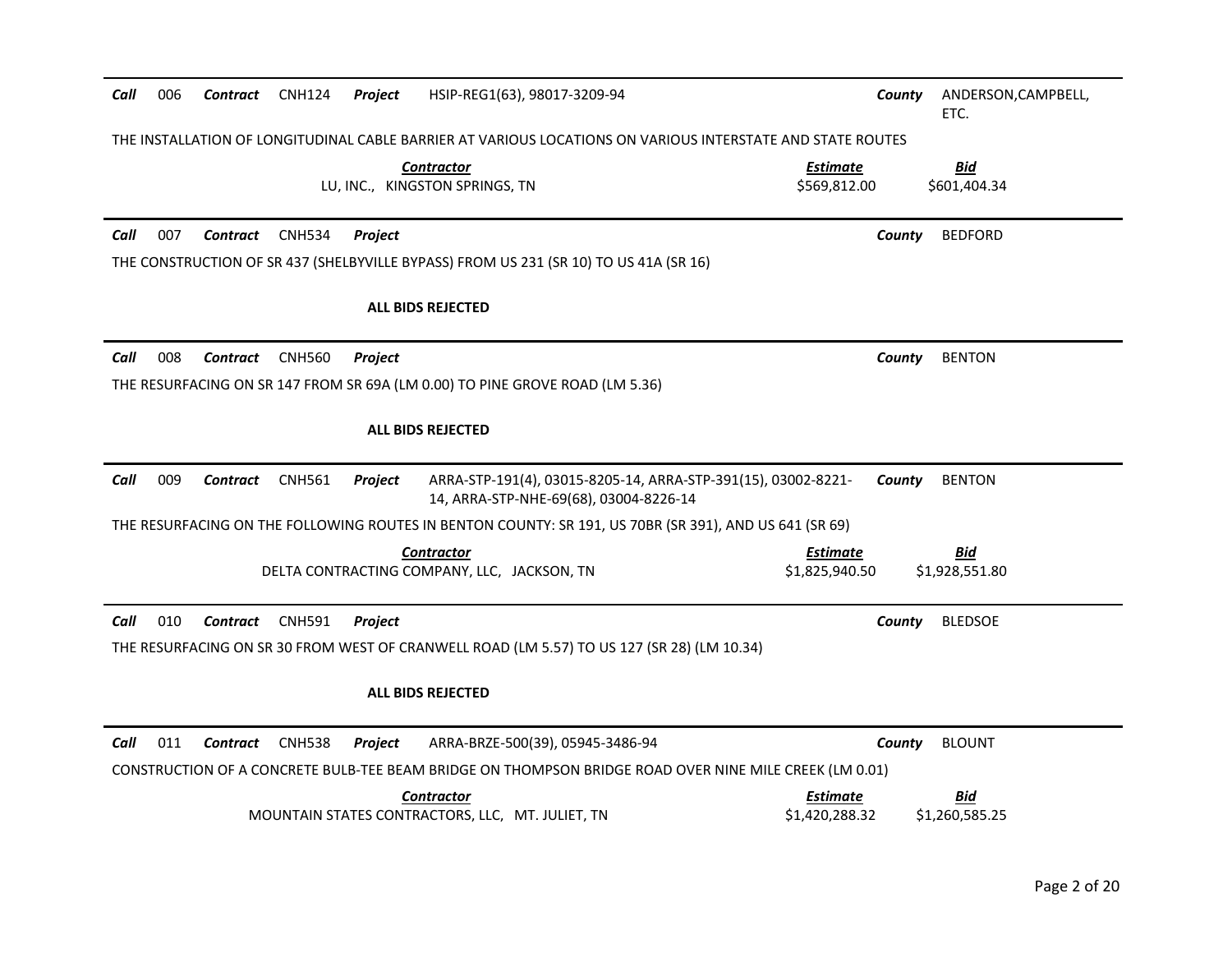| 006<br>HSIP-REG1(63), 98017-3209-94<br>Call<br><b>Contract</b><br><b>CNH124</b><br>Project                                                                            | County                            | ANDERSON, CAMPBELL,<br>ETC.  |
|-----------------------------------------------------------------------------------------------------------------------------------------------------------------------|-----------------------------------|------------------------------|
| THE INSTALLATION OF LONGITUDINAL CABLE BARRIER AT VARIOUS LOCATIONS ON VARIOUS INTERSTATE AND STATE ROUTES                                                            |                                   |                              |
| <b>Contractor</b><br>LU, INC., KINGSTON SPRINGS, TN                                                                                                                   | <b>Estimate</b><br>\$569,812.00   | <b>Bid</b><br>\$601,404.34   |
| 007<br>Call<br><b>Contract</b><br><b>CNH534</b><br>Project                                                                                                            | County                            | <b>BEDFORD</b>               |
| THE CONSTRUCTION OF SR 437 (SHELBYVILLE BYPASS) FROM US 231 (SR 10) TO US 41A (SR 16)                                                                                 |                                   |                              |
| <b>ALL BIDS REJECTED</b>                                                                                                                                              |                                   |                              |
| 008<br>Call<br>Contract<br><b>CNH560</b><br>Project                                                                                                                   | County                            | <b>BENTON</b>                |
| THE RESURFACING ON SR 147 FROM SR 69A (LM 0.00) TO PINE GROVE ROAD (LM 5.36)                                                                                          |                                   |                              |
| <b>ALL BIDS REJECTED</b>                                                                                                                                              |                                   |                              |
| 009<br>Call<br><b>Contract</b><br><b>CNH561</b><br>Project<br>ARRA-STP-191(4), 03015-8205-14, ARRA-STP-391(15), 03002-8221-<br>14, ARRA-STP-NHE-69(68), 03004-8226-14 | County                            | <b>BENTON</b>                |
| THE RESURFACING ON THE FOLLOWING ROUTES IN BENTON COUNTY: SR 191, US 70BR (SR 391), AND US 641 (SR 69)                                                                |                                   |                              |
| <b>Contractor</b><br>DELTA CONTRACTING COMPANY, LLC, JACKSON, TN                                                                                                      | <b>Estimate</b><br>\$1,825,940.50 | Bid<br>\$1,928,551.80        |
| 010<br>Call<br>Contract<br>CNH591<br><b>Project</b>                                                                                                                   | County                            | <b>BLEDSOE</b>               |
| THE RESURFACING ON SR 30 FROM WEST OF CRANWELL ROAD (LM 5.57) TO US 127 (SR 28) (LM 10.34)                                                                            |                                   |                              |
| <b>ALL BIDS REJECTED</b>                                                                                                                                              |                                   |                              |
| 011<br><b>CNH538</b><br>ARRA-BRZE-500(39), 05945-3486-94<br>Call<br>Contract<br>Project                                                                               | County                            | <b>BLOUNT</b>                |
| CONSTRUCTION OF A CONCRETE BULB-TEE BEAM BRIDGE ON THOMPSON BRIDGE ROAD OVER NINE MILE CREEK (LM 0.01)                                                                |                                   |                              |
| <b>Contractor</b><br>MOUNTAIN STATES CONTRACTORS, LLC, MT. JULIET, TN                                                                                                 | <b>Estimate</b><br>\$1,420,288.32 | <b>Bid</b><br>\$1,260,585.25 |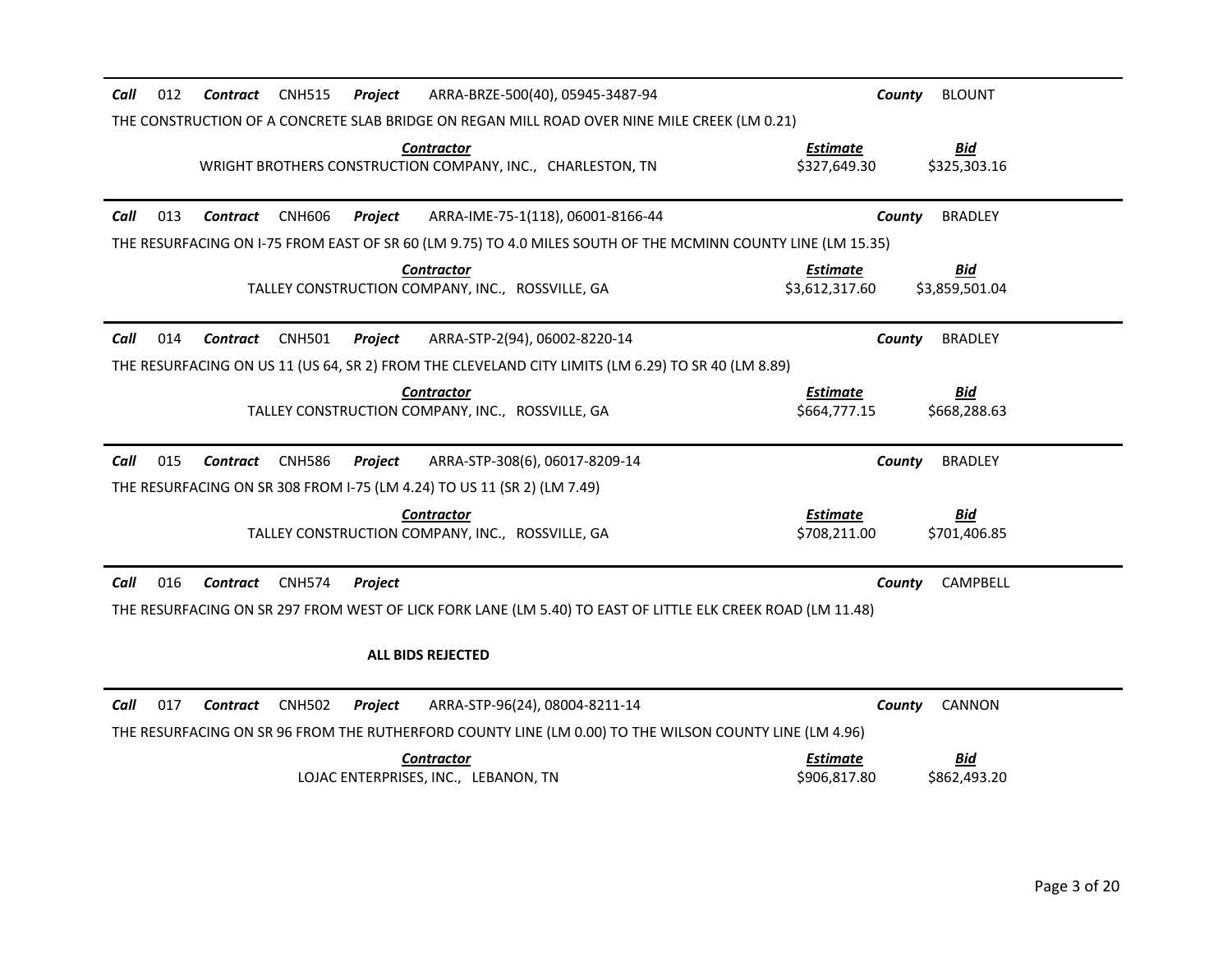| Call<br>012<br>Contract<br><b>CNH515</b><br>Project                             | ARRA-BRZE-500(40), 05945-3487-94                                                                             | County                            | <b>BLOUNT</b>              |
|---------------------------------------------------------------------------------|--------------------------------------------------------------------------------------------------------------|-----------------------------------|----------------------------|
|                                                                                 | THE CONSTRUCTION OF A CONCRETE SLAB BRIDGE ON REGAN MILL ROAD OVER NINE MILE CREEK (LM 0.21)                 |                                   |                            |
| <b>Contractor</b><br>WRIGHT BROTHERS CONSTRUCTION COMPANY, INC., CHARLESTON, TN |                                                                                                              | <b>Estimate</b><br>\$327,649.30   | <b>Bid</b><br>\$325,303.16 |
| 013<br>Contract<br><b>CNH606</b><br>Project<br>Call                             | ARRA-IME-75-1(118), 06001-8166-44                                                                            | County                            | <b>BRADLEY</b>             |
|                                                                                 | THE RESURFACING ON 1-75 FROM EAST OF SR 60 (LM 9.75) TO 4.0 MILES SOUTH OF THE MCMINN COUNTY LINE (LM 15.35) |                                   |                            |
| <b>Contractor</b><br>TALLEY CONSTRUCTION COMPANY, INC., ROSSVILLE, GA           |                                                                                                              | <b>Estimate</b><br>\$3,612,317.60 | Bid<br>\$3,859,501.04      |
| 014<br>CNH501<br>Call<br>Contract<br>Project                                    | ARRA-STP-2(94), 06002-8220-14                                                                                | County                            | <b>BRADLEY</b>             |
|                                                                                 | THE RESURFACING ON US 11 (US 64, SR 2) FROM THE CLEVELAND CITY LIMITS (LM 6.29) TO SR 40 (LM 8.89)           |                                   |                            |
| <b>Contractor</b><br>TALLEY CONSTRUCTION COMPANY, INC., ROSSVILLE, GA           |                                                                                                              | <b>Estimate</b><br>\$664,777.15   | <b>Bid</b><br>\$668,288.63 |
| Call<br>015<br>Contract<br><b>CNH586</b><br>Project                             | ARRA-STP-308(6), 06017-8209-14                                                                               | County                            | <b>BRADLEY</b>             |
| THE RESURFACING ON SR 308 FROM I-75 (LM 4.24) TO US 11 (SR 2) (LM 7.49)         |                                                                                                              |                                   |                            |
| <b>Contractor</b><br>TALLEY CONSTRUCTION COMPANY, INC., ROSSVILLE, GA           |                                                                                                              | <b>Estimate</b><br>\$708,211.00   | <u>Bid</u><br>\$701,406.85 |
| Call<br>016<br><b>CNH574</b><br><b>Contract</b><br>Project                      |                                                                                                              | County                            | CAMPBELL                   |
|                                                                                 | THE RESURFACING ON SR 297 FROM WEST OF LICK FORK LANE (LM 5.40) TO EAST OF LITTLE ELK CREEK ROAD (LM 11.48)  |                                   |                            |
| <b>ALL BIDS REJECTED</b>                                                        |                                                                                                              |                                   |                            |
| 017<br><b>CNH502</b><br>Call<br>Contract<br>Project                             | ARRA-STP-96(24), 08004-8211-14                                                                               | County                            | <b>CANNON</b>              |
|                                                                                 | THE RESURFACING ON SR 96 FROM THE RUTHERFORD COUNTY LINE (LM 0.00) TO THE WILSON COUNTY LINE (LM 4.96)       |                                   |                            |
| <b>Contractor</b><br>LOJAC ENTERPRISES, INC., LEBANON, TN                       |                                                                                                              | <b>Estimate</b><br>\$906,817.80   | <u>Bid</u><br>\$862,493.20 |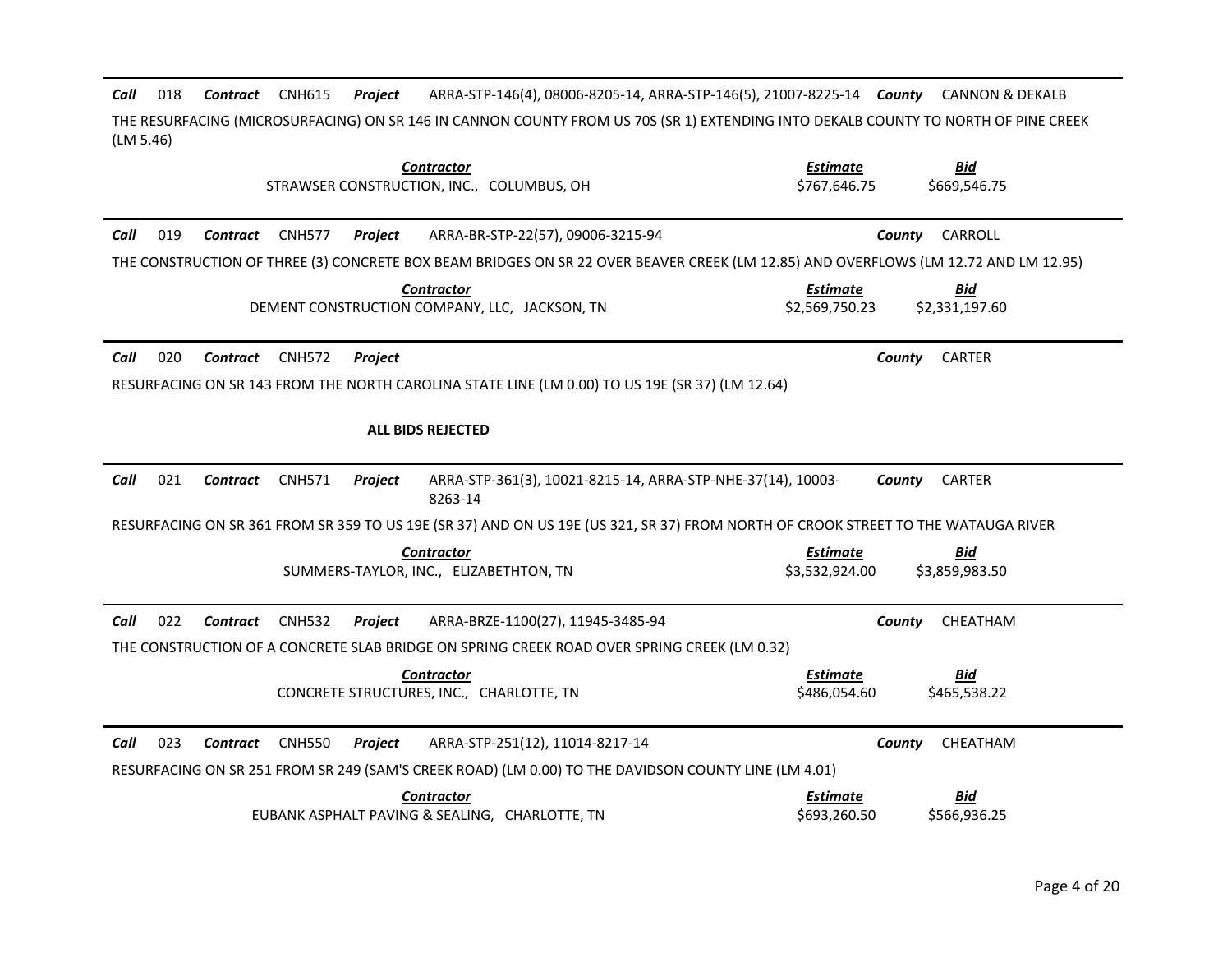Call 018 Contract CNH615 Project 018 *Contract* CNH615 *Project* ARRA-STP-146(4), 08006-8205-14, ARRA-STP-146(5), 21007-8225-14 *County* CANNON & DEKALB THE RESURFACING (MICROSURFACING) ON SR 146 IN CANNON COUNTY FROM US 70S (SR 1) EXTENDING INTO DEKALB COUNTY TO NORTH OF PINE CREEK (LM 5.46)

| <b>Contractor</b><br>STRAWSER CONSTRUCTION, INC., COLUMBUS, OH                                                                       | <b>Estimate</b><br><u>Bid</u><br>\$767,646.75<br>\$669,546.75     |
|--------------------------------------------------------------------------------------------------------------------------------------|-------------------------------------------------------------------|
| 019<br>Call<br><b>CNH577</b><br><b>Contract</b><br>Project<br>ARRA-BR-STP-22(57), 09006-3215-94                                      | CARROLL<br>County                                                 |
| THE CONSTRUCTION OF THREE (3) CONCRETE BOX BEAM BRIDGES ON SR 22 OVER BEAVER CREEK (LM 12.85) AND OVERFLOWS (LM 12.72 AND LM 12.95)  |                                                                   |
| <b>Contractor</b><br>DEMENT CONSTRUCTION COMPANY, LLC, JACKSON, TN                                                                   | <b>Bid</b><br><b>Estimate</b><br>\$2,569,750.23<br>\$2,331,197.60 |
| 020<br>Call<br><b>CNH572</b><br>Contract<br>Project                                                                                  | <b>CARTER</b><br>County                                           |
| RESURFACING ON SR 143 FROM THE NORTH CAROLINA STATE LINE (LM 0.00) TO US 19E (SR 37) (LM 12.64)                                      |                                                                   |
| <b>ALL BIDS REJECTED</b>                                                                                                             |                                                                   |
| Call<br>021<br><b>CNH571</b><br>ARRA-STP-361(3), 10021-8215-14, ARRA-STP-NHE-37(14), 10003-<br><b>Contract</b><br>Project<br>8263-14 | <b>CARTER</b><br>County                                           |
| RESURFACING ON SR 361 FROM SR 359 TO US 19E (SR 37) AND ON US 19E (US 321, SR 37) FROM NORTH OF CROOK STREET TO THE WATAUGA RIVER    |                                                                   |
| <b>Contractor</b><br>SUMMERS-TAYLOR, INC., ELIZABETHTON, TN                                                                          | <b>Estimate</b><br><b>Bid</b><br>\$3,532,924.00<br>\$3,859,983.50 |
| Call<br>022<br>ARRA-BRZE-1100(27), 11945-3485-94<br>Contract<br><b>CNH532</b><br>Project                                             | County<br>CHEATHAM                                                |
| THE CONSTRUCTION OF A CONCRETE SLAB BRIDGE ON SPRING CREEK ROAD OVER SPRING CREEK (LM 0.32)                                          |                                                                   |
| <b>Contractor</b><br>CONCRETE STRUCTURES, INC., CHARLOTTE, TN                                                                        | <b>Estimate</b><br>Bid<br>\$486,054.60<br>\$465,538.22            |
| 023<br>Call<br>Contract<br><b>CNH550</b><br>Project<br>ARRA-STP-251(12), 11014-8217-14                                               | County<br>CHEATHAM                                                |
| RESURFACING ON SR 251 FROM SR 249 (SAM'S CREEK ROAD) (LM 0.00) TO THE DAVIDSON COUNTY LINE (LM 4.01)                                 |                                                                   |
| <b>Contractor</b><br>EUBANK ASPHALT PAVING & SEALING, CHARLOTTE, TN                                                                  | <u>Bid</u><br><b>Estimate</b><br>\$566,936.25<br>\$693,260.50     |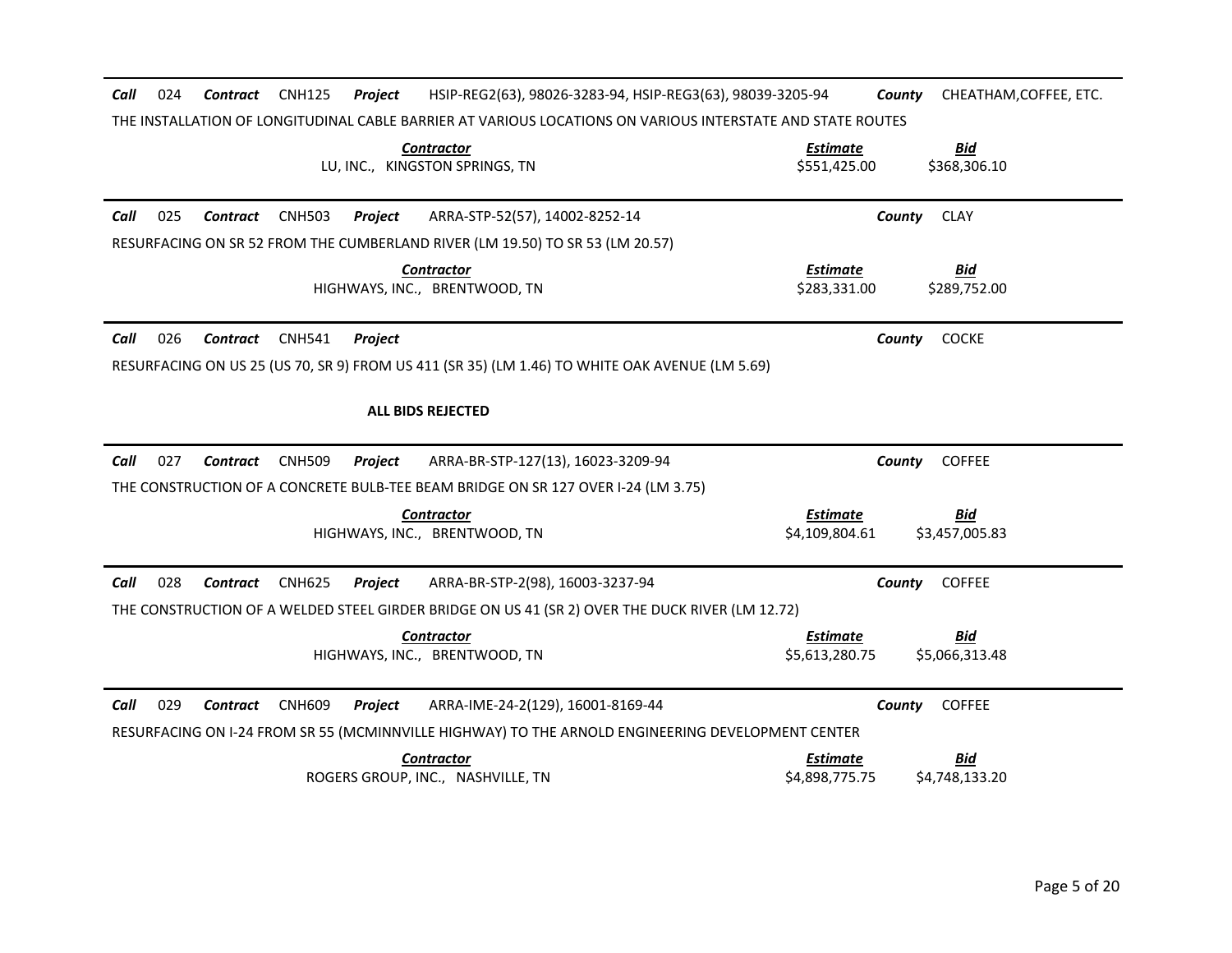| Call<br>024<br><b>Contract</b><br><b>CNH125</b><br>Project                                                 | HSIP-REG2(63), 98026-3283-94, HSIP-REG3(63), 98039-3205-94<br>County<br>CHEATHAM, COFFEE, ETC. |
|------------------------------------------------------------------------------------------------------------|------------------------------------------------------------------------------------------------|
| THE INSTALLATION OF LONGITUDINAL CABLE BARRIER AT VARIOUS LOCATIONS ON VARIOUS INTERSTATE AND STATE ROUTES |                                                                                                |
| <b>Contractor</b><br>LU, INC., KINGSTON SPRINGS, TN                                                        | <b>Bid</b><br><u>Estimate</u><br>\$368,306.10<br>\$551,425.00                                  |
| Call<br>025<br><b>CNH503</b><br>ARRA-STP-52(57), 14002-8252-14<br><b>Contract</b><br>Project               | County<br><b>CLAY</b>                                                                          |
| RESURFACING ON SR 52 FROM THE CUMBERLAND RIVER (LM 19.50) TO SR 53 (LM 20.57)                              |                                                                                                |
| <b>Contractor</b><br>HIGHWAYS, INC., BRENTWOOD, TN                                                         | <b>Estimate</b><br><u>Bid</u><br>\$283,331,00<br>\$289.752.00                                  |
| 026<br>Call<br>Contract<br><b>CNH541</b><br>Project                                                        | <b>COCKE</b><br>County                                                                         |
| RESURFACING ON US 25 (US 70, SR 9) FROM US 411 (SR 35) (LM 1.46) TO WHITE OAK AVENUE (LM 5.69)             |                                                                                                |
| <b>ALL BIDS REJECTED</b>                                                                                   |                                                                                                |
| 027<br>Call<br>Contract<br><b>CNH509</b><br>ARRA-BR-STP-127(13), 16023-3209-94<br>Project                  | <b>COFFEE</b><br>County                                                                        |
| THE CONSTRUCTION OF A CONCRETE BULB-TEE BEAM BRIDGE ON SR 127 OVER I-24 (LM 3.75)                          |                                                                                                |
| <b>Contractor</b><br>HIGHWAYS, INC., BRENTWOOD, TN                                                         | <b>Estimate</b><br><u>Bid</u><br>\$4,109,804.61<br>\$3,457,005.83                              |
| 028<br>Call<br><b>Contract</b><br><b>CNH625</b><br>ARRA-BR-STP-2(98), 16003-3237-94<br>Project             | County<br><b>COFFEE</b>                                                                        |
| THE CONSTRUCTION OF A WELDED STEEL GIRDER BRIDGE ON US 41 (SR 2) OVER THE DUCK RIVER (LM 12.72)            |                                                                                                |
| <b>Contractor</b><br>HIGHWAYS, INC., BRENTWOOD, TN                                                         | <b>Estimate</b><br><u>Bid</u><br>\$5,613,280.75<br>\$5,066,313.48                              |
| 029<br>Call<br>Contract<br><b>CNH609</b><br>Project<br>ARRA-IME-24-2(129), 16001-8169-44                   | County<br><b>COFFEE</b>                                                                        |
| RESURFACING ON I-24 FROM SR 55 (MCMINNVILLE HIGHWAY) TO THE ARNOLD ENGINEERING DEVELOPMENT CENTER          |                                                                                                |
| Contractor<br>ROGERS GROUP, INC., NASHVILLE, TN                                                            | <b>Estimate</b><br><b>Bid</b><br>\$4,898,775.75<br>\$4,748,133.20                              |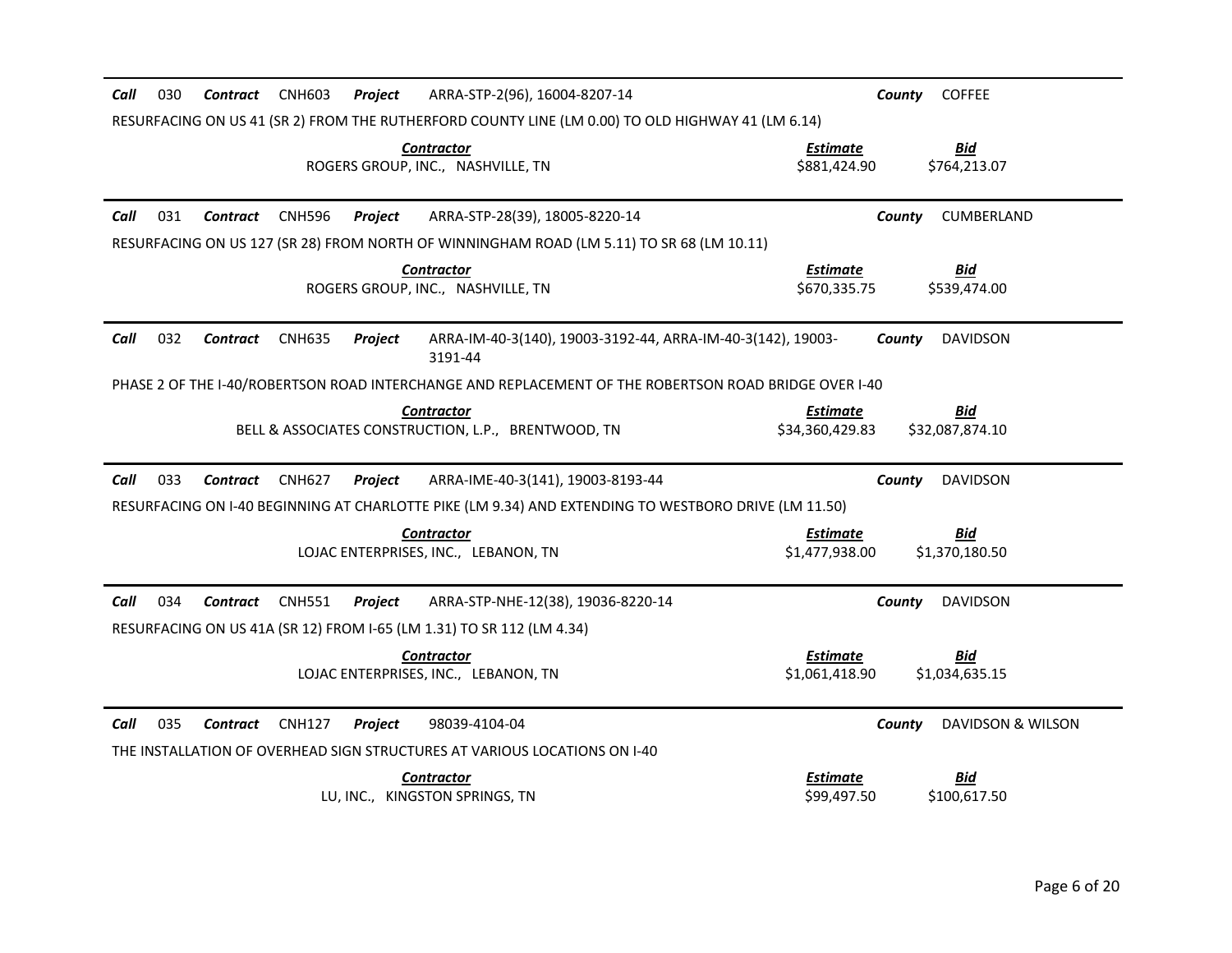| 030<br>ARRA-STP-2(96), 16004-8207-14<br>Call<br>Contract<br><b>CNH603</b><br>Project                                                                               | <b>COFFEE</b><br>County                                       |
|--------------------------------------------------------------------------------------------------------------------------------------------------------------------|---------------------------------------------------------------|
| RESURFACING ON US 41 (SR 2) FROM THE RUTHERFORD COUNTY LINE (LM 0.00) TO OLD HIGHWAY 41 (LM 6.14)                                                                  |                                                               |
| <b>Contractor</b><br>ROGERS GROUP, INC., NASHVILLE, TN                                                                                                             | <b>Bid</b><br><b>Estimate</b><br>\$881,424.90<br>\$764,213.07 |
| Call<br>031<br><b>CNH596</b><br>Contract<br>Project<br>ARRA-STP-28(39), 18005-8220-14                                                                              | CUMBERLAND<br>County                                          |
| RESURFACING ON US 127 (SR 28) FROM NORTH OF WINNINGHAM ROAD (LM 5.11) TO SR 68 (LM 10.11)                                                                          |                                                               |
| <b>Contractor</b><br>ROGERS GROUP, INC., NASHVILLE, TN                                                                                                             | <b>Estimate</b><br><u>Bid</u><br>\$670,335.75<br>\$539,474.00 |
| Call<br>032<br><b>CNH635</b><br>Contract<br>Project<br>ARRA-IM-40-3(140), 19003-3192-44, ARRA-IM-40-3(142), 19003-<br>3191-44                                      | <b>DAVIDSON</b><br>County                                     |
| PHASE 2 OF THE I-40/ROBERTSON ROAD INTERCHANGE AND REPLACEMENT OF THE ROBERTSON ROAD BRIDGE OVER I-40                                                              |                                                               |
| Contractor<br>BELL & ASSOCIATES CONSTRUCTION, L.P., BRENTWOOD, TN                                                                                                  | Bid<br>Estimate<br>\$34,360,429.83<br>\$32,087,874.10         |
| Call<br>033<br><b>CNH627</b><br>ARRA-IME-40-3(141), 19003-8193-44<br>Contract<br>Project                                                                           | <b>DAVIDSON</b><br>County                                     |
| RESURFACING ON I-40 BEGINNING AT CHARLOTTE PIKE (LM 9.34) AND EXTENDING TO WESTBORO DRIVE (LM 11.50)                                                               |                                                               |
| <b>Contractor</b>                                                                                                                                                  | <b>Estimate</b><br><b>Bid</b>                                 |
| LOJAC ENTERPRISES, INC., LEBANON, TN                                                                                                                               | \$1,477,938.00<br>\$1,370,180.50                              |
| Call<br>034<br><b>CNH551</b><br>Contract<br>Project<br>ARRA-STP-NHE-12(38), 19036-8220-14<br>RESURFACING ON US 41A (SR 12) FROM I-65 (LM 1.31) TO SR 112 (LM 4.34) | <b>DAVIDSON</b><br>County                                     |
| <b>Contractor</b>                                                                                                                                                  | <b>Estimate</b><br><u>Bid</u>                                 |
| LOJAC ENTERPRISES, INC., LEBANON, TN                                                                                                                               | \$1,061,418.90<br>\$1,034,635.15                              |
| Call<br>035<br>Contract<br><b>CNH127</b><br>Project<br>98039-4104-04<br>THE INSTALLATION OF OVERHEAD SIGN STRUCTURES AT VARIOUS LOCATIONS ON I-40                  | DAVIDSON & WILSON<br>County                                   |
| <b>Contractor</b>                                                                                                                                                  | <b>Estimate</b><br><u>Bid</u>                                 |
| LU, INC., KINGSTON SPRINGS, TN                                                                                                                                     | \$99,497.50<br>\$100,617.50                                   |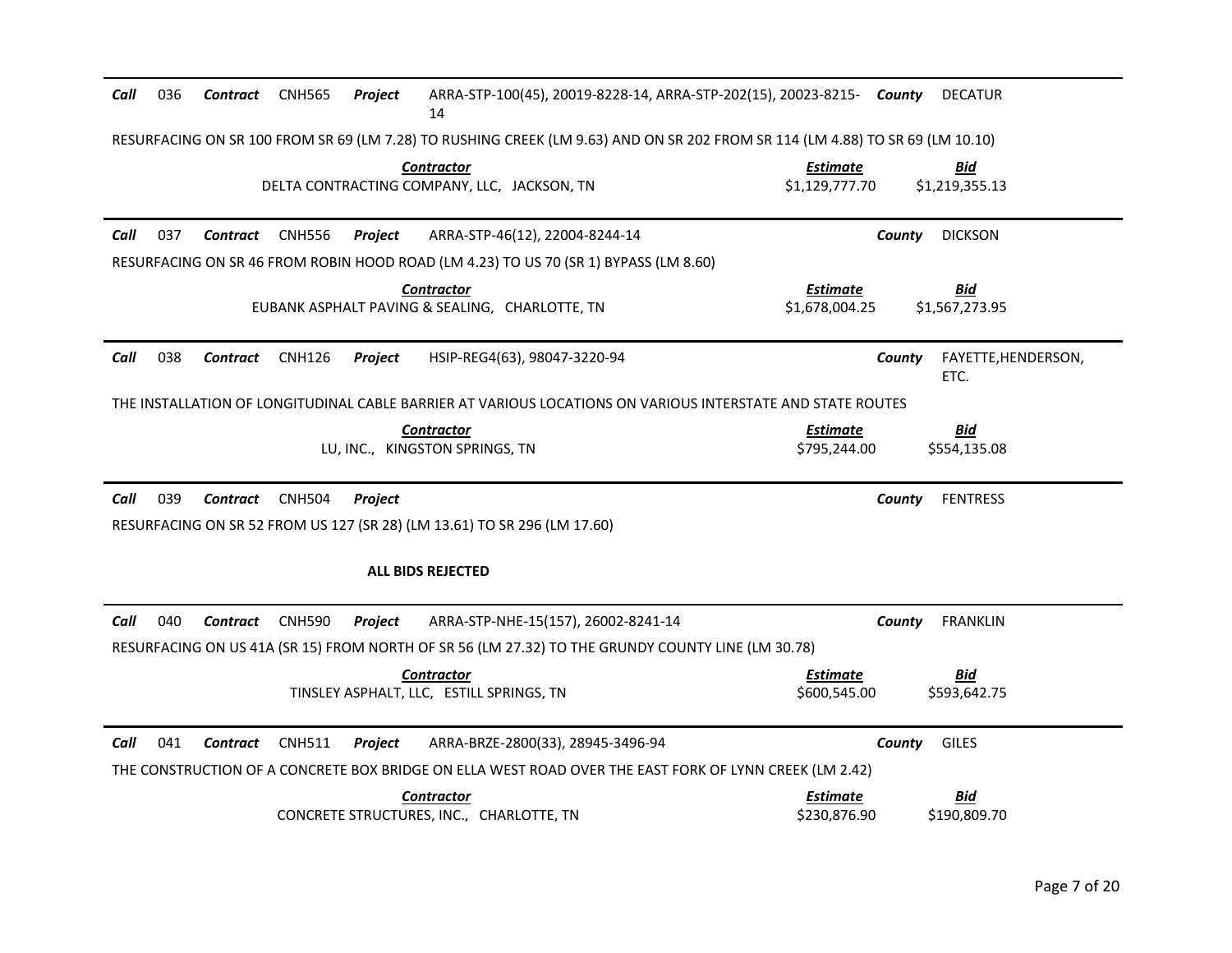| Call | 036 | Contract        | <b>CNH565</b> | Project | ARRA-STP-100(45), 20019-8228-14, ARRA-STP-202(15), 20023-8215- County<br>14                                                   |                                   | <b>DECATUR</b>                        |
|------|-----|-----------------|---------------|---------|-------------------------------------------------------------------------------------------------------------------------------|-----------------------------------|---------------------------------------|
|      |     |                 |               |         | RESURFACING ON SR 100 FROM SR 69 (LM 7.28) TO RUSHING CREEK (LM 9.63) AND ON SR 202 FROM SR 114 (LM 4.88) TO SR 69 (LM 10.10) |                                   |                                       |
|      |     |                 |               |         | <b>Contractor</b><br>DELTA CONTRACTING COMPANY, LLC, JACKSON, TN                                                              | <b>Estimate</b><br>\$1,129,777.70 | <u>Bid</u><br>\$1,219,355.13          |
| Call | 037 | Contract        | <b>CNH556</b> | Project | ARRA-STP-46(12), 22004-8244-14                                                                                                |                                   | <b>DICKSON</b><br>County              |
|      |     |                 |               |         | RESURFACING ON SR 46 FROM ROBIN HOOD ROAD (LM 4.23) TO US 70 (SR 1) BYPASS (LM 8.60)                                          |                                   |                                       |
|      |     |                 |               |         | <b>Contractor</b><br>EUBANK ASPHALT PAVING & SEALING, CHARLOTTE, TN                                                           | <b>Estimate</b><br>\$1,678,004.25 | <b>Bid</b><br>\$1,567,273.95          |
| Call | 038 | <b>Contract</b> | <b>CNH126</b> | Project | HSIP-REG4(63), 98047-3220-94                                                                                                  |                                   | FAYETTE, HENDERSON,<br>County<br>ETC. |
|      |     |                 |               |         | THE INSTALLATION OF LONGITUDINAL CABLE BARRIER AT VARIOUS LOCATIONS ON VARIOUS INTERSTATE AND STATE ROUTES                    |                                   |                                       |
|      |     |                 |               |         | <b>Contractor</b><br>LU, INC., KINGSTON SPRINGS, TN                                                                           | <b>Estimate</b><br>\$795,244.00   | <b>Bid</b><br>\$554,135.08            |
| Call | 039 | Contract        | <b>CNH504</b> | Project |                                                                                                                               |                                   | <b>FENTRESS</b><br>County             |
|      |     |                 |               |         | RESURFACING ON SR 52 FROM US 127 (SR 28) (LM 13.61) TO SR 296 (LM 17.60)                                                      |                                   |                                       |
|      |     |                 |               |         | <b>ALL BIDS REJECTED</b>                                                                                                      |                                   |                                       |
| Call | 040 | <b>Contract</b> | <b>CNH590</b> | Project | ARRA-STP-NHE-15(157), 26002-8241-14                                                                                           |                                   | <b>FRANKLIN</b><br>County             |
|      |     |                 |               |         | RESURFACING ON US 41A (SR 15) FROM NORTH OF SR 56 (LM 27.32) TO THE GRUNDY COUNTY LINE (LM 30.78)                             |                                   |                                       |
|      |     |                 |               |         | <b>Contractor</b>                                                                                                             | Estimate                          | <u>Bid</u>                            |
|      |     |                 |               |         | TINSLEY ASPHALT, LLC, ESTILL SPRINGS, TN                                                                                      | \$600,545.00                      | \$593,642.75                          |
| Call | 041 | <b>Contract</b> | <b>CNH511</b> | Project | ARRA-BRZE-2800(33), 28945-3496-94                                                                                             |                                   | County<br><b>GILES</b>                |
|      |     |                 |               |         | THE CONSTRUCTION OF A CONCRETE BOX BRIDGE ON ELLA WEST ROAD OVER THE EAST FORK OF LYNN CREEK (LM 2.42)                        |                                   |                                       |
|      |     |                 |               |         | <b>Contractor</b><br>CONCRETE STRUCTURES, INC., CHARLOTTE, TN                                                                 | Estimate<br>\$230,876.90          | <u>Bid</u><br>\$190,809.70            |
|      |     |                 |               |         |                                                                                                                               |                                   |                                       |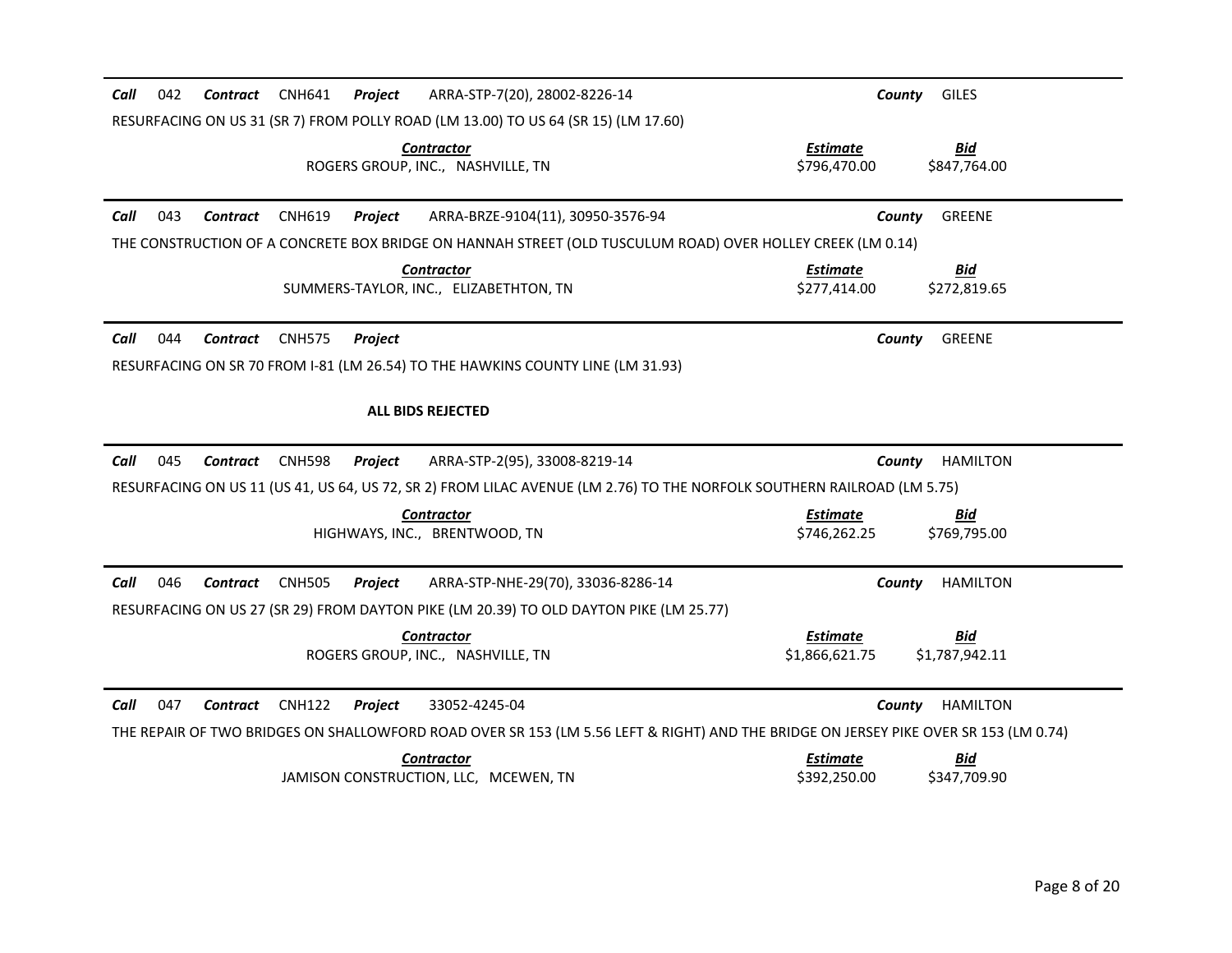| 042<br>CNH641<br>Call<br>Contract<br>Project               | ARRA-STP-7(20), 28002-8226-14                                                                                                        | County                            | <b>GILES</b>                 |
|------------------------------------------------------------|--------------------------------------------------------------------------------------------------------------------------------------|-----------------------------------|------------------------------|
|                                                            | RESURFACING ON US 31 (SR 7) FROM POLLY ROAD (LM 13.00) TO US 64 (SR 15) (LM 17.60)                                                   |                                   |                              |
|                                                            | <b>Contractor</b><br>ROGERS GROUP, INC., NASHVILLE, TN                                                                               | <b>Estimate</b><br>\$796,470.00   | <b>Bid</b><br>\$847,764.00   |
| Call<br>043<br><b>Contract</b><br><b>CNH619</b><br>Project | ARRA-BRZE-9104(11), 30950-3576-94                                                                                                    | County                            | <b>GREENE</b>                |
|                                                            | THE CONSTRUCTION OF A CONCRETE BOX BRIDGE ON HANNAH STREET (OLD TUSCULUM ROAD) OVER HOLLEY CREEK (LM 0.14)                           |                                   |                              |
|                                                            | <b>Contractor</b><br>SUMMERS-TAYLOR, INC., ELIZABETHTON, TN                                                                          | <b>Estimate</b><br>\$277,414.00   | <b>Bid</b><br>\$272,819.65   |
| 044<br>Contract<br><b>CNH575</b><br>Call<br>Project        |                                                                                                                                      | County                            | <b>GREENE</b>                |
|                                                            | RESURFACING ON SR 70 FROM 1-81 (LM 26.54) TO THE HAWKINS COUNTY LINE (LM 31.93)                                                      |                                   |                              |
|                                                            | <b>ALL BIDS REJECTED</b>                                                                                                             |                                   |                              |
|                                                            |                                                                                                                                      |                                   |                              |
| 045<br>Call<br>Contract<br><b>CNH598</b><br>Project        | ARRA-STP-2(95), 33008-8219-14                                                                                                        | County                            | <b>HAMILTON</b>              |
|                                                            | RESURFACING ON US 11 (US 41, US 64, US 72, SR 2) FROM LILAC AVENUE (LM 2.76) TO THE NORFOLK SOUTHERN RAILROAD (LM 5.75)              |                                   |                              |
|                                                            | <b>Contractor</b><br>HIGHWAYS, INC., BRENTWOOD, TN                                                                                   | <b>Estimate</b><br>\$746,262.25   | <b>Bid</b><br>\$769,795.00   |
| Call<br>046<br><b>CNH505</b><br>Contract<br>Project        | ARRA-STP-NHE-29(70), 33036-8286-14                                                                                                   | County                            | <b>HAMILTON</b>              |
|                                                            | RESURFACING ON US 27 (SR 29) FROM DAYTON PIKE (LM 20.39) TO OLD DAYTON PIKE (LM 25.77)                                               |                                   |                              |
|                                                            | <b>Contractor</b><br>ROGERS GROUP, INC., NASHVILLE, TN                                                                               | <b>Estimate</b><br>\$1,866,621.75 | <u>Bid</u><br>\$1,787,942.11 |
| Call<br>047<br><b>CNH122</b><br>Contract<br>Project        | 33052-4245-04                                                                                                                        | County                            | <b>HAMILTON</b>              |
|                                                            | THE REPAIR OF TWO BRIDGES ON SHALLOWFORD ROAD OVER SR 153 (LM 5.56 LEFT & RIGHT) AND THE BRIDGE ON JERSEY PIKE OVER SR 153 (LM 0.74) |                                   |                              |
|                                                            | <b>Contractor</b><br>JAMISON CONSTRUCTION, LLC, MCEWEN, TN                                                                           | <b>Estimate</b><br>\$392,250.00   | <u>Bid</u><br>\$347,709.90   |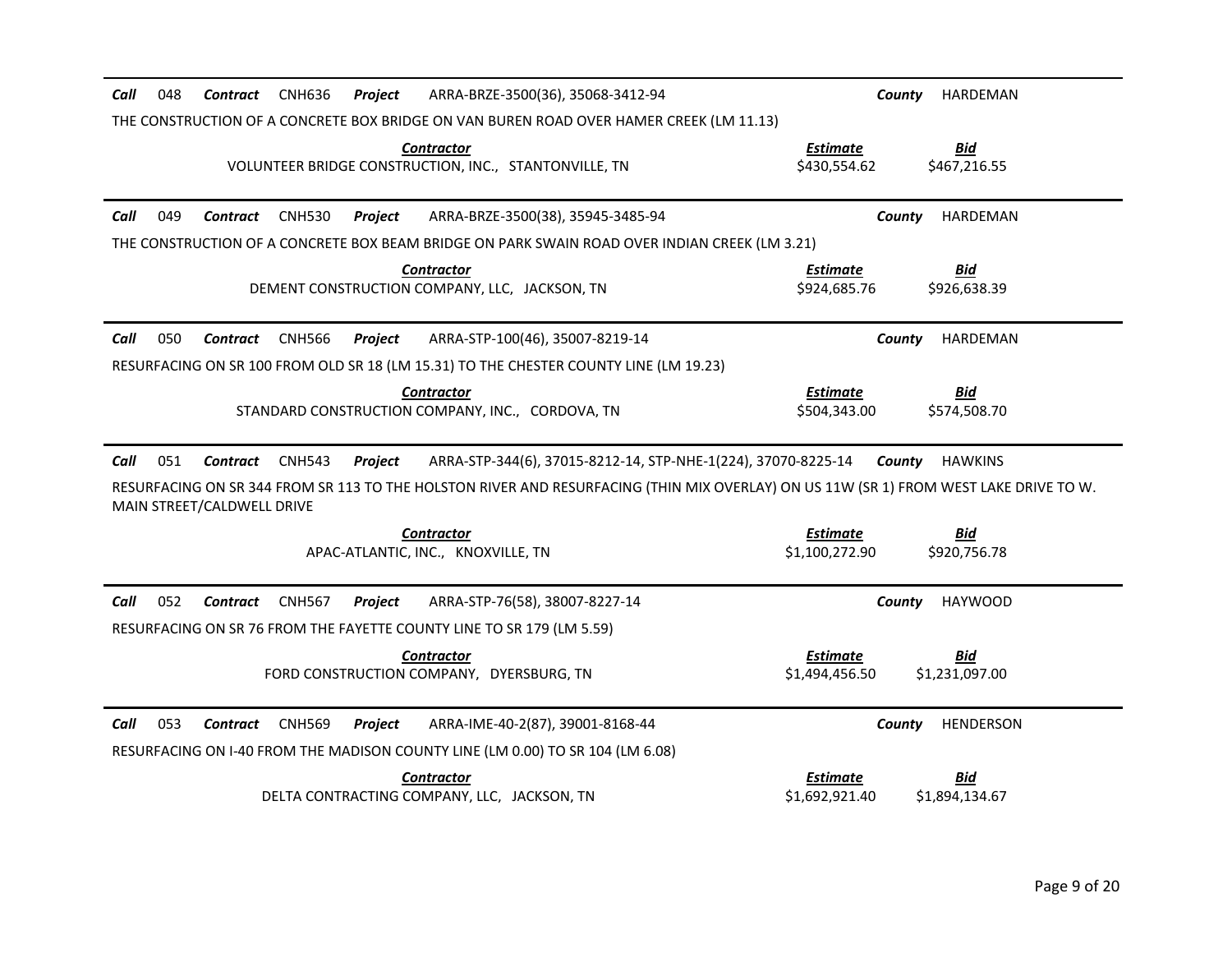| 048<br><b>CNH636</b><br>ARRA-BRZE-3500(36), 35068-3412-94<br>Call<br>Contract<br>Project                                                                                                                                                                                                                             | HARDEMAN<br>County                                                |  |  |  |
|----------------------------------------------------------------------------------------------------------------------------------------------------------------------------------------------------------------------------------------------------------------------------------------------------------------------|-------------------------------------------------------------------|--|--|--|
| THE CONSTRUCTION OF A CONCRETE BOX BRIDGE ON VAN BUREN ROAD OVER HAMER CREEK (LM 11.13)                                                                                                                                                                                                                              |                                                                   |  |  |  |
| <b>Contractor</b><br>VOLUNTEER BRIDGE CONSTRUCTION, INC., STANTONVILLE, TN                                                                                                                                                                                                                                           | <b>Bid</b><br><b>Estimate</b><br>\$430,554.62<br>\$467,216.55     |  |  |  |
| ARRA-BRZE-3500(38), 35945-3485-94<br>Call<br>049<br><b>Contract</b><br><b>CNH530</b><br>Project                                                                                                                                                                                                                      | County<br>HARDEMAN                                                |  |  |  |
| THE CONSTRUCTION OF A CONCRETE BOX BEAM BRIDGE ON PARK SWAIN ROAD OVER INDIAN CREEK (LM 3.21)                                                                                                                                                                                                                        |                                                                   |  |  |  |
| <b>Contractor</b><br>DEMENT CONSTRUCTION COMPANY, LLC, JACKSON, TN                                                                                                                                                                                                                                                   | <b>Estimate</b><br><u>Bid</u><br>\$924,685.76<br>\$926,638.39     |  |  |  |
| 050<br>Call<br><b>Contract</b><br><b>CNH566</b><br>ARRA-STP-100(46), 35007-8219-14<br>Project                                                                                                                                                                                                                        | County<br>HARDEMAN                                                |  |  |  |
| RESURFACING ON SR 100 FROM OLD SR 18 (LM 15.31) TO THE CHESTER COUNTY LINE (LM 19.23)                                                                                                                                                                                                                                |                                                                   |  |  |  |
| <b>Contractor</b><br>STANDARD CONSTRUCTION COMPANY, INC., CORDOVA, TN                                                                                                                                                                                                                                                | <b>Estimate</b><br><u>Bid</u><br>\$504,343.00<br>\$574,508.70     |  |  |  |
| 051<br>Call<br><b>CNH543</b><br>ARRA-STP-344(6), 37015-8212-14, STP-NHE-1(224), 37070-8225-14 County<br><b>HAWKINS</b><br>Contract<br>Project<br>RESURFACING ON SR 344 FROM SR 113 TO THE HOLSTON RIVER AND RESURFACING (THIN MIX OVERLAY) ON US 11W (SR 1) FROM WEST LAKE DRIVE TO W.<br>MAIN STREET/CALDWELL DRIVE |                                                                   |  |  |  |
| <b>Contractor</b>                                                                                                                                                                                                                                                                                                    | <b>Bid</b><br><b>Estimate</b>                                     |  |  |  |
| APAC-ATLANTIC, INC., KNOXVILLE, TN                                                                                                                                                                                                                                                                                   | \$1,100,272.90<br>\$920,756.78                                    |  |  |  |
| 052<br><b>CNH567</b><br>ARRA-STP-76(58), 38007-8227-14<br>Call<br>Contract<br>Project                                                                                                                                                                                                                                | <b>HAYWOOD</b><br>County                                          |  |  |  |
| RESURFACING ON SR 76 FROM THE FAYETTE COUNTY LINE TO SR 179 (LM 5.59)                                                                                                                                                                                                                                                |                                                                   |  |  |  |
| <b>Contractor</b><br>FORD CONSTRUCTION COMPANY, DYERSBURG, TN                                                                                                                                                                                                                                                        | <b>Bid</b><br><b>Estimate</b><br>\$1,494,456.50<br>\$1,231,097.00 |  |  |  |
| Call<br>053<br><b>CNH569</b><br>ARRA-IME-40-2(87), 39001-8168-44<br>Contract<br>Project                                                                                                                                                                                                                              | HENDERSON<br>County                                               |  |  |  |
| RESURFACING ON I-40 FROM THE MADISON COUNTY LINE (LM 0.00) TO SR 104 (LM 6.08)                                                                                                                                                                                                                                       |                                                                   |  |  |  |
| <b>Contractor</b>                                                                                                                                                                                                                                                                                                    | <b>Estimate</b><br>Bid                                            |  |  |  |
| DELTA CONTRACTING COMPANY, LLC, JACKSON, TN                                                                                                                                                                                                                                                                          | \$1,692,921.40<br>\$1,894,134.67                                  |  |  |  |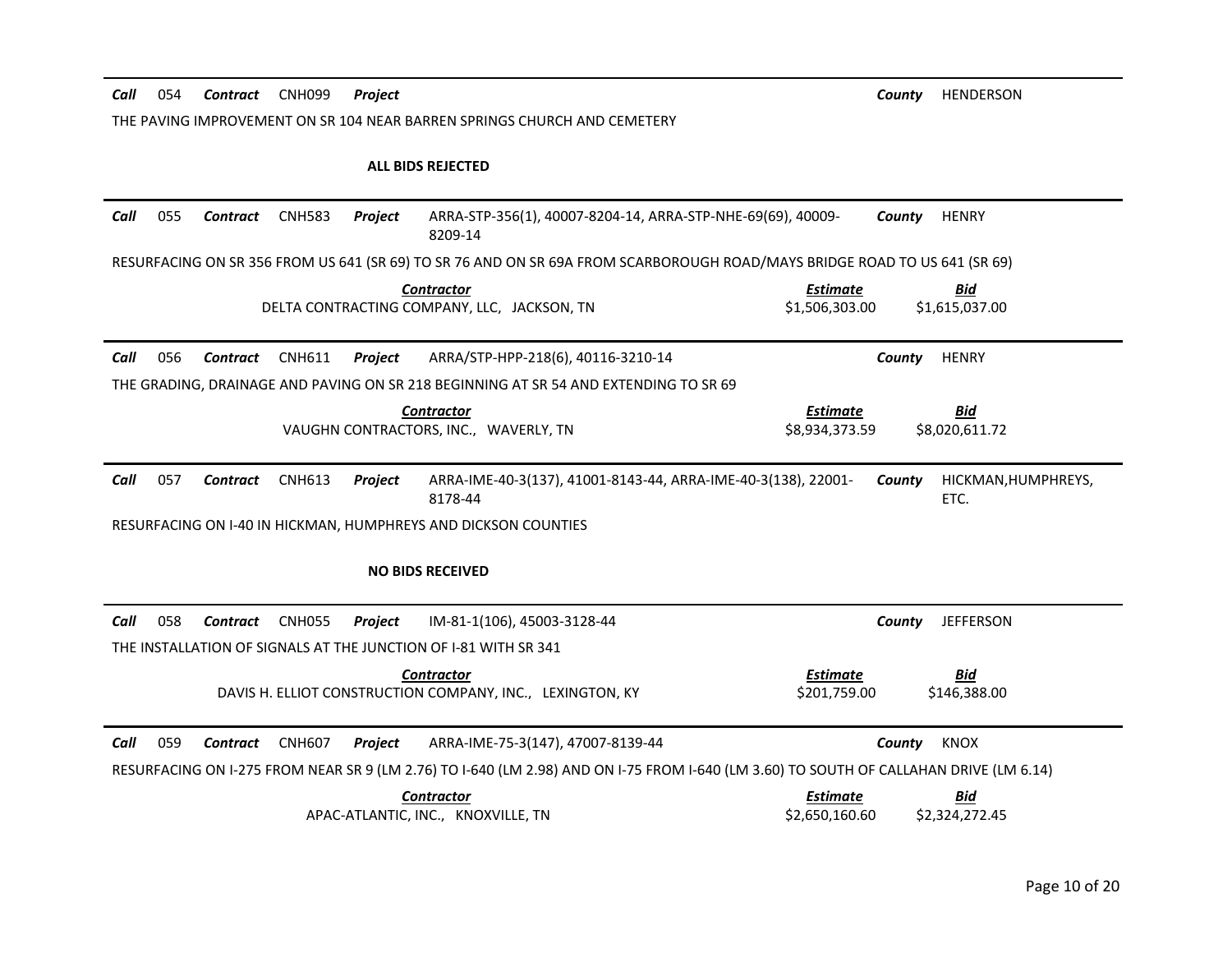| Call<br>054<br>CNH099<br>Contract<br>Project                                                                                                  | <b>HENDERSON</b><br>County                                 |
|-----------------------------------------------------------------------------------------------------------------------------------------------|------------------------------------------------------------|
| THE PAVING IMPROVEMENT ON SR 104 NEAR BARREN SPRINGS CHURCH AND CEMETERY                                                                      |                                                            |
| <b>ALL BIDS REJECTED</b>                                                                                                                      |                                                            |
| Call<br>055<br>ARRA-STP-356(1), 40007-8204-14, ARRA-STP-NHE-69(69), 40009-<br>Contract<br><b>CNH583</b><br>Project<br>8209-14                 | <b>HENRY</b><br>County                                     |
| RESURFACING ON SR 356 FROM US 641 (SR 69) TO SR 76 AND ON SR 69A FROM SCARBOROUGH ROAD/MAYS BRIDGE ROAD TO US 641 (SR 69)                     |                                                            |
| <b>Contractor</b><br>DELTA CONTRACTING COMPANY, LLC, JACKSON, TN                                                                              | <b>Estimate</b><br>Bid<br>\$1,506,303.00<br>\$1,615,037.00 |
| Call<br>056<br><b>CNH611</b><br>ARRA/STP-HPP-218(6), 40116-3210-14<br><b>Contract</b><br><b>Project</b>                                       | <b>HENRY</b><br>County                                     |
| THE GRADING, DRAINAGE AND PAVING ON SR 218 BEGINNING AT SR 54 AND EXTENDING TO SR 69                                                          |                                                            |
| <b>Contractor</b><br>VAUGHN CONTRACTORS, INC., WAVERLY, TN                                                                                    | <b>Estimate</b><br>Bid<br>\$8,934,373.59<br>\$8,020,611.72 |
| 057<br>Call<br><b>CNH613</b><br>ARRA-IME-40-3(137), 41001-8143-44, ARRA-IME-40-3(138), 22001-<br><b>Contract</b><br><b>Project</b><br>8178-44 | County<br>HICKMAN, HUMPHREYS,<br>ETC.                      |
| RESURFACING ON 1-40 IN HICKMAN, HUMPHREYS AND DICKSON COUNTIES                                                                                |                                                            |
| <b>NO BIDS RECEIVED</b>                                                                                                                       |                                                            |
| Call<br>058<br><b>Contract</b><br><b>CNH055</b><br>IM-81-1(106), 45003-3128-44<br>Project                                                     | <b>JEFFERSON</b><br>County                                 |
| THE INSTALLATION OF SIGNALS AT THE JUNCTION OF 1-81 WITH SR 341                                                                               |                                                            |
| <b>Contractor</b><br>DAVIS H. ELLIOT CONSTRUCTION COMPANY, INC., LEXINGTON, KY                                                                | <b>Estimate</b><br>Bid<br>\$201,759.00<br>\$146,388.00     |
| 059<br>Call<br><b>CNH607</b><br>Contract<br>ARRA-IME-75-3(147), 47007-8139-44<br><b>Project</b>                                               | <b>KNOX</b><br>County                                      |
| RESURFACING ON I-275 FROM NEAR SR 9 (LM 2.76) TO I-640 (LM 2.98) AND ON I-75 FROM I-640 (LM 3.60) TO SOUTH OF CALLAHAN DRIVE (LM 6.14)        |                                                            |
| <b>Contractor</b><br>APAC-ATLANTIC, INC., KNOXVILLE, TN                                                                                       | <b>Estimate</b><br>Bid<br>\$2.650.160.60<br>\$2,324,272.45 |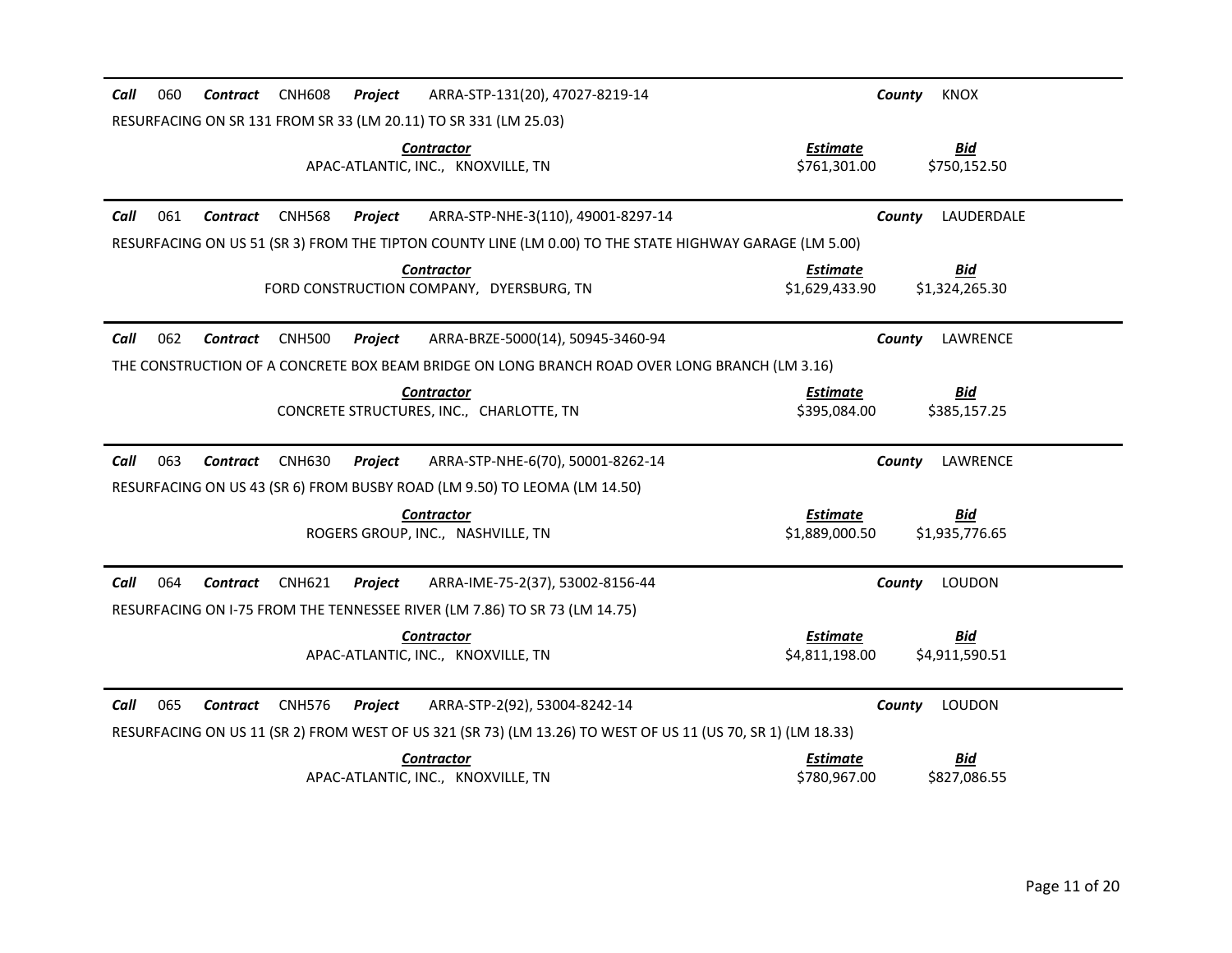| ARRA-STP-131(20), 47027-8219-14<br>060<br><b>Contract</b><br><b>CNH608</b><br>Project<br>Call                | County<br><b>KNOX</b>                                             |
|--------------------------------------------------------------------------------------------------------------|-------------------------------------------------------------------|
| RESURFACING ON SR 131 FROM SR 33 (LM 20.11) TO SR 331 (LM 25.03)                                             |                                                                   |
| <b>Contractor</b><br>APAC-ATLANTIC, INC., KNOXVILLE, TN                                                      | <b>Estimate</b><br><b>Bid</b><br>\$761,301.00<br>\$750,152.50     |
| 061<br>Call<br>Contract<br><b>CNH568</b><br>Project<br>ARRA-STP-NHE-3(110), 49001-8297-14                    | LAUDERDALE<br>County                                              |
| RESURFACING ON US 51 (SR 3) FROM THE TIPTON COUNTY LINE (LM 0.00) TO THE STATE HIGHWAY GARAGE (LM 5.00)      |                                                                   |
| <b>Contractor</b><br>FORD CONSTRUCTION COMPANY. DYERSBURG. TN                                                | <b>Bid</b><br>Estimate<br>\$1,629,433.90<br>\$1,324,265.30        |
| 062<br>Call<br><b>Contract</b><br><b>CNH500</b><br>ARRA-BRZE-5000(14), 50945-3460-94<br>Project              | LAWRENCE<br>County                                                |
| THE CONSTRUCTION OF A CONCRETE BOX BEAM BRIDGE ON LONG BRANCH ROAD OVER LONG BRANCH (LM 3.16)                |                                                                   |
| <b>Contractor</b><br>CONCRETE STRUCTURES, INC., CHARLOTTE, TN                                                | <b>Estimate</b><br><b>Bid</b><br>\$395,084.00<br>\$385,157.25     |
| Call<br>063<br><b>CNH630</b><br>ARRA-STP-NHE-6(70), 50001-8262-14<br>Contract<br>Project                     | LAWRENCE<br>County                                                |
| RESURFACING ON US 43 (SR 6) FROM BUSBY ROAD (LM 9.50) TO LEOMA (LM 14.50)                                    |                                                                   |
| <b>Contractor</b><br>ROGERS GROUP, INC., NASHVILLE, TN                                                       | <b>Estimate</b><br><u>Bid</u><br>\$1,935,776.65<br>\$1,889,000.50 |
| 064<br>Call<br>Contract<br><b>CNH621</b><br>ARRA-IME-75-2(37), 53002-8156-44<br>Project                      | <b>LOUDON</b><br>County                                           |
| RESURFACING ON I-75 FROM THE TENNESSEE RIVER (LM 7.86) TO SR 73 (LM 14.75)                                   |                                                                   |
| <b>Contractor</b><br>APAC-ATLANTIC, INC., KNOXVILLE, TN                                                      | <b>Estimate</b><br><b>Bid</b><br>\$4,811,198.00<br>\$4,911,590.51 |
| 065<br>Contract<br><b>CNH576</b><br>ARRA-STP-2(92), 53004-8242-14<br>Call<br>Project                         | County<br><b>LOUDON</b>                                           |
| RESURFACING ON US 11 (SR 2) FROM WEST OF US 321 (SR 73) (LM 13.26) TO WEST OF US 11 (US 70, SR 1) (LM 18.33) |                                                                   |
| <b>Contractor</b><br>APAC-ATLANTIC, INC., KNOXVILLE, TN                                                      | <b>Estimate</b><br><u>Bid</u><br>\$780,967.00<br>\$827,086.55     |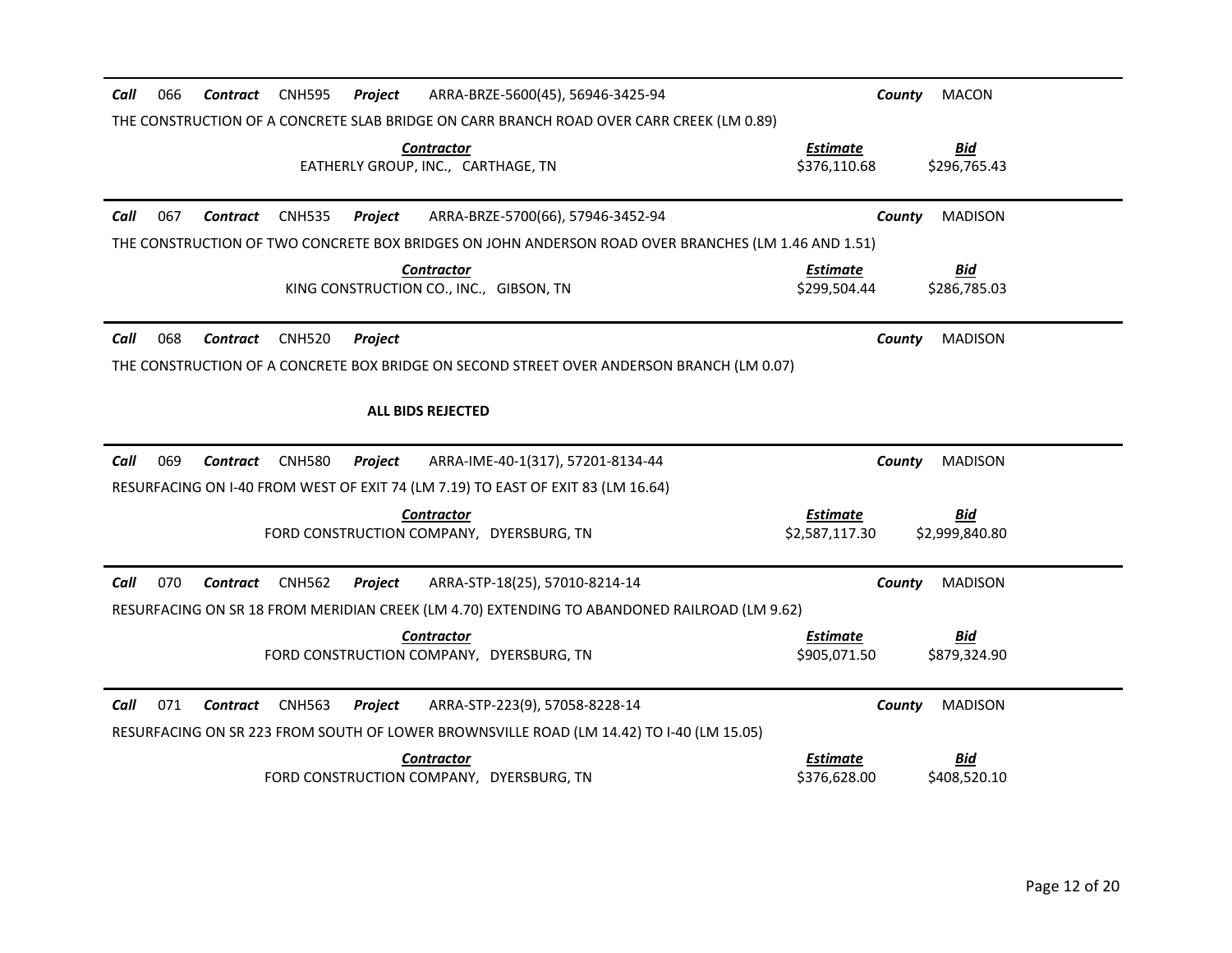| 066<br><b>CNH595</b><br>ARRA-BRZE-5600(45), 56946-3425-94<br>Call<br><b>Contract</b><br>Project     | <b>MACON</b><br>County                                            |
|-----------------------------------------------------------------------------------------------------|-------------------------------------------------------------------|
| THE CONSTRUCTION OF A CONCRETE SLAB BRIDGE ON CARR BRANCH ROAD OVER CARR CREEK (LM 0.89)            |                                                                   |
| <b>Contractor</b><br>EATHERLY GROUP, INC., CARTHAGE, TN                                             | <b>Estimate</b><br><b>Bid</b><br>\$376,110.68<br>\$296,765.43     |
| 067<br><b>CNH535</b><br>ARRA-BRZE-5700(66), 57946-3452-94<br>Call<br><b>Contract</b><br>Project     | <b>MADISON</b><br>County                                          |
| THE CONSTRUCTION OF TWO CONCRETE BOX BRIDGES ON JOHN ANDERSON ROAD OVER BRANCHES (LM 1.46 AND 1.51) |                                                                   |
| <b>Contractor</b><br>KING CONSTRUCTION CO., INC., GIBSON, TN                                        | Estimate<br><u>Bid</u><br>\$299,504.44<br>\$286,785.03            |
| 068<br>Call<br><b>Contract</b><br><b>CNH520</b><br>Project                                          | <b>MADISON</b><br>County                                          |
| THE CONSTRUCTION OF A CONCRETE BOX BRIDGE ON SECOND STREET OVER ANDERSON BRANCH (LM 0.07)           |                                                                   |
| <b>ALL BIDS REJECTED</b>                                                                            |                                                                   |
|                                                                                                     |                                                                   |
| 069<br>Call<br><b>Contract</b><br><b>CNH580</b><br>ARRA-IME-40-1(317), 57201-8134-44<br>Project     | <b>MADISON</b><br>County                                          |
| RESURFACING ON I-40 FROM WEST OF EXIT 74 (LM 7.19) TO EAST OF EXIT 83 (LM 16.64)                    |                                                                   |
| <b>Contractor</b><br>FORD CONSTRUCTION COMPANY, DYERSBURG, TN                                       | <b>Estimate</b><br><u>Bid</u><br>\$2,587,117.30<br>\$2,999,840.80 |
| Call<br>070<br><b>CNH562</b><br>ARRA-STP-18(25), 57010-8214-14<br>Contract<br>Project               | <b>MADISON</b><br>County                                          |
| RESURFACING ON SR 18 FROM MERIDIAN CREEK (LM 4.70) EXTENDING TO ABANDONED RAILROAD (LM 9.62)        |                                                                   |
| <b>Contractor</b><br>FORD CONSTRUCTION COMPANY. DYERSBURG. TN                                       | <b>Estimate</b><br><u>Bid</u><br>\$905,071.50<br>\$879,324.90     |
| 071<br>Call<br><b>Contract</b><br><b>CNH563</b><br>ARRA-STP-223(9), 57058-8228-14<br>Project        | County<br><b>MADISON</b>                                          |
| RESURFACING ON SR 223 FROM SOUTH OF LOWER BROWNSVILLE ROAD (LM 14.42) TO I-40 (LM 15.05)            |                                                                   |
| <b>Contractor</b><br>FORD CONSTRUCTION COMPANY, DYERSBURG, TN                                       | <b>Estimate</b><br><u>Bid</u><br>\$376,628.00<br>\$408,520.10     |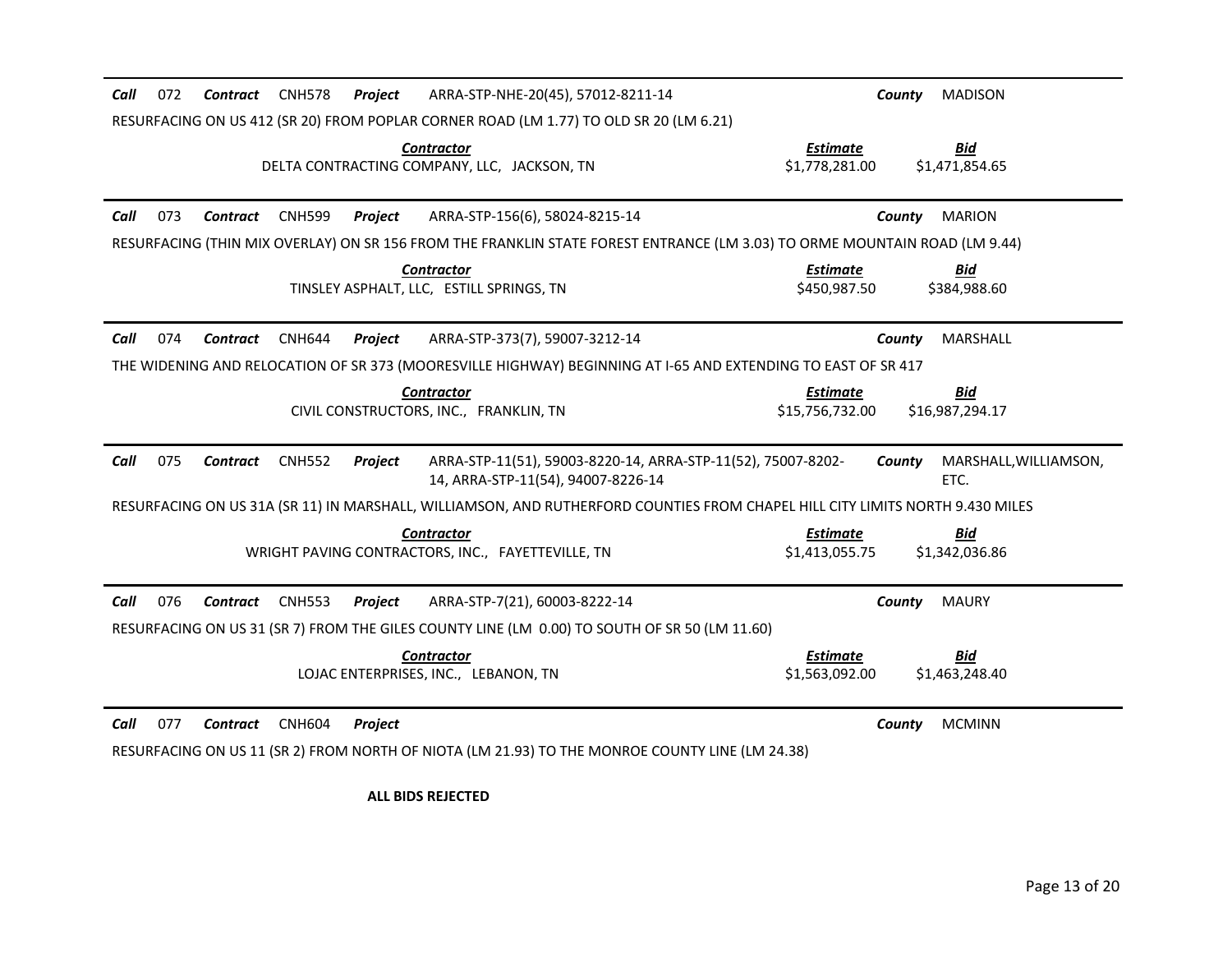| Call<br>072<br><b>CNH578</b><br>Contract        | ARRA-STP-NHE-20(45), 57012-8211-14<br>Project                                                                                 | <b>MADISON</b><br>County                                          |
|-------------------------------------------------|-------------------------------------------------------------------------------------------------------------------------------|-------------------------------------------------------------------|
|                                                 | RESURFACING ON US 412 (SR 20) FROM POPLAR CORNER ROAD (LM 1.77) TO OLD SR 20 (LM 6.21)                                        |                                                                   |
|                                                 | <b>Contractor</b><br>DELTA CONTRACTING COMPANY, LLC, JACKSON, TN                                                              | <b>Estimate</b><br><b>Bid</b><br>\$1,778,281.00<br>\$1,471,854.65 |
| Call<br>073<br><b>Contract</b><br><b>CNH599</b> | ARRA-STP-156(6), 58024-8215-14<br><b>Project</b>                                                                              | <b>MARION</b><br>County                                           |
|                                                 | RESURFACING (THIN MIX OVERLAY) ON SR 156 FROM THE FRANKLIN STATE FOREST ENTRANCE (LM 3.03) TO ORME MOUNTAIN ROAD (LM 9.44)    |                                                                   |
|                                                 | <b>Contractor</b><br>TINSLEY ASPHALT, LLC. ESTILL SPRINGS, TN                                                                 | <b>Estimate</b><br><u>Bid</u><br>\$450,987.50<br>\$384,988.60     |
| 074<br>Call<br><b>Contract</b><br><b>CNH644</b> | Project<br>ARRA-STP-373(7), 59007-3212-14                                                                                     | MARSHALL<br>County                                                |
|                                                 | THE WIDENING AND RELOCATION OF SR 373 (MOORESVILLE HIGHWAY) BEGINNING AT I-65 AND EXTENDING TO EAST OF SR 417                 |                                                                   |
|                                                 | <b>Contractor</b><br>CIVIL CONSTRUCTORS, INC., FRANKLIN, TN                                                                   | <b>Estimate</b><br>Bid<br>\$16,987,294.17<br>\$15,756,732.00      |
| Call<br>075<br><b>Contract</b><br><b>CNH552</b> | ARRA-STP-11(51), 59003-8220-14, ARRA-STP-11(52), 75007-8202-<br>Project<br>14, ARRA-STP-11(54), 94007-8226-14                 | MARSHALL, WILLIAMSON,<br>County<br>ETC.                           |
|                                                 | RESURFACING ON US 31A (SR 11) IN MARSHALL, WILLIAMSON, AND RUTHERFORD COUNTIES FROM CHAPEL HILL CITY LIMITS NORTH 9.430 MILES |                                                                   |
|                                                 | <b>Contractor</b><br>WRIGHT PAVING CONTRACTORS, INC., FAYETTEVILLE, TN                                                        | <b>Estimate</b><br>Bid<br>\$1,413,055.75<br>\$1,342,036.86        |
| Call<br>076<br>Contract<br><b>CNH553</b>        | Project<br>ARRA-STP-7(21), 60003-8222-14                                                                                      | <b>MAURY</b><br>County                                            |
|                                                 | RESURFACING ON US 31 (SR 7) FROM THE GILES COUNTY LINE (LM 0.00) TO SOUTH OF SR 50 (LM 11.60)                                 |                                                                   |
|                                                 | <b>Contractor</b><br>LOJAC ENTERPRISES, INC., LEBANON, TN                                                                     | <b>Estimate</b><br><u>Bid</u><br>\$1,563,092.00<br>\$1,463,248.40 |
| 077<br>Call<br><b>CNH604</b><br><b>Contract</b> | Project<br>RESURFACING ON US 11 (SR 2) FROM NORTH OF NIOTA (LM 21.93) TO THE MONROE COUNTY LINE (LM 24.38)                    | <b>MCMINN</b><br>County                                           |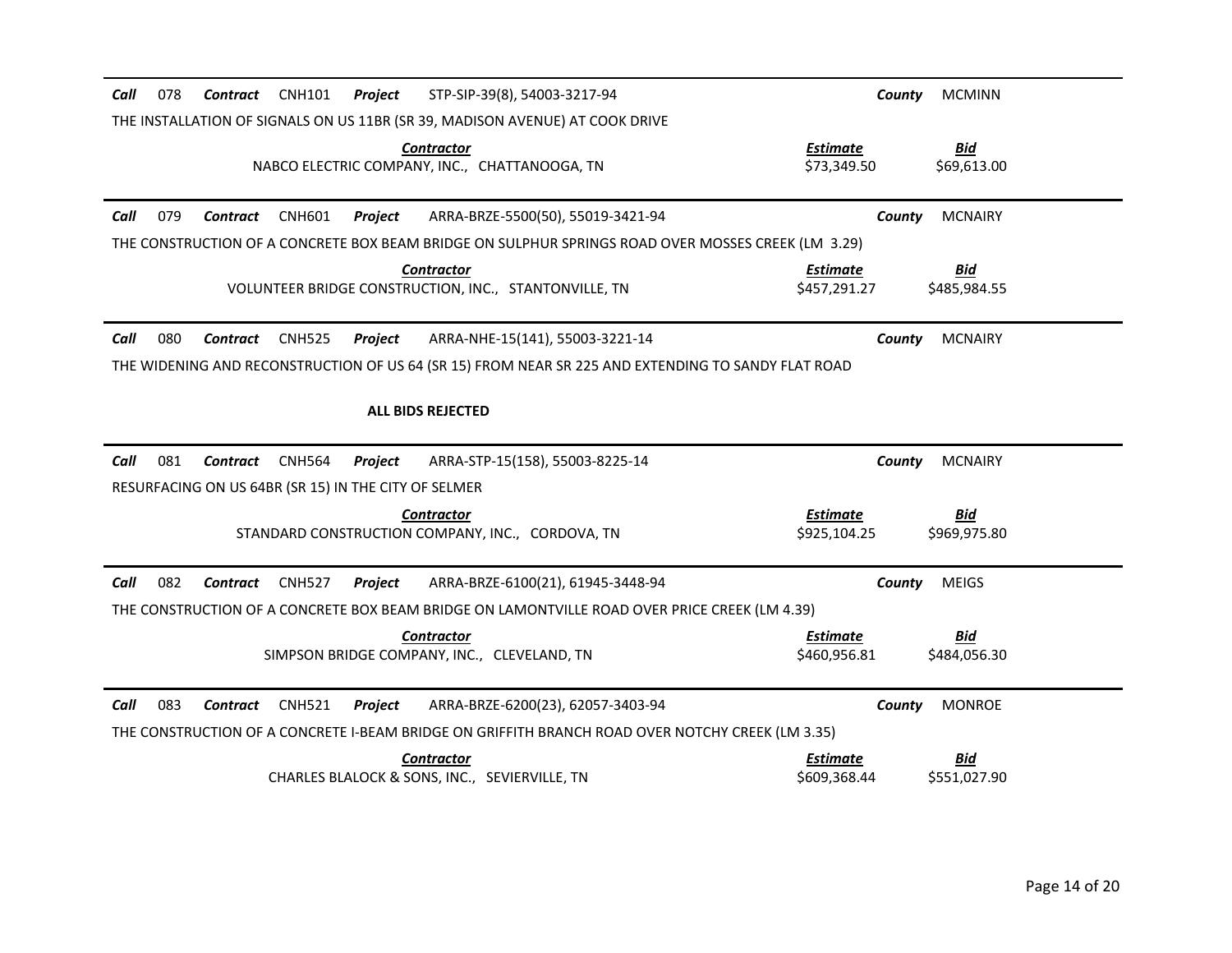| Call<br>078<br>CNH101<br>Project<br>STP-SIP-39(8), 54003-3217-94<br>Contract                       | <b>MCMINN</b><br>County                                       |
|----------------------------------------------------------------------------------------------------|---------------------------------------------------------------|
| THE INSTALLATION OF SIGNALS ON US 11BR (SR 39, MADISON AVENUE) AT COOK DRIVE                       |                                                               |
| <b>Contractor</b><br>NABCO ELECTRIC COMPANY, INC., CHATTANOOGA, TN                                 | <b>Bid</b><br><b>Estimate</b><br>\$73,349.50<br>\$69,613.00   |
| Call<br>079<br><b>CNH601</b><br>ARRA-BRZE-5500(50), 55019-3421-94<br>Contract<br>Project           | <b>MCNAIRY</b><br>County                                      |
| THE CONSTRUCTION OF A CONCRETE BOX BEAM BRIDGE ON SULPHUR SPRINGS ROAD OVER MOSSES CREEK (LM 3.29) |                                                               |
| <b>Contractor</b><br>VOLUNTEER BRIDGE CONSTRUCTION, INC., STANTONVILLE, TN                         | <u>Bid</u><br>Estimate<br>\$457,291.27<br>\$485.984.55        |
| 080<br>Call<br><b>Contract</b><br><b>CNH525</b><br>Project<br>ARRA-NHE-15(141), 55003-3221-14      | <b>MCNAIRY</b><br>County                                      |
| THE WIDENING AND RECONSTRUCTION OF US 64 (SR 15) FROM NEAR SR 225 AND EXTENDING TO SANDY FLAT ROAD |                                                               |
| <b>ALL BIDS REJECTED</b>                                                                           |                                                               |
|                                                                                                    |                                                               |
| 081<br>Call<br>ARRA-STP-15(158), 55003-8225-14<br>Contract<br><b>CNH564</b><br>Project             | <b>MCNAIRY</b><br>County                                      |
| RESURFACING ON US 64BR (SR 15) IN THE CITY OF SELMER                                               |                                                               |
| <b>Contractor</b><br>STANDARD CONSTRUCTION COMPANY, INC., CORDOVA, TN                              | <b>Estimate</b><br><u>Bid</u><br>\$925,104.25<br>\$969,975.80 |
| 082<br>Call<br>Contract<br><b>CNH527</b><br>ARRA-BRZE-6100(21), 61945-3448-94<br>Project           | County<br><b>MEIGS</b>                                        |
| THE CONSTRUCTION OF A CONCRETE BOX BEAM BRIDGE ON LAMONTVILLE ROAD OVER PRICE CREEK (LM 4.39)      |                                                               |
| <b>Contractor</b><br>SIMPSON BRIDGE COMPANY, INC., CLEVELAND, TN                                   | <b>Estimate</b><br><b>Bid</b><br>\$460,956.81<br>\$484,056.30 |
| 083<br>Call<br><b>Contract</b><br><b>CNH521</b><br>Project<br>ARRA-BRZE-6200(23), 62057-3403-94    | <b>MONROE</b><br>County                                       |
| THE CONSTRUCTION OF A CONCRETE I-BEAM BRIDGE ON GRIFFITH BRANCH ROAD OVER NOTCHY CREEK (LM 3.35)   |                                                               |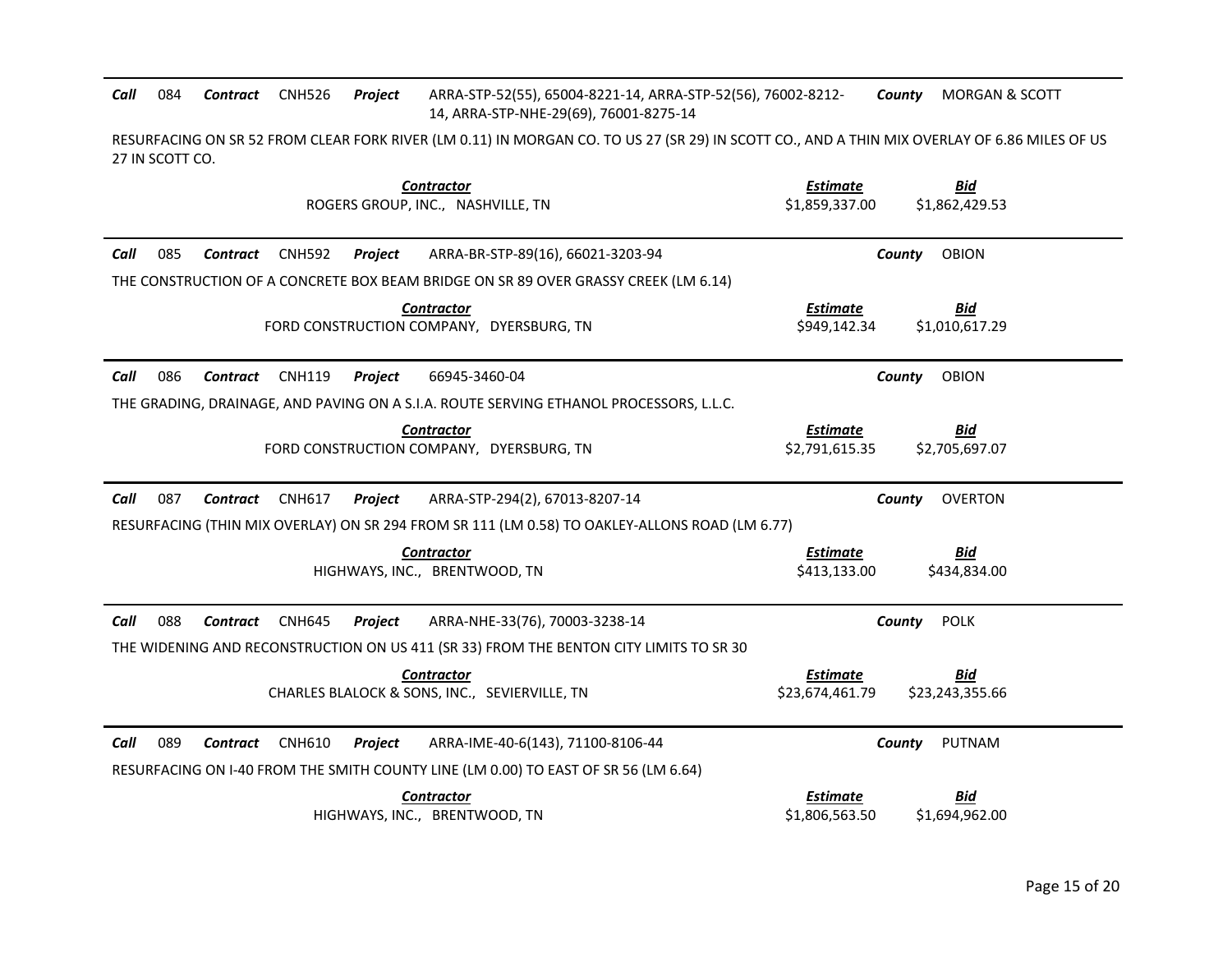*Call* 084 *Contract* CNH526 *Project* ARRA-STP-52(55), 65004-8221-14, ARRA-STP-52(56), 76002-8212- 14, ARRA-STP-NHE-29(69), 76001-8275-14 *County* MORGAN & SCOTT

RESURFACING ON SR 52 FROM CLEAR FORK RIVER (LM 0.11) IN MORGAN CO. TO US 27 (SR 29) IN SCOTT CO., AND A THIN MIX OVERLAY OF 6.86 MILES OF US 27 IN SCOTT CO.

| <b>Contractor</b><br>ROGERS GROUP, INC., NASHVILLE, TN                                                 | <b>Estimate</b><br><b>Bid</b><br>\$1,859,337.00<br>\$1,862,429.53 |
|--------------------------------------------------------------------------------------------------------|-------------------------------------------------------------------|
| 085<br>Call<br>Contract<br><b>CNH592</b><br>Project<br>ARRA-BR-STP-89(16), 66021-3203-94               | County<br><b>OBION</b>                                            |
| THE CONSTRUCTION OF A CONCRETE BOX BEAM BRIDGE ON SR 89 OVER GRASSY CREEK (LM 6.14)                    |                                                                   |
| <b>Contractor</b><br>FORD CONSTRUCTION COMPANY, DYERSBURG, TN                                          | <b>Estimate</b><br><u>Bid</u><br>\$949,142.34<br>\$1,010,617.29   |
| 086<br><b>CNH119</b><br>Call<br>Contract<br>Project<br>66945-3460-04                                   | <b>OBION</b><br>County                                            |
| THE GRADING, DRAINAGE, AND PAVING ON A S.I.A. ROUTE SERVING ETHANOL PROCESSORS, L.L.C.                 |                                                                   |
| <b>Contractor</b>                                                                                      | <b>Estimate</b><br>Bid                                            |
| FORD CONSTRUCTION COMPANY, DYERSBURG, TN                                                               | \$2,791,615.35<br>\$2,705,697.07                                  |
| 087<br>ARRA-STP-294(2), 67013-8207-14<br>Call<br><b>Contract</b><br><b>CNH617</b><br>Project           | <b>OVERTON</b><br>County                                          |
| RESURFACING (THIN MIX OVERLAY) ON SR 294 FROM SR 111 (LM 0.58) TO OAKLEY-ALLONS ROAD (LM 6.77)         |                                                                   |
| <b>Contractor</b>                                                                                      | Estimate<br>Bid                                                   |
| HIGHWAYS, INC., BRENTWOOD, TN                                                                          | \$413,133.00<br>\$434,834.00                                      |
| 088<br><b>CNH645</b><br>ARRA-NHE-33(76), 70003-3238-14<br>Call<br><b>Contract</b><br>Project           | <b>POLK</b><br>County                                             |
| THE WIDENING AND RECONSTRUCTION ON US 411 (SR 33) FROM THE BENTON CITY LIMITS TO SR 30                 |                                                                   |
| <b>Contractor</b>                                                                                      | <b>Estimate</b><br>Bid                                            |
| CHARLES BLALOCK & SONS, INC., SEVIERVILLE, TN                                                          | \$23,674,461.79<br>\$23,243,355.66                                |
| 089<br><b>CNH610</b><br>ARRA-IME-40-6(143), 71100-8106-44<br>Call<br><b>Contract</b><br><b>Project</b> | PUTNAM<br>County                                                  |
| RESURFACING ON I-40 FROM THE SMITH COUNTY LINE (LM 0.00) TO EAST OF SR 56 (LM 6.64)                    |                                                                   |
| <b>Contractor</b>                                                                                      | <b>Estimate</b><br>Bid                                            |
| HIGHWAYS, INC., BRENTWOOD, TN                                                                          | \$1,806,563.50<br>\$1,694,962.00                                  |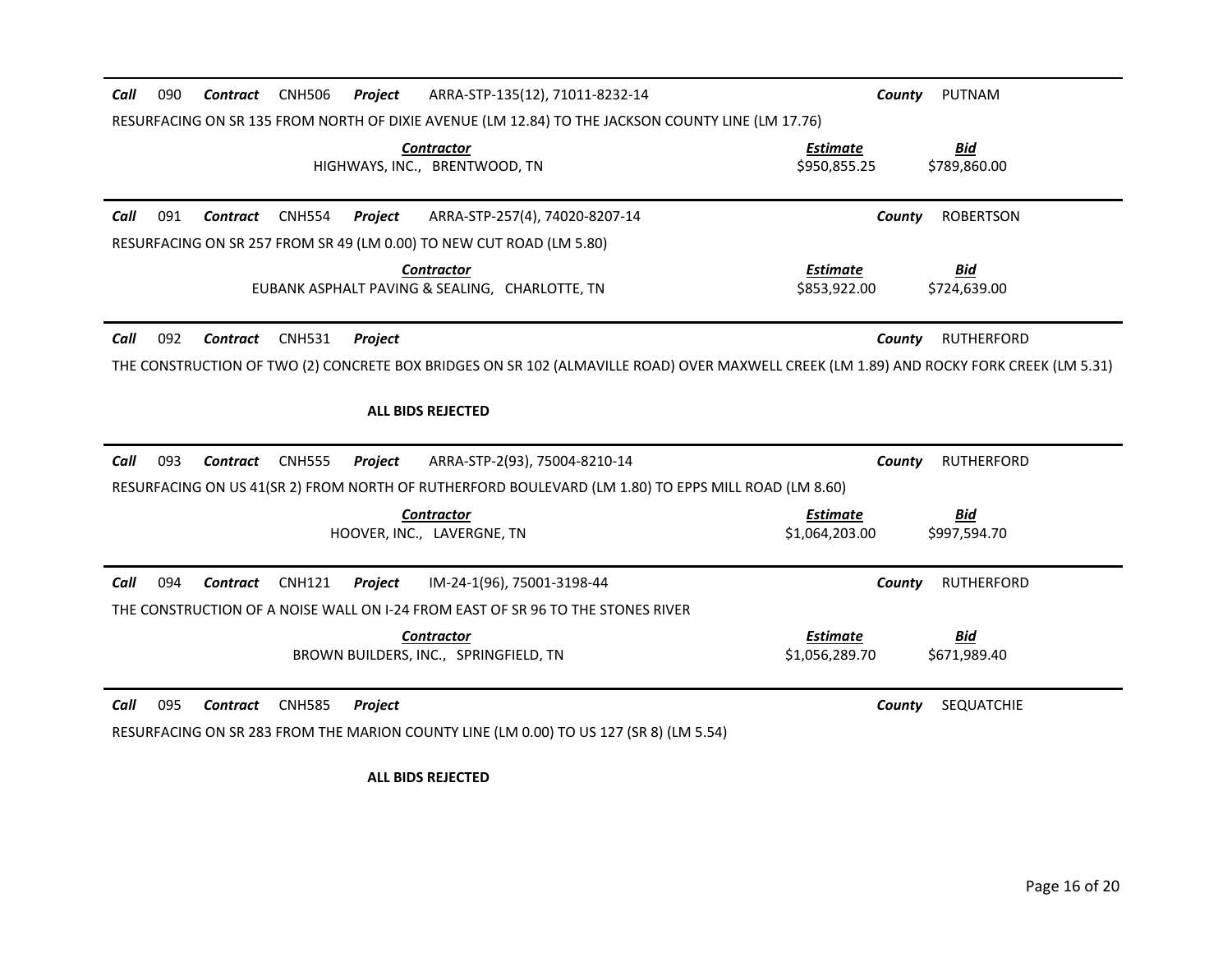| Call<br>090 | Contract        | <b>CNH506</b> | Project | ARRA-STP-135(12), 71011-8232-14                                                                                                         | County                            | PUTNAM                     |
|-------------|-----------------|---------------|---------|-----------------------------------------------------------------------------------------------------------------------------------------|-----------------------------------|----------------------------|
|             |                 |               |         | RESURFACING ON SR 135 FROM NORTH OF DIXIE AVENUE (LM 12.84) TO THE JACKSON COUNTY LINE (LM 17.76)                                       |                                   |                            |
|             |                 |               |         | <b>Contractor</b><br>HIGHWAYS, INC., BRENTWOOD, TN                                                                                      | <b>Estimate</b><br>\$950.855.25   | <u>Bid</u><br>\$789,860.00 |
| 091<br>Call | <b>Contract</b> | <b>CNH554</b> | Project | ARRA-STP-257(4), 74020-8207-14                                                                                                          | County                            | <b>ROBERTSON</b>           |
|             |                 |               |         | RESURFACING ON SR 257 FROM SR 49 (LM 0.00) TO NEW CUT ROAD (LM 5.80)                                                                    |                                   |                            |
|             |                 |               |         | <b>Contractor</b><br>EUBANK ASPHALT PAVING & SEALING. CHARLOTTE, TN                                                                     | <b>Estimate</b><br>\$853,922,00   | <b>Bid</b><br>\$724.639.00 |
| 092<br>Call | <b>Contract</b> | <b>CNH531</b> | Project |                                                                                                                                         | County                            | <b>RUTHERFORD</b>          |
|             |                 |               |         | THE CONSTRUCTION OF TWO (2) CONCRETE BOX BRIDGES ON SR 102 (ALMAVILLE ROAD) OVER MAXWELL CREEK (LM 1.89) AND ROCKY FORK CREEK (LM 5.31) |                                   |                            |
|             |                 |               |         | <b>ALL BIDS REJECTED</b>                                                                                                                |                                   |                            |
| 093<br>Call | Contract        | <b>CNH555</b> | Project | ARRA-STP-2(93), 75004-8210-14                                                                                                           | County                            | <b>RUTHERFORD</b>          |
|             |                 |               |         | RESURFACING ON US 41(SR 2) FROM NORTH OF RUTHERFORD BOULEVARD (LM 1.80) TO EPPS MILL ROAD (LM 8.60)                                     |                                   |                            |
|             |                 |               |         | <b>Contractor</b><br>HOOVER, INC., LAVERGNE, TN                                                                                         | <b>Estimate</b><br>\$1,064,203.00 | Bid<br>\$997,594.70        |
| 094<br>Call | Contract        | <b>CNH121</b> | Project | IM-24-1(96), 75001-3198-44                                                                                                              | County                            | <b>RUTHERFORD</b>          |
|             |                 |               |         | THE CONSTRUCTION OF A NOISE WALL ON I-24 FROM EAST OF SR 96 TO THE STONES RIVER                                                         |                                   |                            |
|             |                 |               |         | <b>Contractor</b><br>BROWN BUILDERS, INC., SPRINGFIELD, TN                                                                              | <b>Estimate</b><br>\$1,056,289.70 | <b>Bid</b><br>\$671,989.40 |
| 095<br>Call | <b>Contract</b> | <b>CNH585</b> | Project | RESURFACING ON SR 283 FROM THE MARION COUNTY LINE (LM 0.00) TO US 127 (SR 8) (LM 5.54)                                                  | County                            | SEQUATCHIE                 |
|             |                 |               |         |                                                                                                                                         |                                   |                            |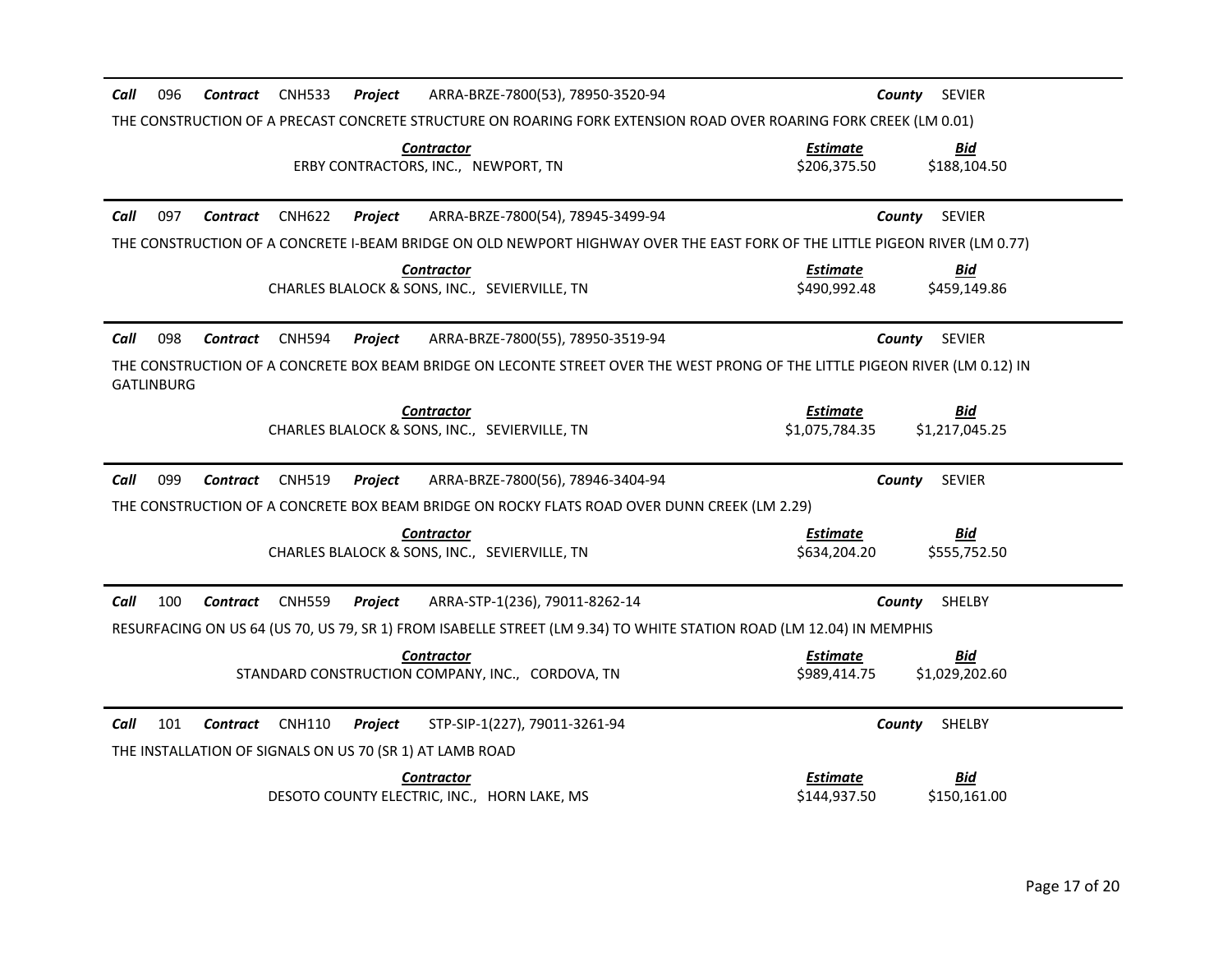| Call<br>096<br><b>CNH533</b><br>ARRA-BRZE-7800(53), 78950-3520-94<br>Contract<br>Project                                                          | County<br><b>SEVIER</b>                                       |
|---------------------------------------------------------------------------------------------------------------------------------------------------|---------------------------------------------------------------|
| THE CONSTRUCTION OF A PRECAST CONCRETE STRUCTURE ON ROARING FORK EXTENSION ROAD OVER ROARING FORK CREEK (LM 0.01)                                 |                                                               |
| <b>Contractor</b><br>ERBY CONTRACTORS, INC., NEWPORT, TN                                                                                          | <b>Bid</b><br><b>Estimate</b><br>\$206,375.50<br>\$188,104.50 |
| Call<br>097<br><b>CNH622</b><br>Project<br>ARRA-BRZE-7800(54), 78945-3499-94<br>Contract                                                          | <b>SEVIER</b><br>County                                       |
| THE CONSTRUCTION OF A CONCRETE I-BEAM BRIDGE ON OLD NEWPORT HIGHWAY OVER THE EAST FORK OF THE LITTLE PIGEON RIVER (LM 0.77)                       |                                                               |
| <b>Contractor</b><br>CHARLES BLALOCK & SONS, INC., SEVIERVILLE, TN                                                                                | <b>Estimate</b><br>Bid<br>\$490,992.48<br>\$459,149.86        |
| 098<br>Call<br><b>Contract</b><br><b>CNH594</b><br>ARRA-BRZE-7800(55), 78950-3519-94<br>Project                                                   | <b>SEVIER</b><br>County                                       |
| THE CONSTRUCTION OF A CONCRETE BOX BEAM BRIDGE ON LECONTE STREET OVER THE WEST PRONG OF THE LITTLE PIGEON RIVER (LM 0.12) IN<br><b>GATLINBURG</b> |                                                               |
| <b>Contractor</b>                                                                                                                                 | <b>Estimate</b><br>Bid                                        |
| CHARLES BLALOCK & SONS, INC., SEVIERVILLE, TN                                                                                                     | \$1,075,784.35<br>\$1,217,045.25                              |
| 099<br>Call<br><b>CNH519</b><br>ARRA-BRZE-7800(56), 78946-3404-94<br>Contract<br>Project                                                          | <b>SEVIER</b><br>County                                       |
| THE CONSTRUCTION OF A CONCRETE BOX BEAM BRIDGE ON ROCKY FLATS ROAD OVER DUNN CREEK (LM 2.29)                                                      |                                                               |
|                                                                                                                                                   |                                                               |
| <b>Contractor</b>                                                                                                                                 | <b>Estimate</b><br><b>Bid</b>                                 |
| CHARLES BLALOCK & SONS, INC., SEVIERVILLE, TN                                                                                                     | \$634,204.20<br>\$555,752.50                                  |
| 100<br>Call<br>Contract<br><b>CNH559</b><br>Project<br>ARRA-STP-1(236), 79011-8262-14                                                             | <b>SHELBY</b><br>County                                       |
| RESURFACING ON US 64 (US 70, US 79, SR 1) FROM ISABELLE STREET (LM 9.34) TO WHITE STATION ROAD (LM 12.04) IN MEMPHIS                              |                                                               |
| <b>Contractor</b>                                                                                                                                 | <b>Bid</b><br><b>Estimate</b>                                 |
| STANDARD CONSTRUCTION COMPANY, INC., CORDOVA, TN                                                                                                  | \$989,414.75<br>\$1,029,202.60                                |
| Call<br>101<br><b>CNH110</b><br>STP-SIP-1(227), 79011-3261-94<br>Contract<br>Project                                                              | <b>SHELBY</b><br>County                                       |
| THE INSTALLATION OF SIGNALS ON US 70 (SR 1) AT LAMB ROAD                                                                                          |                                                               |
| <b>Contractor</b><br>DESOTO COUNTY ELECTRIC, INC., HORN LAKE, MS                                                                                  | <b>Bid</b><br><u>Estimate</u><br>\$144,937.50<br>\$150,161.00 |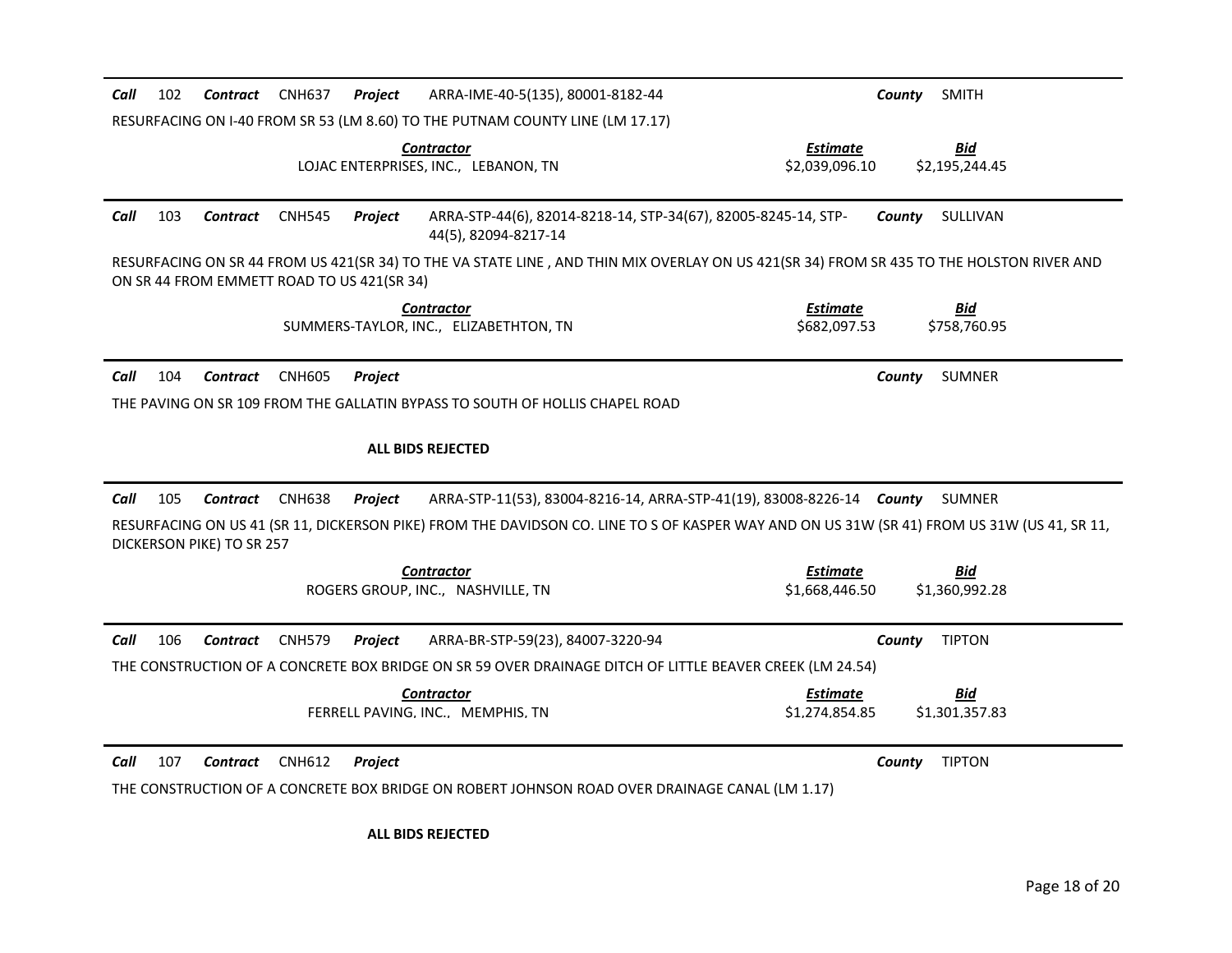| 102<br><b>CNH637</b><br>ARRA-IME-40-5(135), 80001-8182-44<br>Call<br>Contract<br>Project                                                                                               | County<br><b>SMITH</b>       |
|----------------------------------------------------------------------------------------------------------------------------------------------------------------------------------------|------------------------------|
| RESURFACING ON I-40 FROM SR 53 (LM 8.60) TO THE PUTNAM COUNTY LINE (LM 17.17)                                                                                                          |                              |
| <b>Contractor</b><br>Estimate<br>LOJAC ENTERPRISES, INC., LEBANON, TN<br>\$2,039,096.10                                                                                                | <b>Bid</b><br>\$2,195,244.45 |
| Call<br>103<br><b>CNH545</b><br>Project<br>ARRA-STP-44(6), 82014-8218-14, STP-34(67), 82005-8245-14, STP-<br>Contract<br>44(5), 82094-8217-14                                          | County<br>SULLIVAN           |
| RESURFACING ON SR 44 FROM US 421(SR 34) TO THE VA STATE LINE, AND THIN MIX OVERLAY ON US 421(SR 34) FROM SR 435 TO THE HOLSTON RIVER AND<br>ON SR 44 FROM EMMETT ROAD TO US 421(SR 34) |                              |
| <b>Estimate</b><br><b>Contractor</b><br>SUMMERS-TAYLOR, INC., ELIZABETHTON, TN<br>\$682,097.53                                                                                         | <b>Bid</b><br>\$758,760.95   |
| Call<br>104<br><b>CNH605</b><br>Contract<br>Project                                                                                                                                    | <b>SUMNER</b><br>County      |
| THE PAVING ON SR 109 FROM THE GALLATIN BYPASS TO SOUTH OF HOLLIS CHAPEL ROAD                                                                                                           |                              |
|                                                                                                                                                                                        |                              |
| <b>ALL BIDS REJECTED</b>                                                                                                                                                               |                              |
| 105<br>Call<br><b>Contract</b><br><b>CNH638</b><br>ARRA-STP-11(53), 83004-8216-14, ARRA-STP-41(19), 83008-8226-14 County<br>Project                                                    | SUMNER                       |
| RESURFACING ON US 41 (SR 11, DICKERSON PIKE) FROM THE DAVIDSON CO. LINE TO S OF KASPER WAY AND ON US 31W (SR 41) FROM US 31W (US 41, SR 11,<br>DICKERSON PIKE) TO SR 257               |                              |
| <b>Contractor</b><br>Estimate                                                                                                                                                          | <b>Bid</b>                   |
| ROGERS GROUP, INC., NASHVILLE, TN<br>\$1,668,446.50                                                                                                                                    | \$1,360,992.28               |
| Call<br>106<br><b>Contract</b><br><b>CNH579</b><br>ARRA-BR-STP-59(23), 84007-3220-94<br><b>Project</b>                                                                                 | <b>TIPTON</b><br>County      |
| THE CONSTRUCTION OF A CONCRETE BOX BRIDGE ON SR 59 OVER DRAINAGE DITCH OF LITTLE BEAVER CREEK (LM 24.54)                                                                               |                              |
| <b>Contractor</b><br><b>Estimate</b>                                                                                                                                                   | <b>Bid</b>                   |
| FERRELL PAVING, INC., MEMPHIS, TN<br>\$1,274,854.85                                                                                                                                    | \$1,301,357.83               |
| 107<br>Call<br><b>Contract</b><br><b>CNH612</b><br>Project                                                                                                                             | <b>TIPTON</b><br>County      |
| THE CONSTRUCTION OF A CONCRETE BOX BRIDGE ON ROBERT JOHNSON ROAD OVER DRAINAGE CANAL (LM 1.17)                                                                                         |                              |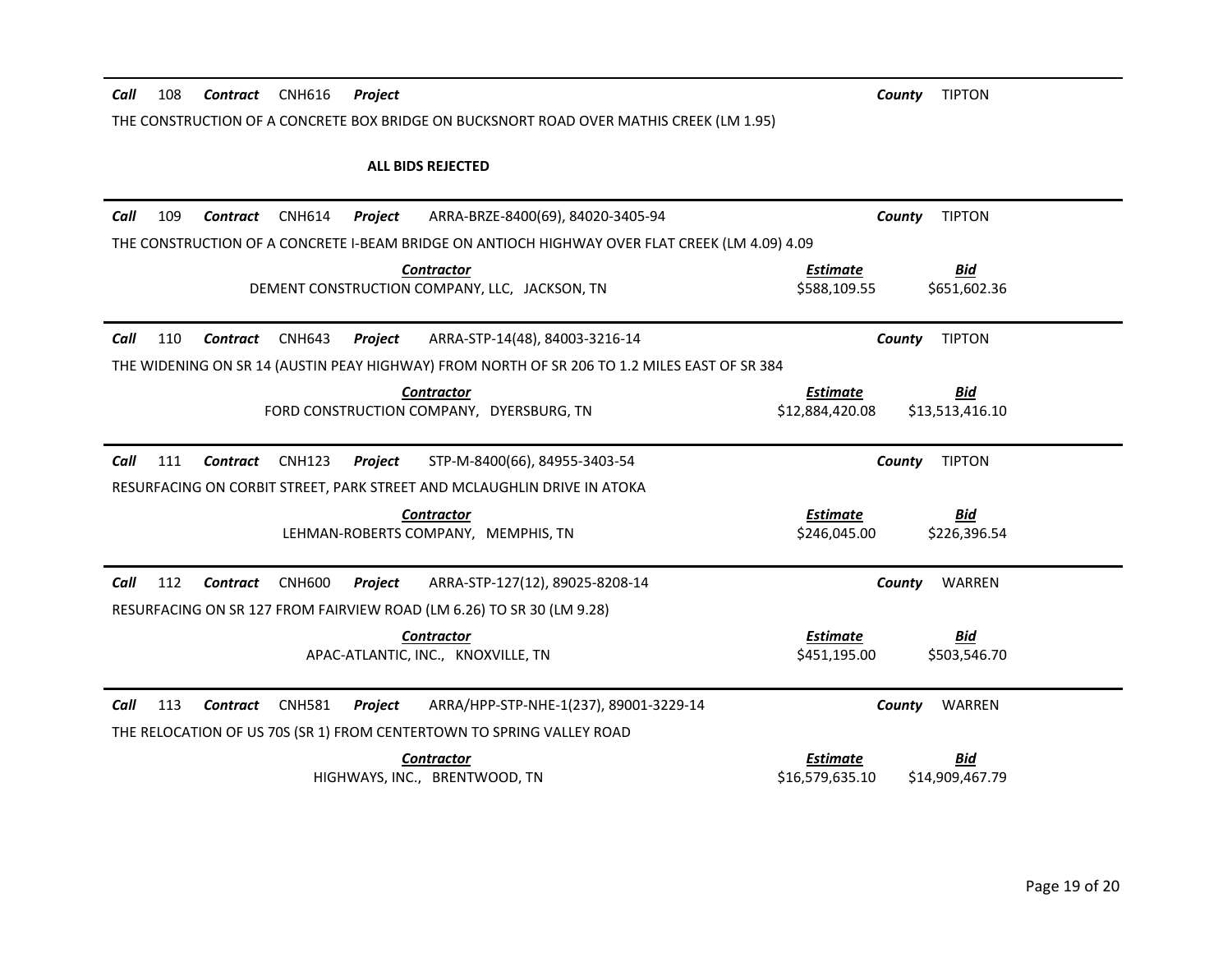| Call | 108 | Contract        | <b>CNH616</b> | <b>Project</b>                                                                                 | <b>TIPTON</b><br>County                                             |
|------|-----|-----------------|---------------|------------------------------------------------------------------------------------------------|---------------------------------------------------------------------|
|      |     |                 |               | THE CONSTRUCTION OF A CONCRETE BOX BRIDGE ON BUCKSNORT ROAD OVER MATHIS CREEK (LM 1.95)        |                                                                     |
|      |     |                 |               |                                                                                                |                                                                     |
|      |     |                 |               | <b>ALL BIDS REJECTED</b>                                                                       |                                                                     |
| Call | 109 | <b>Contract</b> | <b>CNH614</b> | ARRA-BRZE-8400(69), 84020-3405-94<br>Project                                                   | <b>TIPTON</b><br>County                                             |
|      |     |                 |               | THE CONSTRUCTION OF A CONCRETE I-BEAM BRIDGE ON ANTIOCH HIGHWAY OVER FLAT CREEK (LM 4.09) 4.09 |                                                                     |
|      |     |                 |               | <b>Contractor</b>                                                                              | <b>Estimate</b><br>Bid                                              |
|      |     |                 |               | DEMENT CONSTRUCTION COMPANY, LLC. JACKSON, TN                                                  | \$588.109.55<br>\$651,602.36                                        |
| Call | 110 | Contract        | <b>CNH643</b> | Project<br>ARRA-STP-14(48), 84003-3216-14                                                      | <b>TIPTON</b><br>County                                             |
|      |     |                 |               | THE WIDENING ON SR 14 (AUSTIN PEAY HIGHWAY) FROM NORTH OF SR 206 TO 1.2 MILES EAST OF SR 384   |                                                                     |
|      |     |                 |               |                                                                                                |                                                                     |
|      |     |                 |               | <b>Contractor</b><br>FORD CONSTRUCTION COMPANY, DYERSBURG, TN                                  | <b>Estimate</b><br><u>Bid</u><br>\$12,884,420.08<br>\$13,513,416.10 |
|      |     |                 |               |                                                                                                |                                                                     |
| Call | 111 | Contract        | <b>CNH123</b> | STP-M-8400(66), 84955-3403-54<br>Project                                                       | <b>TIPTON</b><br>County                                             |
|      |     |                 |               |                                                                                                |                                                                     |
|      |     |                 |               | RESURFACING ON CORBIT STREET, PARK STREET AND MCLAUGHLIN DRIVE IN ATOKA                        |                                                                     |
|      |     |                 |               | <b>Contractor</b>                                                                              | <b>Estimate</b><br>Bid                                              |
|      |     |                 |               | LEHMAN-ROBERTS COMPANY, MEMPHIS, TN                                                            | \$246,045.00<br>\$226,396.54                                        |
|      |     |                 |               |                                                                                                |                                                                     |
| Call | 112 | <b>Contract</b> | <b>CNH600</b> | ARRA-STP-127(12), 89025-8208-14<br>Project                                                     | WARREN<br>County                                                    |
|      |     |                 |               | RESURFACING ON SR 127 FROM FAIRVIEW ROAD (LM 6.26) TO SR 30 (LM 9.28)                          |                                                                     |
|      |     |                 |               | <b>Contractor</b>                                                                              | <b>Estimate</b><br><u>Bid</u>                                       |
|      |     |                 |               | APAC-ATLANTIC, INC., KNOXVILLE, TN                                                             | \$451,195.00<br>\$503,546.70                                        |
| Call | 113 | Contract        | <b>CNH581</b> | ARRA/HPP-STP-NHE-1(237), 89001-3229-14<br>Project                                              | County<br>WARREN                                                    |
|      |     |                 |               | THE RELOCATION OF US 70S (SR 1) FROM CENTERTOWN TO SPRING VALLEY ROAD                          |                                                                     |
|      |     |                 |               | <b>Contractor</b>                                                                              | <b>Estimate</b><br>Bid                                              |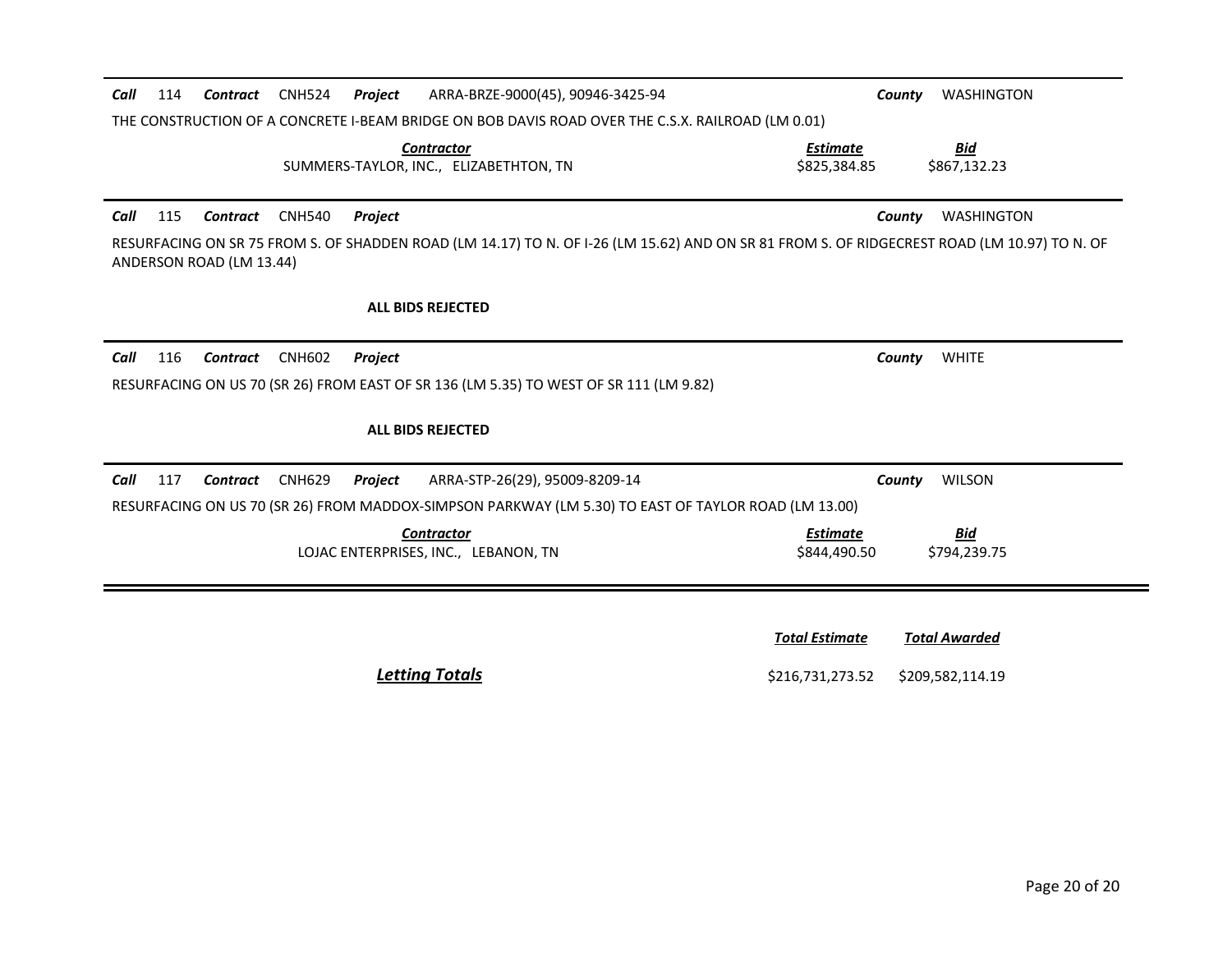| Call | 114 | Contract                 | <b>CNH524</b> | <b>Project</b> | ARRA-BRZE-9000(45), 90946-3425-94                                                                                                            | County                          | <b>WASHINGTON</b>          |
|------|-----|--------------------------|---------------|----------------|----------------------------------------------------------------------------------------------------------------------------------------------|---------------------------------|----------------------------|
|      |     |                          |               |                | THE CONSTRUCTION OF A CONCRETE I-BEAM BRIDGE ON BOB DAVIS ROAD OVER THE C.S.X. RAILROAD (LM 0.01)                                            |                                 |                            |
|      |     |                          |               |                | <b>Contractor</b><br>SUMMERS-TAYLOR, INC., ELIZABETHTON, TN                                                                                  | <b>Estimate</b><br>\$825,384.85 | <b>Bid</b><br>\$867,132.23 |
| Call | 115 | Contract                 | <b>CNH540</b> | Project        |                                                                                                                                              | County                          | <b>WASHINGTON</b>          |
|      |     | ANDERSON ROAD (LM 13.44) |               |                | RESURFACING ON SR 75 FROM S. OF SHADDEN ROAD (LM 14.17) TO N. OF I-26 (LM 15.62) AND ON SR 81 FROM S. OF RIDGECREST ROAD (LM 10.97) TO N. OF |                                 |                            |
|      |     |                          |               |                | <b>ALL BIDS REJECTED</b>                                                                                                                     |                                 |                            |
| Call | 116 | Contract                 | <b>CNH602</b> | <b>Project</b> |                                                                                                                                              | County                          | <b>WHITE</b>               |
|      |     |                          |               |                | RESURFACING ON US 70 (SR 26) FROM EAST OF SR 136 (LM 5.35) TO WEST OF SR 111 (LM 9.82)                                                       |                                 |                            |
|      |     |                          |               |                | <b>ALL BIDS REJECTED</b>                                                                                                                     |                                 |                            |
| Call | 117 | Contract                 | <b>CNH629</b> | Project        | ARRA-STP-26(29), 95009-8209-14                                                                                                               | County                          | <b>WILSON</b>              |
|      |     |                          |               |                | RESURFACING ON US 70 (SR 26) FROM MADDOX-SIMPSON PARKWAY (LM 5.30) TO EAST OF TAYLOR ROAD (LM 13.00)                                         |                                 |                            |
|      |     |                          |               |                | <b>Contractor</b><br>LOJAC ENTERPRISES, INC., LEBANON, TN                                                                                    | <b>Estimate</b><br>\$844,490.50 | <u>Bid</u><br>\$794,239.75 |
|      |     |                          |               |                |                                                                                                                                              |                                 |                            |
|      |     |                          |               |                |                                                                                                                                              |                                 |                            |

*<u>Total Estimate</u>* <u>Total Awarded</u>

**Letting Totals Exercise 3216,731,273.52** \$209,582,114.19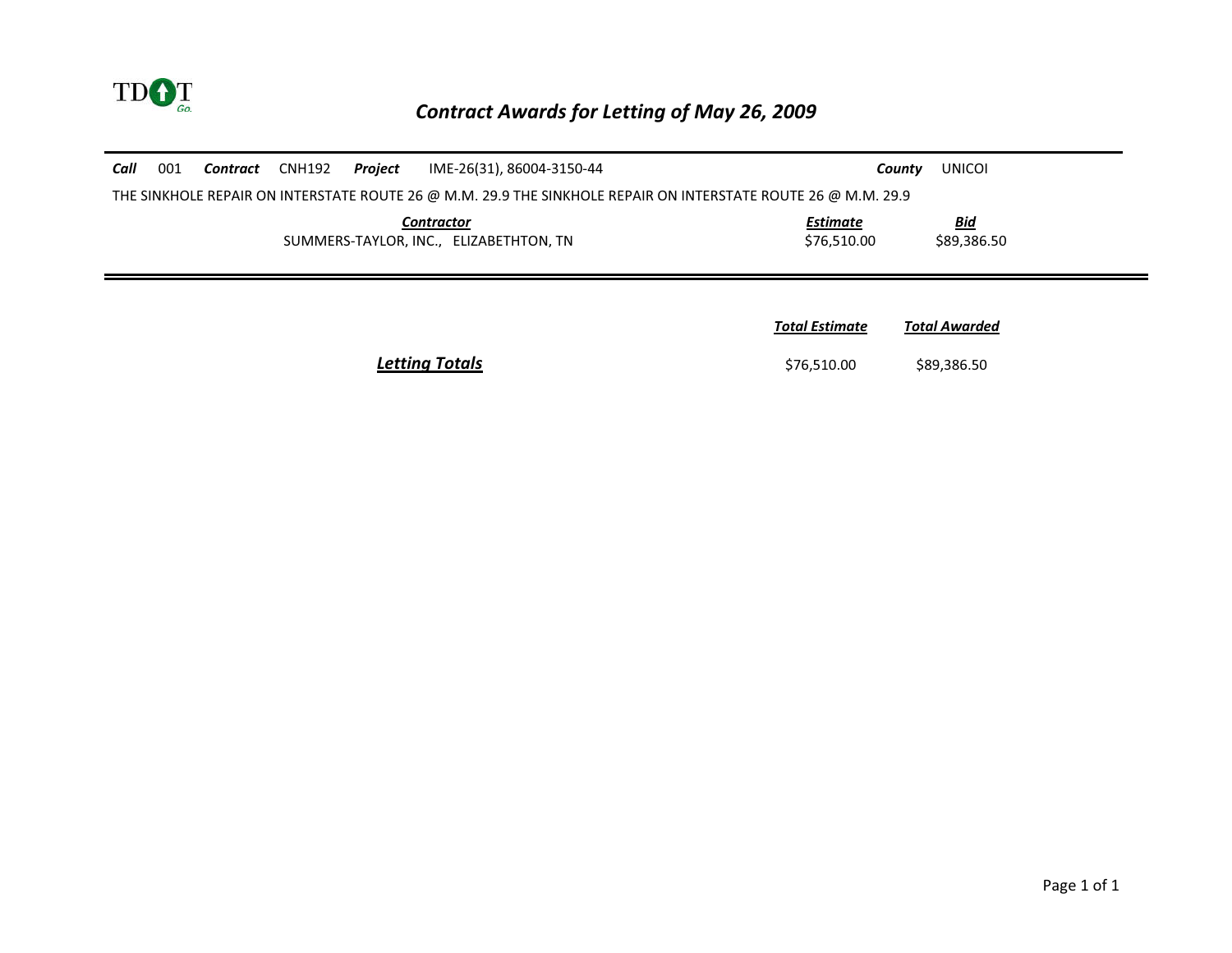

| Call | 001 | Contract | CNH192 | Project | IME-26(31), 86004-3150-44                                                                                     |                                | <b>UNICOI</b><br>County   |  |
|------|-----|----------|--------|---------|---------------------------------------------------------------------------------------------------------------|--------------------------------|---------------------------|--|
|      |     |          |        |         | THE SINKHOLE REPAIR ON INTERSTATE ROUTE 26 @ M.M. 29.9 THE SINKHOLE REPAIR ON INTERSTATE ROUTE 26 @ M.M. 29.9 |                                |                           |  |
|      |     |          |        |         | <b>Contractor</b><br>SUMMERS-TAYLOR, INC., ELIZABETHTON, TN                                                   | <b>Estimate</b><br>\$76,510.00 | <b>Bid</b><br>\$89,386.50 |  |
|      |     |          |        |         |                                                                                                               | <b>Total Estimate</b>          | <b>Total Awarded</b>      |  |
|      |     |          |        |         | <b>Letting Totals</b>                                                                                         | \$76,510.00                    | \$89,386.50               |  |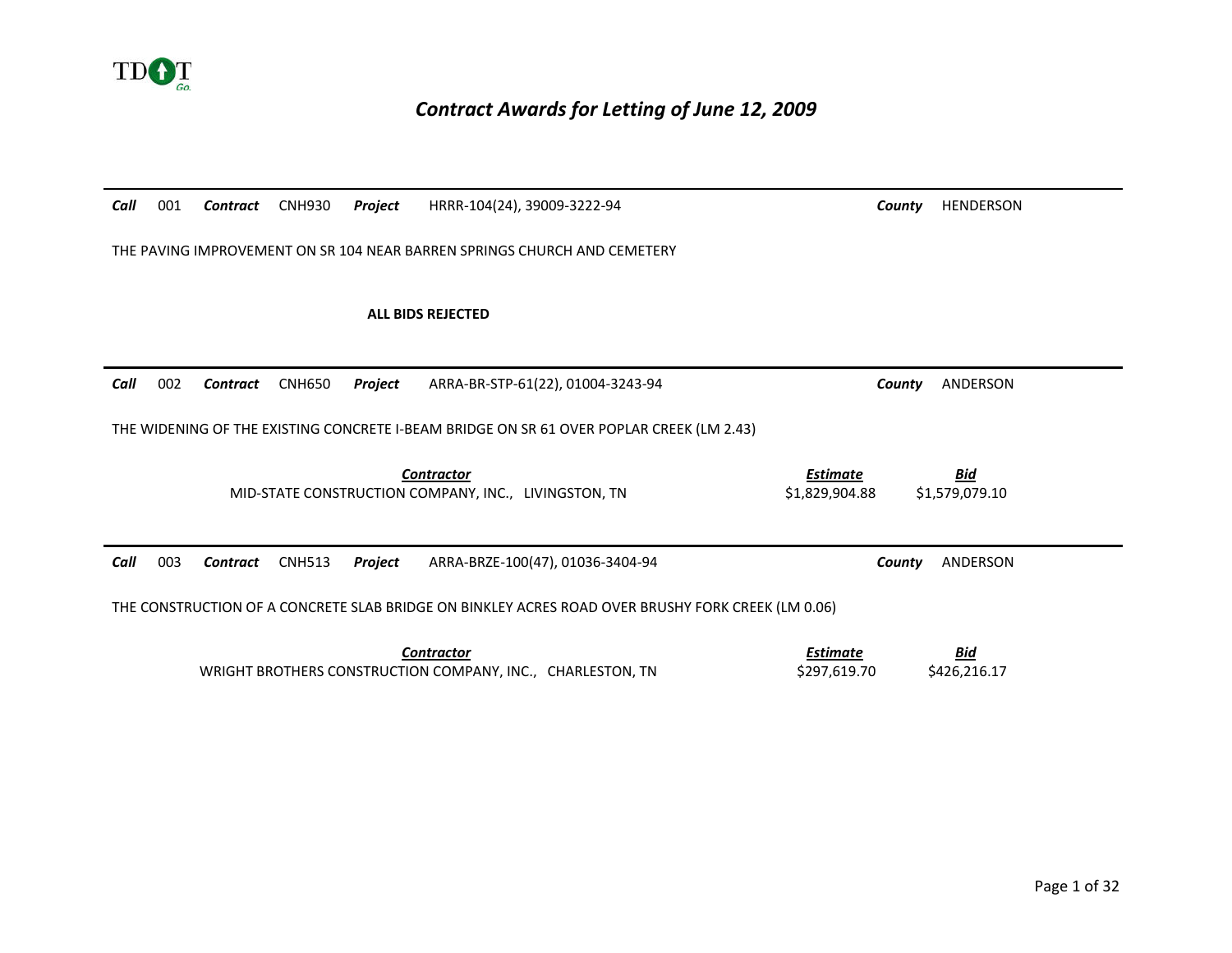

## *Contract Awards for Letting of June 12, 2009*

| Call | 001 | Contract        | <b>CNH930</b> | Project | HRRR-104(24), 39009-3222-94                                                                       | County                            | <b>HENDERSON</b>             |
|------|-----|-----------------|---------------|---------|---------------------------------------------------------------------------------------------------|-----------------------------------|------------------------------|
|      |     |                 |               |         | THE PAVING IMPROVEMENT ON SR 104 NEAR BARREN SPRINGS CHURCH AND CEMETERY                          |                                   |                              |
|      |     |                 |               |         | <b>ALL BIDS REJECTED</b>                                                                          |                                   |                              |
| Call | 002 | <b>Contract</b> | <b>CNH650</b> | Project | ARRA-BR-STP-61(22), 01004-3243-94                                                                 | County                            | ANDERSON                     |
|      |     |                 |               |         | THE WIDENING OF THE EXISTING CONCRETE I-BEAM BRIDGE ON SR 61 OVER POPLAR CREEK (LM 2.43)          |                                   |                              |
|      |     |                 |               |         | <b>Contractor</b><br>MID-STATE CONSTRUCTION COMPANY, INC., LIVINGSTON, TN                         | <b>Estimate</b><br>\$1,829,904.88 | <u>Bid</u><br>\$1,579,079.10 |
| Call | 003 | Contract        | <b>CNH513</b> | Project | ARRA-BRZE-100(47), 01036-3404-94                                                                  | County                            | ANDERSON                     |
|      |     |                 |               |         | THE CONSTRUCTION OF A CONCRETE SLAB BRIDGE ON BINKLEY ACRES ROAD OVER BRUSHY FORK CREEK (LM 0.06) |                                   |                              |
|      |     |                 |               |         | <b>Contractor</b><br>WRIGHT BROTHERS CONSTRUCTION COMPANY, INC., CHARLESTON, TN                   | <b>Estimate</b><br>\$297,619.70   | <b>Bid</b><br>\$426,216.17   |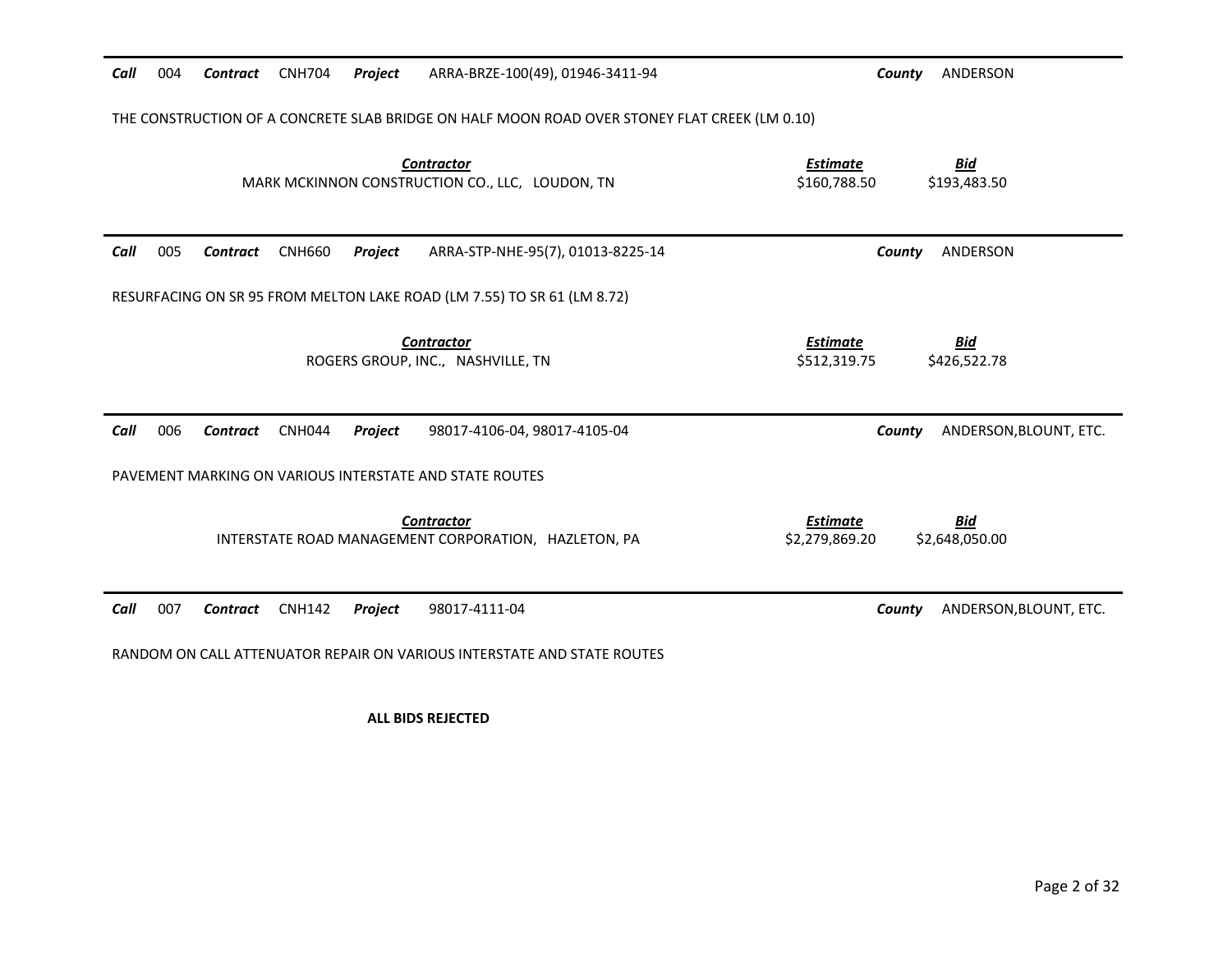| Call | 004 | Contract        | <b>CNH704</b> | Project | ARRA-BRZE-100(49), 01946-3411-94                                                              | ANDERSON<br>County                                                |
|------|-----|-----------------|---------------|---------|-----------------------------------------------------------------------------------------------|-------------------------------------------------------------------|
|      |     |                 |               |         | THE CONSTRUCTION OF A CONCRETE SLAB BRIDGE ON HALF MOON ROAD OVER STONEY FLAT CREEK (LM 0.10) |                                                                   |
|      |     |                 |               |         | <b>Contractor</b><br>MARK MCKINNON CONSTRUCTION CO., LLC, LOUDON, TN                          | <b>Bid</b><br><b>Estimate</b><br>\$193,483.50<br>\$160,788.50     |
| Call | 005 | <b>Contract</b> | <b>CNH660</b> | Project | ARRA-STP-NHE-95(7), 01013-8225-14                                                             | ANDERSON<br>County                                                |
|      |     |                 |               |         | RESURFACING ON SR 95 FROM MELTON LAKE ROAD (LM 7.55) TO SR 61 (LM 8.72)                       |                                                                   |
|      |     |                 |               |         | <b>Contractor</b><br>ROGERS GROUP, INC., NASHVILLE, TN                                        | <b>Estimate</b><br><b>Bid</b><br>\$512,319.75<br>\$426,522.78     |
| Call | 006 | <b>Contract</b> | <b>CNH044</b> | Project | 98017-4106-04, 98017-4105-04                                                                  | ANDERSON, BLOUNT, ETC.<br>County                                  |
|      |     |                 |               |         | PAVEMENT MARKING ON VARIOUS INTERSTATE AND STATE ROUTES                                       |                                                                   |
|      |     |                 |               |         | <b>Contractor</b><br>INTERSTATE ROAD MANAGEMENT CORPORATION, HAZLETON, PA                     | <b>Estimate</b><br><u>Bid</u><br>\$2,279,869.20<br>\$2,648,050.00 |
| Call | 007 | Contract        | <b>CNH142</b> | Project | 98017-4111-04                                                                                 | ANDERSON, BLOUNT, ETC.<br>County                                  |
|      |     |                 |               |         | RANDOM ON CALL ATTENUATOR REPAIR ON VARIOUS INTERSTATE AND STATE ROUTES                       |                                                                   |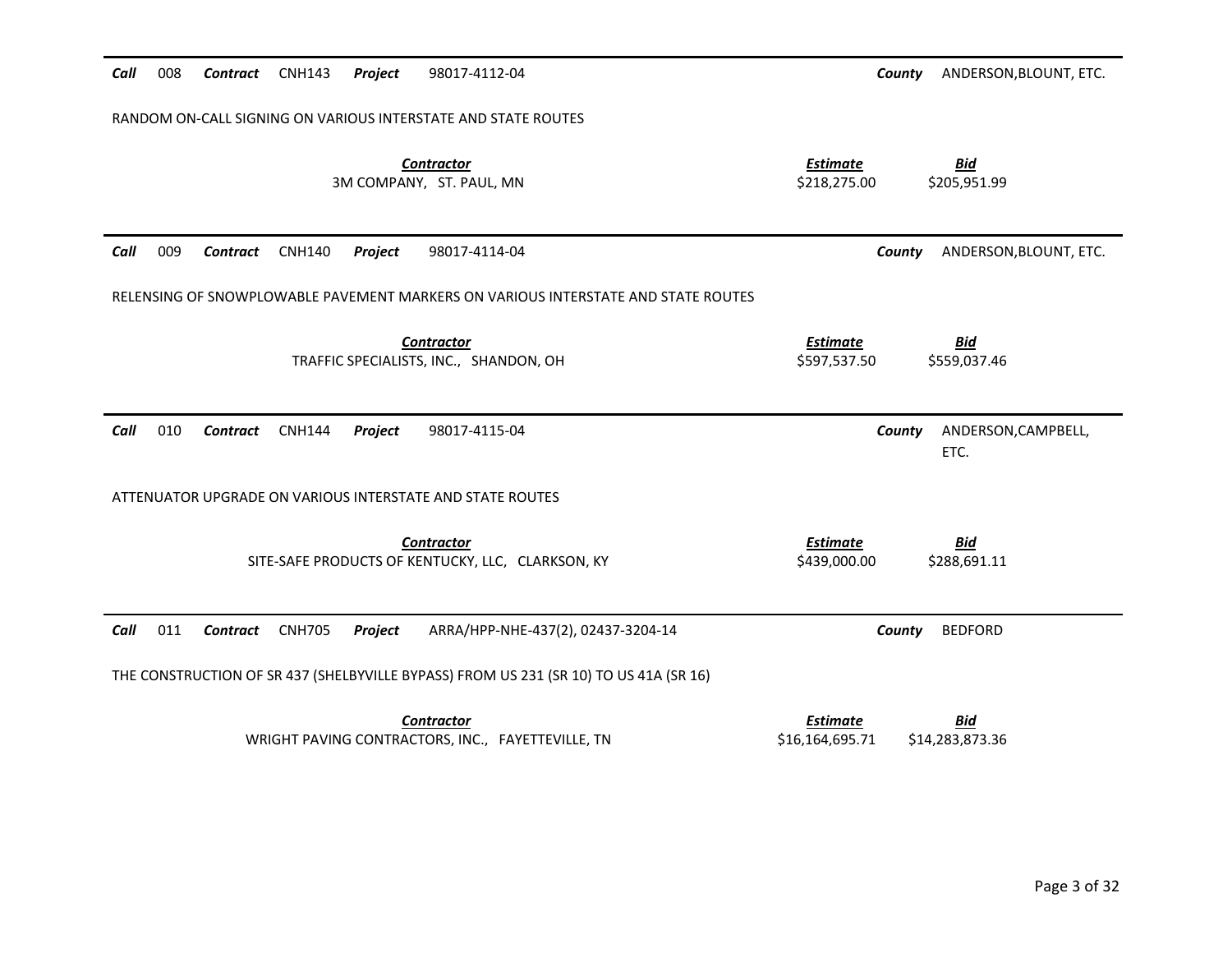| Call | 008                                                           | Contract        | <b>CNH143</b> | Project | 98017-4112-04                                                                         | County                          | ANDERSON, BLOUNT, ETC.      |  |
|------|---------------------------------------------------------------|-----------------|---------------|---------|---------------------------------------------------------------------------------------|---------------------------------|-----------------------------|--|
|      | RANDOM ON-CALL SIGNING ON VARIOUS INTERSTATE AND STATE ROUTES |                 |               |         |                                                                                       |                                 |                             |  |
|      |                                                               |                 |               |         | <b>Contractor</b><br>3M COMPANY, ST. PAUL, MN                                         | <b>Estimate</b><br>\$218,275.00 | <b>Bid</b><br>\$205,951.99  |  |
| Call | 009                                                           | <b>Contract</b> | <b>CNH140</b> | Project | 98017-4114-04                                                                         | County                          | ANDERSON, BLOUNT, ETC.      |  |
|      |                                                               |                 |               |         | RELENSING OF SNOWPLOWABLE PAVEMENT MARKERS ON VARIOUS INTERSTATE AND STATE ROUTES     |                                 |                             |  |
|      |                                                               |                 |               |         | <b>Contractor</b><br>TRAFFIC SPECIALISTS, INC., SHANDON, OH                           | <b>Estimate</b><br>\$597,537.50 | <u>Bid</u><br>\$559,037.46  |  |
|      |                                                               |                 |               |         |                                                                                       |                                 |                             |  |
| Call | 010                                                           | <b>Contract</b> | <b>CNH144</b> | Project | 98017-4115-04                                                                         | County                          | ANDERSON, CAMPBELL,<br>ETC. |  |
|      |                                                               |                 |               |         | ATTENUATOR UPGRADE ON VARIOUS INTERSTATE AND STATE ROUTES                             |                                 |                             |  |
|      |                                                               |                 |               |         | <b>Contractor</b><br>SITE-SAFE PRODUCTS OF KENTUCKY, LLC, CLARKSON, KY                | <b>Estimate</b><br>\$439,000.00 | <u>Bid</u><br>\$288,691.11  |  |
| Call | 011                                                           | Contract        | <b>CNH705</b> | Project | ARRA/HPP-NHE-437(2), 02437-3204-14                                                    | County                          | <b>BEDFORD</b>              |  |
|      |                                                               |                 |               |         | THE CONSTRUCTION OF SR 437 (SHELBYVILLE BYPASS) FROM US 231 (SR 10) TO US 41A (SR 16) |                                 |                             |  |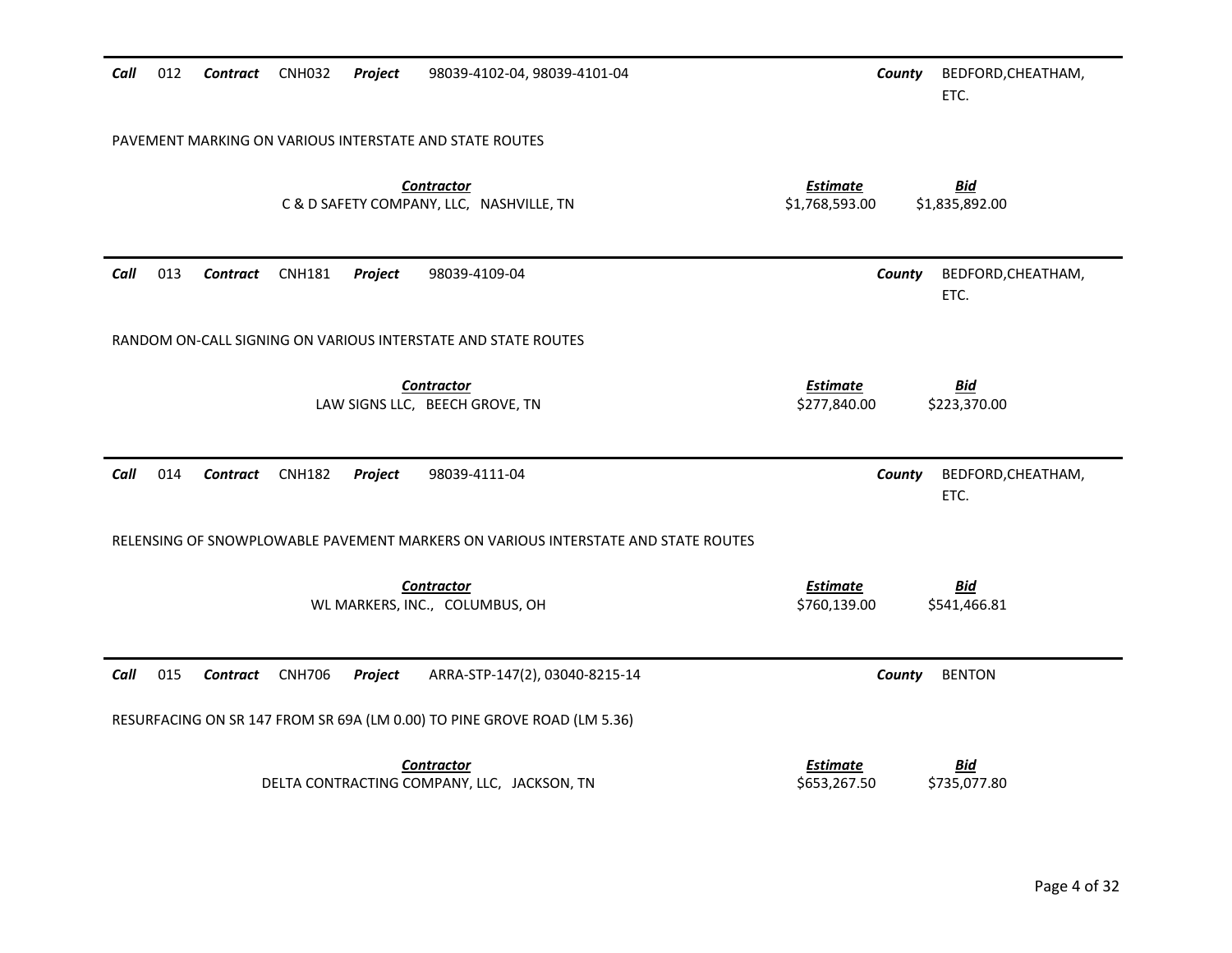| Call | 012                                                     | Contract CNH032 |               | Project | 98039-4102-04, 98039-4101-04                                                      |                                   | County | BEDFORD, CHEATHAM,<br>ETC.   |
|------|---------------------------------------------------------|-----------------|---------------|---------|-----------------------------------------------------------------------------------|-----------------------------------|--------|------------------------------|
|      | PAVEMENT MARKING ON VARIOUS INTERSTATE AND STATE ROUTES |                 |               |         |                                                                                   |                                   |        |                              |
|      |                                                         |                 |               |         | <b>Contractor</b><br>C & D SAFETY COMPANY, LLC, NASHVILLE, TN                     | <b>Estimate</b><br>\$1,768,593.00 |        | <b>Bid</b><br>\$1,835,892.00 |
| Call | 013                                                     | <b>Contract</b> | <b>CNH181</b> | Project | 98039-4109-04                                                                     |                                   | County | BEDFORD, CHEATHAM,<br>ETC.   |
|      |                                                         |                 |               |         | RANDOM ON-CALL SIGNING ON VARIOUS INTERSTATE AND STATE ROUTES                     |                                   |        |                              |
|      |                                                         |                 |               |         | <b>Contractor</b><br>LAW SIGNS LLC, BEECH GROVE, TN                               | <b>Estimate</b><br>\$277,840.00   |        | <b>Bid</b><br>\$223,370.00   |
| Call | 014                                                     | <b>Contract</b> | <b>CNH182</b> | Project | 98039-4111-04                                                                     |                                   | County | BEDFORD, CHEATHAM,<br>ETC.   |
|      |                                                         |                 |               |         | RELENSING OF SNOWPLOWABLE PAVEMENT MARKERS ON VARIOUS INTERSTATE AND STATE ROUTES |                                   |        |                              |
|      |                                                         |                 |               |         | <b>Contractor</b><br>WL MARKERS, INC., COLUMBUS, OH                               | <b>Estimate</b><br>\$760,139.00   |        | <b>Bid</b><br>\$541,466.81   |
| Call | 015                                                     | Contract        | <b>CNH706</b> | Project | ARRA-STP-147(2), 03040-8215-14                                                    |                                   | County | <b>BENTON</b>                |
|      |                                                         |                 |               |         | RESURFACING ON SR 147 FROM SR 69A (LM 0.00) TO PINE GROVE ROAD (LM 5.36)          |                                   |        |                              |
|      |                                                         |                 |               |         | <b>Contractor</b><br>DELTA CONTRACTING COMPANY, LLC, JACKSON, TN                  | <b>Estimate</b><br>\$653,267.50   |        | <b>Bid</b><br>\$735,077.80   |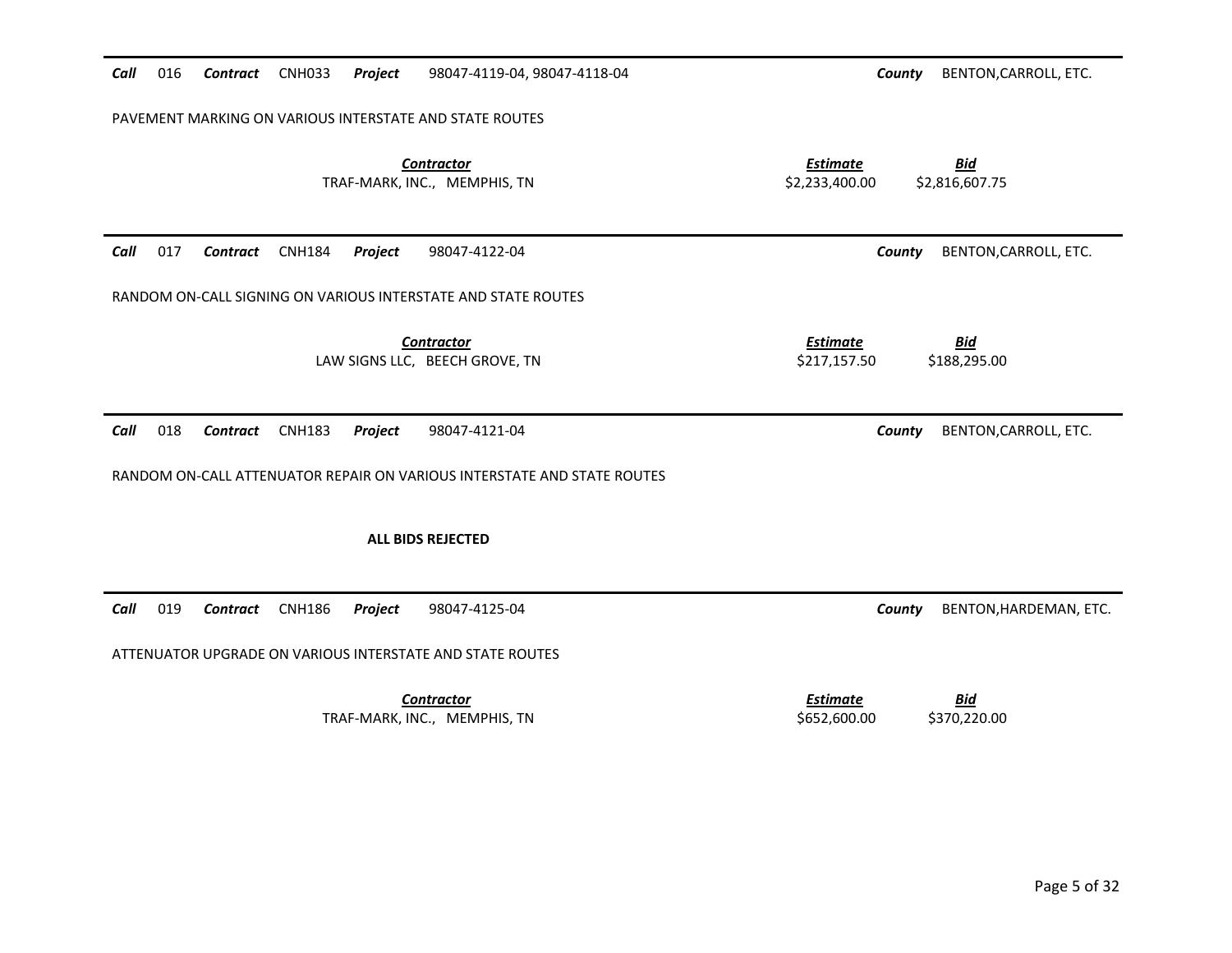| Call | 016                                                     | <b>Contract</b> | <b>CNH033</b> | Project | 98047-4119-04, 98047-4118-04                                            | BENTON, CARROLL, ETC.<br>County                                   |  |  |
|------|---------------------------------------------------------|-----------------|---------------|---------|-------------------------------------------------------------------------|-------------------------------------------------------------------|--|--|
|      | PAVEMENT MARKING ON VARIOUS INTERSTATE AND STATE ROUTES |                 |               |         |                                                                         |                                                                   |  |  |
|      |                                                         |                 |               |         | <b>Contractor</b><br>TRAF-MARK, INC., MEMPHIS, TN                       | <b>Estimate</b><br><b>Bid</b><br>\$2,233,400.00<br>\$2,816,607.75 |  |  |
| Call | 017                                                     | Contract        | <b>CNH184</b> | Project | 98047-4122-04                                                           | BENTON, CARROLL, ETC.<br>County                                   |  |  |
|      |                                                         |                 |               |         | RANDOM ON-CALL SIGNING ON VARIOUS INTERSTATE AND STATE ROUTES           |                                                                   |  |  |
|      |                                                         |                 |               |         | <b>Contractor</b><br>LAW SIGNS LLC, BEECH GROVE, TN                     | <b>Estimate</b><br><u>Bid</u><br>\$217,157.50<br>\$188,295.00     |  |  |
| Call | 018                                                     | <b>Contract</b> | <b>CNH183</b> | Project | 98047-4121-04                                                           | BENTON, CARROLL, ETC.<br>County                                   |  |  |
|      |                                                         |                 |               |         | RANDOM ON-CALL ATTENUATOR REPAIR ON VARIOUS INTERSTATE AND STATE ROUTES |                                                                   |  |  |
|      |                                                         |                 |               |         | <b>ALL BIDS REJECTED</b>                                                |                                                                   |  |  |
| Call | 019                                                     | <b>Contract</b> | <b>CNH186</b> | Project | 98047-4125-04                                                           | County<br>BENTON, HARDEMAN, ETC.                                  |  |  |
|      |                                                         |                 |               |         | ATTENUATOR UPGRADE ON VARIOUS INTERSTATE AND STATE ROUTES               |                                                                   |  |  |
|      |                                                         |                 |               |         | <b>Contractor</b><br>TRAF-MARK, INC., MEMPHIS, TN                       | <b>Bid</b><br><b>Estimate</b><br>\$370,220.00<br>\$652,600.00     |  |  |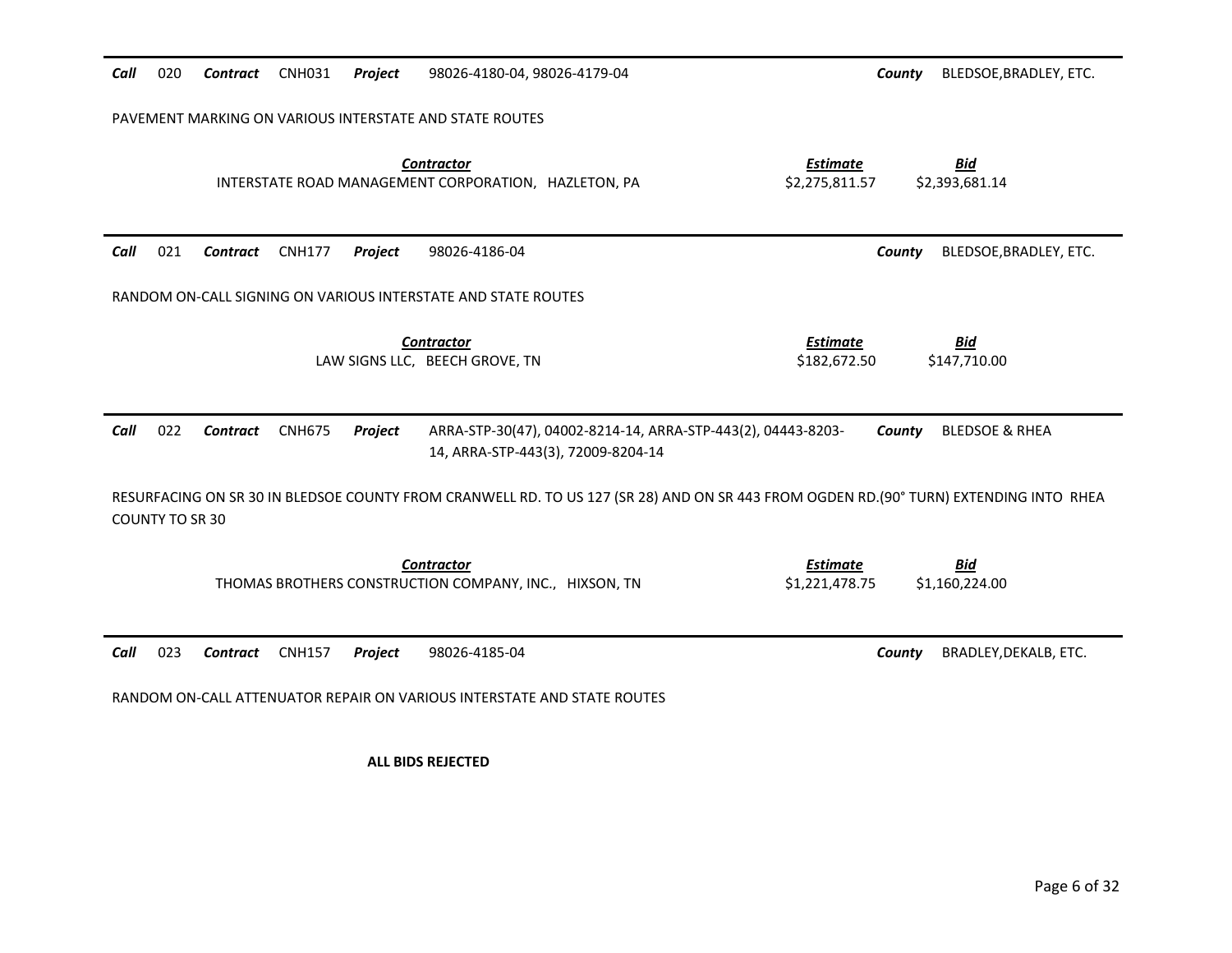| <b>CNH031</b><br>020<br>Contract<br>Project<br>Call                     | 98026-4180-04, 98026-4179-04                                                                                                          | County<br>BLEDSOE, BRADLEY, ETC.                                  |  |  |  |  |  |  |
|-------------------------------------------------------------------------|---------------------------------------------------------------------------------------------------------------------------------------|-------------------------------------------------------------------|--|--|--|--|--|--|
| PAVEMENT MARKING ON VARIOUS INTERSTATE AND STATE ROUTES                 |                                                                                                                                       |                                                                   |  |  |  |  |  |  |
|                                                                         | <b>Contractor</b><br>INTERSTATE ROAD MANAGEMENT CORPORATION, HAZLETON, PA                                                             | <b>Bid</b><br><b>Estimate</b><br>\$2,275,811.57<br>\$2,393,681.14 |  |  |  |  |  |  |
| 021<br><b>CNH177</b><br>Project<br>Call<br><b>Contract</b>              | 98026-4186-04                                                                                                                         | BLEDSOE, BRADLEY, ETC.<br>County                                  |  |  |  |  |  |  |
| RANDOM ON-CALL SIGNING ON VARIOUS INTERSTATE AND STATE ROUTES           |                                                                                                                                       |                                                                   |  |  |  |  |  |  |
|                                                                         | <b>Contractor</b><br>LAW SIGNS LLC, BEECH GROVE, TN                                                                                   | <b>Estimate</b><br><b>Bid</b><br>\$182,672.50<br>\$147,710.00     |  |  |  |  |  |  |
| 022<br>Call<br><b>CNH675</b><br>Contract<br>Project                     | ARRA-STP-30(47), 04002-8214-14, ARRA-STP-443(2), 04443-8203-<br>14, ARRA-STP-443(3), 72009-8204-14                                    | <b>BLEDSOE &amp; RHEA</b><br>County                               |  |  |  |  |  |  |
| <b>COUNTY TO SR 30</b>                                                  | RESURFACING ON SR 30 IN BLEDSOE COUNTY FROM CRANWELL RD. TO US 127 (SR 28) AND ON SR 443 FROM OGDEN RD.(90° TURN) EXTENDING INTO RHEA |                                                                   |  |  |  |  |  |  |
|                                                                         | <b>Contractor</b><br>THOMAS BROTHERS CONSTRUCTION COMPANY, INC., HIXSON, TN                                                           | <b>Bid</b><br><b>Estimate</b><br>\$1,221,478.75<br>\$1,160,224.00 |  |  |  |  |  |  |
| 023<br>Call<br><b>Contract</b><br><b>CNH157</b><br>Project              | 98026-4185-04                                                                                                                         | County<br>BRADLEY, DEKALB, ETC.                                   |  |  |  |  |  |  |
| RANDOM ON-CALL ATTENUATOR REPAIR ON VARIOUS INTERSTATE AND STATE ROUTES |                                                                                                                                       |                                                                   |  |  |  |  |  |  |
|                                                                         | <b>ALL BIDS REJECTED</b>                                                                                                              |                                                                   |  |  |  |  |  |  |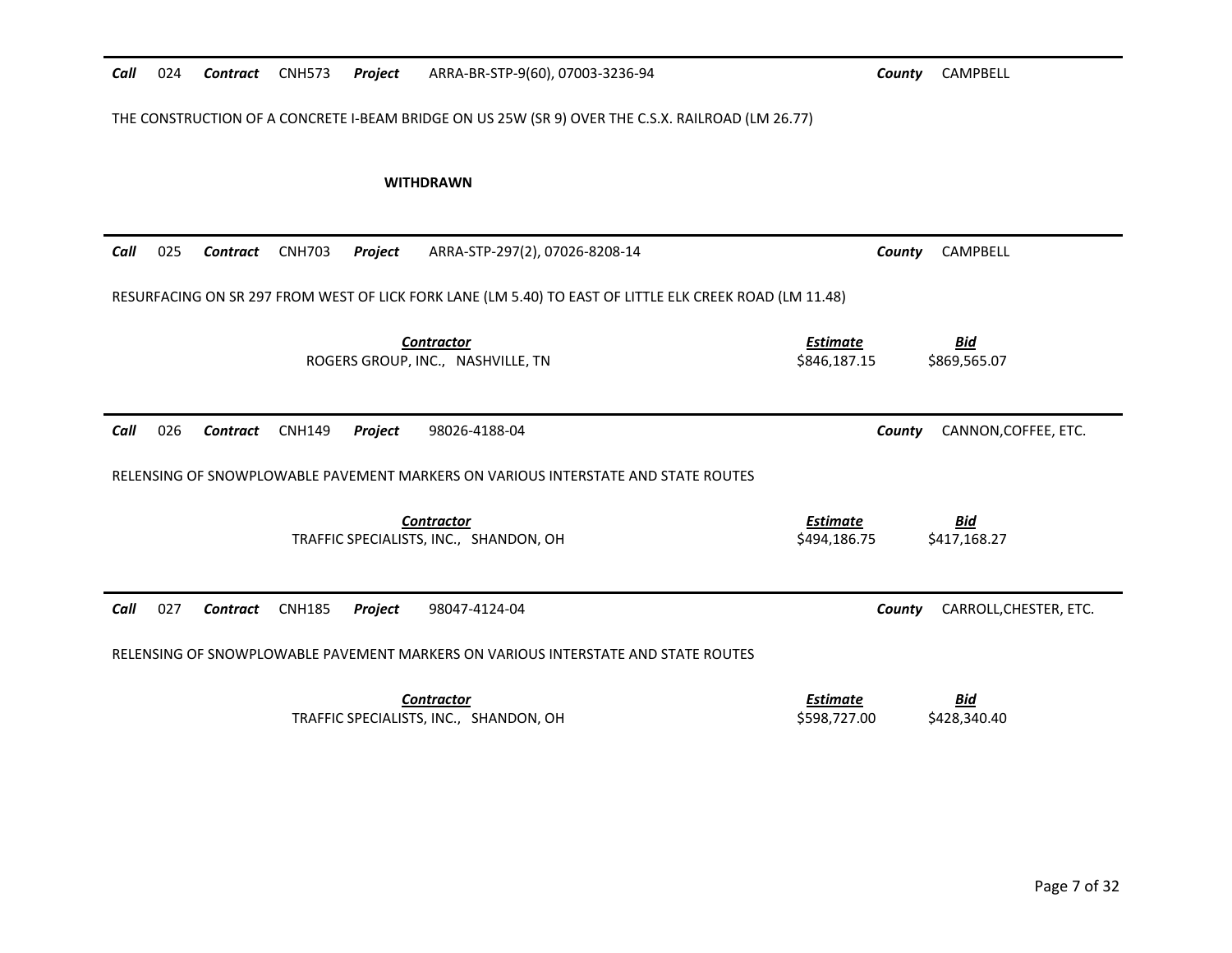| Call                                                                                              | 024 | Contract        | <b>CNH573</b> | Project | ARRA-BR-STP-9(60), 07003-3236-94                                                                        | County                          | CAMPBELL                   |  |
|---------------------------------------------------------------------------------------------------|-----|-----------------|---------------|---------|---------------------------------------------------------------------------------------------------------|---------------------------------|----------------------------|--|
| THE CONSTRUCTION OF A CONCRETE I-BEAM BRIDGE ON US 25W (SR 9) OVER THE C.S.X. RAILROAD (LM 26.77) |     |                 |               |         |                                                                                                         |                                 |                            |  |
|                                                                                                   |     |                 |               |         | <b>WITHDRAWN</b>                                                                                        |                                 |                            |  |
| Call                                                                                              | 025 | <b>Contract</b> | <b>CNH703</b> | Project | ARRA-STP-297(2), 07026-8208-14                                                                          | County                          | CAMPBELL                   |  |
|                                                                                                   |     |                 |               |         | RESURFACING ON SR 297 FROM WEST OF LICK FORK LANE (LM 5.40) TO EAST OF LITTLE ELK CREEK ROAD (LM 11.48) |                                 |                            |  |
|                                                                                                   |     |                 |               |         | <b>Contractor</b><br>ROGERS GROUP, INC., NASHVILLE, TN                                                  | <b>Estimate</b><br>\$846,187.15 | <b>Bid</b><br>\$869,565.07 |  |
|                                                                                                   |     |                 |               |         |                                                                                                         |                                 |                            |  |
| Call                                                                                              | 026 | <b>Contract</b> | <b>CNH149</b> | Project | 98026-4188-04                                                                                           | County                          | CANNON, COFFEE, ETC.       |  |
|                                                                                                   |     |                 |               |         | RELENSING OF SNOWPLOWABLE PAVEMENT MARKERS ON VARIOUS INTERSTATE AND STATE ROUTES                       |                                 |                            |  |
|                                                                                                   |     |                 |               |         | <b>Contractor</b><br>TRAFFIC SPECIALISTS, INC., SHANDON, OH                                             | <b>Estimate</b><br>\$494.186.75 | <b>Bid</b><br>\$417,168.27 |  |
| Call                                                                                              | 027 | <b>Contract</b> | <b>CNH185</b> | Project | 98047-4124-04                                                                                           | County                          | CARROLL, CHESTER, ETC.     |  |
|                                                                                                   |     |                 |               |         | RELENSING OF SNOWPLOWABLE PAVEMENT MARKERS ON VARIOUS INTERSTATE AND STATE ROUTES                       |                                 |                            |  |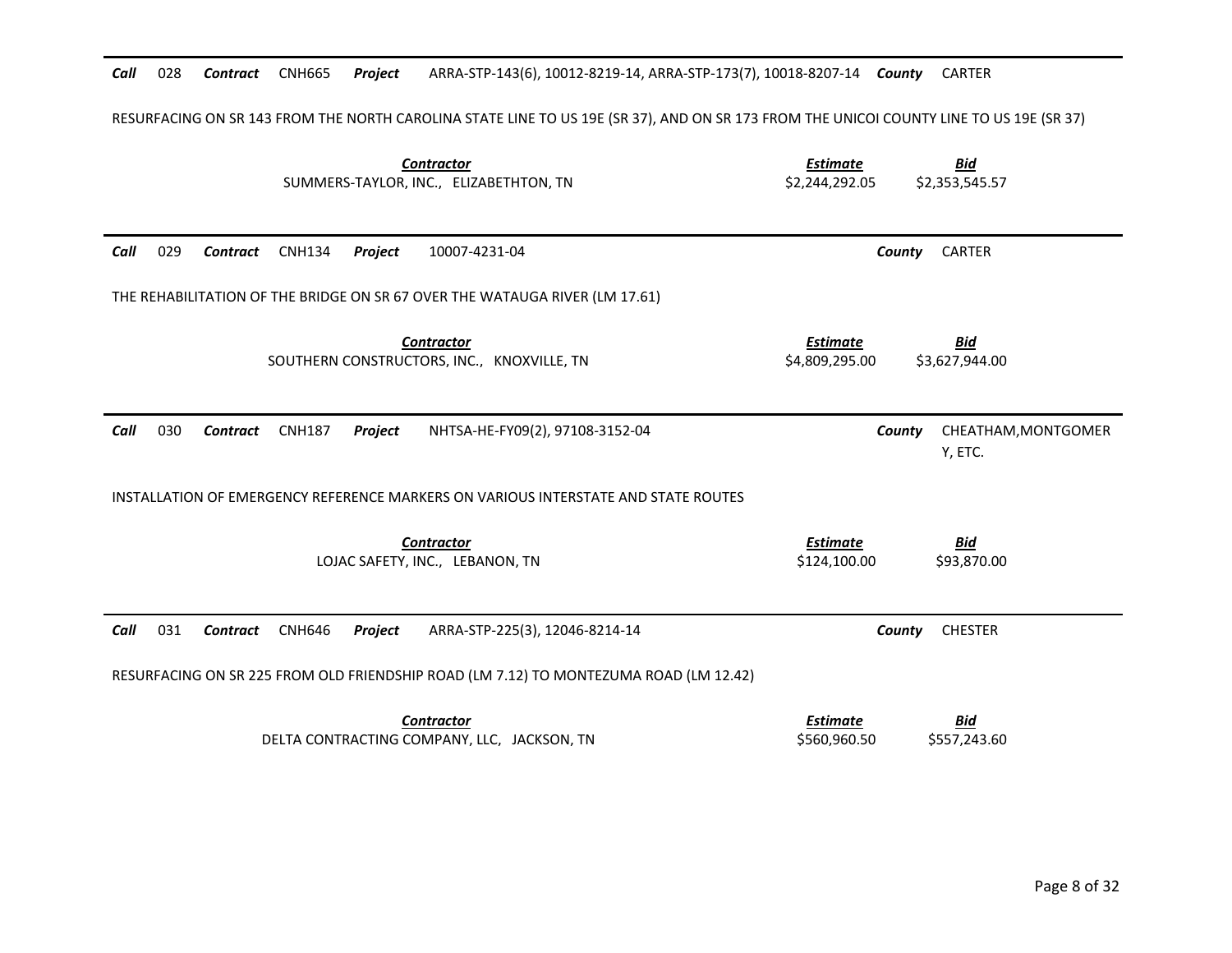### Call 028 Contract CNH665 Project 028 *Contract* CNH665 *Project* ARRA-STP-143(6), 10012-8219-14, ARRA-STP-173(7), 10018-8207-14 *County* CARTER

# RESURFACING ON SR 143 FROM THE NORTH CAROLINA STATE LINE TO US 19E (SR 37), AND ON SR 173 FROM THE UNICOI COUNTY LINE TO US 19E (SR 37)

| <b>Contractor</b><br>SUMMERS-TAYLOR, INC., ELIZABETHTON, TN                                   | <b>Estimate</b><br><b>Bid</b><br>\$2,244,292.05<br>\$2,353,545.57 |
|-----------------------------------------------------------------------------------------------|-------------------------------------------------------------------|
| 029<br>Call<br><b>CNH134</b><br>Project<br>10007-4231-04<br>Contract                          | <b>CARTER</b><br>County                                           |
| THE REHABILITATION OF THE BRIDGE ON SR 67 OVER THE WATAUGA RIVER (LM 17.61)                   |                                                                   |
| <b>Contractor</b><br>SOUTHERN CONSTRUCTORS, INC., KNOXVILLE, TN                               | <u>Estimate</u><br><u>Bid</u><br>\$4,809,295.00<br>\$3,627,944.00 |
| 030<br>Call<br><b>CNH187</b><br>NHTSA-HE-FY09(2), 97108-3152-04<br><b>Contract</b><br>Project | CHEATHAM, MONTGOMER<br>County<br>Y, ETC.                          |
| INSTALLATION OF EMERGENCY REFERENCE MARKERS ON VARIOUS INTERSTATE AND STATE ROUTES            |                                                                   |
| <b>Contractor</b><br>LOJAC SAFETY, INC., LEBANON, TN                                          | <b>Estimate</b><br><b>Bid</b><br>\$124,100.00<br>\$93,870.00      |
| 031<br><b>CNH646</b><br>Call<br>Contract<br>Project<br>ARRA-STP-225(3), 12046-8214-14         | <b>CHESTER</b><br>County                                          |
| RESURFACING ON SR 225 FROM OLD FRIENDSHIP ROAD (LM 7.12) TO MONTEZUMA ROAD (LM 12.42)         |                                                                   |
| <b>Contractor</b><br>DELTA CONTRACTING COMPANY, LLC, JACKSON, TN                              | <b>Estimate</b><br><b>Bid</b><br>\$560,960.50<br>\$557,243.60     |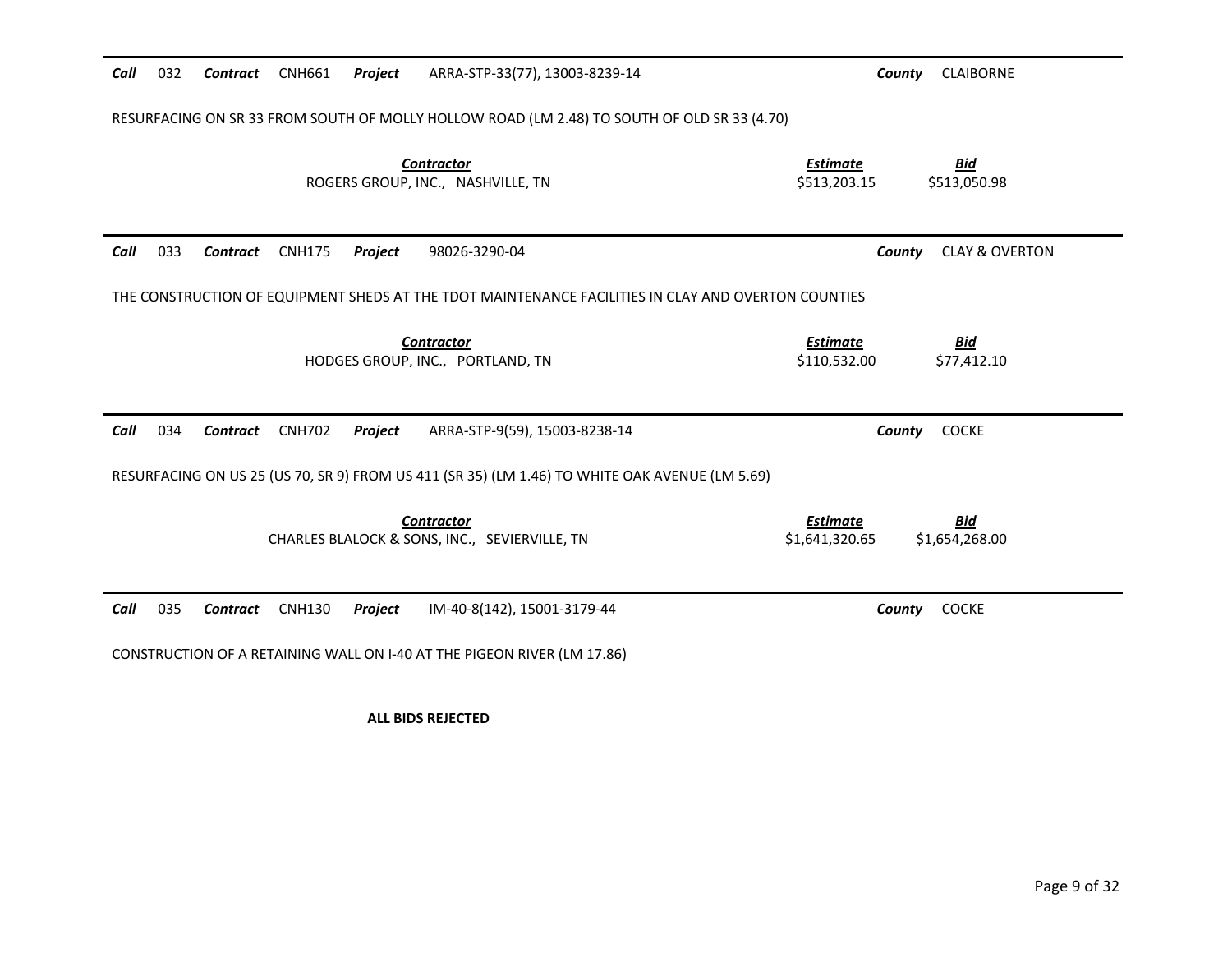| Call                                                                                        | 032 | Contract CNH661 |               | Project | ARRA-STP-33(77), 13003-8239-14                                                                      | County                            | <b>CLAIBORNE</b>             |  |
|---------------------------------------------------------------------------------------------|-----|-----------------|---------------|---------|-----------------------------------------------------------------------------------------------------|-----------------------------------|------------------------------|--|
| RESURFACING ON SR 33 FROM SOUTH OF MOLLY HOLLOW ROAD (LM 2.48) TO SOUTH OF OLD SR 33 (4.70) |     |                 |               |         |                                                                                                     |                                   |                              |  |
|                                                                                             |     |                 |               |         | <b>Contractor</b><br>ROGERS GROUP, INC., NASHVILLE, TN                                              | <b>Estimate</b><br>\$513,203.15   | <u>Bid</u><br>\$513,050.98   |  |
| Call                                                                                        | 033 | Contract        | <b>CNH175</b> | Project | 98026-3290-04                                                                                       | County                            | <b>CLAY &amp; OVERTON</b>    |  |
|                                                                                             |     |                 |               |         | THE CONSTRUCTION OF EQUIPMENT SHEDS AT THE TDOT MAINTENANCE FACILITIES IN CLAY AND OVERTON COUNTIES |                                   |                              |  |
|                                                                                             |     |                 |               |         | <b>Contractor</b><br>HODGES GROUP, INC., PORTLAND, TN                                               | <b>Estimate</b><br>\$110,532.00   | <b>Bid</b><br>\$77,412.10    |  |
| Call                                                                                        | 034 | Contract        | <b>CNH702</b> | Project | ARRA-STP-9(59), 15003-8238-14                                                                       | County                            | <b>COCKE</b>                 |  |
|                                                                                             |     |                 |               |         | RESURFACING ON US 25 (US 70, SR 9) FROM US 411 (SR 35) (LM 1.46) TO WHITE OAK AVENUE (LM 5.69)      |                                   |                              |  |
|                                                                                             |     |                 |               |         | <b>Contractor</b><br>CHARLES BLALOCK & SONS, INC., SEVIERVILLE, TN                                  | <b>Estimate</b><br>\$1,641,320.65 | <b>Bid</b><br>\$1,654,268.00 |  |
| Call                                                                                        | 035 | Contract        | <b>CNH130</b> | Project | IM-40-8(142), 15001-3179-44                                                                         | County                            | <b>COCKE</b>                 |  |
|                                                                                             |     |                 |               |         | CONSTRUCTION OF A RETAINING WALL ON I-40 AT THE PIGEON RIVER (LM 17.86)                             |                                   |                              |  |

**ALL BIDS REJECTED**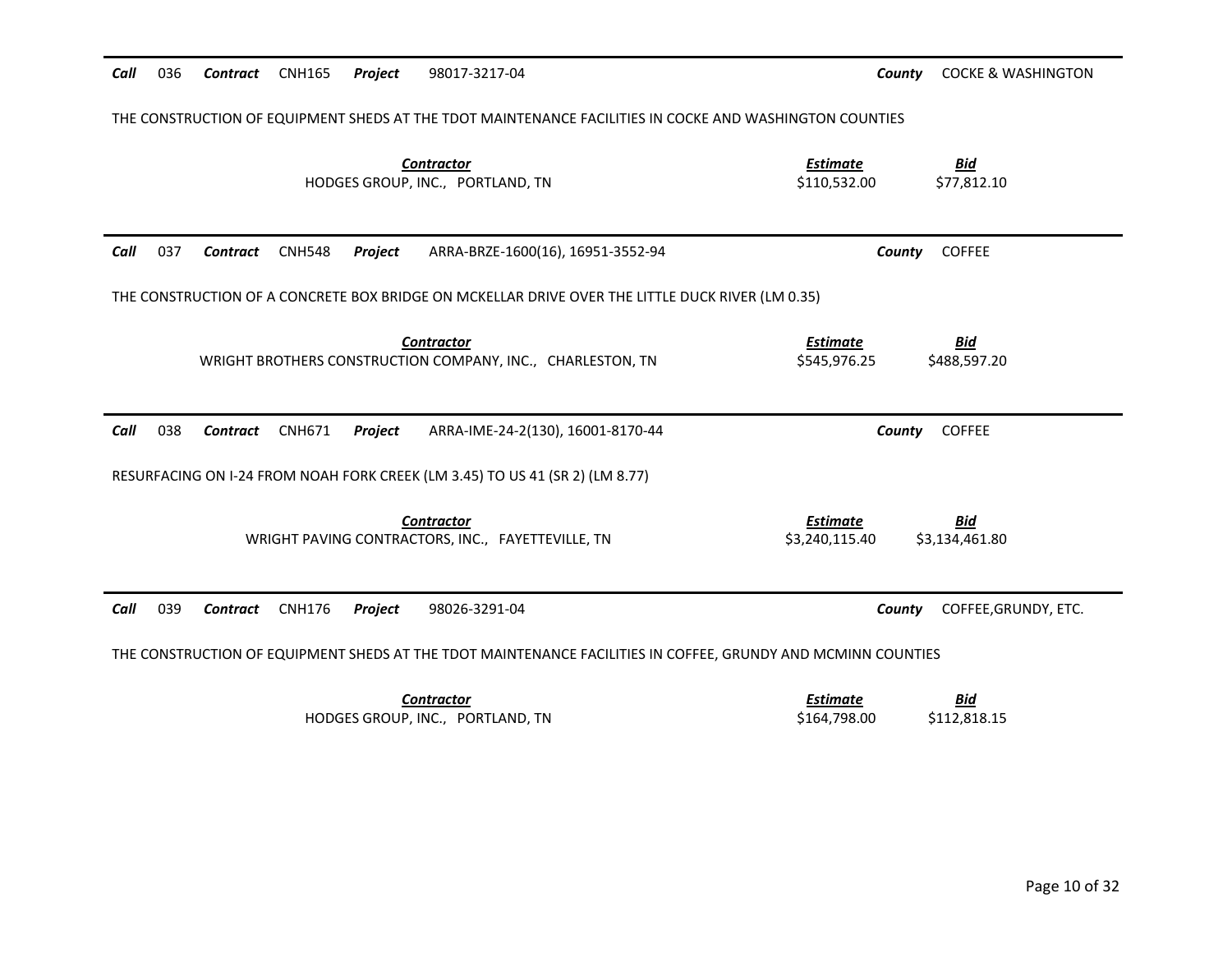| Call | 036                                                                                                     | Contract        | <b>CNH165</b> | Project | 98017-3217-04                                                                                                | County                            | <b>COCKE &amp; WASHINGTON</b> |  |
|------|---------------------------------------------------------------------------------------------------------|-----------------|---------------|---------|--------------------------------------------------------------------------------------------------------------|-----------------------------------|-------------------------------|--|
|      | THE CONSTRUCTION OF EQUIPMENT SHEDS AT THE TDOT MAINTENANCE FACILITIES IN COCKE AND WASHINGTON COUNTIES |                 |               |         |                                                                                                              |                                   |                               |  |
|      |                                                                                                         |                 |               |         | <b>Contractor</b><br>HODGES GROUP, INC., PORTLAND, TN                                                        | <b>Estimate</b><br>\$110,532.00   | <b>Bid</b><br>\$77,812.10     |  |
| Call | 037                                                                                                     | Contract        | <b>CNH548</b> | Project | ARRA-BRZE-1600(16), 16951-3552-94                                                                            | County                            | <b>COFFEE</b>                 |  |
|      |                                                                                                         |                 |               |         | THE CONSTRUCTION OF A CONCRETE BOX BRIDGE ON MCKELLAR DRIVE OVER THE LITTLE DUCK RIVER (LM 0.35)             |                                   |                               |  |
|      |                                                                                                         |                 |               |         | <b>Contractor</b><br>WRIGHT BROTHERS CONSTRUCTION COMPANY, INC., CHARLESTON, TN                              | <b>Estimate</b><br>\$545,976.25   | <b>Bid</b><br>\$488,597.20    |  |
|      |                                                                                                         |                 |               |         |                                                                                                              |                                   |                               |  |
| Call | 038                                                                                                     | Contract        | <b>CNH671</b> | Project | ARRA-IME-24-2(130), 16001-8170-44                                                                            | County                            | <b>COFFEE</b>                 |  |
|      |                                                                                                         |                 |               |         | RESURFACING ON I-24 FROM NOAH FORK CREEK (LM 3.45) TO US 41 (SR 2) (LM 8.77)                                 |                                   |                               |  |
|      |                                                                                                         |                 |               |         | <b>Contractor</b><br>WRIGHT PAVING CONTRACTORS, INC., FAYETTEVILLE, TN                                       | <b>Estimate</b><br>\$3,240,115.40 | <u>Bid</u><br>\$3,134,461.80  |  |
| Call | 039                                                                                                     | <b>Contract</b> | <b>CNH176</b> | Project | 98026-3291-04                                                                                                | County                            | COFFEE, GRUNDY, ETC.          |  |
|      |                                                                                                         |                 |               |         | THE CONSTRUCTION OF EQUIPMENT SHEDS AT THE TDOT MAINTENANCE FACILITIES IN COFFEE, GRUNDY AND MCMINN COUNTIES |                                   |                               |  |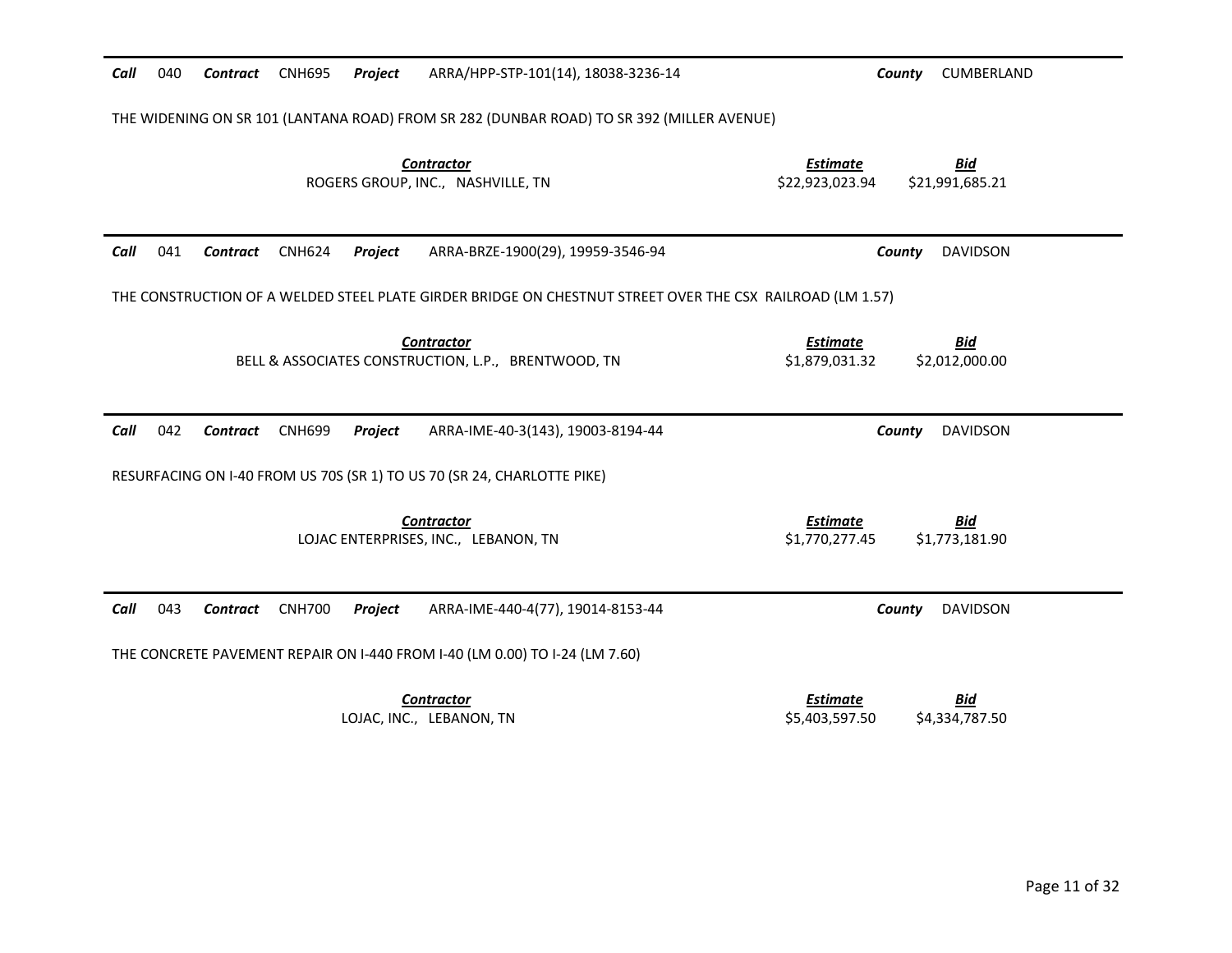| Call<br>040 | <b>Contract</b> | <b>CNH695</b> | Project | ARRA/HPP-STP-101(14), 18038-3236-14                                                                       | County<br>CUMBERLAND                                                |  |
|-------------|-----------------|---------------|---------|-----------------------------------------------------------------------------------------------------------|---------------------------------------------------------------------|--|
|             |                 |               |         | THE WIDENING ON SR 101 (LANTANA ROAD) FROM SR 282 (DUNBAR ROAD) TO SR 392 (MILLER AVENUE)                 |                                                                     |  |
|             |                 |               |         | <b>Contractor</b><br>ROGERS GROUP, INC., NASHVILLE, TN                                                    | <b>Estimate</b><br><u>Bid</u><br>\$22,923,023.94<br>\$21,991,685.21 |  |
| Call<br>041 | Contract        | <b>CNH624</b> | Project | ARRA-BRZE-1900(29), 19959-3546-94                                                                         | <b>DAVIDSON</b><br>County                                           |  |
|             |                 |               |         | THE CONSTRUCTION OF A WELDED STEEL PLATE GIRDER BRIDGE ON CHESTNUT STREET OVER THE CSX RAILROAD (LM 1.57) |                                                                     |  |
|             |                 |               |         | <b>Contractor</b><br>BELL & ASSOCIATES CONSTRUCTION, L.P., BRENTWOOD, TN                                  | <b>Estimate</b><br><b>Bid</b><br>\$1,879,031.32<br>\$2,012,000.00   |  |
| Call<br>042 | <b>Contract</b> | <b>CNH699</b> | Project | ARRA-IME-40-3(143), 19003-8194-44                                                                         | <b>DAVIDSON</b><br>County                                           |  |
|             |                 |               |         | RESURFACING ON I-40 FROM US 70S (SR 1) TO US 70 (SR 24, CHARLOTTE PIKE)                                   |                                                                     |  |
|             |                 |               |         | <b>Contractor</b><br>LOJAC ENTERPRISES, INC., LEBANON, TN                                                 | <b>Bid</b><br><b>Estimate</b><br>\$1,770,277.45<br>\$1,773,181.90   |  |
| Call<br>043 | <b>Contract</b> | <b>CNH700</b> | Project | ARRA-IME-440-4(77), 19014-8153-44                                                                         | <b>DAVIDSON</b><br>County                                           |  |
|             |                 |               |         | THE CONCRETE PAVEMENT REPAIR ON I-440 FROM I-40 (LM 0.00) TO I-24 (LM 7.60)                               |                                                                     |  |
|             |                 |               |         | <b>Contractor</b><br>LOJAC, INC., LEBANON, TN                                                             | <b>Estimate</b><br><b>Bid</b><br>\$5,403,597.50<br>\$4,334,787.50   |  |
|             |                 |               |         |                                                                                                           |                                                                     |  |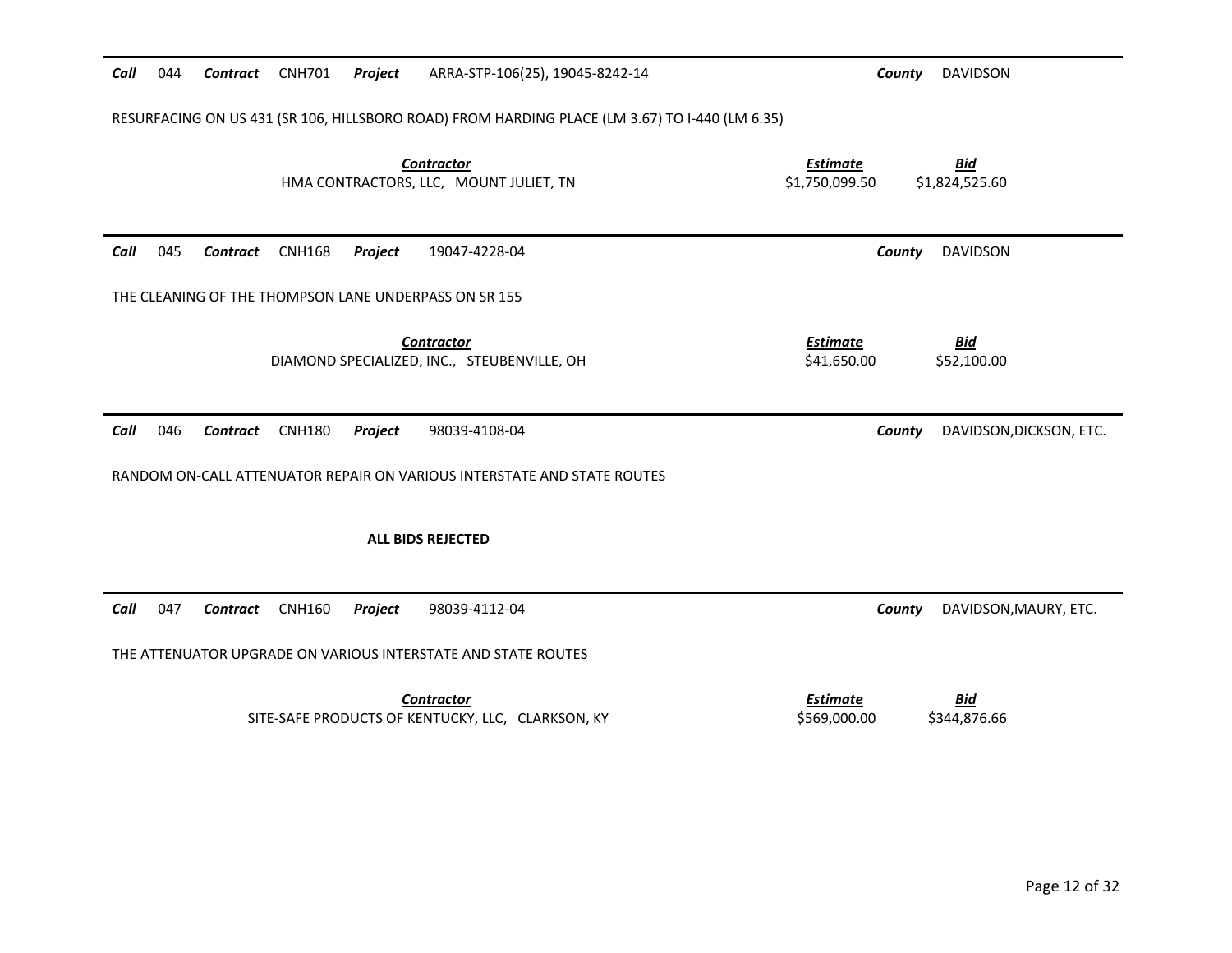| Call                                                                                           | 044 | <b>Contract</b> | <b>CNH701</b> | Project | ARRA-STP-106(25), 19045-8242-14                                         | County                            | <b>DAVIDSON</b>              |
|------------------------------------------------------------------------------------------------|-----|-----------------|---------------|---------|-------------------------------------------------------------------------|-----------------------------------|------------------------------|
| RESURFACING ON US 431 (SR 106, HILLSBORO ROAD) FROM HARDING PLACE (LM 3.67) TO I-440 (LM 6.35) |     |                 |               |         |                                                                         |                                   |                              |
|                                                                                                |     |                 |               |         | <b>Contractor</b><br>HMA CONTRACTORS, LLC, MOUNT JULIET, TN             | <b>Estimate</b><br>\$1,750,099.50 | <b>Bid</b><br>\$1,824,525.60 |
| Call                                                                                           | 045 | <b>Contract</b> | <b>CNH168</b> | Project | 19047-4228-04                                                           | County                            | <b>DAVIDSON</b>              |
|                                                                                                |     |                 |               |         | THE CLEANING OF THE THOMPSON LANE UNDERPASS ON SR 155                   |                                   |                              |
|                                                                                                |     |                 |               |         | <b>Contractor</b><br>DIAMOND SPECIALIZED, INC., STEUBENVILLE, OH        | <b>Estimate</b><br>\$41,650.00    | <u>Bid</u><br>\$52,100.00    |
| Call                                                                                           | 046 | Contract        | <b>CNH180</b> | Project | 98039-4108-04                                                           | County                            | DAVIDSON, DICKSON, ETC.      |
|                                                                                                |     |                 |               |         | RANDOM ON-CALL ATTENUATOR REPAIR ON VARIOUS INTERSTATE AND STATE ROUTES |                                   |                              |
|                                                                                                |     |                 |               |         | <b>ALL BIDS REJECTED</b>                                                |                                   |                              |
| Call                                                                                           | 047 | Contract        | <b>CNH160</b> | Project | 98039-4112-04                                                           | County                            | DAVIDSON, MAURY, ETC.        |
|                                                                                                |     |                 |               |         | THE ATTENUATOR UPGRADE ON VARIOUS INTERSTATE AND STATE ROUTES           |                                   |                              |
|                                                                                                |     |                 |               |         | <b>Contractor</b><br>SITE-SAFE PRODUCTS OF KENTUCKY, LLC, CLARKSON, KY  | <b>Estimate</b><br>\$569,000.00   | <u>Bid</u><br>\$344,876.66   |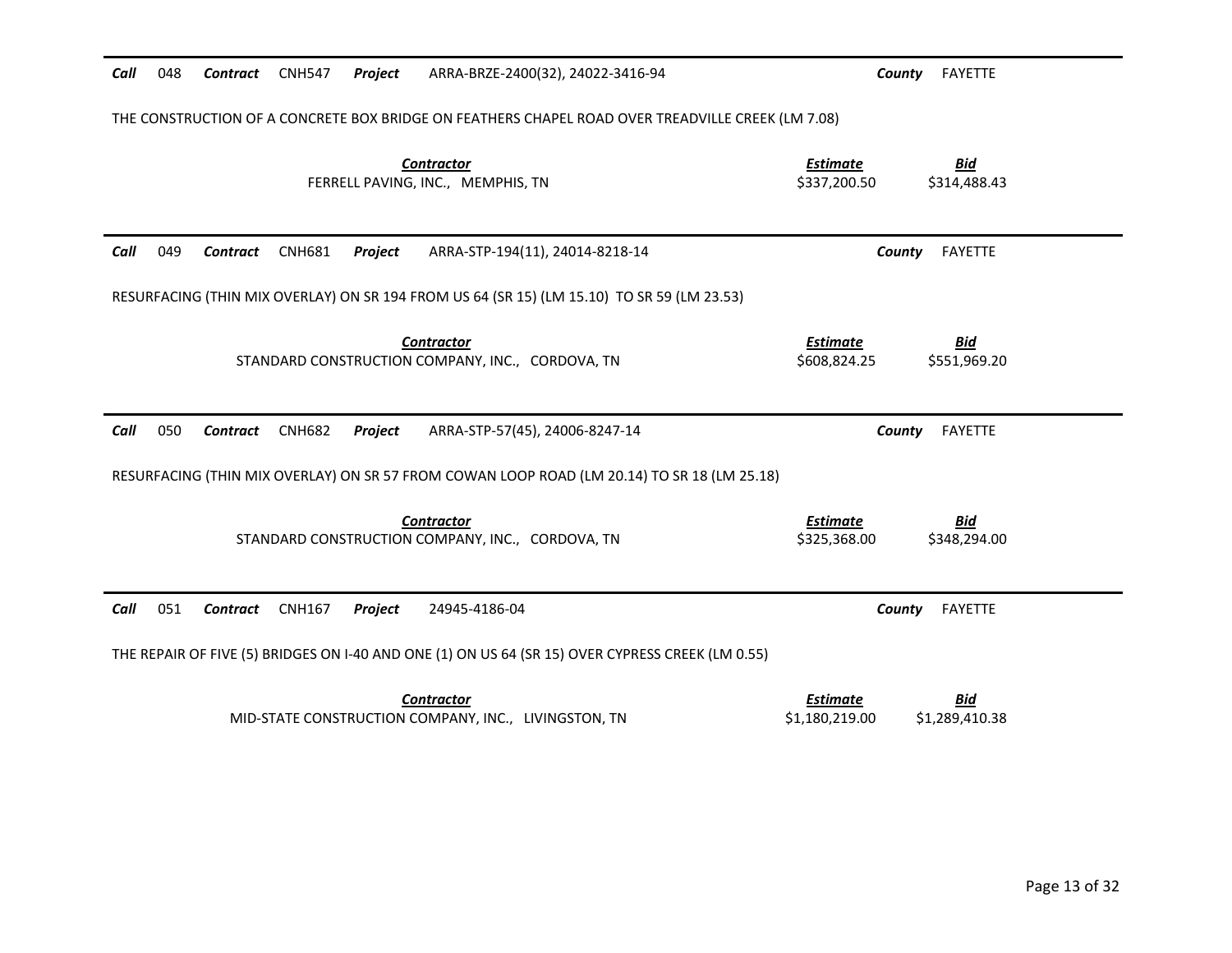| Call<br>048                                                                                       | <b>Contract</b> | <b>CNH547</b> | <b>Project</b> | ARRA-BRZE-2400(32), 24022-3416-94                                                                | County                          | FAYETTE                    |  |  |
|---------------------------------------------------------------------------------------------------|-----------------|---------------|----------------|--------------------------------------------------------------------------------------------------|---------------------------------|----------------------------|--|--|
| THE CONSTRUCTION OF A CONCRETE BOX BRIDGE ON FEATHERS CHAPEL ROAD OVER TREADVILLE CREEK (LM 7.08) |                 |               |                |                                                                                                  |                                 |                            |  |  |
|                                                                                                   |                 |               |                | <b>Contractor</b><br>FERRELL PAVING, INC., MEMPHIS, TN                                           | <b>Estimate</b><br>\$337,200.50 | <b>Bid</b><br>\$314,488.43 |  |  |
| 049<br>Call                                                                                       | Contract        | <b>CNH681</b> | <b>Project</b> | ARRA-STP-194(11), 24014-8218-14                                                                  | County                          | FAYETTE                    |  |  |
|                                                                                                   |                 |               |                | RESURFACING (THIN MIX OVERLAY) ON SR 194 FROM US 64 (SR 15) (LM 15.10) TO SR 59 (LM 23.53)       |                                 |                            |  |  |
|                                                                                                   |                 |               |                | <b>Contractor</b><br>STANDARD CONSTRUCTION COMPANY, INC., CORDOVA, TN                            | <b>Estimate</b><br>\$608,824.25 | <b>Bid</b><br>\$551,969.20 |  |  |
|                                                                                                   |                 |               |                |                                                                                                  |                                 |                            |  |  |
| 050<br>Call                                                                                       | <b>Contract</b> | <b>CNH682</b> | Project        | ARRA-STP-57(45), 24006-8247-14                                                                   | County                          | FAYETTE                    |  |  |
|                                                                                                   |                 |               |                | RESURFACING (THIN MIX OVERLAY) ON SR 57 FROM COWAN LOOP ROAD (LM 20.14) TO SR 18 (LM 25.18)      |                                 |                            |  |  |
|                                                                                                   |                 |               |                | <b>Contractor</b><br>STANDARD CONSTRUCTION COMPANY, INC., CORDOVA, TN                            | <b>Estimate</b><br>\$325,368.00 | <b>Bid</b><br>\$348,294.00 |  |  |
| 051<br>Call                                                                                       | Contract        | <b>CNH167</b> | Project        | 24945-4186-04                                                                                    | County                          | <b>FAYETTE</b>             |  |  |
|                                                                                                   |                 |               |                | THE REPAIR OF FIVE (5) BRIDGES ON I-40 AND ONE (1) ON US 64 (SR 15) OVER CYPRESS CREEK (LM 0.55) |                                 |                            |  |  |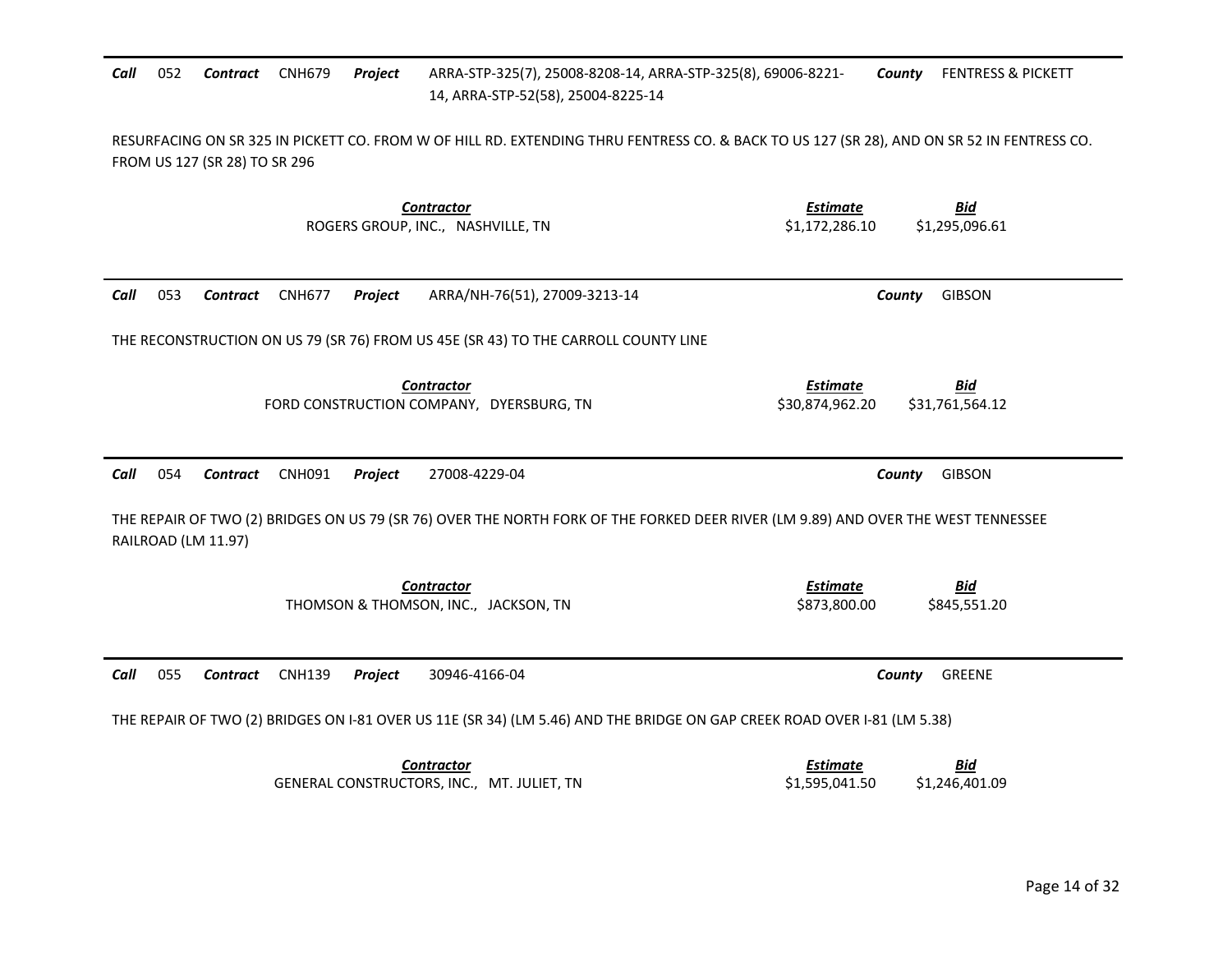| Call | 052                                                                                                                                                                         | Contract            | <b>CNH679</b> | Project | ARRA-STP-325(7), 25008-8208-14, ARRA-STP-325(8), 69006-8221-<br>14, ARRA-STP-52(58), 25004-8225-14 | <b>FENTRESS &amp; PICKETT</b><br>County                                                                                           |  |  |  |
|------|-----------------------------------------------------------------------------------------------------------------------------------------------------------------------------|---------------------|---------------|---------|----------------------------------------------------------------------------------------------------|-----------------------------------------------------------------------------------------------------------------------------------|--|--|--|
|      | RESURFACING ON SR 325 IN PICKETT CO. FROM W OF HILL RD. EXTENDING THRU FENTRESS CO. & BACK TO US 127 (SR 28), AND ON SR 52 IN FENTRESS CO.<br>FROM US 127 (SR 28) TO SR 296 |                     |               |         |                                                                                                    |                                                                                                                                   |  |  |  |
|      |                                                                                                                                                                             |                     |               |         | <b>Contractor</b><br>ROGERS GROUP, INC., NASHVILLE, TN                                             | <b>Estimate</b><br>Bid<br>\$1,295,096.61<br>\$1,172,286.10                                                                        |  |  |  |
| Call | 053                                                                                                                                                                         | <b>Contract</b>     | <b>CNH677</b> | Project | ARRA/NH-76(51), 27009-3213-14                                                                      | <b>GIBSON</b><br>County                                                                                                           |  |  |  |
|      |                                                                                                                                                                             |                     |               |         | THE RECONSTRUCTION ON US 79 (SR 76) FROM US 45E (SR 43) TO THE CARROLL COUNTY LINE                 |                                                                                                                                   |  |  |  |
|      |                                                                                                                                                                             |                     |               |         | <b>Contractor</b><br>FORD CONSTRUCTION COMPANY, DYERSBURG, TN                                      | <b>Estimate</b><br><b>Bid</b><br>\$30,874,962.20<br>\$31,761,564.12                                                               |  |  |  |
| Call | 054                                                                                                                                                                         | <b>Contract</b>     | <b>CNH091</b> | Project | 27008-4229-04                                                                                      | County<br><b>GIBSON</b>                                                                                                           |  |  |  |
|      |                                                                                                                                                                             | RAILROAD (LM 11.97) |               |         |                                                                                                    | THE REPAIR OF TWO (2) BRIDGES ON US 79 (SR 76) OVER THE NORTH FORK OF THE FORKED DEER RIVER (LM 9.89) AND OVER THE WEST TENNESSEE |  |  |  |
|      |                                                                                                                                                                             |                     |               |         | <b>Contractor</b><br>THOMSON & THOMSON, INC., JACKSON, TN                                          | <b>Estimate</b><br><b>Bid</b><br>\$873,800.00<br>\$845,551.20                                                                     |  |  |  |
| Call | 055                                                                                                                                                                         | Contract            | <b>CNH139</b> | Project | 30946-4166-04                                                                                      | GREENE<br>County                                                                                                                  |  |  |  |
|      |                                                                                                                                                                             |                     |               |         |                                                                                                    | THE REPAIR OF TWO (2) BRIDGES ON I-81 OVER US 11E (SR 34) (LM 5.46) AND THE BRIDGE ON GAP CREEK ROAD OVER I-81 (LM 5.38)          |  |  |  |
|      |                                                                                                                                                                             |                     |               |         | <b>Contractor</b><br>GENERAL CONSTRUCTORS, INC., MT. JULIET, TN                                    | <b>Estimate</b><br><u>Bid</u><br>\$1,595,041.50<br>\$1,246,401.09                                                                 |  |  |  |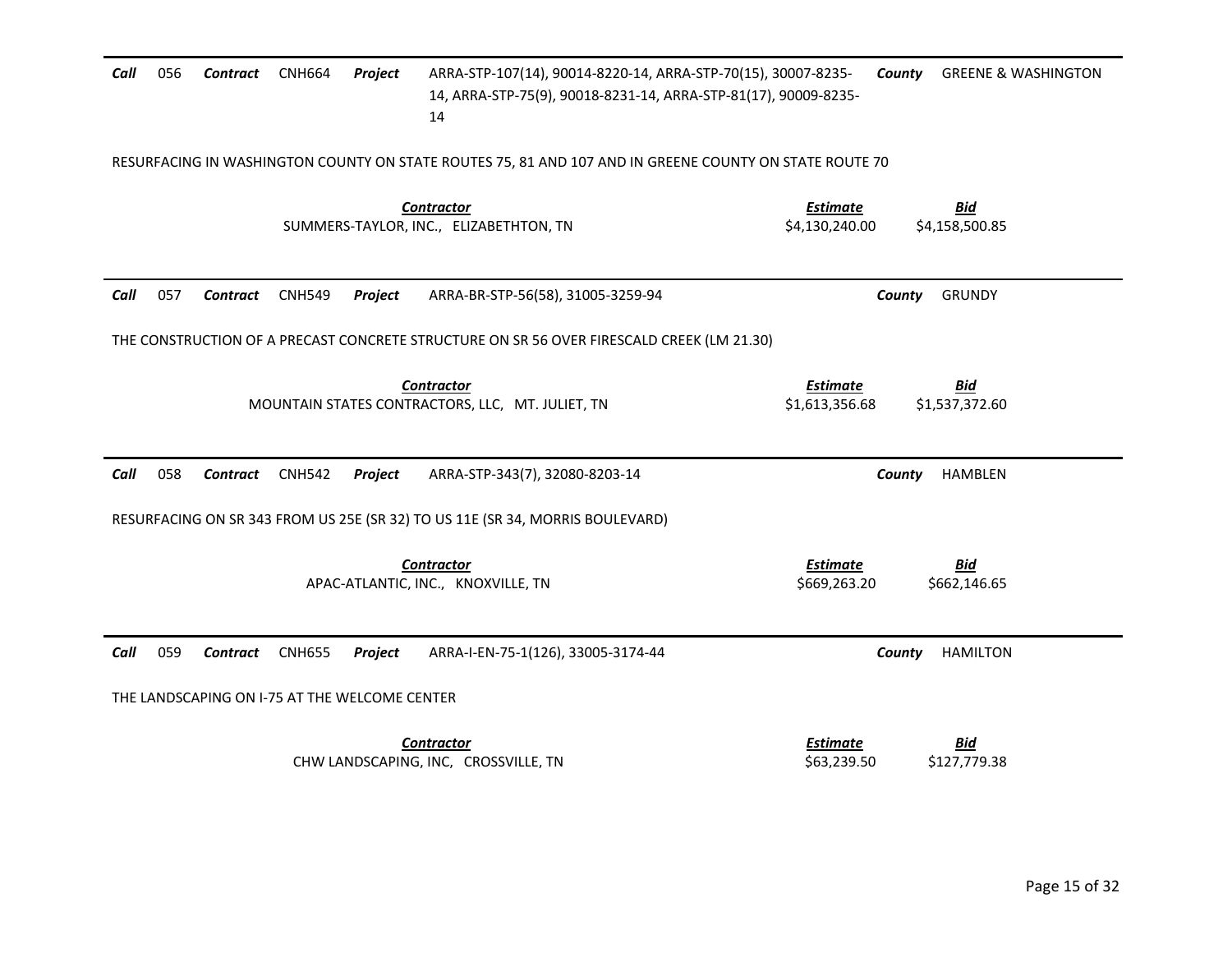| Call | 056 | Contract        | <b>CNH664</b> | Project                                       | ARRA-STP-107(14), 90014-8220-14, ARRA-STP-70(15), 30007-8235-<br>14, ARRA-STP-75(9), 90018-8231-14, ARRA-STP-81(17), 90009-8235-<br>14 |                                   | County | <b>GREENE &amp; WASHINGTON</b> |
|------|-----|-----------------|---------------|-----------------------------------------------|----------------------------------------------------------------------------------------------------------------------------------------|-----------------------------------|--------|--------------------------------|
|      |     |                 |               |                                               | RESURFACING IN WASHINGTON COUNTY ON STATE ROUTES 75, 81 AND 107 AND IN GREENE COUNTY ON STATE ROUTE 70                                 |                                   |        |                                |
|      |     |                 |               |                                               | <b>Contractor</b><br>SUMMERS-TAYLOR, INC., ELIZABETHTON, TN                                                                            | <b>Estimate</b><br>\$4,130,240.00 |        | <b>Bid</b><br>\$4,158,500.85   |
| Call | 057 | Contract        | <b>CNH549</b> | Project                                       | ARRA-BR-STP-56(58), 31005-3259-94                                                                                                      |                                   | County | <b>GRUNDY</b>                  |
|      |     |                 |               |                                               | THE CONSTRUCTION OF A PRECAST CONCRETE STRUCTURE ON SR 56 OVER FIRESCALD CREEK (LM 21.30)                                              |                                   |        |                                |
|      |     |                 |               |                                               | <b>Contractor</b><br>MOUNTAIN STATES CONTRACTORS, LLC, MT. JULIET, TN                                                                  | <b>Estimate</b><br>\$1,613,356.68 |        | <u>Bid</u><br>\$1,537,372.60   |
| Call | 058 | <b>Contract</b> | <b>CNH542</b> | Project                                       | ARRA-STP-343(7), 32080-8203-14                                                                                                         |                                   | County | <b>HAMBLEN</b>                 |
|      |     |                 |               |                                               | RESURFACING ON SR 343 FROM US 25E (SR 32) TO US 11E (SR 34, MORRIS BOULEVARD)                                                          |                                   |        |                                |
|      |     |                 |               |                                               | <b>Contractor</b><br>APAC-ATLANTIC, INC., KNOXVILLE, TN                                                                                | <b>Estimate</b><br>\$669,263.20   |        | <b>Bid</b><br>\$662,146.65     |
| Call | 059 | Contract        | <b>CNH655</b> | Project                                       | ARRA-I-EN-75-1(126), 33005-3174-44                                                                                                     |                                   | County | <b>HAMILTON</b>                |
|      |     |                 |               | THE LANDSCAPING ON I-75 AT THE WELCOME CENTER |                                                                                                                                        |                                   |        |                                |
|      |     |                 |               |                                               | <b>Contractor</b><br>CHW LANDSCAPING, INC, CROSSVILLE, TN                                                                              | <b>Estimate</b><br>\$63,239.50    |        | <u>Bid</u><br>\$127,779.38     |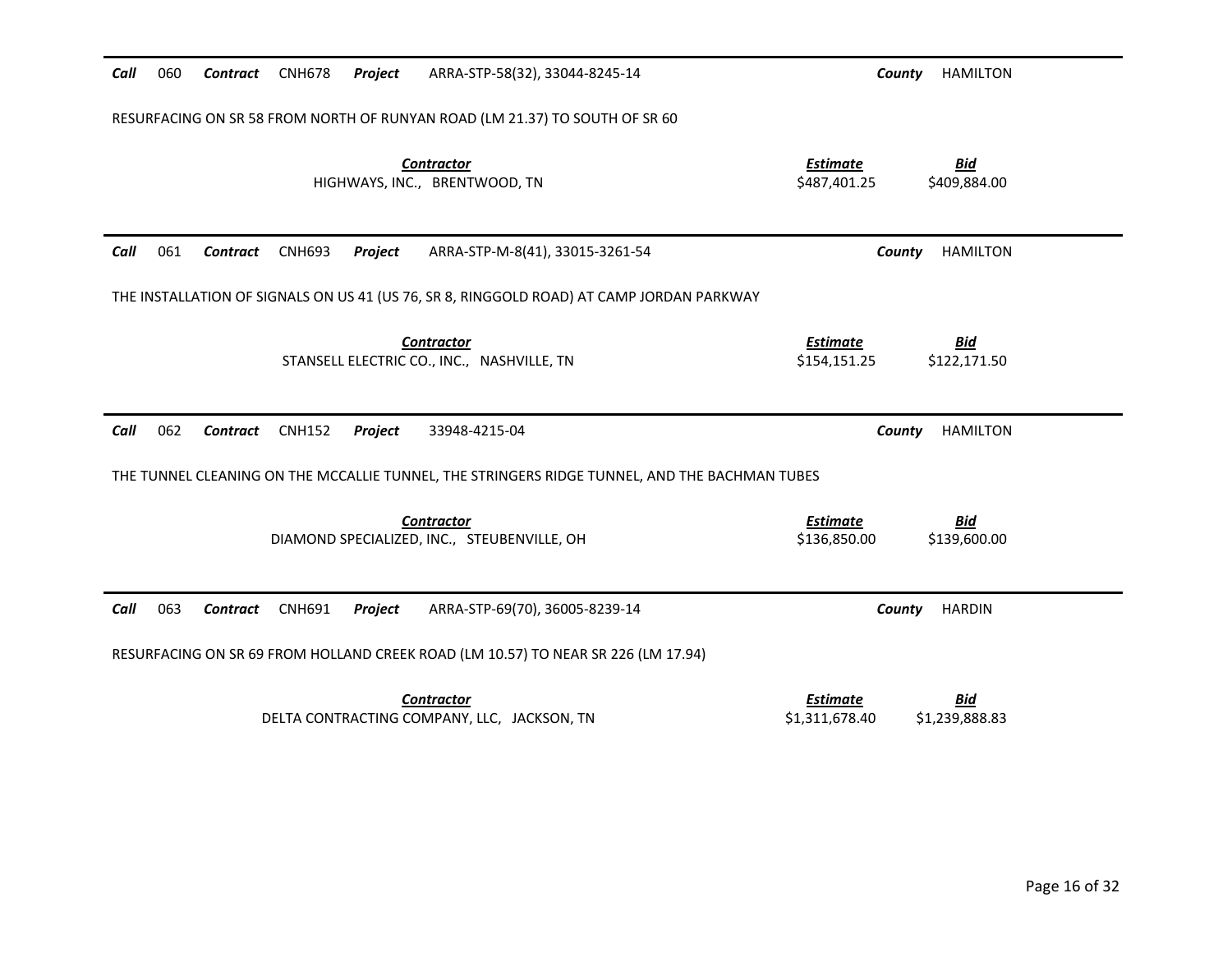| Call | 060 | <b>Contract</b> | <b>CNH678</b> | Project | ARRA-STP-58(32), 33044-8245-14                                                                | County                          | <b>HAMILTON</b>            |
|------|-----|-----------------|---------------|---------|-----------------------------------------------------------------------------------------------|---------------------------------|----------------------------|
|      |     |                 |               |         | RESURFACING ON SR 58 FROM NORTH OF RUNYAN ROAD (LM 21.37) TO SOUTH OF SR 60                   |                                 |                            |
|      |     |                 |               |         | <b>Contractor</b><br>HIGHWAYS, INC., BRENTWOOD, TN                                            | <b>Estimate</b><br>\$487,401.25 | <b>Bid</b><br>\$409,884.00 |
| Call | 061 | Contract        | <b>CNH693</b> | Project | ARRA-STP-M-8(41), 33015-3261-54                                                               | County                          | <b>HAMILTON</b>            |
|      |     |                 |               |         | THE INSTALLATION OF SIGNALS ON US 41 (US 76, SR 8, RINGGOLD ROAD) AT CAMP JORDAN PARKWAY      |                                 |                            |
|      |     |                 |               |         | <b>Contractor</b><br>STANSELL ELECTRIC CO., INC., NASHVILLE, TN                               | <b>Estimate</b><br>\$154,151.25 | <b>Bid</b><br>\$122,171.50 |
| Call | 062 | Contract        | <b>CNH152</b> | Project | 33948-4215-04                                                                                 | County                          | <b>HAMILTON</b>            |
|      |     |                 |               |         | THE TUNNEL CLEANING ON THE MCCALLIE TUNNEL, THE STRINGERS RIDGE TUNNEL, AND THE BACHMAN TUBES |                                 |                            |
|      |     |                 |               |         | <b>Contractor</b><br>DIAMOND SPECIALIZED, INC., STEUBENVILLE, OH                              | <b>Estimate</b><br>\$136,850.00 | <b>Bid</b><br>\$139,600.00 |
| Call | 063 | <b>Contract</b> | <b>CNH691</b> | Project | ARRA-STP-69(70), 36005-8239-14                                                                | County                          | <b>HARDIN</b>              |
|      |     |                 |               |         | RESURFACING ON SR 69 FROM HOLLAND CREEK ROAD (LM 10.57) TO NEAR SR 226 (LM 17.94)             |                                 |                            |
|      |     |                 |               |         | <b>Contractor</b><br>DELTA CONTRACTING COMPANY, LLC, JACKSON, TN                              | Estimate<br>\$1,311,678.40      | Bid<br>\$1,239,888.83      |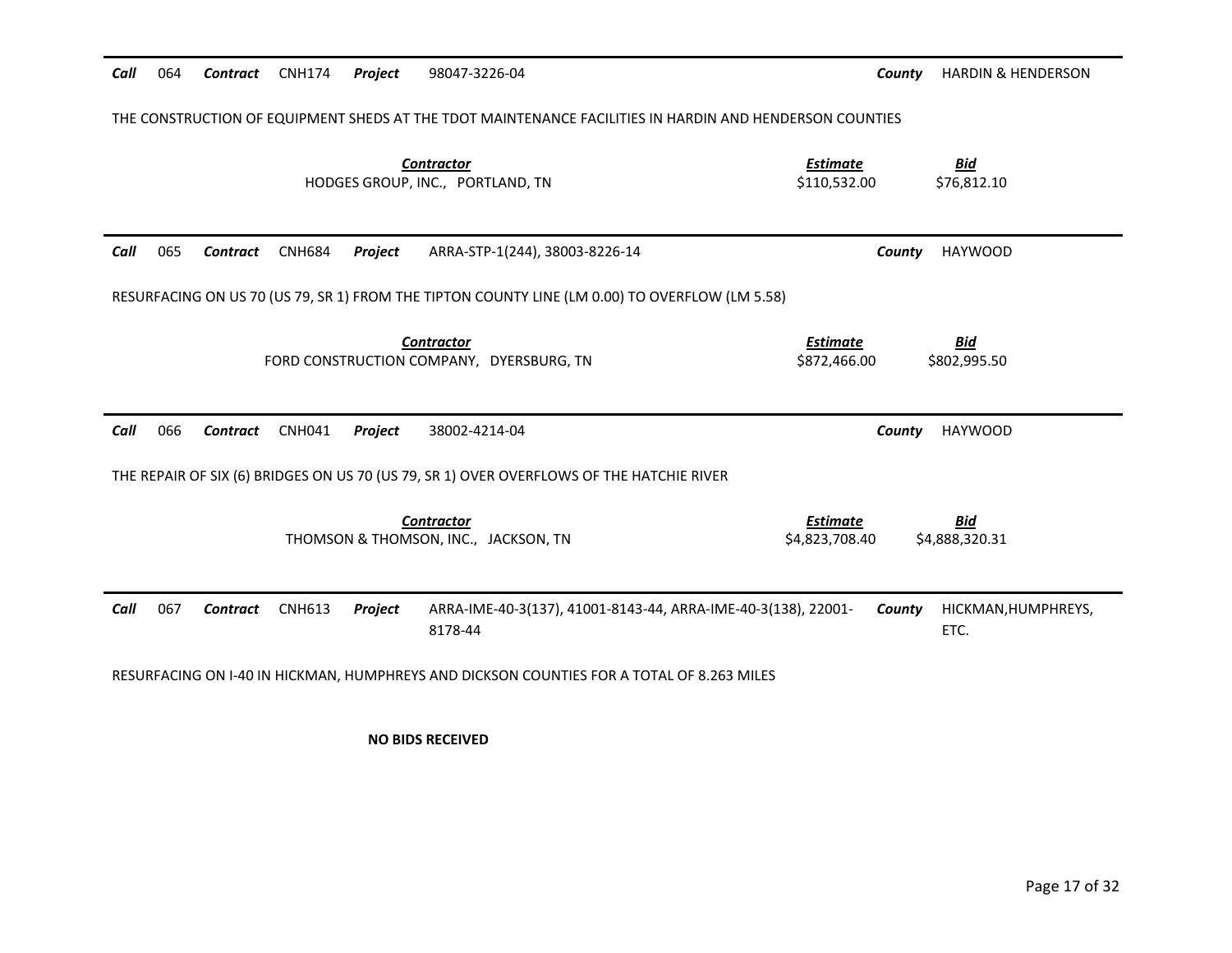| Call | 064                                                                                            | <b>Contract</b> | <b>CNH174</b> | Project | 98047-3226-04                                                                                           | County                            | <b>HARDIN &amp; HENDERSON</b> |  |
|------|------------------------------------------------------------------------------------------------|-----------------|---------------|---------|---------------------------------------------------------------------------------------------------------|-----------------------------------|-------------------------------|--|
|      |                                                                                                |                 |               |         | THE CONSTRUCTION OF EQUIPMENT SHEDS AT THE TDOT MAINTENANCE FACILITIES IN HARDIN AND HENDERSON COUNTIES |                                   |                               |  |
|      |                                                                                                |                 |               |         | <b>Contractor</b><br>HODGES GROUP, INC., PORTLAND, TN                                                   | <b>Estimate</b><br>\$110,532.00   | <u>Bid</u><br>\$76,812.10     |  |
| Call | 065                                                                                            | Contract        | <b>CNH684</b> | Project | ARRA-STP-1(244), 38003-8226-14                                                                          | County                            | <b>HAYWOOD</b>                |  |
|      | RESURFACING ON US 70 (US 79, SR 1) FROM THE TIPTON COUNTY LINE (LM 0.00) TO OVERFLOW (LM 5.58) |                 |               |         |                                                                                                         |                                   |                               |  |
|      |                                                                                                |                 |               |         | <b>Contractor</b><br>FORD CONSTRUCTION COMPANY, DYERSBURG, TN                                           | <b>Estimate</b><br>\$872,466.00   | <b>Bid</b><br>\$802,995.50    |  |
| Call | 066                                                                                            | <b>Contract</b> | <b>CNH041</b> | Project | 38002-4214-04                                                                                           | County                            | <b>HAYWOOD</b>                |  |
|      |                                                                                                |                 |               |         | THE REPAIR OF SIX (6) BRIDGES ON US 70 (US 79, SR 1) OVER OVERFLOWS OF THE HATCHIE RIVER                |                                   |                               |  |
|      |                                                                                                |                 |               |         | <b>Contractor</b><br>THOMSON & THOMSON, INC., JACKSON, TN                                               | <b>Estimate</b><br>\$4,823,708.40 | <u>Bid</u><br>\$4,888,320.31  |  |
| Call | 067                                                                                            | <b>Contract</b> | <b>CNH613</b> | Project | ARRA-IME-40-3(137), 41001-8143-44, ARRA-IME-40-3(138), 22001-<br>8178-44                                | County                            | HICKMAN, HUMPHREYS,<br>ETC.   |  |
|      |                                                                                                |                 |               |         | RESURFACING ON I-40 IN HICKMAN, HUMPHREYS AND DICKSON COUNTIES FOR A TOTAL OF 8.263 MILES               |                                   |                               |  |

**NO BIDS RECEIVED**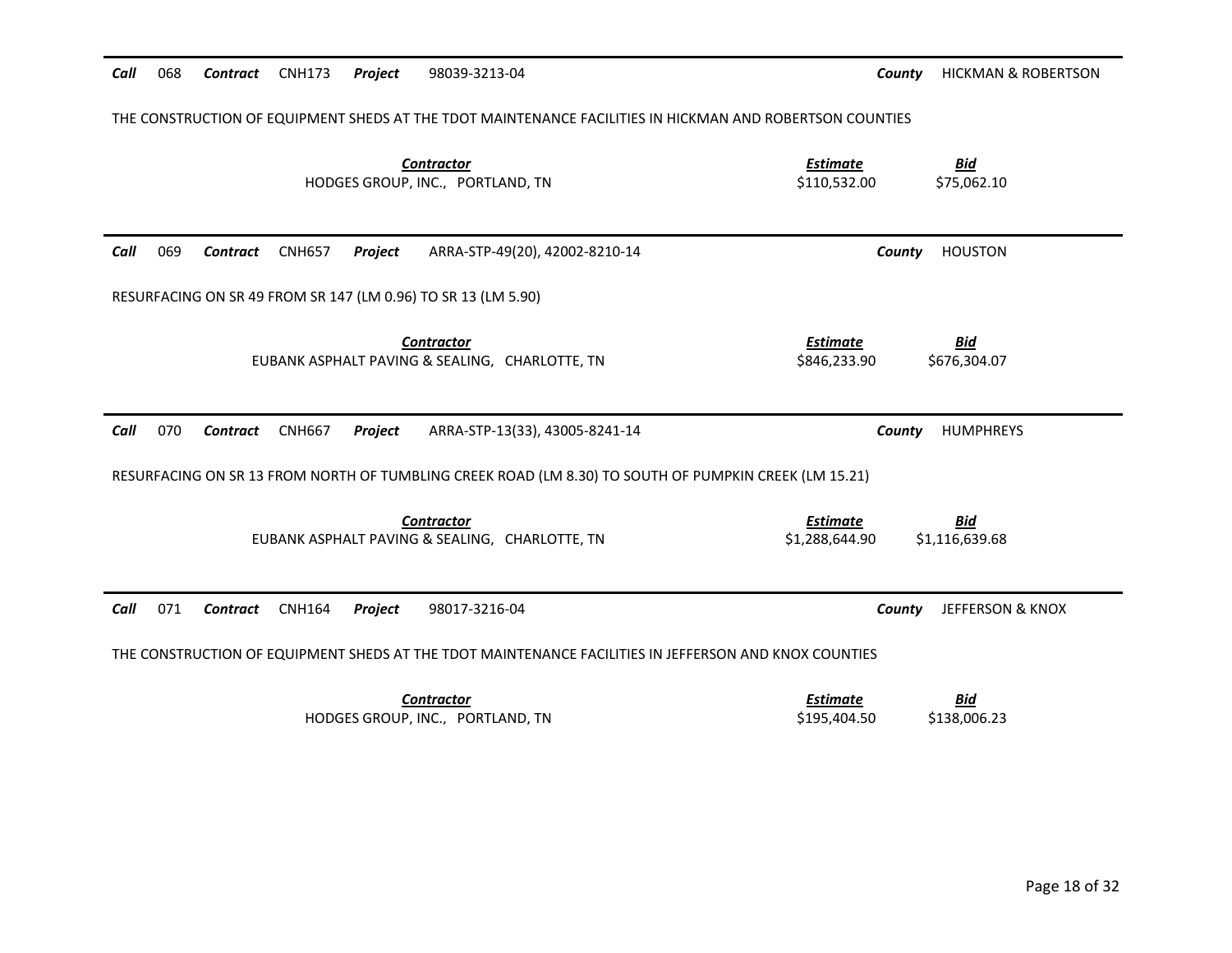| THE CONSTRUCTION OF EQUIPMENT SHEDS AT THE TDOT MAINTENANCE FACILITIES IN HICKMAN AND ROBERTSON COUNTIES |                                                                   |
|----------------------------------------------------------------------------------------------------------|-------------------------------------------------------------------|
| <b>Contractor</b><br>HODGES GROUP, INC., PORTLAND, TN                                                    | <b>Estimate</b><br><b>Bid</b><br>\$75,062.10<br>\$110,532.00      |
| Call<br>069<br><b>CNH657</b><br>Project<br>ARRA-STP-49(20), 42002-8210-14<br>Contract                    | <b>HOUSTON</b><br>County                                          |
| RESURFACING ON SR 49 FROM SR 147 (LM 0.96) TO SR 13 (LM 5.90)                                            |                                                                   |
| <b>Contractor</b><br>EUBANK ASPHALT PAVING & SEALING, CHARLOTTE, TN                                      | <b>Estimate</b><br><b>Bid</b><br>\$846,233.90<br>\$676,304.07     |
| Call<br>070<br><b>CNH667</b><br>Project<br>ARRA-STP-13(33), 43005-8241-14<br>Contract                    | HUMPHREYS<br>County                                               |
| RESURFACING ON SR 13 FROM NORTH OF TUMBLING CREEK ROAD (LM 8.30) TO SOUTH OF PUMPKIN CREEK (LM 15.21)    |                                                                   |
| <b>Contractor</b><br>EUBANK ASPHALT PAVING & SEALING, CHARLOTTE, TN                                      | <b>Estimate</b><br><u>Bid</u><br>\$1,116,639.68<br>\$1,288,644.90 |
| 071<br>Call<br><b>Contract</b><br><b>CNH164</b><br>Project<br>98017-3216-04                              | County<br><b>JEFFERSON &amp; KNOX</b>                             |
| THE CONSTRUCTION OF EQUIPMENT SHEDS AT THE TDOT MAINTENANCE FACILITIES IN JEFFERSON AND KNOX COUNTIES    |                                                                   |
| <b>Contractor</b>                                                                                        | <b>Estimate</b><br>Bid                                            |

*Call* 068 *Contract* CNH173 *Project* 98039-3213-04 *County* HICKMAN & ROBERTSON

HODGES GROUP, INC., PORTLAND, TN \$195,404.50 \$138,006.23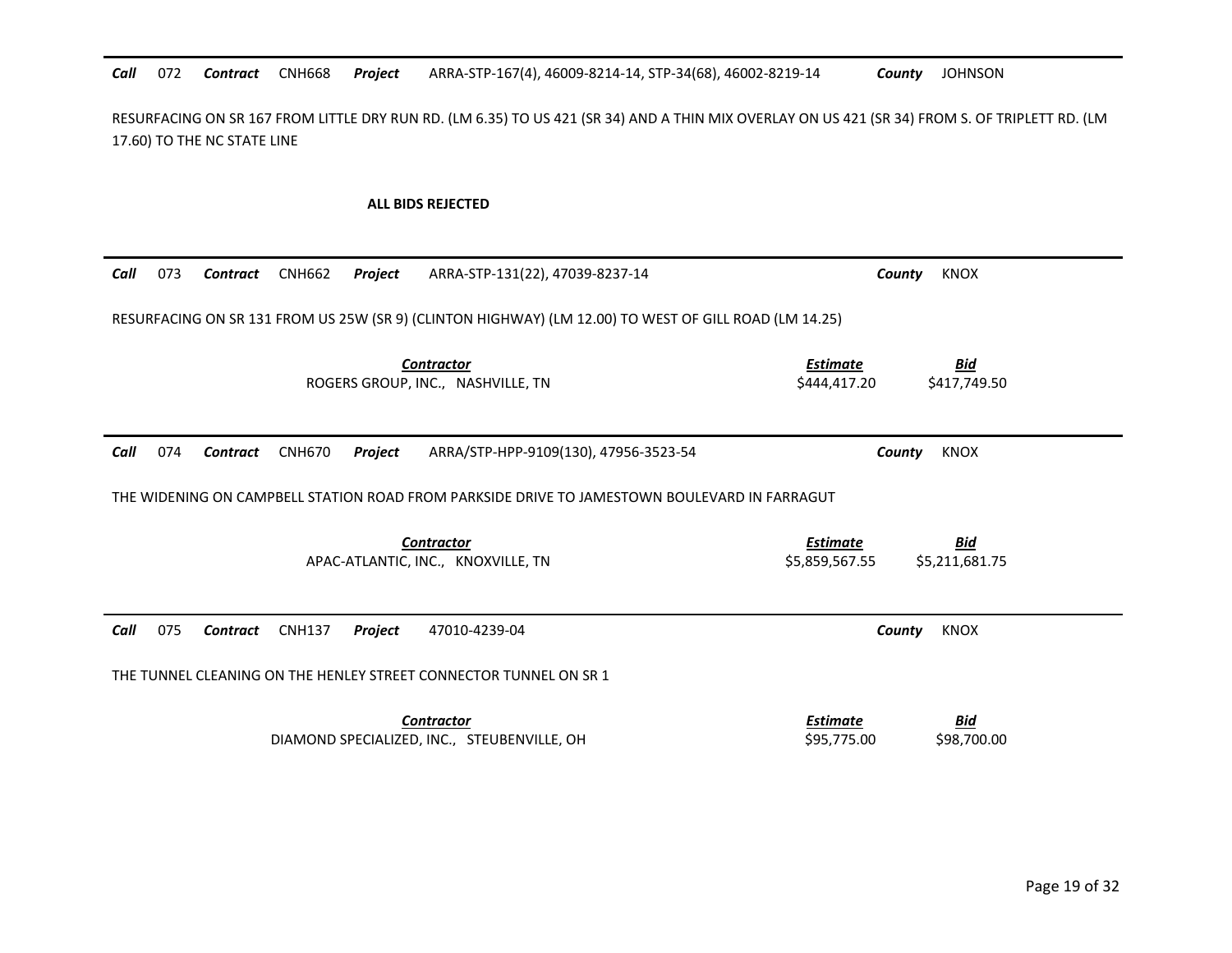### Call 072 Contract CNH668 Project 072 *Contract* CNH668 *Project* ARRA-STP-167(4), 46009-8214-14, STP-34(68), 46002-8219-14 *County* JOHNSON

RESURFACING ON SR 167 FROM LITTLE DRY RUN RD. (LM 6.35) TO US 421 (SR 34) AND A THIN MIX OVERLAY ON US 421 (SR 34) FROM S. OF TRIPLETT RD. (LM 17.60) TO THE NC STATE LINE

## **ALL BIDS REJECTED**

| Call | 073                                                                                                   | Contract        | <b>CNH662</b> | Project        | ARRA-STP-131(22), 47039-8237-14                                   | County                            | <b>KNOX</b>                  |  |
|------|-------------------------------------------------------------------------------------------------------|-----------------|---------------|----------------|-------------------------------------------------------------------|-----------------------------------|------------------------------|--|
|      | RESURFACING ON SR 131 FROM US 25W (SR 9) (CLINTON HIGHWAY) (LM 12.00) TO WEST OF GILL ROAD (LM 14.25) |                 |               |                |                                                                   |                                   |                              |  |
|      |                                                                                                       |                 |               |                | <b>Contractor</b><br>ROGERS GROUP, INC., NASHVILLE, TN            | <b>Estimate</b><br>\$444,417.20   | <u>Bid</u><br>\$417,749.50   |  |
| Call | 074                                                                                                   | <b>Contract</b> | <b>CNH670</b> | <b>Project</b> | ARRA/STP-HPP-9109(130), 47956-3523-54                             | County                            | <b>KNOX</b>                  |  |
|      | THE WIDENING ON CAMPBELL STATION ROAD FROM PARKSIDE DRIVE TO JAMESTOWN BOULEVARD IN FARRAGUT          |                 |               |                |                                                                   |                                   |                              |  |
|      |                                                                                                       |                 |               |                | <b>Contractor</b><br>APAC-ATLANTIC, INC., KNOXVILLE, TN           | <b>Estimate</b><br>\$5,859,567.55 | <u>Bid</u><br>\$5,211,681.75 |  |
| Call | 075                                                                                                   | <b>Contract</b> | <b>CNH137</b> | Project        | 47010-4239-04                                                     | County                            | <b>KNOX</b>                  |  |
|      |                                                                                                       |                 |               |                | THE TUNNEL CLEANING ON THE HENLEY STREET CONNECTOR TUNNEL ON SR 1 |                                   |                              |  |
|      |                                                                                                       |                 |               |                | <b>Contractor</b><br>DIAMOND SPECIALIZED, INC., STEUBENVILLE, OH  | <u>Estimate</u><br>\$95,775.00    | <u>Bid</u><br>\$98,700.00    |  |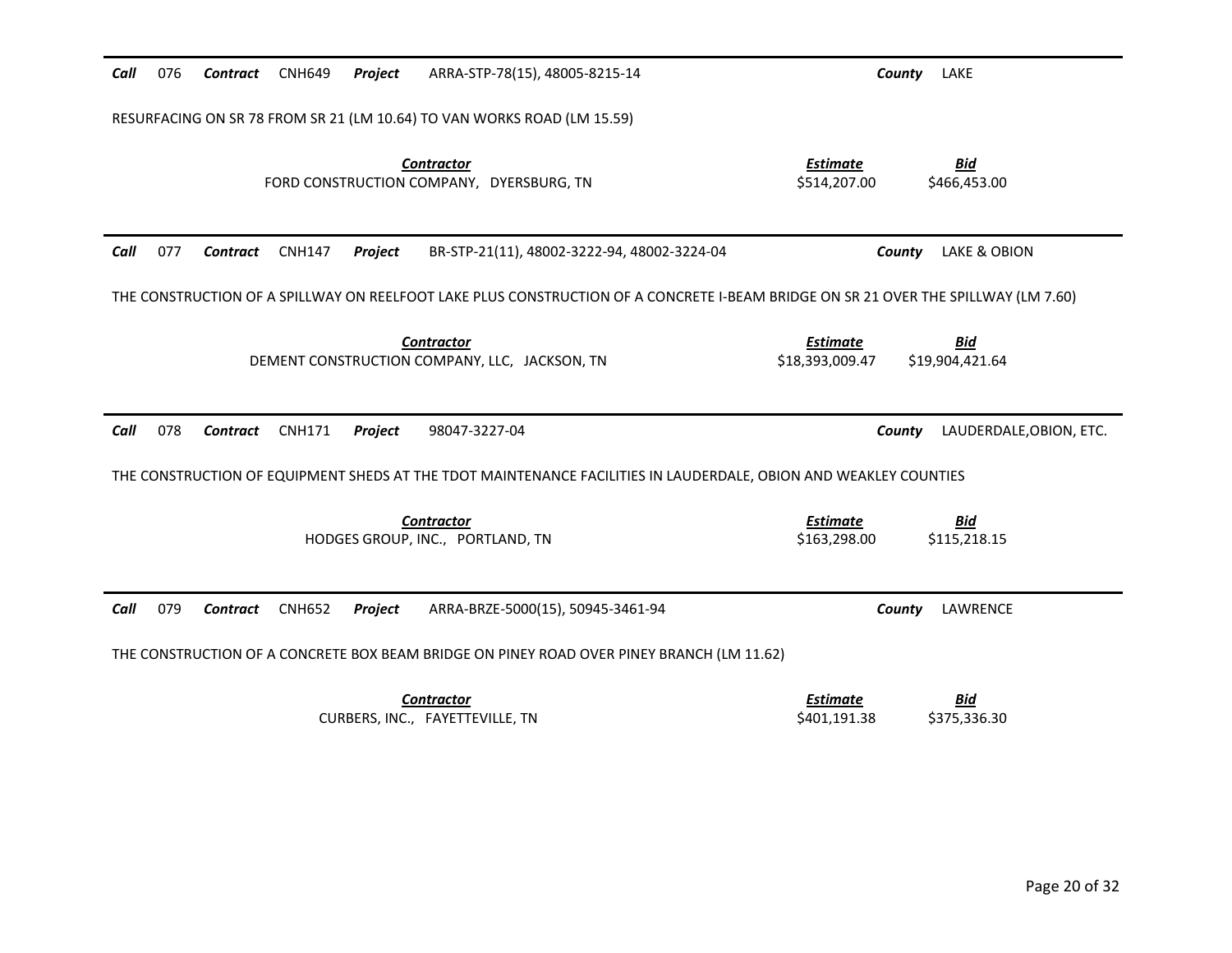| Call | 076 | Contract        | <b>CNH649</b> | Project | ARRA-STP-78(15), 48005-8215-14                                                                                   | County<br>LAKE                                                                                                                     |
|------|-----|-----------------|---------------|---------|------------------------------------------------------------------------------------------------------------------|------------------------------------------------------------------------------------------------------------------------------------|
|      |     |                 |               |         | RESURFACING ON SR 78 FROM SR 21 (LM 10.64) TO VAN WORKS ROAD (LM 15.59)                                          |                                                                                                                                    |
|      |     |                 |               |         | <b>Contractor</b><br>FORD CONSTRUCTION COMPANY, DYERSBURG, TN                                                    | <b>Estimate</b><br><b>Bid</b><br>\$514,207.00<br>\$466,453.00                                                                      |
| Call | 077 | Contract        | <b>CNH147</b> | Project | BR-STP-21(11), 48002-3222-94, 48002-3224-04                                                                      | LAKE & OBION<br>County                                                                                                             |
|      |     |                 |               |         |                                                                                                                  | THE CONSTRUCTION OF A SPILLWAY ON REELFOOT LAKE PLUS CONSTRUCTION OF A CONCRETE I-BEAM BRIDGE ON SR 21 OVER THE SPILLWAY (LM 7.60) |
|      |     |                 |               |         | <b>Contractor</b><br>DEMENT CONSTRUCTION COMPANY, LLC, JACKSON, TN                                               | <b>Estimate</b><br><u>Bid</u><br>\$19,904,421.64<br>\$18,393,009.47                                                                |
| Call | 078 | Contract        | <b>CNH171</b> | Project | 98047-3227-04                                                                                                    | LAUDERDALE, OBION, ETC.<br>County                                                                                                  |
|      |     |                 |               |         | THE CONSTRUCTION OF EQUIPMENT SHEDS AT THE TDOT MAINTENANCE FACILITIES IN LAUDERDALE, OBION AND WEAKLEY COUNTIES |                                                                                                                                    |
|      |     |                 |               |         | <b>Contractor</b><br>HODGES GROUP, INC., PORTLAND, TN                                                            | <b>Estimate</b><br><b>Bid</b><br>\$163,298.00<br>\$115,218.15                                                                      |
| Call | 079 | <b>Contract</b> | <b>CNH652</b> | Project | ARRA-BRZE-5000(15), 50945-3461-94                                                                                | LAWRENCE<br>County                                                                                                                 |
|      |     |                 |               |         | THE CONSTRUCTION OF A CONCRETE BOX BEAM BRIDGE ON PINEY ROAD OVER PINEY BRANCH (LM 11.62)                        |                                                                                                                                    |
|      |     |                 |               |         | <b>Contractor</b><br>CURBERS, INC., FAYETTEVILLE, TN                                                             | <b>Estimate</b><br><b>Bid</b><br>\$401,191.38<br>\$375,336.30                                                                      |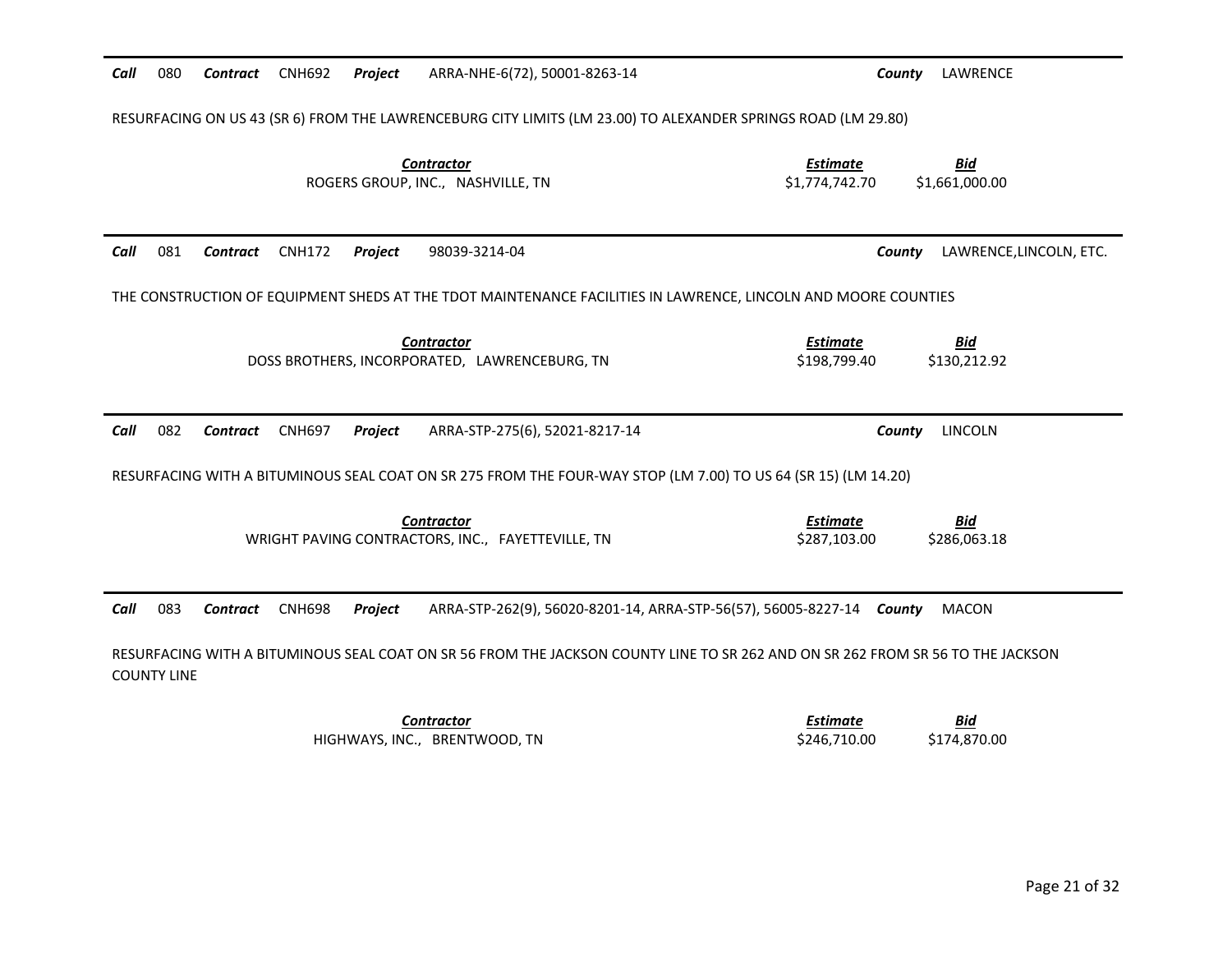| 080<br>Call        | <b>CNH692</b><br>Project<br>Contract        | ARRA-NHE-6(72), 50001-8263-14                                                                                                   | LAWRENCE<br>County                                                |                                                                                                                |  |  |  |  |  |  |  |
|--------------------|---------------------------------------------|---------------------------------------------------------------------------------------------------------------------------------|-------------------------------------------------------------------|----------------------------------------------------------------------------------------------------------------|--|--|--|--|--|--|--|
|                    |                                             | RESURFACING ON US 43 (SR 6) FROM THE LAWRENCEBURG CITY LIMITS (LM 23.00) TO ALEXANDER SPRINGS ROAD (LM 29.80)                   |                                                                   |                                                                                                                |  |  |  |  |  |  |  |
|                    |                                             | <b>Contractor</b><br>ROGERS GROUP, INC., NASHVILLE, TN                                                                          | <b>Estimate</b><br><u>Bid</u><br>\$1,774,742.70<br>\$1,661,000.00 |                                                                                                                |  |  |  |  |  |  |  |
| Call<br>081        | <b>CNH172</b><br>Contract<br>Project        | 98039-3214-04                                                                                                                   | LAWRENCE, LINCOLN, ETC.<br>County                                 |                                                                                                                |  |  |  |  |  |  |  |
|                    |                                             | THE CONSTRUCTION OF EQUIPMENT SHEDS AT THE TDOT MAINTENANCE FACILITIES IN LAWRENCE, LINCOLN AND MOORE COUNTIES                  |                                                                   |                                                                                                                |  |  |  |  |  |  |  |
|                    |                                             | <b>Contractor</b><br>DOSS BROTHERS, INCORPORATED, LAWRENCEBURG, TN                                                              | <b>Bid</b><br><b>Estimate</b><br>\$198,799.40<br>\$130,212.92     |                                                                                                                |  |  |  |  |  |  |  |
| Call<br>082        | <b>Contract</b><br><b>CNH697</b><br>Project | ARRA-STP-275(6), 52021-8217-14                                                                                                  | <b>LINCOLN</b><br>County                                          |                                                                                                                |  |  |  |  |  |  |  |
|                    |                                             |                                                                                                                                 |                                                                   | RESURFACING WITH A BITUMINOUS SEAL COAT ON SR 275 FROM THE FOUR-WAY STOP (LM 7.00) TO US 64 (SR 15) (LM 14.20) |  |  |  |  |  |  |  |
|                    |                                             |                                                                                                                                 |                                                                   |                                                                                                                |  |  |  |  |  |  |  |
|                    |                                             | <b>Contractor</b><br>WRIGHT PAVING CONTRACTORS, INC., FAYETTEVILLE, TN                                                          | <b>Estimate</b><br><b>Bid</b><br>\$287,103.00<br>\$286,063.18     |                                                                                                                |  |  |  |  |  |  |  |
| Call<br>083        | <b>CNH698</b><br>Contract<br>Project        | ARRA-STP-262(9), 56020-8201-14, ARRA-STP-56(57), 56005-8227-14 County                                                           | <b>MACON</b>                                                      |                                                                                                                |  |  |  |  |  |  |  |
| <b>COUNTY LINE</b> |                                             | RESURFACING WITH A BITUMINOUS SEAL COAT ON SR 56 FROM THE JACKSON COUNTY LINE TO SR 262 AND ON SR 262 FROM SR 56 TO THE JACKSON |                                                                   |                                                                                                                |  |  |  |  |  |  |  |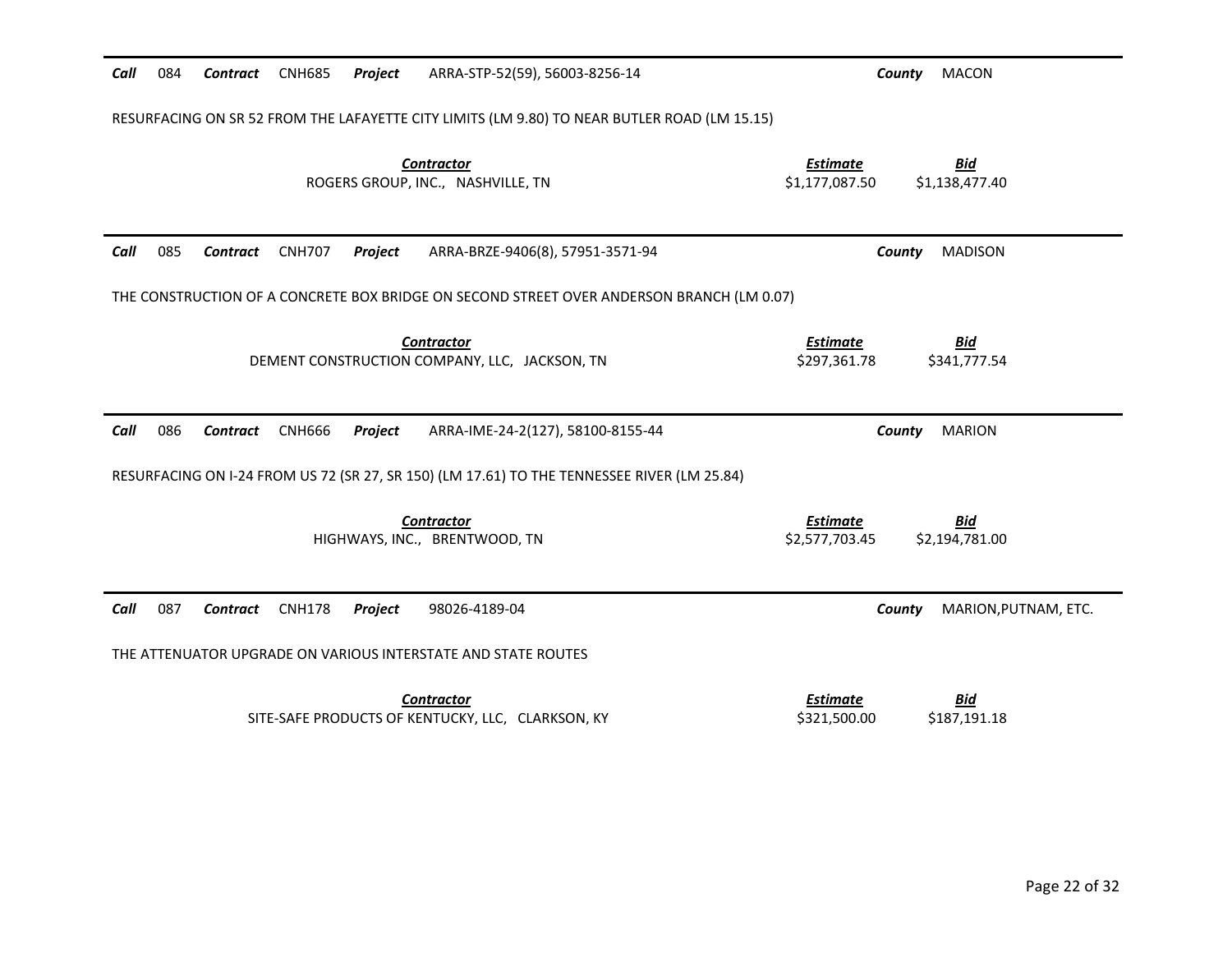| 084<br>Call                    | Contract CNH685<br>Project | ARRA-STP-52(59), 56003-8256-14                                                               | County                                                                                      | <b>MACON</b>                 |  |  |  |  |  |  |
|--------------------------------|----------------------------|----------------------------------------------------------------------------------------------|---------------------------------------------------------------------------------------------|------------------------------|--|--|--|--|--|--|
|                                |                            | RESURFACING ON SR 52 FROM THE LAFAYETTE CITY LIMITS (LM 9.80) TO NEAR BUTLER ROAD (LM 15.15) |                                                                                             |                              |  |  |  |  |  |  |
|                                |                            | <b>Contractor</b><br>ROGERS GROUP, INC., NASHVILLE, TN                                       | <u>Estimate</u><br>\$1,177,087.50                                                           | <b>Bid</b><br>\$1,138,477.40 |  |  |  |  |  |  |
| 085<br>Call<br>Contract        | <b>CNH707</b><br>Project   | ARRA-BRZE-9406(8), 57951-3571-94                                                             | County                                                                                      | <b>MADISON</b>               |  |  |  |  |  |  |
|                                |                            | THE CONSTRUCTION OF A CONCRETE BOX BRIDGE ON SECOND STREET OVER ANDERSON BRANCH (LM 0.07)    |                                                                                             |                              |  |  |  |  |  |  |
|                                |                            | <b>Contractor</b><br>DEMENT CONSTRUCTION COMPANY, LLC, JACKSON, TN                           | <b>Estimate</b><br>\$297,361.78                                                             | <b>Bid</b><br>\$341,777.54   |  |  |  |  |  |  |
| Call<br>086<br>Contract        | <b>CNH666</b><br>Project   | ARRA-IME-24-2(127), 58100-8155-44                                                            | County                                                                                      | <b>MARION</b>                |  |  |  |  |  |  |
|                                |                            |                                                                                              | RESURFACING ON I-24 FROM US 72 (SR 27, SR 150) (LM 17.61) TO THE TENNESSEE RIVER (LM 25.84) |                              |  |  |  |  |  |  |
|                                |                            |                                                                                              |                                                                                             |                              |  |  |  |  |  |  |
|                                |                            | <b>Contractor</b>                                                                            | <b>Estimate</b>                                                                             | <u>Bid</u>                   |  |  |  |  |  |  |
|                                |                            | HIGHWAYS, INC., BRENTWOOD, TN                                                                | \$2,577,703.45                                                                              | \$2,194,781.00               |  |  |  |  |  |  |
| 087<br>Call<br><b>Contract</b> | <b>CNH178</b><br>Project   | 98026-4189-04                                                                                | County                                                                                      | MARION, PUTNAM, ETC.         |  |  |  |  |  |  |
|                                |                            | THE ATTENUATOR UPGRADE ON VARIOUS INTERSTATE AND STATE ROUTES                                |                                                                                             |                              |  |  |  |  |  |  |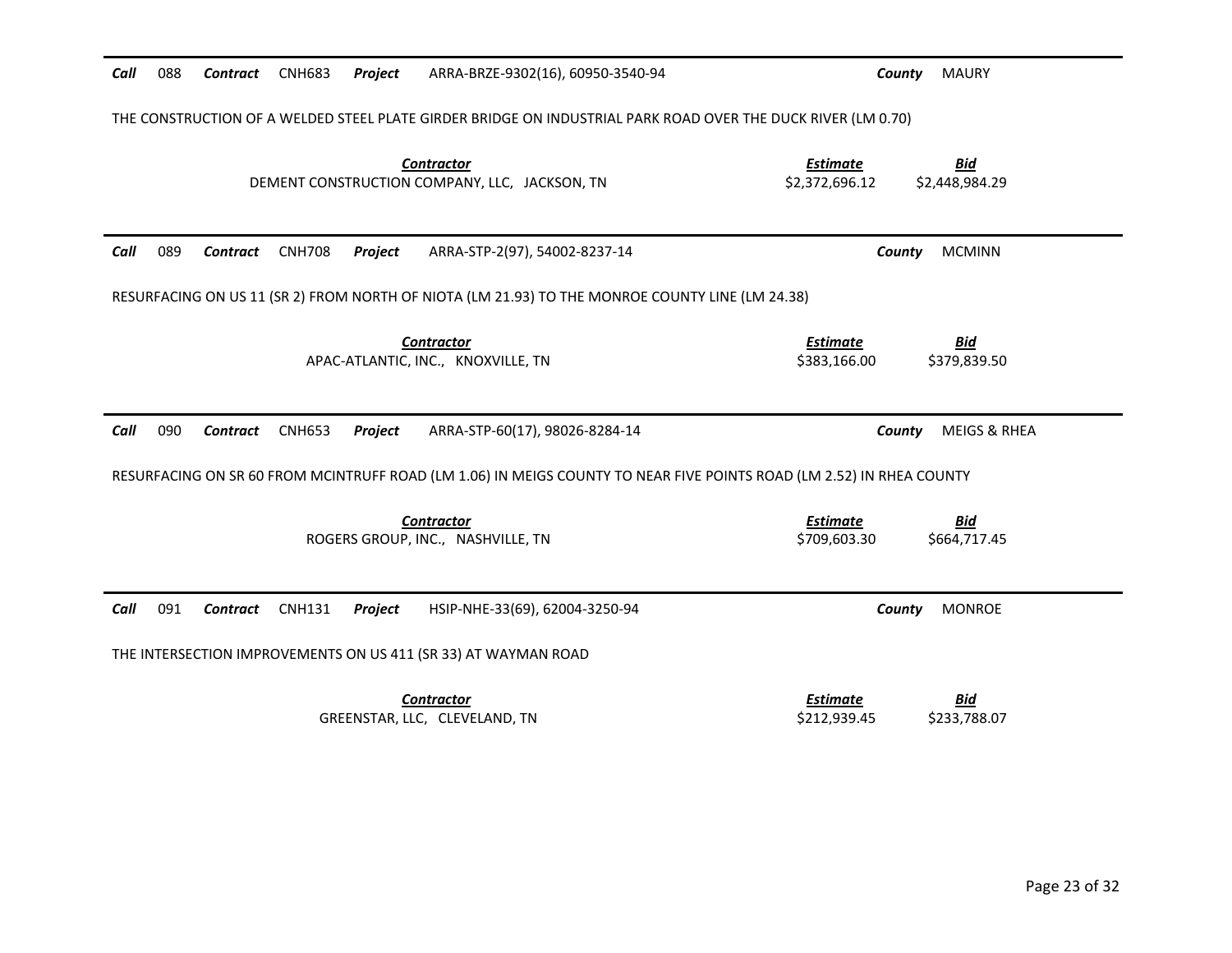| Call<br>088<br>Contract | <b>CNH683</b><br>Project<br>ARRA-BRZE-9302(16), 60950-3540-94                                                        | <b>MAURY</b><br>County                                            |
|-------------------------|----------------------------------------------------------------------------------------------------------------------|-------------------------------------------------------------------|
|                         | THE CONSTRUCTION OF A WELDED STEEL PLATE GIRDER BRIDGE ON INDUSTRIAL PARK ROAD OVER THE DUCK RIVER (LM 0.70)         |                                                                   |
|                         | <b>Contractor</b><br>DEMENT CONSTRUCTION COMPANY, LLC, JACKSON, TN                                                   | <b>Estimate</b><br><b>Bid</b><br>\$2,372,696.12<br>\$2,448,984.29 |
| Call<br>089<br>Contract | <b>CNH708</b><br>ARRA-STP-2(97), 54002-8237-14<br>Project                                                            | <b>MCMINN</b><br>County                                           |
|                         | RESURFACING ON US 11 (SR 2) FROM NORTH OF NIOTA (LM 21.93) TO THE MONROE COUNTY LINE (LM 24.38)                      |                                                                   |
|                         | <b>Contractor</b><br>APAC-ATLANTIC, INC., KNOXVILLE, TN                                                              | <b>Estimate</b><br><u>Bid</u><br>\$383,166.00<br>\$379,839.50     |
| Call<br>090<br>Contract | <b>CNH653</b><br>Project<br>ARRA-STP-60(17), 98026-8284-14                                                           | County<br><b>MEIGS &amp; RHEA</b>                                 |
|                         | RESURFACING ON SR 60 FROM MCINTRUFF ROAD (LM 1.06) IN MEIGS COUNTY TO NEAR FIVE POINTS ROAD (LM 2.52) IN RHEA COUNTY |                                                                   |
|                         | <b>Contractor</b><br>ROGERS GROUP, INC., NASHVILLE, TN                                                               | <b>Estimate</b><br><u>Bid</u><br>\$709,603.30<br>\$664,717.45     |
| Call<br>091<br>Contract | <b>CNH131</b><br>Project<br>HSIP-NHE-33(69), 62004-3250-94                                                           | <b>MONROE</b><br>County                                           |
|                         | THE INTERSECTION IMPROVEMENTS ON US 411 (SR 33) AT WAYMAN ROAD                                                       |                                                                   |
|                         |                                                                                                                      |                                                                   |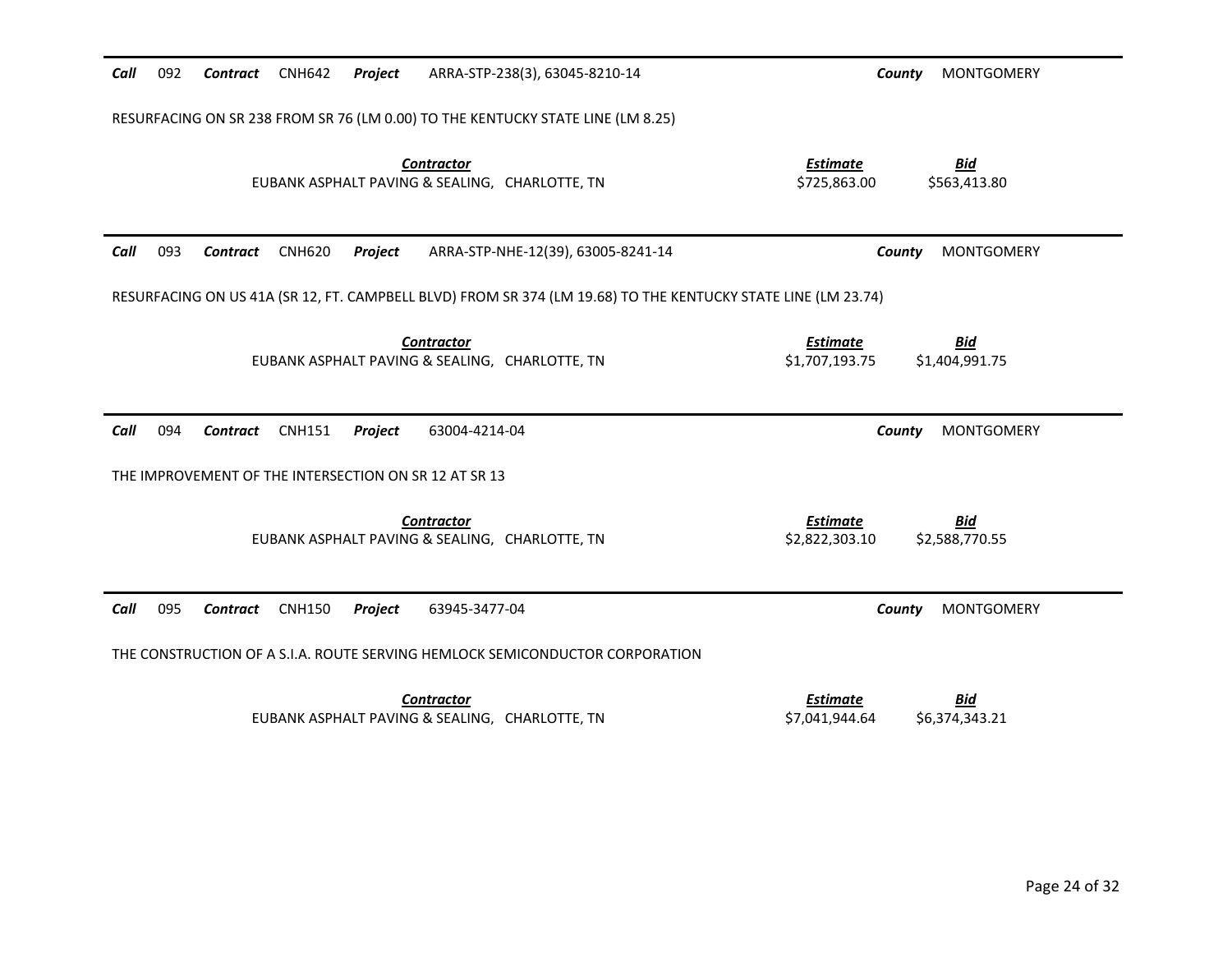| 092<br>Call | Contract<br><b>CNH642</b>                             | Project | ARRA-STP-238(3), 63045-8210-14                                                                                | <b>MONTGOMERY</b><br>County                                       |
|-------------|-------------------------------------------------------|---------|---------------------------------------------------------------------------------------------------------------|-------------------------------------------------------------------|
|             |                                                       |         | RESURFACING ON SR 238 FROM SR 76 (LM 0.00) TO THE KENTUCKY STATE LINE (LM 8.25)                               |                                                                   |
|             |                                                       |         | <b>Contractor</b><br>EUBANK ASPHALT PAVING & SEALING, CHARLOTTE, TN                                           | <b>Bid</b><br><b>Estimate</b><br>\$725,863.00<br>\$563,413.80     |
| 093<br>Call | Contract<br><b>CNH620</b>                             | Project | ARRA-STP-NHE-12(39), 63005-8241-14                                                                            | County<br><b>MONTGOMERY</b>                                       |
|             |                                                       |         | RESURFACING ON US 41A (SR 12, FT. CAMPBELL BLVD) FROM SR 374 (LM 19.68) TO THE KENTUCKY STATE LINE (LM 23.74) |                                                                   |
|             |                                                       |         | <b>Contractor</b><br>EUBANK ASPHALT PAVING & SEALING, CHARLOTTE, TN                                           | <b>Estimate</b><br><b>Bid</b><br>\$1,707,193.75<br>\$1,404,991.75 |
|             |                                                       |         |                                                                                                               |                                                                   |
| 094<br>Call | Contract<br><b>CNH151</b>                             | Project | 63004-4214-04                                                                                                 | County<br><b>MONTGOMERY</b>                                       |
|             | THE IMPROVEMENT OF THE INTERSECTION ON SR 12 AT SR 13 |         |                                                                                                               |                                                                   |
|             |                                                       |         | <b>Contractor</b><br>EUBANK ASPHALT PAVING & SEALING, CHARLOTTE, TN                                           | <b>Estimate</b><br><u>Bid</u><br>\$2,822,303.10<br>\$2,588,770.55 |
| 095<br>Call | <b>Contract</b><br><b>CNH150</b>                      | Project | 63945-3477-04                                                                                                 | <b>MONTGOMERY</b><br>County                                       |
|             |                                                       |         | THE CONSTRUCTION OF A S.I.A. ROUTE SERVING HEMLOCK SEMICONDUCTOR CORPORATION                                  |                                                                   |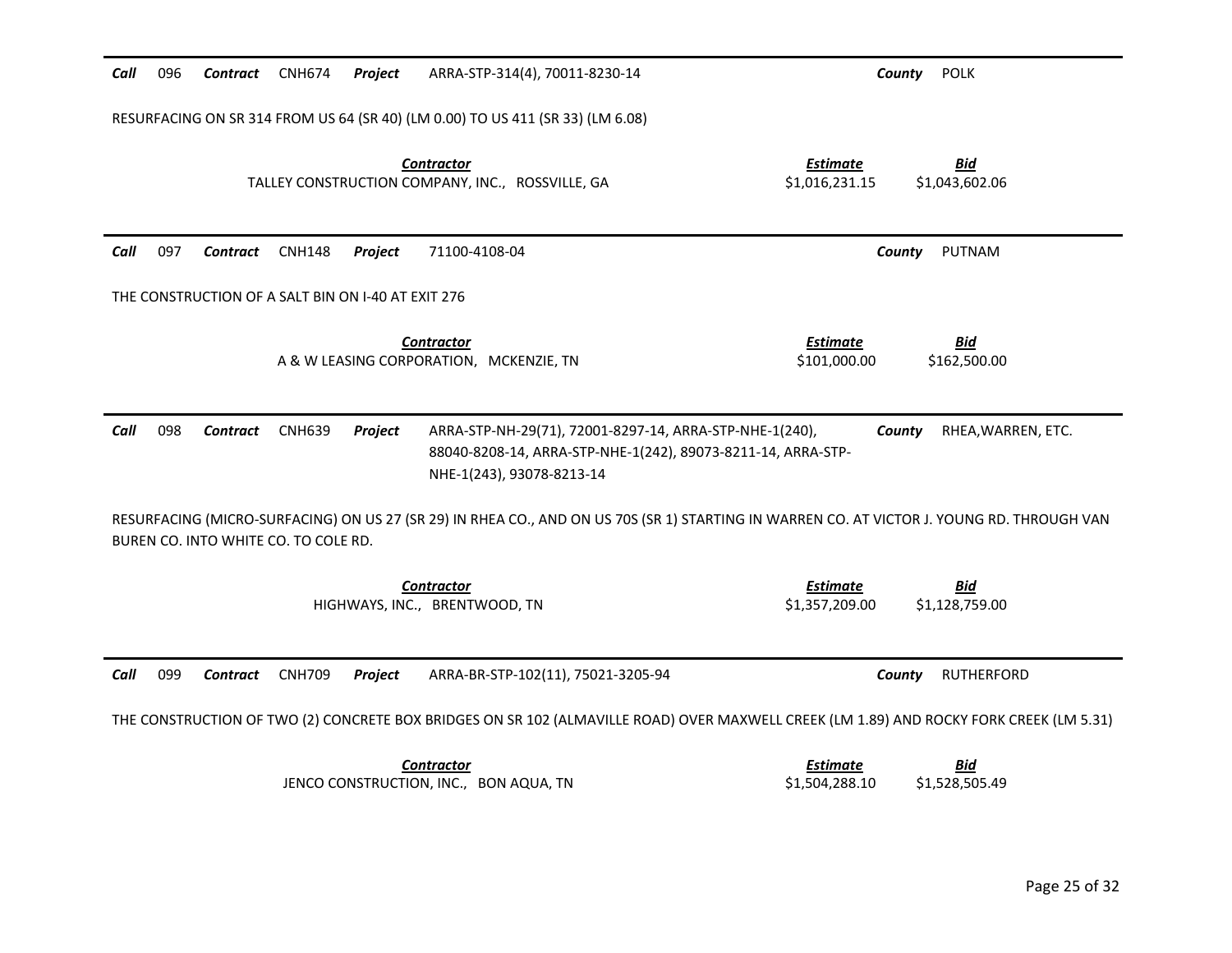| 096<br>Call                    | Contract CNH674<br>Project                         | ARRA-STP-314(4), 70011-8230-14                                                                                                                       | <b>POLK</b><br>County                                             |
|--------------------------------|----------------------------------------------------|------------------------------------------------------------------------------------------------------------------------------------------------------|-------------------------------------------------------------------|
|                                |                                                    | RESURFACING ON SR 314 FROM US 64 (SR 40) (LM 0.00) TO US 411 (SR 33) (LM 6.08)                                                                       |                                                                   |
|                                |                                                    | <b>Contractor</b><br>TALLEY CONSTRUCTION COMPANY, INC., ROSSVILLE, GA                                                                                | <b>Estimate</b><br><b>Bid</b><br>\$1,016,231.15<br>\$1,043,602.06 |
| Call<br>097<br><b>Contract</b> | <b>CNH148</b><br>Project                           | 71100-4108-04                                                                                                                                        | PUTNAM<br>County                                                  |
|                                | THE CONSTRUCTION OF A SALT BIN ON I-40 AT EXIT 276 |                                                                                                                                                      |                                                                   |
|                                |                                                    | <b>Contractor</b><br>A & W LEASING CORPORATION, MCKENZIE, TN                                                                                         | <b>Estimate</b><br><b>Bid</b><br>\$101,000.00<br>\$162,500.00     |
| 098<br>Call<br>Contract        | <b>CNH639</b><br>Project                           | ARRA-STP-NH-29(71), 72001-8297-14, ARRA-STP-NHE-1(240),<br>88040-8208-14, ARRA-STP-NHE-1(242), 89073-8211-14, ARRA-STP-<br>NHE-1(243), 93078-8213-14 | County<br>RHEA, WARREN, ETC.                                      |
|                                | BUREN CO. INTO WHITE CO. TO COLE RD.               | RESURFACING (MICRO-SURFACING) ON US 27 (SR 29) IN RHEA CO., AND ON US 70S (SR 1) STARTING IN WARREN CO. AT VICTOR J. YOUNG RD. THROUGH VAN           |                                                                   |
|                                |                                                    | <b>Contractor</b><br>HIGHWAYS, INC., BRENTWOOD, TN                                                                                                   | <b>Estimate</b><br>Bid<br>\$1,357,209.00<br>\$1,128,759.00        |
| 099<br>Call<br>Contract        | <b>CNH709</b><br>Project                           | ARRA-BR-STP-102(11), 75021-3205-94                                                                                                                   | County<br><b>RUTHERFORD</b>                                       |
|                                |                                                    | THE CONSTRUCTION OF TWO (2) CONCRETE BOX BRIDGES ON SR 102 (ALMAVILLE ROAD) OVER MAXWELL CREEK (LM 1.89) AND ROCKY FORK CREEK (LM 5.31)              |                                                                   |
|                                |                                                    | <b>Contractor</b><br>JENCO CONSTRUCTION, INC., BON AQUA, TN                                                                                          | Estimate<br>Bid<br>\$1,504,288.10<br>\$1,528,505.49               |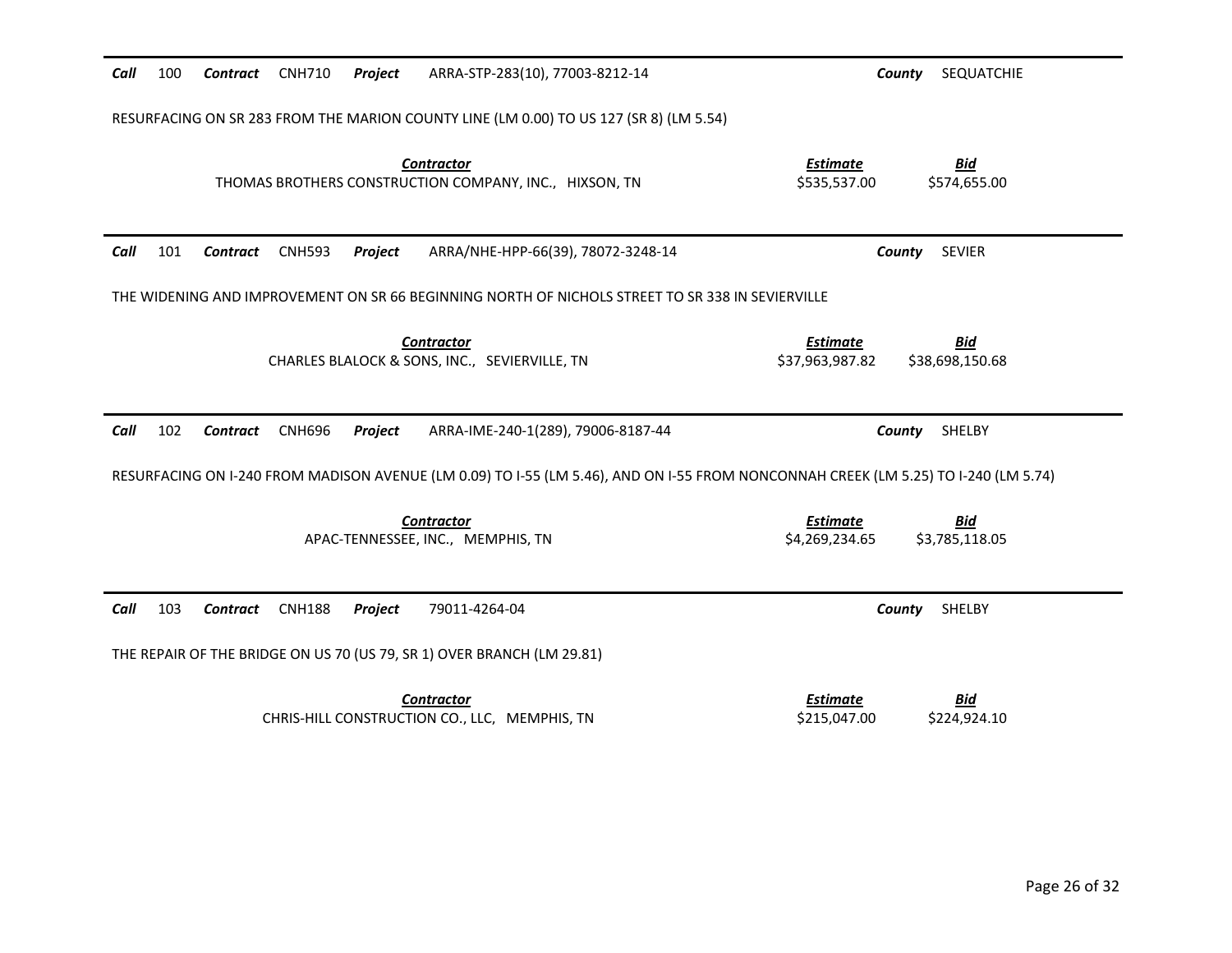| Call | 100                                                                                              | Contract        | <b>CNH710</b> | Project | ARRA-STP-283(10), 77003-8212-14                                                        | SEQUATCHIE<br>County                                                                                                                |  |  |
|------|--------------------------------------------------------------------------------------------------|-----------------|---------------|---------|----------------------------------------------------------------------------------------|-------------------------------------------------------------------------------------------------------------------------------------|--|--|
|      |                                                                                                  |                 |               |         | RESURFACING ON SR 283 FROM THE MARION COUNTY LINE (LM 0.00) TO US 127 (SR 8) (LM 5.54) |                                                                                                                                     |  |  |
|      |                                                                                                  |                 |               |         | <b>Contractor</b><br>THOMAS BROTHERS CONSTRUCTION COMPANY, INC., HIXSON, TN            | <b>Estimate</b><br><b>Bid</b><br>\$535,537.00<br>\$574,655.00                                                                       |  |  |
| Call | 101                                                                                              | <b>Contract</b> | <b>CNH593</b> | Project | ARRA/NHE-HPP-66(39), 78072-3248-14                                                     | <b>SEVIER</b><br>County                                                                                                             |  |  |
|      | THE WIDENING AND IMPROVEMENT ON SR 66 BEGINNING NORTH OF NICHOLS STREET TO SR 338 IN SEVIERVILLE |                 |               |         |                                                                                        |                                                                                                                                     |  |  |
|      |                                                                                                  |                 |               |         | <b>Contractor</b><br>CHARLES BLALOCK & SONS, INC., SEVIERVILLE, TN                     | <b>Estimate</b><br><u>Bid</u><br>\$38,698,150.68<br>\$37,963,987.82                                                                 |  |  |
| Call | 102                                                                                              | Contract        | <b>CNH696</b> | Project | ARRA-IME-240-1(289), 79006-8187-44                                                     | County<br>SHELBY                                                                                                                    |  |  |
|      |                                                                                                  |                 |               |         |                                                                                        | RESURFACING ON I-240 FROM MADISON AVENUE (LM 0.09) TO I-55 (LM 5.46), AND ON I-55 FROM NONCONNAH CREEK (LM 5.25) TO I-240 (LM 5.74) |  |  |
|      |                                                                                                  |                 |               |         | <b>Contractor</b><br>APAC-TENNESSEE, INC., MEMPHIS, TN                                 | <b>Estimate</b><br><b>Bid</b><br>\$4,269,234.65<br>\$3,785,118.05                                                                   |  |  |
| Call | 103                                                                                              | Contract        | <b>CNH188</b> | Project | 79011-4264-04                                                                          | SHELBY<br>County                                                                                                                    |  |  |
|      |                                                                                                  |                 |               |         | THE REPAIR OF THE BRIDGE ON US 70 (US 79, SR 1) OVER BRANCH (LM 29.81)                 |                                                                                                                                     |  |  |
|      |                                                                                                  |                 |               |         | <b>Contractor</b><br>CHRIS-HILL CONSTRUCTION CO., LLC, MEMPHIS, TN                     | <b>Estimate</b><br><u>Bid</u><br>\$224,924.10<br>\$215,047.00                                                                       |  |  |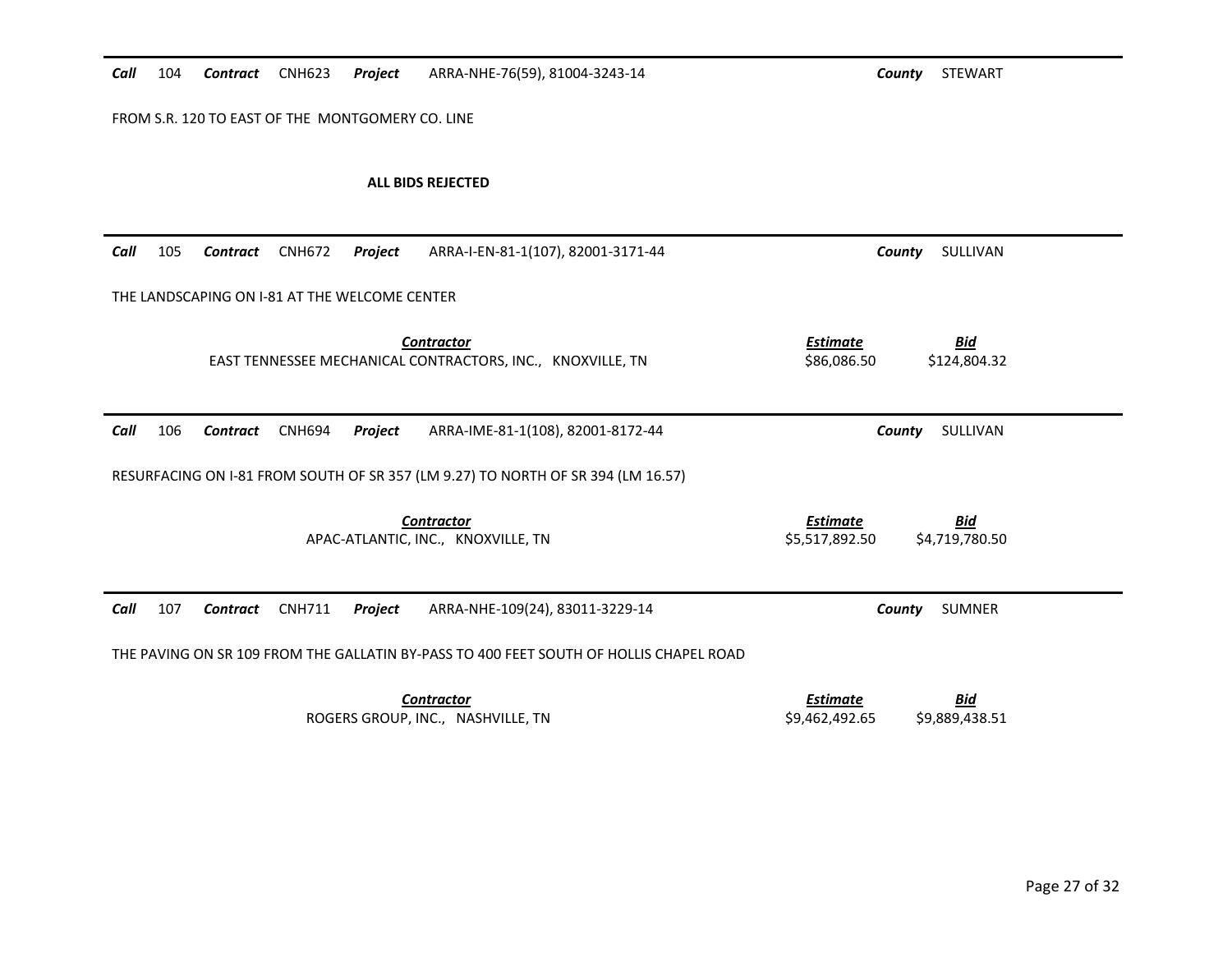| Call                                             | 104 | Contract                                      | <b>CNH623</b> | Project | ARRA-NHE-76(59), 81004-3243-14                                                         |                                   | <b>STEWART</b><br>County     |
|--------------------------------------------------|-----|-----------------------------------------------|---------------|---------|----------------------------------------------------------------------------------------|-----------------------------------|------------------------------|
| FROM S.R. 120 TO EAST OF THE MONTGOMERY CO. LINE |     |                                               |               |         |                                                                                        |                                   |                              |
|                                                  |     |                                               |               |         | ALL BIDS REJECTED                                                                      |                                   |                              |
| Call                                             | 105 | Contract                                      | <b>CNH672</b> | Project | ARRA-I-EN-81-1(107), 82001-3171-44                                                     |                                   | SULLIVAN<br>County           |
|                                                  |     | THE LANDSCAPING ON I-81 AT THE WELCOME CENTER |               |         |                                                                                        |                                   |                              |
|                                                  |     |                                               |               |         | <b>Contractor</b><br>EAST TENNESSEE MECHANICAL CONTRACTORS, INC., KNOXVILLE, TN        | <b>Estimate</b><br>\$86,086.50    | <b>Bid</b><br>\$124,804.32   |
| Call                                             | 106 | Contract                                      | <b>CNH694</b> | Project | ARRA-IME-81-1(108), 82001-8172-44                                                      |                                   | SULLIVAN<br>County           |
|                                                  |     |                                               |               |         | RESURFACING ON I-81 FROM SOUTH OF SR 357 (LM 9.27) TO NORTH OF SR 394 (LM 16.57)       |                                   |                              |
|                                                  |     |                                               |               |         | <b>Contractor</b><br>APAC-ATLANTIC, INC., KNOXVILLE, TN                                | <b>Estimate</b><br>\$5,517,892.50 | <b>Bid</b><br>\$4,719,780.50 |
| Call                                             | 107 | <b>Contract</b>                               | <b>CNH711</b> | Project | ARRA-NHE-109(24), 83011-3229-14                                                        |                                   | County<br>SUMNER             |
|                                                  |     |                                               |               |         | THE PAVING ON SR 109 FROM THE GALLATIN BY-PASS TO 400 FEET SOUTH OF HOLLIS CHAPEL ROAD |                                   |                              |
|                                                  |     |                                               |               |         | <b>Contractor</b><br>ROGERS GROUP, INC., NASHVILLE, TN                                 | <b>Estimate</b><br>\$9,462,492.65 | <u>Bid</u><br>\$9,889,438.51 |
|                                                  |     |                                               |               |         |                                                                                        |                                   |                              |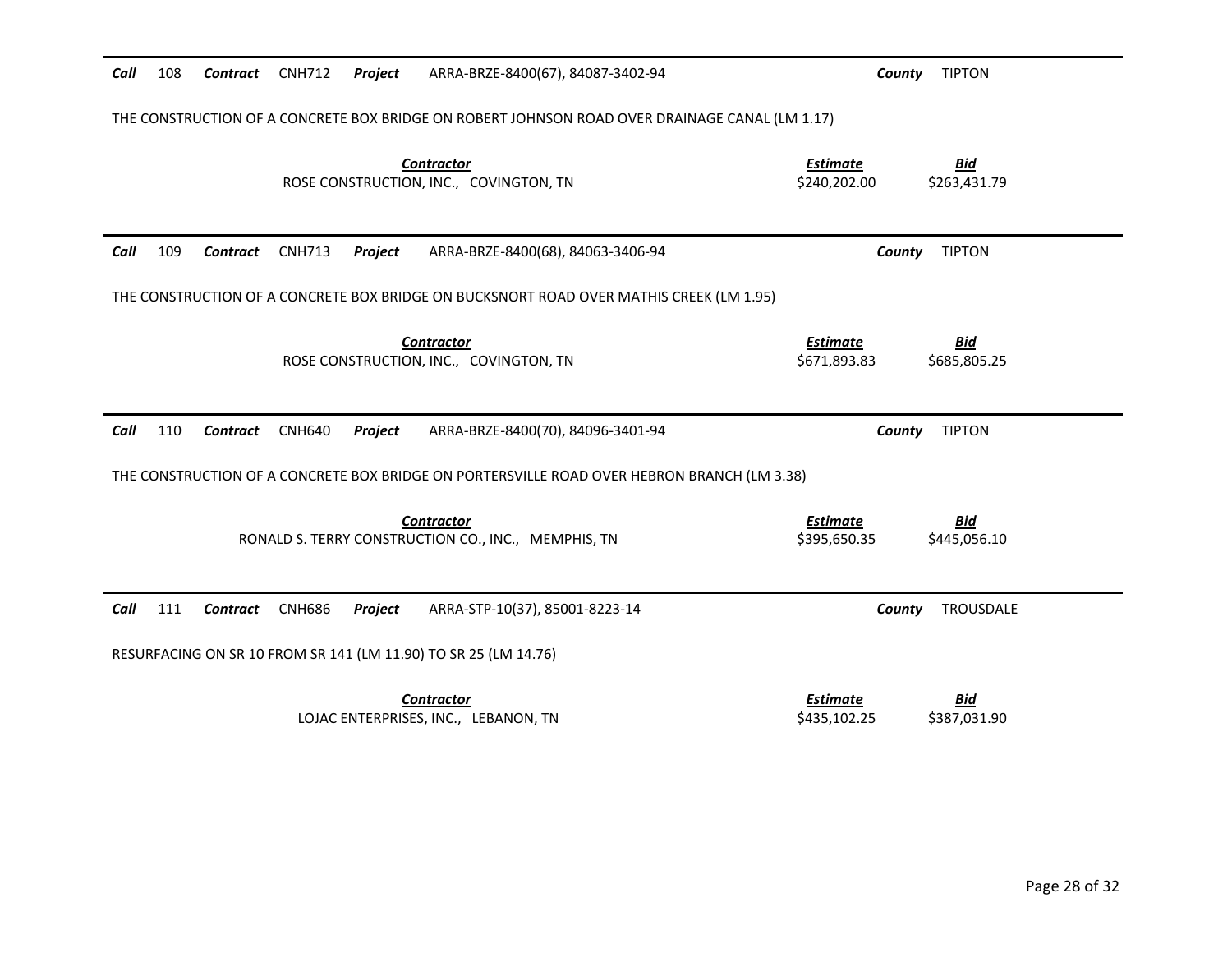| Call | 108                                                                                            | Contract        | CNH712        | Project | ARRA-BRZE-8400(67), 84087-3402-94                                                           | County                          | <b>TIPTON</b>              |
|------|------------------------------------------------------------------------------------------------|-----------------|---------------|---------|---------------------------------------------------------------------------------------------|---------------------------------|----------------------------|
|      | THE CONSTRUCTION OF A CONCRETE BOX BRIDGE ON ROBERT JOHNSON ROAD OVER DRAINAGE CANAL (LM 1.17) |                 |               |         |                                                                                             |                                 |                            |
|      |                                                                                                |                 |               |         | <b>Contractor</b><br>ROSE CONSTRUCTION, INC., COVINGTON, TN                                 | <b>Estimate</b><br>\$240,202.00 | <b>Bid</b><br>\$263,431.79 |
| Call | 109                                                                                            | <b>Contract</b> | <b>CNH713</b> | Project | ARRA-BRZE-8400(68), 84063-3406-94                                                           | County                          | <b>TIPTON</b>              |
|      |                                                                                                |                 |               |         | THE CONSTRUCTION OF A CONCRETE BOX BRIDGE ON BUCKSNORT ROAD OVER MATHIS CREEK (LM 1.95)     |                                 |                            |
|      |                                                                                                |                 |               |         | <b>Contractor</b><br>ROSE CONSTRUCTION, INC., COVINGTON, TN                                 | <b>Estimate</b><br>\$671,893.83 | <b>Bid</b><br>\$685,805.25 |
| Call | 110                                                                                            | <b>Contract</b> | <b>CNH640</b> | Project | ARRA-BRZE-8400(70), 84096-3401-94                                                           | County                          | <b>TIPTON</b>              |
|      |                                                                                                |                 |               |         |                                                                                             |                                 |                            |
|      |                                                                                                |                 |               |         | THE CONSTRUCTION OF A CONCRETE BOX BRIDGE ON PORTERSVILLE ROAD OVER HEBRON BRANCH (LM 3.38) |                                 |                            |
|      |                                                                                                |                 |               |         | <b>Contractor</b><br>RONALD S. TERRY CONSTRUCTION CO., INC., MEMPHIS, TN                    | <b>Estimate</b><br>\$395,650.35 | <b>Bid</b><br>\$445,056.10 |
| Call | 111                                                                                            | <b>Contract</b> | <b>CNH686</b> | Project | ARRA-STP-10(37), 85001-8223-14                                                              | County                          | TROUSDALE                  |
|      |                                                                                                |                 |               |         | RESURFACING ON SR 10 FROM SR 141 (LM 11.90) TO SR 25 (LM 14.76)                             |                                 |                            |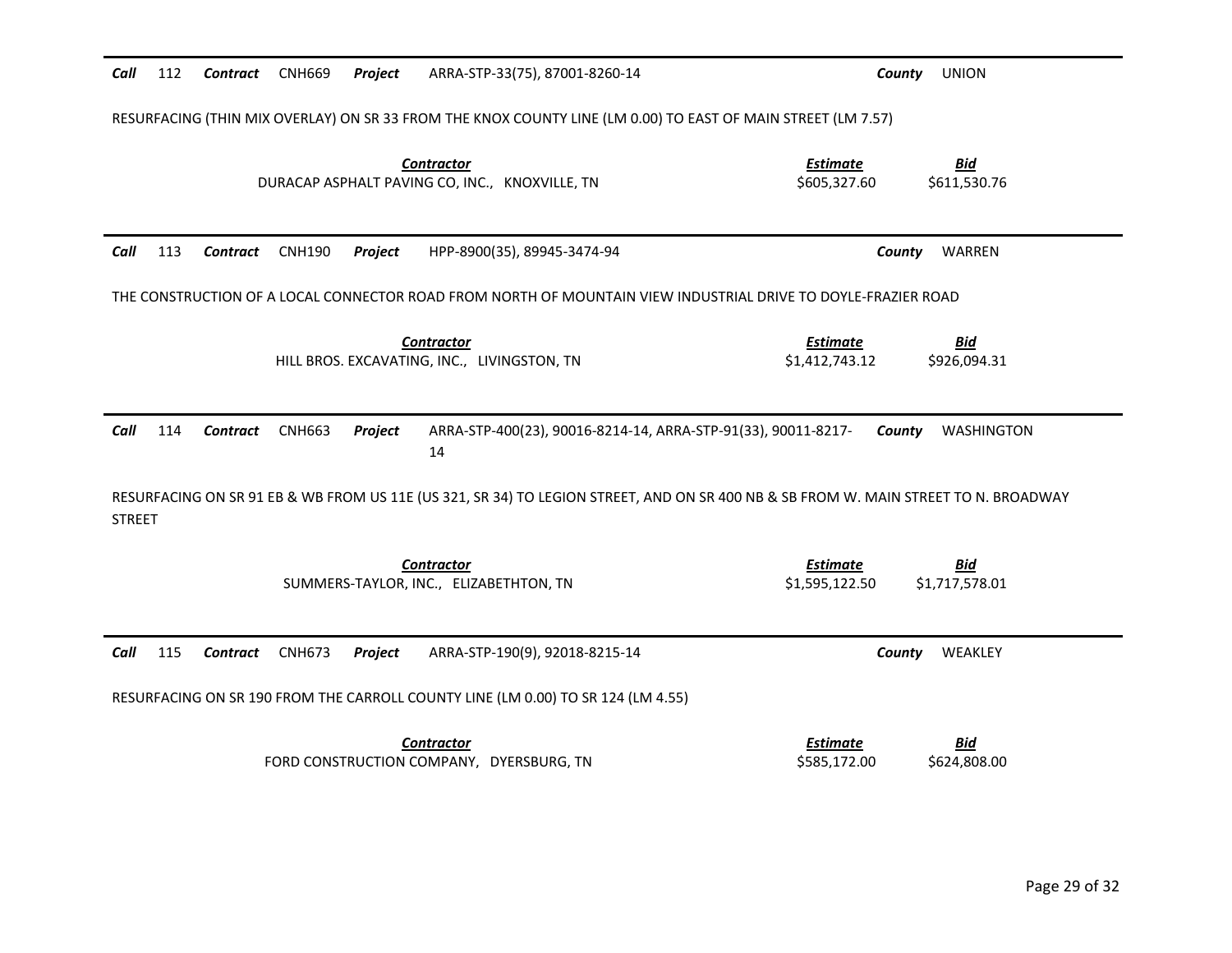| Call                                                                                                          | 112 | <b>Contract</b> | <b>CNH669</b> | Project | ARRA-STP-33(75), 87001-8260-14                                                                               | <b>UNION</b><br>County                                                                                                              |
|---------------------------------------------------------------------------------------------------------------|-----|-----------------|---------------|---------|--------------------------------------------------------------------------------------------------------------|-------------------------------------------------------------------------------------------------------------------------------------|
|                                                                                                               |     |                 |               |         | RESURFACING (THIN MIX OVERLAY) ON SR 33 FROM THE KNOX COUNTY LINE (LM 0.00) TO EAST OF MAIN STREET (LM 7.57) |                                                                                                                                     |
|                                                                                                               |     |                 |               |         | <b>Contractor</b><br>DURACAP ASPHALT PAVING CO, INC., KNOXVILLE, TN                                          | <b>Estimate</b><br><b>Bid</b><br>\$605,327.60<br>\$611,530.76                                                                       |
| Call                                                                                                          | 113 | Contract        | <b>CNH190</b> | Project | HPP-8900(35), 89945-3474-94                                                                                  | County<br>WARREN                                                                                                                    |
| THE CONSTRUCTION OF A LOCAL CONNECTOR ROAD FROM NORTH OF MOUNTAIN VIEW INDUSTRIAL DRIVE TO DOYLE-FRAZIER ROAD |     |                 |               |         |                                                                                                              |                                                                                                                                     |
|                                                                                                               |     |                 |               |         | <b>Contractor</b><br>HILL BROS. EXCAVATING, INC., LIVINGSTON, TN                                             | <b>Estimate</b><br><u>Bid</u><br>\$1,412,743.12<br>\$926,094.31                                                                     |
| Call                                                                                                          | 114 | <b>Contract</b> | <b>CNH663</b> | Project | ARRA-STP-400(23), 90016-8214-14, ARRA-STP-91(33), 90011-8217-<br>14                                          | WASHINGTON<br>County                                                                                                                |
| <b>STREET</b>                                                                                                 |     |                 |               |         |                                                                                                              | RESURFACING ON SR 91 EB & WB FROM US 11E (US 321, SR 34) TO LEGION STREET, AND ON SR 400 NB & SB FROM W. MAIN STREET TO N. BROADWAY |
|                                                                                                               |     |                 |               |         | <b>Contractor</b><br>SUMMERS-TAYLOR, INC., ELIZABETHTON, TN                                                  | <b>Estimate</b><br><b>Bid</b><br>\$1,717,578.01<br>\$1,595,122.50                                                                   |
| Call                                                                                                          | 115 | <b>Contract</b> | <b>CNH673</b> | Project | ARRA-STP-190(9), 92018-8215-14                                                                               | County<br>WEAKLEY                                                                                                                   |
|                                                                                                               |     |                 |               |         | RESURFACING ON SR 190 FROM THE CARROLL COUNTY LINE (LM 0.00) TO SR 124 (LM 4.55)                             |                                                                                                                                     |
|                                                                                                               |     |                 |               |         | <b>Contractor</b><br>FORD CONSTRUCTION COMPANY, DYERSBURG, TN                                                | <b>Estimate</b><br><b>Bid</b><br>\$585,172.00<br>\$624,808.00                                                                       |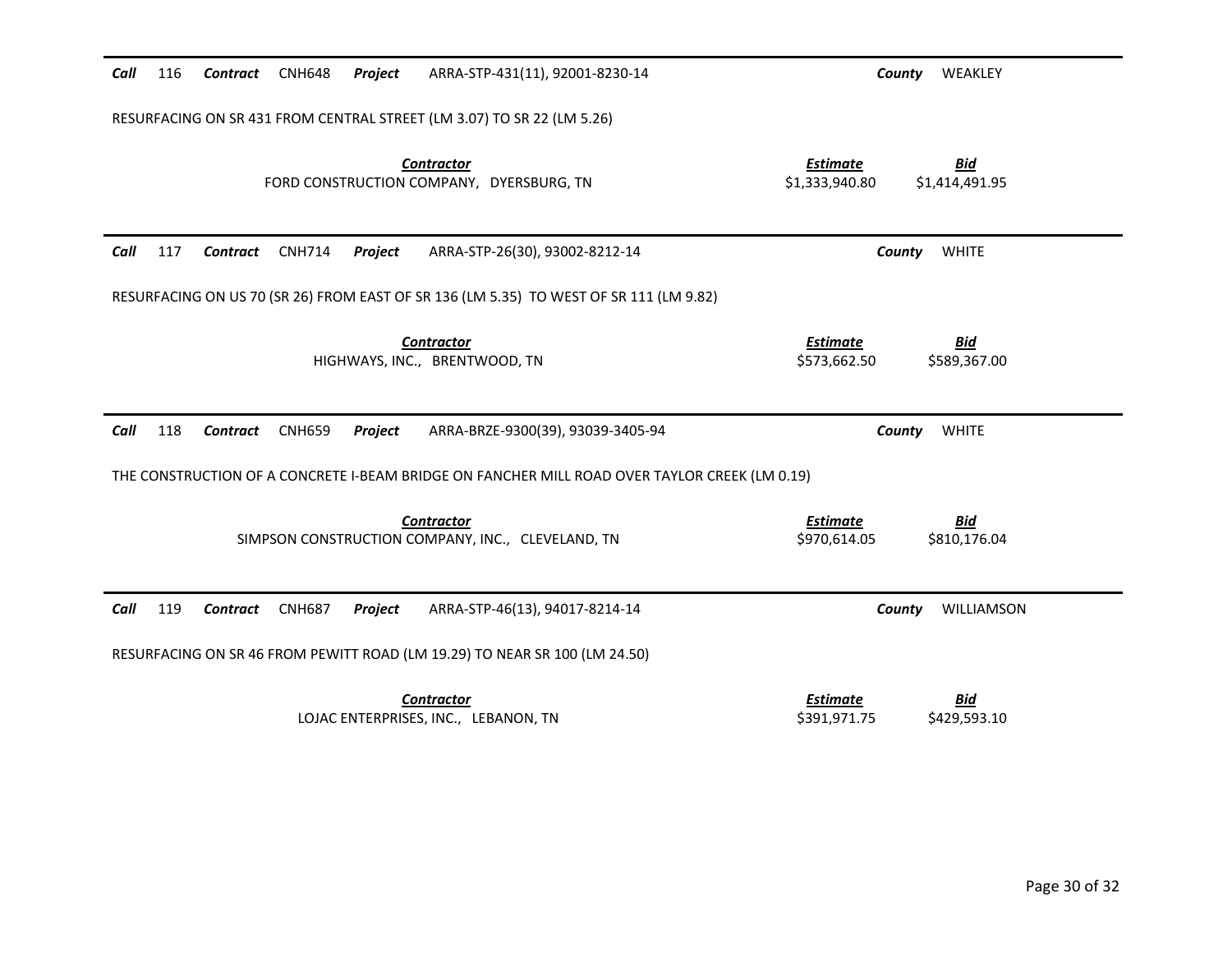| Call<br>116<br>Contract<br><b>CNH648</b><br>Project<br>ARRA-STP-431(11), 92001-8230-14        | WEAKLEY<br>County                                                 |
|-----------------------------------------------------------------------------------------------|-------------------------------------------------------------------|
| RESURFACING ON SR 431 FROM CENTRAL STREET (LM 3.07) TO SR 22 (LM 5.26)                        |                                                                   |
| <b>Contractor</b><br>FORD CONSTRUCTION COMPANY, DYERSBURG, TN                                 | <b>Estimate</b><br><b>Bid</b><br>\$1,333,940.80<br>\$1,414,491.95 |
| 117<br>Call<br><b>CNH714</b><br>Contract<br>Project<br>ARRA-STP-26(30), 93002-8212-14         | <b>WHITE</b><br>County                                            |
| RESURFACING ON US 70 (SR 26) FROM EAST OF SR 136 (LM 5.35) TO WEST OF SR 111 (LM 9.82)        |                                                                   |
| <b>Contractor</b><br>HIGHWAYS, INC., BRENTWOOD, TN                                            | <b>Estimate</b><br><b>Bid</b><br>\$573,662.50<br>\$589,367.00     |
| Call<br>118<br>Contract<br><b>CNH659</b><br>Project<br>ARRA-BRZE-9300(39), 93039-3405-94      | County<br><b>WHITE</b>                                            |
| THE CONSTRUCTION OF A CONCRETE I-BEAM BRIDGE ON FANCHER MILL ROAD OVER TAYLOR CREEK (LM 0.19) |                                                                   |
| <b>Contractor</b>                                                                             | <b>Estimate</b><br><b>Bid</b>                                     |
| SIMPSON CONSTRUCTION COMPANY, INC., CLEVELAND, TN                                             | \$970,614.05<br>\$810,176.04                                      |
| Call<br>119<br><b>Contract</b><br><b>CNH687</b><br>Project<br>ARRA-STP-46(13), 94017-8214-14  | County<br>WILLIAMSON                                              |
| RESURFACING ON SR 46 FROM PEWITT ROAD (LM 19.29) TO NEAR SR 100 (LM 24.50)                    |                                                                   |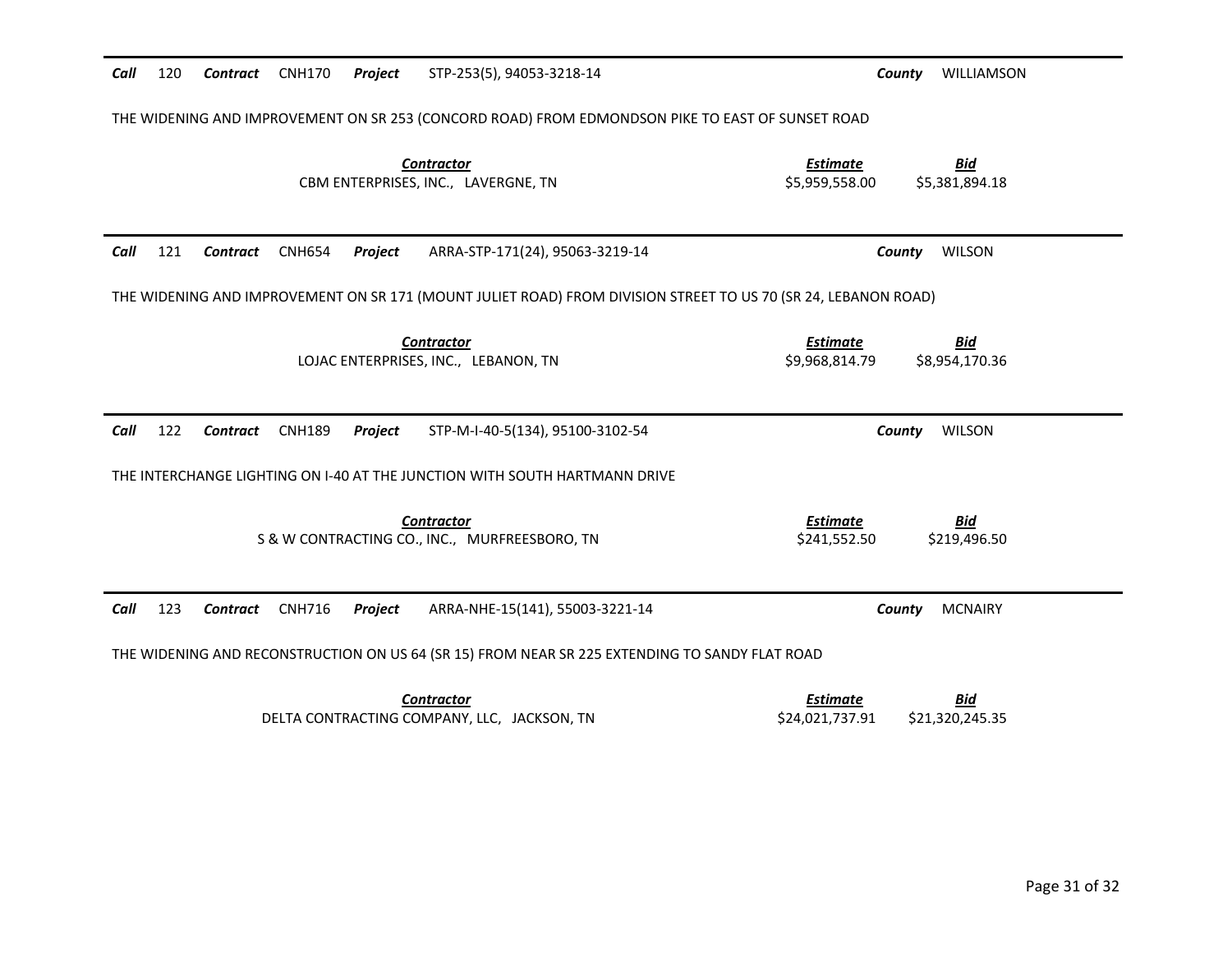| Call                                                                                                           | 120 | Contract        | <b>CNH170</b> | Project | STP-253(5), 94053-3218-14                                                                        | County                             | WILLIAMSON                    |
|----------------------------------------------------------------------------------------------------------------|-----|-----------------|---------------|---------|--------------------------------------------------------------------------------------------------|------------------------------------|-------------------------------|
|                                                                                                                |     |                 |               |         | THE WIDENING AND IMPROVEMENT ON SR 253 (CONCORD ROAD) FROM EDMONDSON PIKE TO EAST OF SUNSET ROAD |                                    |                               |
|                                                                                                                |     |                 |               |         | <b>Contractor</b><br>CBM ENTERPRISES, INC., LAVERGNE, TN                                         | <b>Estimate</b><br>\$5,959,558.00  | <b>Bid</b><br>\$5,381,894.18  |
| Call                                                                                                           | 121 | Contract        | <b>CNH654</b> | Project | ARRA-STP-171(24), 95063-3219-14                                                                  | County                             | <b>WILSON</b>                 |
| THE WIDENING AND IMPROVEMENT ON SR 171 (MOUNT JULIET ROAD) FROM DIVISION STREET TO US 70 (SR 24, LEBANON ROAD) |     |                 |               |         |                                                                                                  |                                    |                               |
|                                                                                                                |     |                 |               |         | <b>Contractor</b><br>LOJAC ENTERPRISES, INC., LEBANON, TN                                        | <b>Estimate</b><br>\$9,968,814.79  | <u>Bid</u><br>\$8,954,170.36  |
| Call                                                                                                           | 122 | Contract        | <b>CNH189</b> | Project | STP-M-I-40-5(134), 95100-3102-54                                                                 | County                             | <b>WILSON</b>                 |
|                                                                                                                |     |                 |               |         | THE INTERCHANGE LIGHTING ON I-40 AT THE JUNCTION WITH SOUTH HARTMANN DRIVE                       |                                    |                               |
|                                                                                                                |     |                 |               |         | <b>Contractor</b><br>S & W CONTRACTING CO., INC., MURFREESBORO, TN                               | <b>Estimate</b><br>\$241,552.50    | <b>Bid</b><br>\$219,496.50    |
| Call                                                                                                           | 123 | Contract CNH716 |               | Project | ARRA-NHE-15(141), 55003-3221-14                                                                  | County                             | <b>MCNAIRY</b>                |
|                                                                                                                |     |                 |               |         | THE WIDENING AND RECONSTRUCTION ON US 64 (SR 15) FROM NEAR SR 225 EXTENDING TO SANDY FLAT ROAD   |                                    |                               |
|                                                                                                                |     |                 |               |         | <b>Contractor</b><br>DELTA CONTRACTING COMPANY, LLC, JACKSON, TN                                 | <b>Estimate</b><br>\$24,021,737.91 | <b>Bid</b><br>\$21,320,245.35 |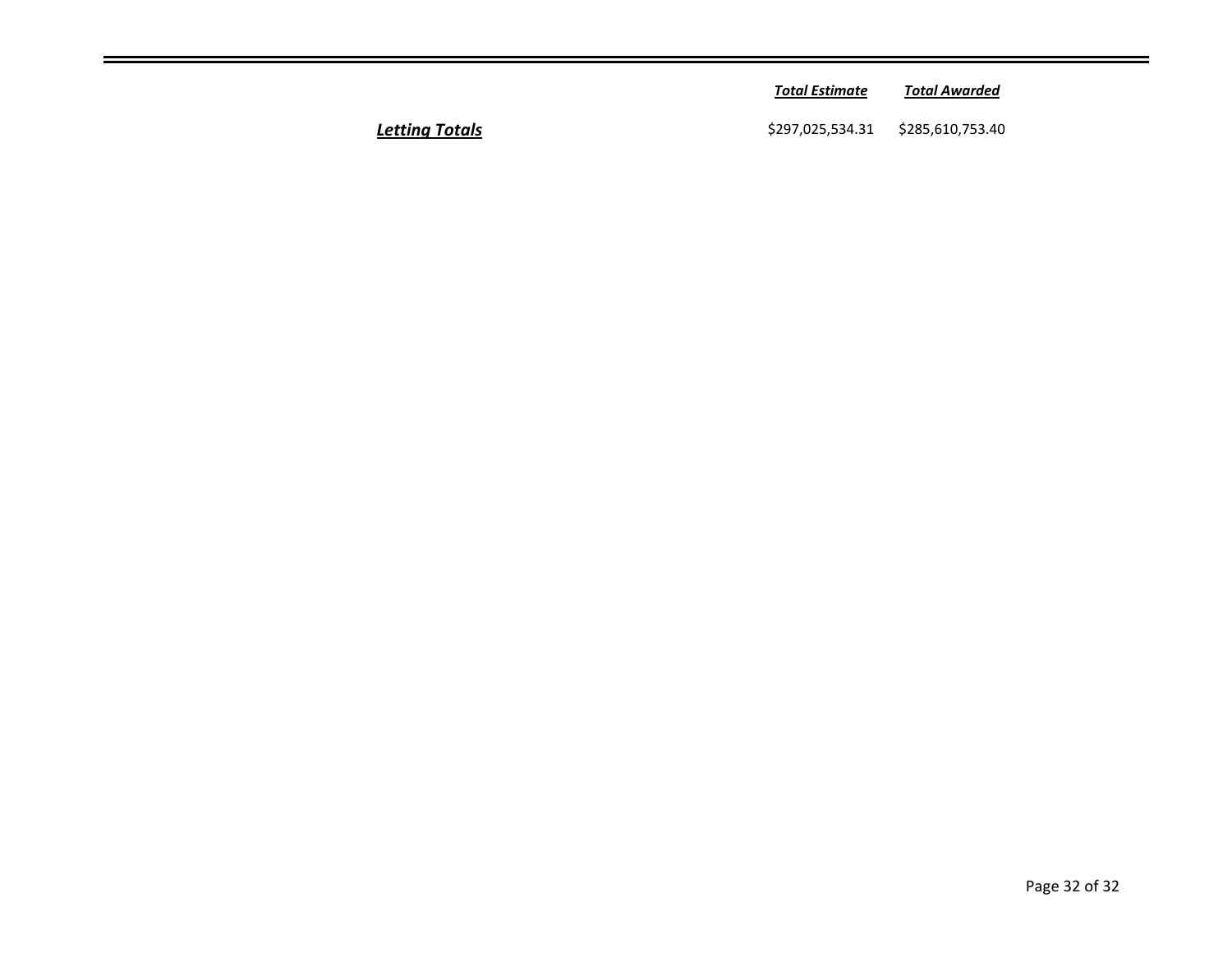|        | <b>Total Estimate</b>             | Total Awarded |  |
|--------|-----------------------------------|---------------|--|
| Totals | \$297,025,534.31 \$285,610,753.40 |               |  |

**Letting Totals**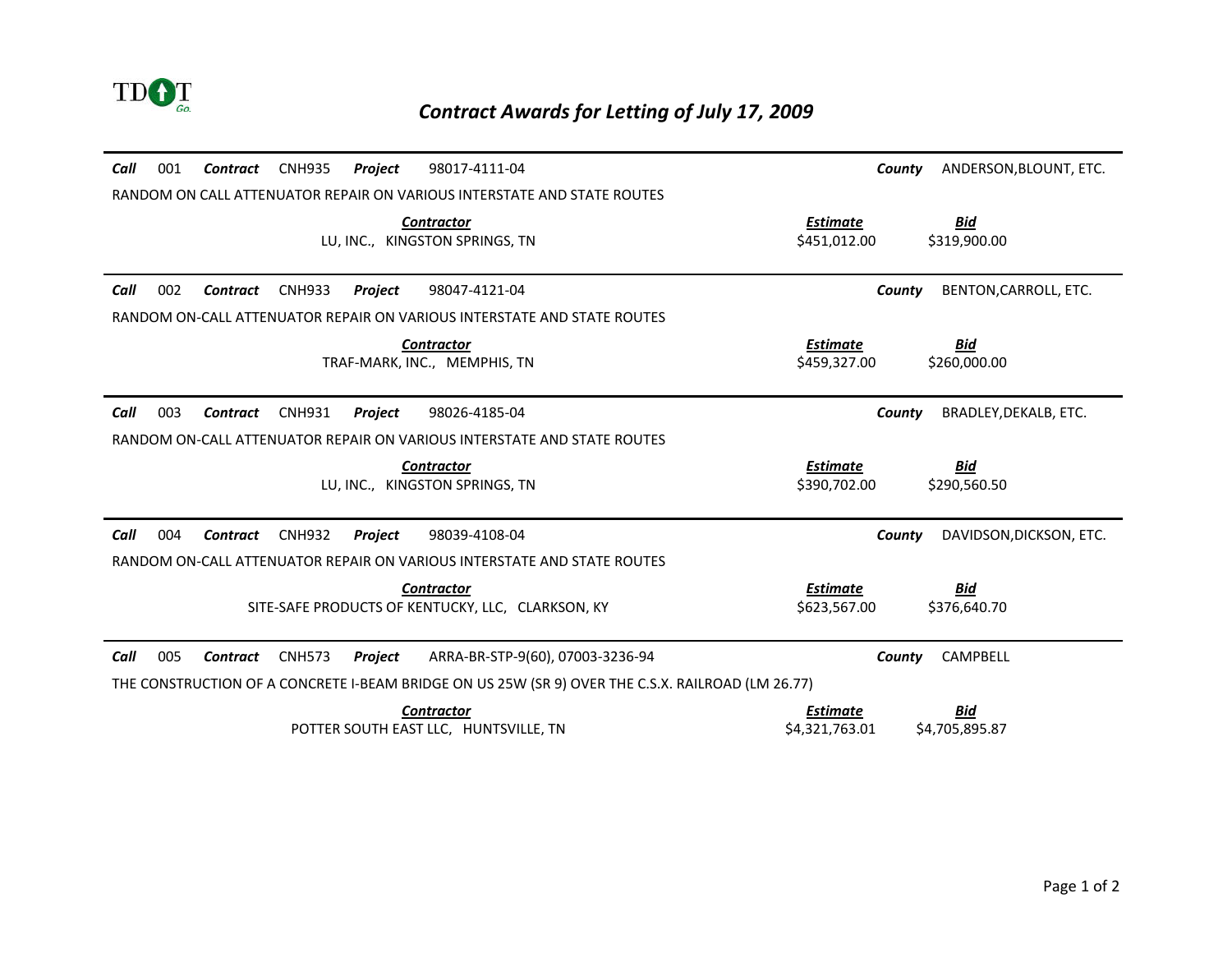

| 001<br><b>CNH935</b><br>98017-4111-04<br>Call<br>Contract<br>Project                              | ANDERSON, BLOUNT, ETC.<br>County  |
|---------------------------------------------------------------------------------------------------|-----------------------------------|
| RANDOM ON CALL ATTENUATOR REPAIR ON VARIOUS INTERSTATE AND STATE ROUTES                           |                                   |
| <b>Contractor</b>                                                                                 | <u>Estimate</u><br><u>Bid</u>     |
| LU, INC., KINGSTON SPRINGS, TN                                                                    | \$451,012.00<br>\$319,900.00      |
| 002<br><b>CNH933</b><br>Call<br><b>Contract</b><br>Project<br>98047-4121-04                       | BENTON, CARROLL, ETC.<br>County   |
| RANDOM ON-CALL ATTENUATOR REPAIR ON VARIOUS INTERSTATE AND STATE ROUTES                           |                                   |
| <b>Contractor</b>                                                                                 | Estimate<br><u>Bid</u>            |
| TRAF-MARK, INC., MEMPHIS, TN                                                                      | \$459.327.00<br>\$260,000.00      |
|                                                                                                   |                                   |
| Call<br>003<br><b>CNH931</b><br>Project<br>98026-4185-04<br><b>Contract</b>                       | BRADLEY, DEKALB, ETC.<br>County   |
| RANDOM ON-CALL ATTENUATOR REPAIR ON VARIOUS INTERSTATE AND STATE ROUTES                           |                                   |
| <b>Contractor</b>                                                                                 | Estimate<br><u>Bid</u>            |
| LU, INC., KINGSTON SPRINGS, TN                                                                    | \$390.702.00<br>\$290,560.50      |
|                                                                                                   |                                   |
| 004<br>Call<br><b>CNH932</b><br>Project<br>98039-4108-04<br><b>Contract</b>                       | DAVIDSON, DICKSON, ETC.<br>County |
| RANDOM ON-CALL ATTENUATOR REPAIR ON VARIOUS INTERSTATE AND STATE ROUTES                           |                                   |
| <b>Contractor</b>                                                                                 | <b>Bid</b><br><b>Estimate</b>     |
| SITE-SAFE PRODUCTS OF KENTUCKY, LLC, CLARKSON, KY                                                 | \$623,567.00<br>\$376,640.70      |
|                                                                                                   |                                   |
| 005<br>Call<br><b>CNH573</b><br>ARRA-BR-STP-9(60), 07003-3236-94<br>Contract<br>Project           | <b>CAMPBELL</b><br>County         |
| THE CONSTRUCTION OF A CONCRETE I-BEAM BRIDGE ON US 25W (SR 9) OVER THE C.S.X. RAILROAD (LM 26.77) |                                   |
| <b>Contractor</b>                                                                                 | <b>Bid</b><br><b>Estimate</b>     |
| POTTER SOUTH EAST LLC. HUNTSVILLE, TN                                                             | \$4.321.763.01<br>\$4.705.895.87  |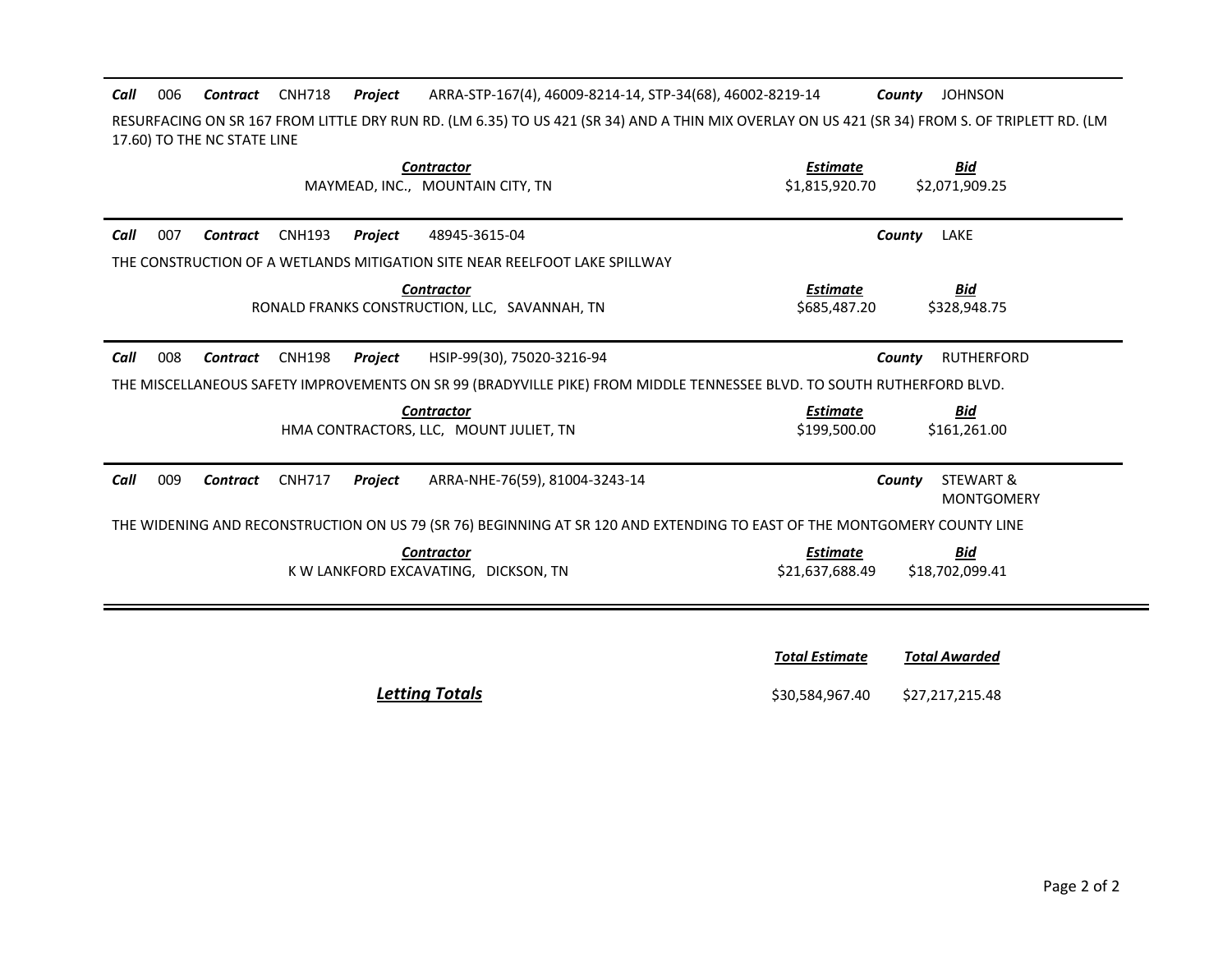**Call** 006 **Contract** CNH718 **Project** 006 *Contract* CNH718 *Project* ARRA-STP-167(4), 46009-8214-14, STP-34(68), 46002-8219-14 *County* JOHNSON

RESURFACING ON SR 167 FROM LITTLE DRY RUN RD. (LM 6.35) TO US 421 (SR 34) AND A THIN MIX OVERLAY ON US 421 (SR 34) FROM S. OF TRIPLETT RD. (LM 17.60) TO THE NC STATE LINE

| <b>Contractor</b><br>MAYMEAD, INC., MOUNTAIN CITY, TN                                                                    | <b>Bid</b><br><b>Estimate</b><br>\$2,071,909.25<br>\$1,815,920.70   |
|--------------------------------------------------------------------------------------------------------------------------|---------------------------------------------------------------------|
| 007<br>Call<br><b>CNH193</b><br>48945-3615-04<br>Contract<br>Project                                                     | LAKE<br>County                                                      |
| THE CONSTRUCTION OF A WETLANDS MITIGATION SITE NEAR REELFOOT LAKE SPILLWAY                                               |                                                                     |
| <b>Contractor</b><br>RONALD FRANKS CONSTRUCTION, LLC, SAVANNAH, TN                                                       | <u>Estimate</u><br><u>Bid</u><br>\$685,487.20<br>\$328,948.75       |
| 008<br><b>CNH198</b><br>HSIP-99(30), 75020-3216-94<br>Call<br>Project<br>Contract                                        | <b>RUTHERFORD</b><br>County                                         |
| THE MISCELLANEOUS SAFETY IMPROVEMENTS ON SR 99 (BRADYVILLE PIKE) FROM MIDDLE TENNESSEE BLVD. TO SOUTH RUTHERFORD BLVD.   |                                                                     |
| <b>Contractor</b><br>HMA CONTRACTORS, LLC, MOUNT JULIET, TN                                                              | <b>Bid</b><br><b>Estimate</b><br>\$161,261.00<br>\$199,500.00       |
| 009<br>Call<br><b>CNH717</b><br>ARRA-NHE-76(59), 81004-3243-14<br>Contract<br>Project                                    | STEWART &<br>County<br><b>MONTGOMERY</b>                            |
| THE WIDENING AND RECONSTRUCTION ON US 79 (SR 76) BEGINNING AT SR 120 AND EXTENDING TO EAST OF THE MONTGOMERY COUNTY LINE |                                                                     |
| <b>Contractor</b><br>K W LANKFORD EXCAVATING. DICKSON. TN                                                                | <b>Bid</b><br><b>Estimate</b><br>\$18,702,099.41<br>\$21.637.688.49 |
|                                                                                                                          |                                                                     |

|               | <b>Total Estimate</b> | <b>Total Awarded</b> |
|---------------|-----------------------|----------------------|
| <b>Totals</b> | \$30,584,967.40       | \$27,217,215.48      |

**Letting Totals**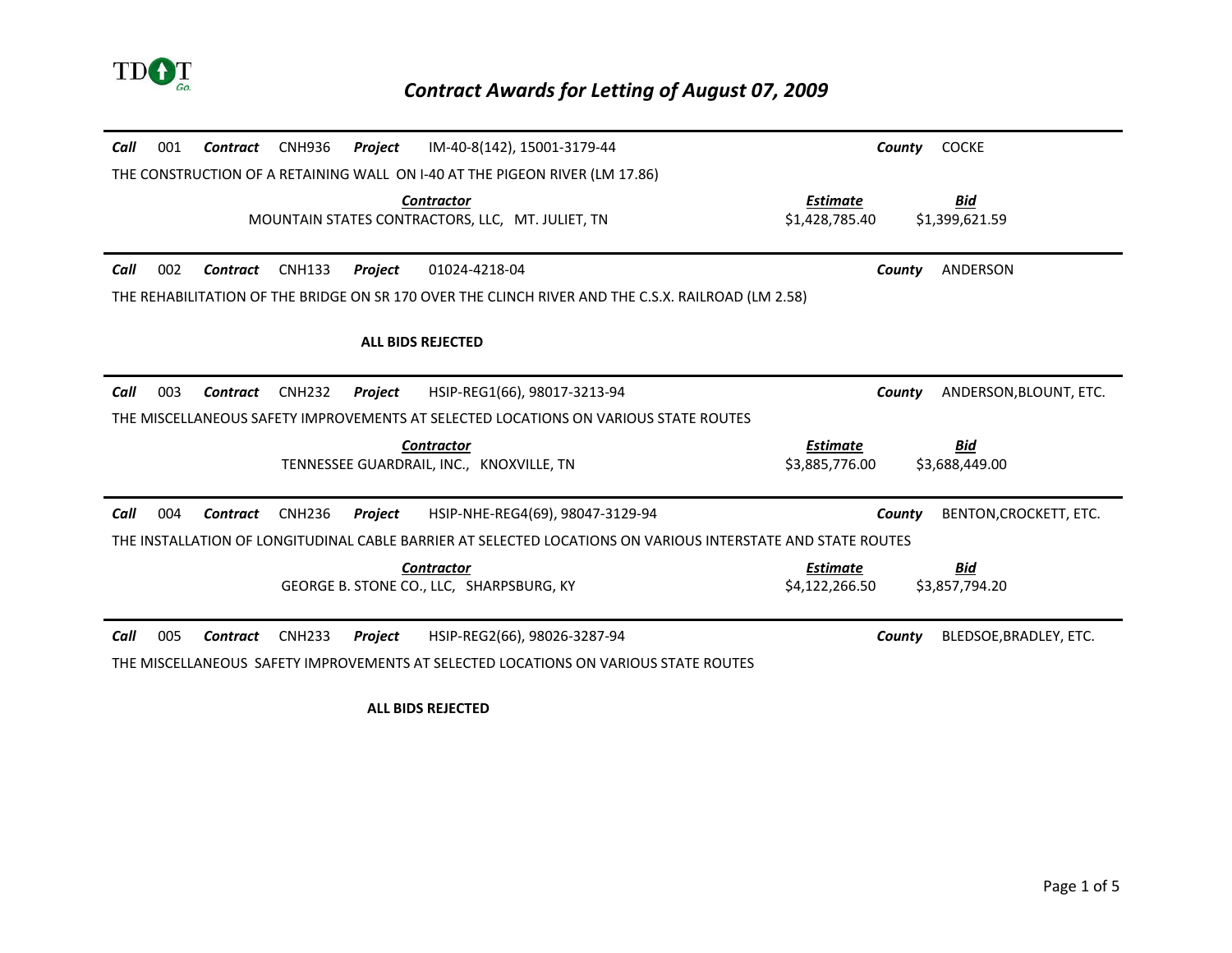

| Call<br>001<br><b>CNH936</b><br>IM-40-8(142), 15001-3179-44<br>Contract<br>Project                          | <b>COCKE</b><br>County           |
|-------------------------------------------------------------------------------------------------------------|----------------------------------|
| THE CONSTRUCTION OF A RETAINING WALL ON I-40 AT THE PIGEON RIVER (LM 17.86)                                 |                                  |
| <b>Contractor</b>                                                                                           | <b>Estimate</b><br><u>Bid</u>    |
| MOUNTAIN STATES CONTRACTORS, LLC, MT. JULIET, TN                                                            | \$1,428,785.40<br>\$1,399,621.59 |
|                                                                                                             |                                  |
| Call<br>002<br><b>CNH133</b><br>Project<br>01024-4218-04<br>Contract                                        | ANDERSON<br>County               |
| THE REHABILITATION OF THE BRIDGE ON SR 170 OVER THE CLINCH RIVER AND THE C.S.X. RAILROAD (LM 2.58)          |                                  |
|                                                                                                             |                                  |
| <b>ALL BIDS REJECTED</b>                                                                                    |                                  |
|                                                                                                             |                                  |
| 003<br>Call<br><b>CNH232</b><br>HSIP-REG1(66), 98017-3213-94<br>Project<br>Contract                         | ANDERSON, BLOUNT, ETC.<br>County |
| THE MISCELLANEOUS SAFETY IMPROVEMENTS AT SELECTED LOCATIONS ON VARIOUS STATE ROUTES                         |                                  |
| <b>Contractor</b>                                                                                           | <b>Estimate</b><br><u>Bid</u>    |
| TENNESSEE GUARDRAIL, INC., KNOXVILLE, TN                                                                    | \$3,885,776.00<br>\$3,688,449.00 |
|                                                                                                             |                                  |
| Call<br>004<br>HSIP-NHE-REG4(69), 98047-3129-94<br><b>CNH236</b><br>Project<br>Contract                     | BENTON, CROCKETT, ETC.<br>County |
| THE INSTALLATION OF LONGITUDINAL CABLE BARRIER AT SELECTED LOCATIONS ON VARIOUS INTERSTATE AND STATE ROUTES |                                  |
| <b>Contractor</b>                                                                                           | Bid<br><b>Estimate</b>           |
| GEORGE B. STONE CO., LLC, SHARPSBURG, KY                                                                    | \$4,122,266.50<br>\$3,857,794.20 |
|                                                                                                             |                                  |
| Call<br>005<br><b>CNH233</b><br>HSIP-REG2(66), 98026-3287-94<br>Contract<br>Project                         | BLEDSOE, BRADLEY, ETC.<br>County |
| THE MISCELLANEOUS SAFETY IMPROVEMENTS AT SELECTED LOCATIONS ON VARIOUS STATE ROUTES                         |                                  |

**ALL BIDS REJECTED**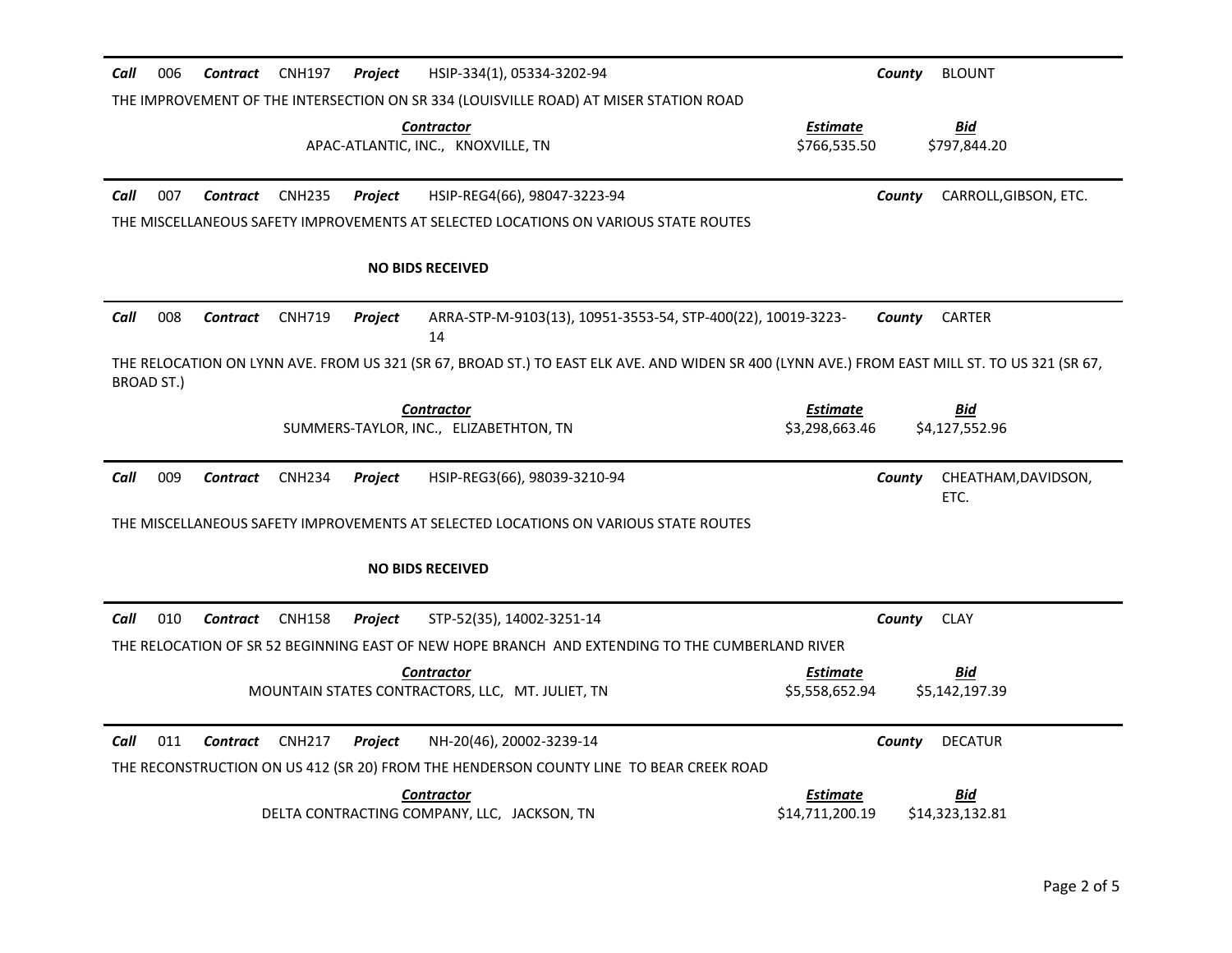| Call | 006                                                                                                                                                         | <b>Contract</b> | <b>CNH197</b> | <b>Project</b> | HSIP-334(1), 05334-3202-94                                                                      |                                    | County | <b>BLOUNT</b>               |
|------|-------------------------------------------------------------------------------------------------------------------------------------------------------------|-----------------|---------------|----------------|-------------------------------------------------------------------------------------------------|------------------------------------|--------|-----------------------------|
|      |                                                                                                                                                             |                 |               |                | THE IMPROVEMENT OF THE INTERSECTION ON SR 334 (LOUISVILLE ROAD) AT MISER STATION ROAD           |                                    |        |                             |
|      |                                                                                                                                                             |                 |               |                | Contractor<br>APAC-ATLANTIC, INC., KNOXVILLE, TN                                                | <b>Estimate</b><br>\$766,535.50    |        | <b>Bid</b><br>\$797,844.20  |
| Call | 007                                                                                                                                                         | Contract        | <b>CNH235</b> | <b>Project</b> | HSIP-REG4(66), 98047-3223-94                                                                    |                                    | County | CARROLL, GIBSON, ETC.       |
|      |                                                                                                                                                             |                 |               |                | THE MISCELLANEOUS SAFETY IMPROVEMENTS AT SELECTED LOCATIONS ON VARIOUS STATE ROUTES             |                                    |        |                             |
|      |                                                                                                                                                             |                 |               |                | <b>NO BIDS RECEIVED</b>                                                                         |                                    |        |                             |
| Call | 008                                                                                                                                                         | <b>Contract</b> | <b>CNH719</b> | Project        | ARRA-STP-M-9103(13), 10951-3553-54, STP-400(22), 10019-3223-<br>14                              |                                    | County | <b>CARTER</b>               |
|      | THE RELOCATION ON LYNN AVE. FROM US 321 (SR 67, BROAD ST.) TO EAST ELK AVE. AND WIDEN SR 400 (LYNN AVE.) FROM EAST MILL ST. TO US 321 (SR 67,<br>BROAD ST.) |                 |               |                |                                                                                                 |                                    |        |                             |
|      |                                                                                                                                                             |                 |               |                | <b>Contractor</b><br>SUMMERS-TAYLOR, INC., ELIZABETHTON, TN                                     | <b>Estimate</b><br>\$3.298.663.46  |        | Bid<br>\$4,127,552.96       |
| Call | 009                                                                                                                                                         | <b>Contract</b> | <b>CNH234</b> | Project        | HSIP-REG3(66), 98039-3210-94                                                                    |                                    | County | CHEATHAM, DAVIDSON,<br>ETC. |
|      |                                                                                                                                                             |                 |               |                | THE MISCELLANEOUS SAFETY IMPROVEMENTS AT SELECTED LOCATIONS ON VARIOUS STATE ROUTES             |                                    |        |                             |
|      |                                                                                                                                                             |                 |               |                | <b>NO BIDS RECEIVED</b>                                                                         |                                    |        |                             |
| Call | 010                                                                                                                                                         | Contract        | <b>CNH158</b> | <b>Project</b> | STP-52(35), 14002-3251-14                                                                       |                                    | County | <b>CLAY</b>                 |
|      |                                                                                                                                                             |                 |               |                | THE RELOCATION OF SR 52 BEGINNING EAST OF NEW HOPE BRANCH AND EXTENDING TO THE CUMBERLAND RIVER |                                    |        |                             |
|      |                                                                                                                                                             |                 |               |                | <b>Contractor</b><br>MOUNTAIN STATES CONTRACTORS, LLC, MT. JULIET, TN                           | Estimate<br>\$5,558,652.94         |        | Bid<br>\$5,142,197.39       |
| Call | 011                                                                                                                                                         | Contract        | <b>CNH217</b> | <b>Project</b> | NH-20(46), 20002-3239-14                                                                        |                                    | County | <b>DECATUR</b>              |
|      |                                                                                                                                                             |                 |               |                | THE RECONSTRUCTION ON US 412 (SR 20) FROM THE HENDERSON COUNTY LINE TO BEAR CREEK ROAD          |                                    |        |                             |
|      |                                                                                                                                                             |                 |               |                | Contractor<br>DELTA CONTRACTING COMPANY, LLC, JACKSON, TN                                       | <b>Estimate</b><br>\$14,711,200.19 |        | Bid<br>\$14,323,132.81      |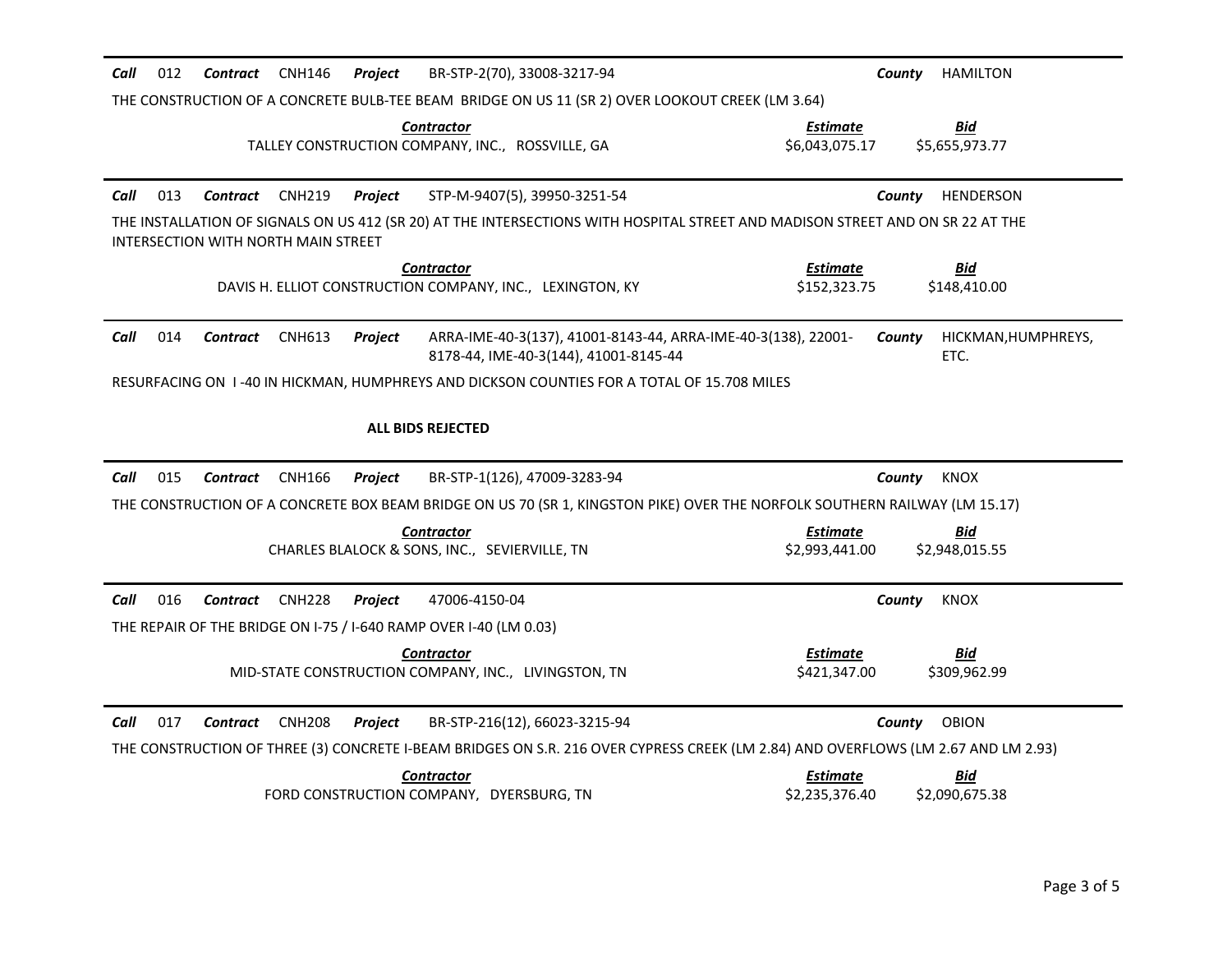| Call<br>012<br>Contract CNH146<br>Project<br>BR-STP-2(70), 33008-3217-94                                                                                              | HAMILTON<br>County                                                |  |  |  |
|-----------------------------------------------------------------------------------------------------------------------------------------------------------------------|-------------------------------------------------------------------|--|--|--|
| THE CONSTRUCTION OF A CONCRETE BULB-TEE BEAM BRIDGE ON US 11 (SR 2) OVER LOOKOUT CREEK (LM 3.64)                                                                      |                                                                   |  |  |  |
| <b>Contractor</b><br>TALLEY CONSTRUCTION COMPANY, INC., ROSSVILLE, GA                                                                                                 | Bid<br>Estimate<br>\$6,043,075.17<br>\$5,655,973.77               |  |  |  |
| Call<br>013<br>Contract CNH219<br>Project<br>STP-M-9407(5), 39950-3251-54                                                                                             | <b>HENDERSON</b><br>County                                        |  |  |  |
| THE INSTALLATION OF SIGNALS ON US 412 (SR 20) AT THE INTERSECTIONS WITH HOSPITAL STREET AND MADISON STREET AND ON SR 22 AT THE<br>INTERSECTION WITH NORTH MAIN STREET |                                                                   |  |  |  |
| <b>Contractor</b><br>DAVIS H. ELLIOT CONSTRUCTION COMPANY, INC., LEXINGTON, KY                                                                                        | <b>Estimate</b><br><u>Bid</u><br>\$152,323.75<br>\$148,410.00     |  |  |  |
| ARRA-IME-40-3(137), 41001-8143-44, ARRA-IME-40-3(138), 22001-<br>Call<br>014<br>Contract<br><b>CNH613</b><br>Project<br>8178-44, IME-40-3(144), 41001-8145-44         | County<br>HICKMAN, HUMPHREYS,<br>ETC.                             |  |  |  |
| RESURFACING ON 1-40 IN HICKMAN, HUMPHREYS AND DICKSON COUNTIES FOR A TOTAL OF 15.708 MILES                                                                            |                                                                   |  |  |  |
| <b>ALL BIDS REJECTED</b>                                                                                                                                              |                                                                   |  |  |  |
| Call<br>015<br>BR-STP-1(126), 47009-3283-94<br>Contract<br>CNH166<br><b>Project</b>                                                                                   | <b>KNOX</b><br>County                                             |  |  |  |
| THE CONSTRUCTION OF A CONCRETE BOX BEAM BRIDGE ON US 70 (SR 1, KINGSTON PIKE) OVER THE NORFOLK SOUTHERN RAILWAY (LM 15.17)                                            |                                                                   |  |  |  |
| <b>Contractor</b><br>CHARLES BLALOCK & SONS, INC., SEVIERVILLE, TN                                                                                                    | Estimate<br><u>Bid</u><br>\$2,993,441.00<br>\$2,948,015.55        |  |  |  |
| Call<br>016<br><b>CNH228</b><br>47006-4150-04<br>Contract<br><b>Project</b><br>THE REPAIR OF THE BRIDGE ON I-75 / I-640 RAMP OVER I-40 (LM 0.03)                      | County<br><b>KNOX</b>                                             |  |  |  |
| <b>Contractor</b><br>MID-STATE CONSTRUCTION COMPANY, INC., LIVINGSTON, TN                                                                                             | Estimate<br><u>Bid</u><br>\$421,347.00<br>\$309,962.99            |  |  |  |
| Call<br>017<br><b>CNH208</b><br>BR-STP-216(12), 66023-3215-94<br>Contract<br><b>Project</b>                                                                           | <b>OBION</b><br>County                                            |  |  |  |
| THE CONSTRUCTION OF THREE (3) CONCRETE I-BEAM BRIDGES ON S.R. 216 OVER CYPRESS CREEK (LM 2.84) AND OVERFLOWS (LM 2.67 AND LM 2.93)                                    |                                                                   |  |  |  |
| <b>Contractor</b><br>FORD CONSTRUCTION COMPANY, DYERSBURG, TN                                                                                                         | <b>Estimate</b><br><b>Bid</b><br>\$2,235,376.40<br>\$2,090,675.38 |  |  |  |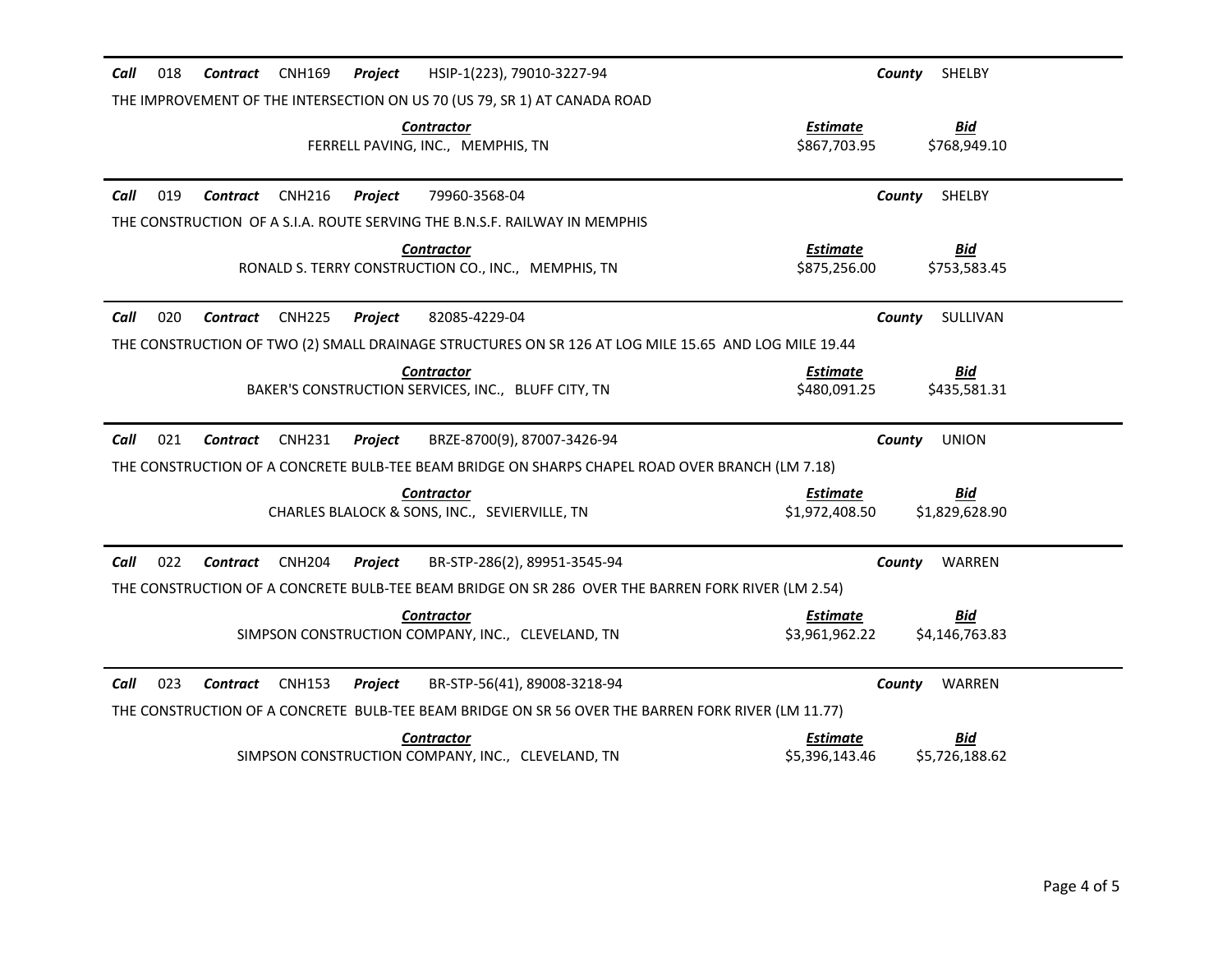| HSIP-1(223), 79010-3227-94<br>Call<br>018<br><b>CNH169</b><br>Project<br>Contract                    | County<br>SHELBY                                              |
|------------------------------------------------------------------------------------------------------|---------------------------------------------------------------|
| THE IMPROVEMENT OF THE INTERSECTION ON US 70 (US 79, SR 1) AT CANADA ROAD                            |                                                               |
| <b>Contractor</b><br>FERRELL PAVING, INC., MEMPHIS, TN                                               | Bid<br>Estimate<br>\$867,703.95<br>\$768,949.10               |
| Call<br>019<br><b>CNH216</b><br>Project<br>79960-3568-04<br>Contract                                 | County<br>SHELBY                                              |
| THE CONSTRUCTION OF A S.I.A. ROUTE SERVING THE B.N.S.F. RAILWAY IN MEMPHIS                           |                                                               |
| <b>Contractor</b><br>RONALD S. TERRY CONSTRUCTION CO., INC., MEMPHIS, TN                             | <b>Estimate</b><br><u>Bid</u><br>\$875,256.00<br>\$753,583.45 |
| 020<br>Call<br><b>CNH225</b><br>Project<br>82085-4229-04<br>Contract                                 | SULLIVAN<br>County                                            |
| THE CONSTRUCTION OF TWO (2) SMALL DRAINAGE STRUCTURES ON SR 126 AT LOG MILE 15.65 AND LOG MILE 19.44 |                                                               |
| <b>Contractor</b><br>BAKER'S CONSTRUCTION SERVICES, INC., BLUFF CITY, TN                             | <b>Bid</b><br><u>Estimate</u><br>\$480,091.25<br>\$435,581.31 |
| Call<br>021<br><b>Contract</b><br><b>CNH231</b><br>Project<br>BRZE-8700(9), 87007-3426-94            | County<br><b>UNION</b>                                        |
| THE CONSTRUCTION OF A CONCRETE BULB-TEE BEAM BRIDGE ON SHARPS CHAPEL ROAD OVER BRANCH (LM 7.18)      |                                                               |
| <b>Contractor</b><br>CHARLES BLALOCK & SONS, INC., SEVIERVILLE, TN                                   | Estimate<br>Bid<br>\$1,972,408.50<br>\$1,829,628.90           |
| Call<br>022<br>Contract<br>CNH204<br>Project<br>BR-STP-286(2), 89951-3545-94                         | WARREN<br>County                                              |
| THE CONSTRUCTION OF A CONCRETE BULB-TEE BEAM BRIDGE ON SR 286 OVER THE BARREN FORK RIVER (LM 2.54)   |                                                               |
| <b>Contractor</b><br>SIMPSON CONSTRUCTION COMPANY, INC., CLEVELAND, TN                               | Estimate<br><u>Bid</u><br>\$3,961,962.22<br>\$4,146,763.83    |
| Call<br>023<br><b>CNH153</b><br>BR-STP-56(41), 89008-3218-94<br>Contract<br>Project                  | WARREN<br>County                                              |
| THE CONSTRUCTION OF A CONCRETE BULB-TEE BEAM BRIDGE ON SR 56 OVER THE BARREN FORK RIVER (LM 11.77)   |                                                               |
| <b>Contractor</b><br>SIMPSON CONSTRUCTION COMPANY, INC., CLEVELAND, TN                               | <u>Bid</u><br>Estimate<br>\$5,396,143.46<br>\$5,726,188.62    |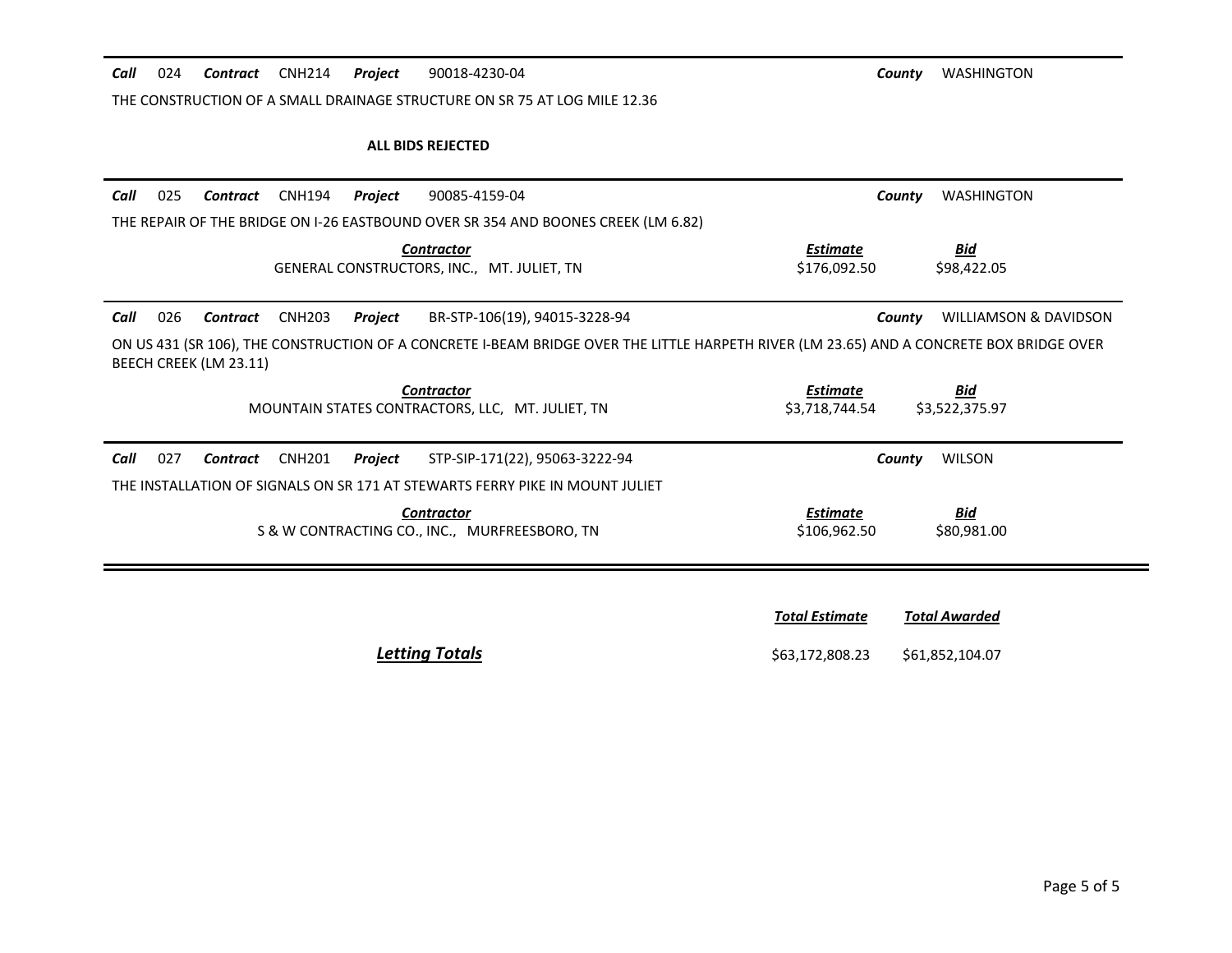*Call* 024 *Contract* CNH214 *Project* 90018-4230-04 *County* WASHINGTON

THE CONSTRUCTION OF A SMALL DRAINAGE STRUCTURE ON SR 75 AT LOG MILE 12.36

#### **ALL BIDS REJECTED**

| Call | 025                                                                                                                                                                | Contract | CNH194        | Project | 90085-4159-04                                                                     | County                     | <b>WASHINGTON</b>            |  |  |
|------|--------------------------------------------------------------------------------------------------------------------------------------------------------------------|----------|---------------|---------|-----------------------------------------------------------------------------------|----------------------------|------------------------------|--|--|
|      |                                                                                                                                                                    |          |               |         | THE REPAIR OF THE BRIDGE ON I-26 EASTBOUND OVER SR 354 AND BOONES CREEK (LM 6.82) |                            |                              |  |  |
|      |                                                                                                                                                                    |          |               |         | <b>Contractor</b><br>GENERAL CONSTRUCTORS, INC., MT. JULIET, TN                   | Estimate<br>\$176,092.50   | <u>Bid</u><br>\$98,422.05    |  |  |
| Call | 026                                                                                                                                                                | Contract | <b>CNH203</b> | Project | BR-STP-106(19), 94015-3228-94                                                     | County                     | WILLIAMSON & DAVIDSON        |  |  |
|      | ON US 431 (SR 106), THE CONSTRUCTION OF A CONCRETE I-BEAM BRIDGE OVER THE LITTLE HARPETH RIVER (LM 23.65) AND A CONCRETE BOX BRIDGE OVER<br>BEECH CREEK (LM 23.11) |          |               |         |                                                                                   |                            |                              |  |  |
|      |                                                                                                                                                                    |          |               |         | <b>Contractor</b><br>MOUNTAIN STATES CONTRACTORS, LLC. MT. JULIET, TN             | Estimate<br>\$3.718.744.54 | <b>Bid</b><br>\$3,522,375.97 |  |  |
| Call | 027                                                                                                                                                                | Contract | <b>CNH201</b> | Project | STP-SIP-171(22), 95063-3222-94                                                    | County                     | <b>WILSON</b>                |  |  |
|      |                                                                                                                                                                    |          |               |         | THE INSTALLATION OF SIGNALS ON SR 171 AT STEWARTS FERRY PIKE IN MOUNT JULIET      |                            |                              |  |  |
|      |                                                                                                                                                                    |          |               |         | <b>Contractor</b><br>S & W CONTRACTING CO., INC., MURFREESBORO, TN                | Estimate<br>\$106,962.50   | <b>Bid</b><br>\$80,981.00    |  |  |
|      |                                                                                                                                                                    |          |               |         |                                                                                   |                            |                              |  |  |

*Total Estimate Total Awarded* **Letting Totals Example 20 663,172,808.23** \$61,852,104.07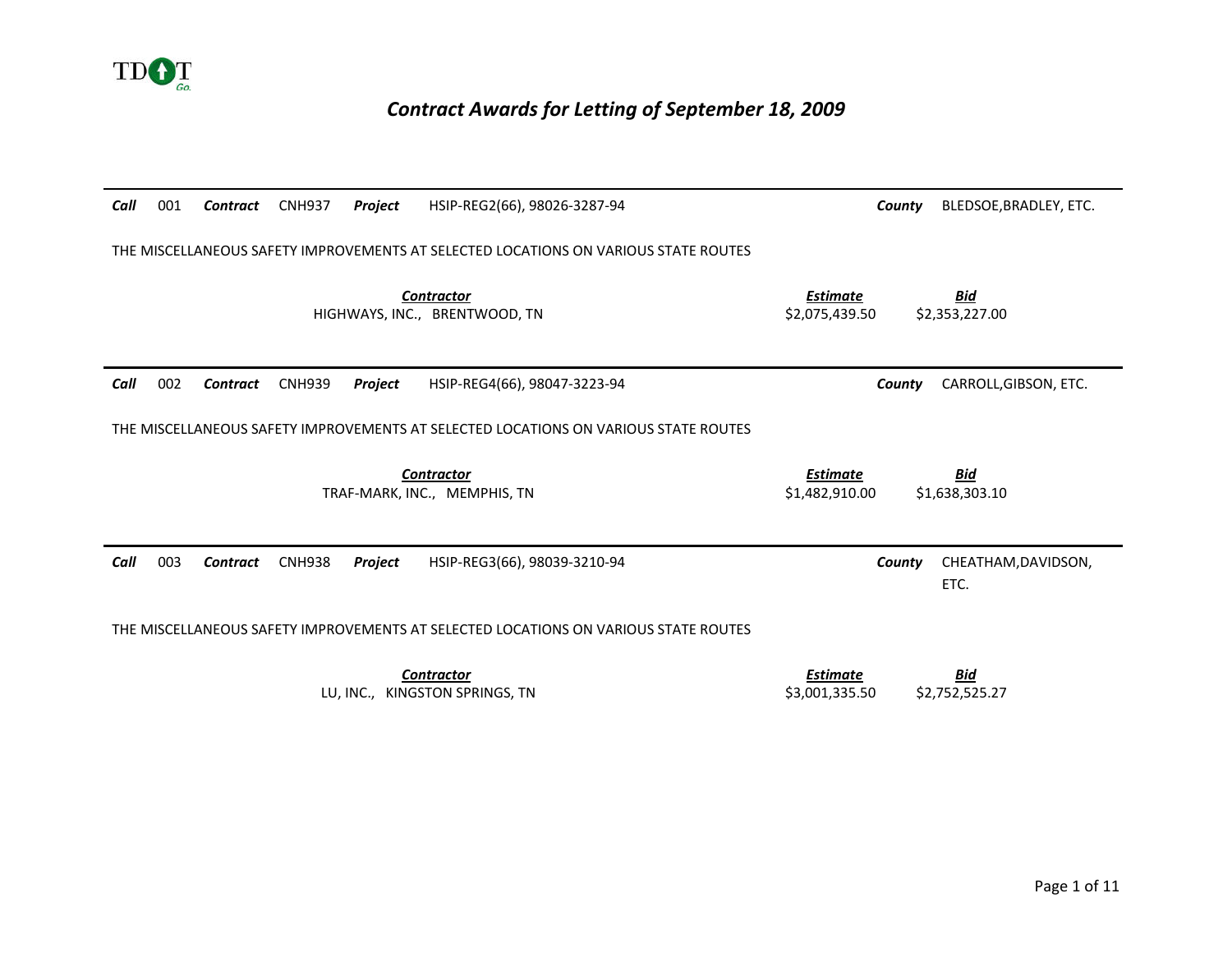

## *Contract Awards for Letting of September 18, 2009*

| Call | 001                                                                                 | Contract        | <b>CNH937</b> | Project | HSIP-REG2(66), 98026-3287-94                                                        |                                   | County | BLEDSOE, BRADLEY, ETC.       |  |  |
|------|-------------------------------------------------------------------------------------|-----------------|---------------|---------|-------------------------------------------------------------------------------------|-----------------------------------|--------|------------------------------|--|--|
|      | THE MISCELLANEOUS SAFETY IMPROVEMENTS AT SELECTED LOCATIONS ON VARIOUS STATE ROUTES |                 |               |         |                                                                                     |                                   |        |                              |  |  |
|      |                                                                                     |                 |               |         | <b>Contractor</b><br>HIGHWAYS, INC., BRENTWOOD, TN                                  | <b>Estimate</b><br>\$2,075,439.50 |        | <b>Bid</b><br>\$2,353,227.00 |  |  |
| Call | 002                                                                                 | <b>Contract</b> | <b>CNH939</b> | Project | HSIP-REG4(66), 98047-3223-94                                                        |                                   | County | CARROLL, GIBSON, ETC.        |  |  |
|      |                                                                                     |                 |               |         | THE MISCELLANEOUS SAFETY IMPROVEMENTS AT SELECTED LOCATIONS ON VARIOUS STATE ROUTES |                                   |        |                              |  |  |
|      |                                                                                     |                 |               |         | <b>Contractor</b><br>TRAF-MARK, INC., MEMPHIS, TN                                   | <b>Estimate</b><br>\$1.482.910.00 |        | Bid<br>\$1,638,303.10        |  |  |
| Call | 003                                                                                 | Contract        | <b>CNH938</b> | Project | HSIP-REG3(66), 98039-3210-94                                                        |                                   | County | CHEATHAM, DAVIDSON,<br>ETC.  |  |  |
|      |                                                                                     |                 |               |         | THE MISCELLANEOUS SAFETY IMPROVEMENTS AT SELECTED LOCATIONS ON VARIOUS STATE ROUTES |                                   |        |                              |  |  |
|      |                                                                                     |                 |               |         |                                                                                     |                                   |        |                              |  |  |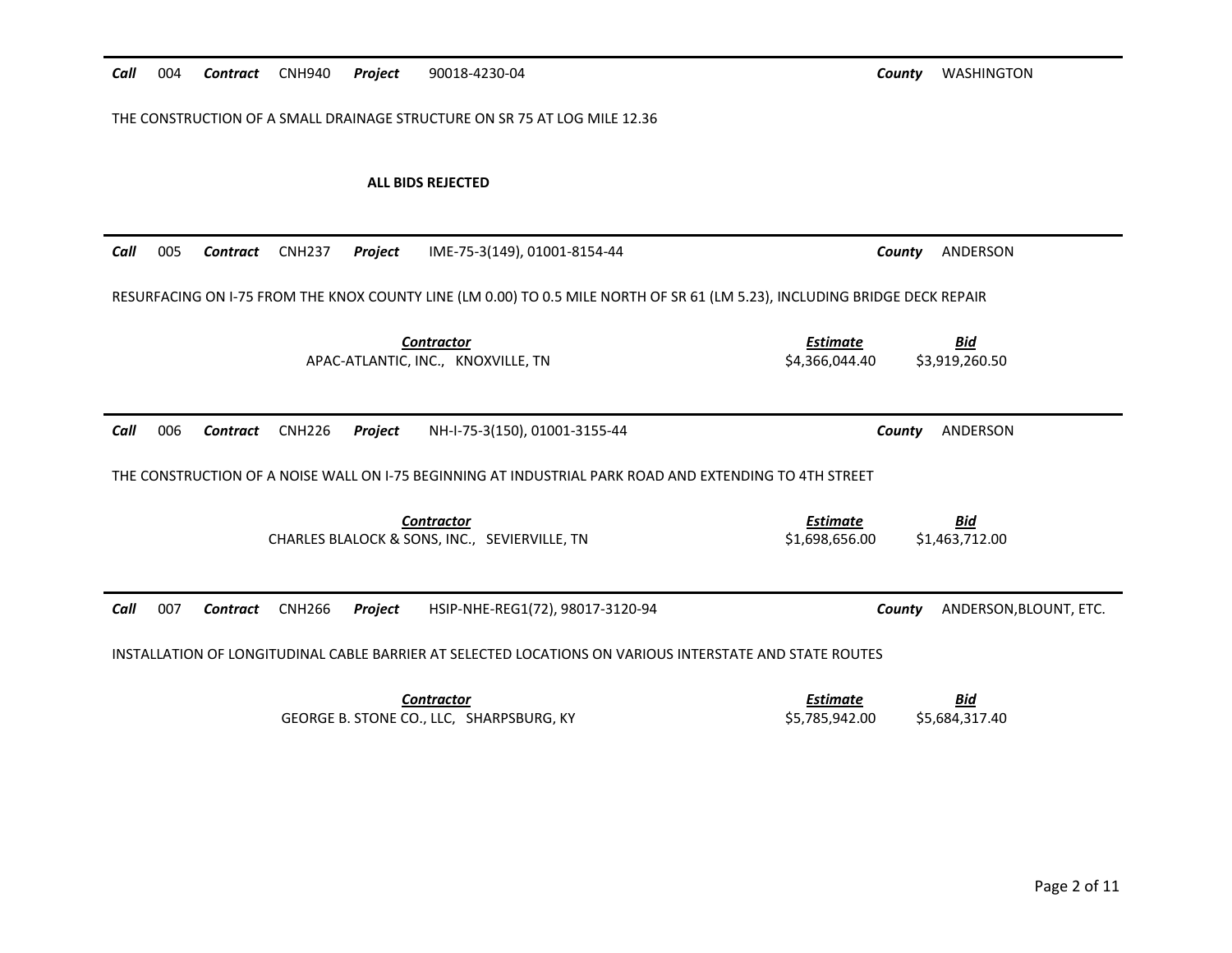| Call | 004 | Contract | <b>CNH940</b> | Project | 90018-4230-04                                                                                                              | <b>WASHINGTON</b><br>County                                       |
|------|-----|----------|---------------|---------|----------------------------------------------------------------------------------------------------------------------------|-------------------------------------------------------------------|
|      |     |          |               |         | THE CONSTRUCTION OF A SMALL DRAINAGE STRUCTURE ON SR 75 AT LOG MILE 12.36                                                  |                                                                   |
|      |     |          |               |         | <b>ALL BIDS REJECTED</b>                                                                                                   |                                                                   |
| Call | 005 | Contract | <b>CNH237</b> | Project | IME-75-3(149), 01001-8154-44                                                                                               | ANDERSON<br>County                                                |
|      |     |          |               |         | RESURFACING ON I-75 FROM THE KNOX COUNTY LINE (LM 0.00) TO 0.5 MILE NORTH OF SR 61 (LM 5.23), INCLUDING BRIDGE DECK REPAIR |                                                                   |
|      |     |          |               |         | <b>Contractor</b><br>APAC-ATLANTIC, INC., KNOXVILLE, TN                                                                    | <b>Estimate</b><br><b>Bid</b><br>\$4,366,044.40<br>\$3,919,260.50 |
| Call | 006 | Contract | <b>CNH226</b> | Project | NH-I-75-3(150), 01001-3155-44                                                                                              | ANDERSON<br>County                                                |
|      |     |          |               |         | THE CONSTRUCTION OF A NOISE WALL ON 1-75 BEGINNING AT INDUSTRIAL PARK ROAD AND EXTENDING TO 4TH STREET                     |                                                                   |
|      |     |          |               |         | <b>Contractor</b><br>CHARLES BLALOCK & SONS, INC., SEVIERVILLE, TN                                                         | <b>Estimate</b><br><b>Bid</b><br>\$1,698,656.00<br>\$1,463,712.00 |
| Call | 007 | Contract | <b>CNH266</b> | Project | HSIP-NHE-REG1(72), 98017-3120-94                                                                                           | ANDERSON, BLOUNT, ETC.<br>County                                  |
|      |     |          |               |         | INSTALLATION OF LONGITUDINAL CABLE BARRIER AT SELECTED LOCATIONS ON VARIOUS INTERSTATE AND STATE ROUTES                    |                                                                   |
|      |     |          |               |         | <b>Contractor</b><br>GEORGE B. STONE CO., LLC, SHARPSBURG, KY                                                              | <b>Estimate</b><br><u>Bid</u><br>\$5,785,942.00<br>\$5,684,317.40 |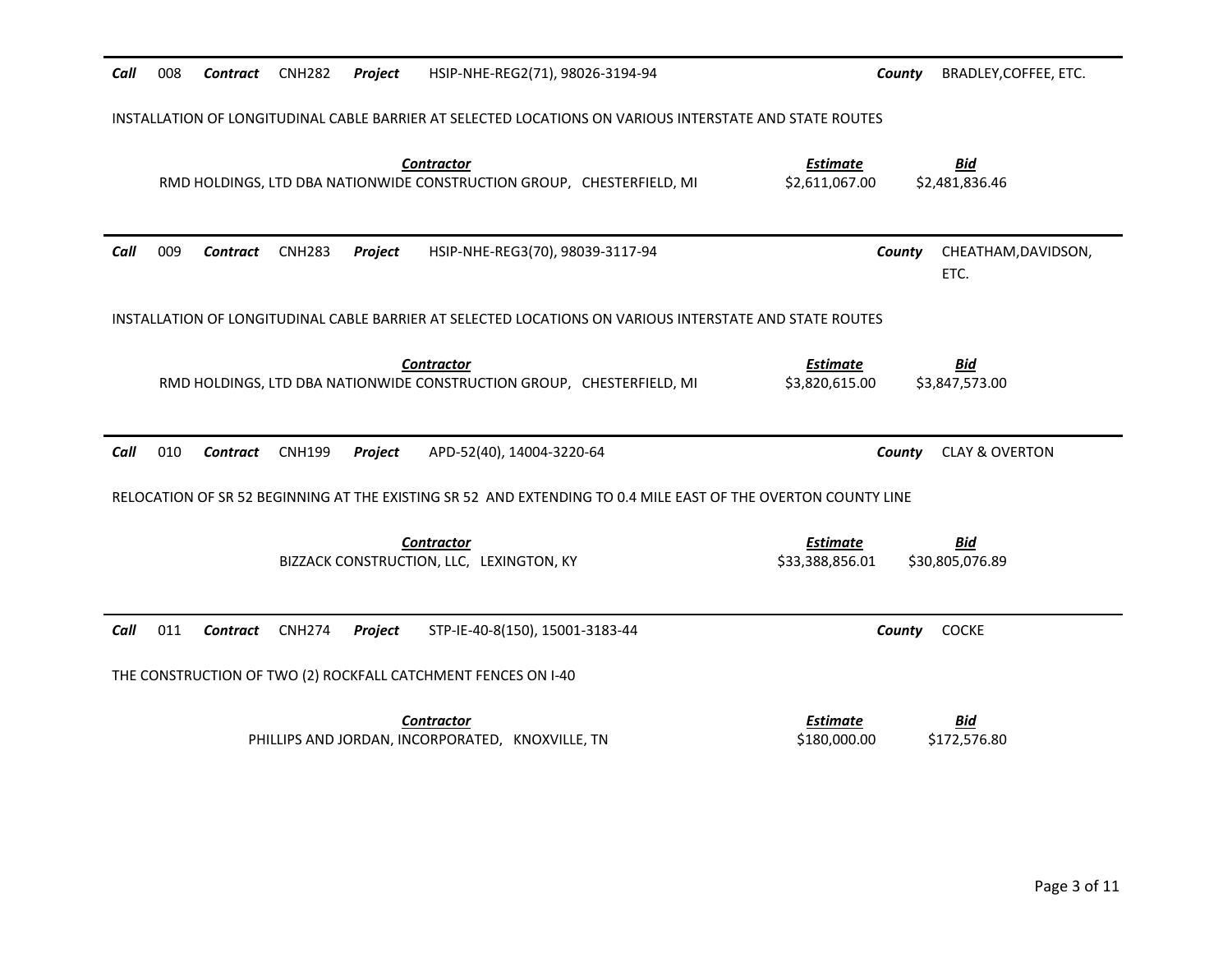| Call | 008                                                                                                     | <b>Contract</b> | <b>CNH282</b> | Project | HSIP-NHE-REG2(71), 98026-3194-94                                                                              | County                             | BRADLEY, COFFEE, ETC.         |  |  |  |
|------|---------------------------------------------------------------------------------------------------------|-----------------|---------------|---------|---------------------------------------------------------------------------------------------------------------|------------------------------------|-------------------------------|--|--|--|
|      | INSTALLATION OF LONGITUDINAL CABLE BARRIER AT SELECTED LOCATIONS ON VARIOUS INTERSTATE AND STATE ROUTES |                 |               |         |                                                                                                               |                                    |                               |  |  |  |
|      |                                                                                                         |                 |               |         | <b>Contractor</b><br>RMD HOLDINGS, LTD DBA NATIONWIDE CONSTRUCTION GROUP, CHESTERFIELD, MI                    | <b>Estimate</b><br>\$2,611,067.00  | <b>Bid</b><br>\$2,481,836.46  |  |  |  |
| Call | 009                                                                                                     | <b>Contract</b> | <b>CNH283</b> | Project | HSIP-NHE-REG3(70), 98039-3117-94                                                                              | County                             | CHEATHAM, DAVIDSON,<br>ETC.   |  |  |  |
|      |                                                                                                         |                 |               |         | INSTALLATION OF LONGITUDINAL CABLE BARRIER AT SELECTED LOCATIONS ON VARIOUS INTERSTATE AND STATE ROUTES       |                                    |                               |  |  |  |
|      |                                                                                                         |                 |               |         | <b>Contractor</b><br>RMD HOLDINGS, LTD DBA NATIONWIDE CONSTRUCTION GROUP, CHESTERFIELD, MI                    | <b>Estimate</b><br>\$3,820,615.00  | <u>Bid</u><br>\$3,847,573.00  |  |  |  |
| Call | 010                                                                                                     | Contract        | <b>CNH199</b> | Project | APD-52(40), 14004-3220-64                                                                                     | County                             | <b>CLAY &amp; OVERTON</b>     |  |  |  |
|      |                                                                                                         |                 |               |         | RELOCATION OF SR 52 BEGINNING AT THE EXISTING SR 52 AND EXTENDING TO 0.4 MILE EAST OF THE OVERTON COUNTY LINE |                                    |                               |  |  |  |
|      |                                                                                                         |                 |               |         | <b>Contractor</b><br>BIZZACK CONSTRUCTION, LLC, LEXINGTON, KY                                                 | <b>Estimate</b><br>\$33,388,856.01 | <u>Bid</u><br>\$30,805,076.89 |  |  |  |
| Call | 011                                                                                                     | Contract        | <b>CNH274</b> | Project | STP-IE-40-8(150), 15001-3183-44                                                                               | County                             | <b>COCKE</b>                  |  |  |  |
|      | THE CONSTRUCTION OF TWO (2) ROCKFALL CATCHMENT FENCES ON I-40                                           |                 |               |         |                                                                                                               |                                    |                               |  |  |  |
|      |                                                                                                         |                 |               |         |                                                                                                               |                                    |                               |  |  |  |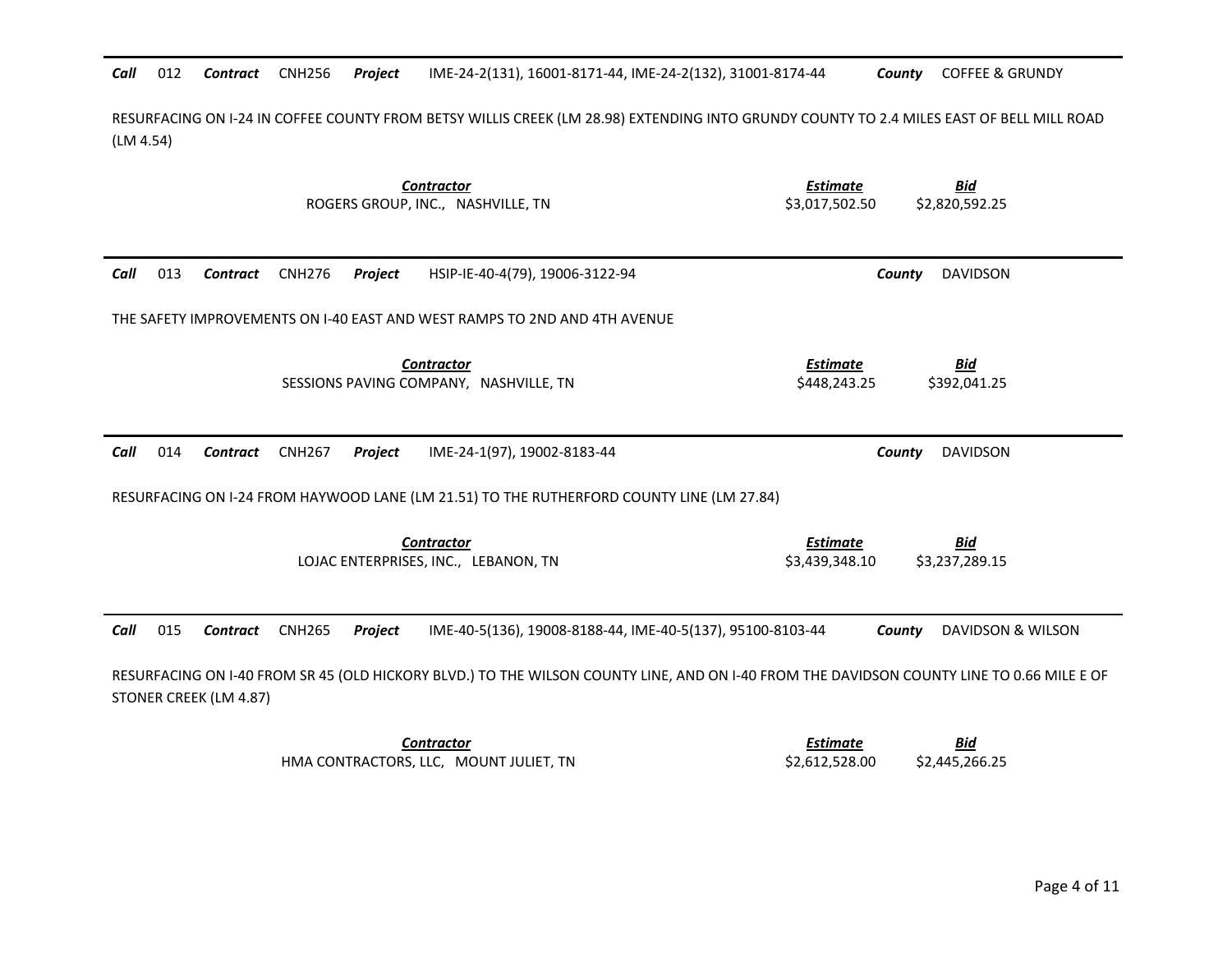Call 012 Contract CNH256 Project 012 *Contract* CNH256 *Project* IME-24-2(131), 16001-8171-44, IME-24-2(132), 31001-8174-44 *County* COFFEE & GRUNDY

RESURFACING ON I-24 IN COFFEE COUNTY FROM BETSY WILLIS CREEK (LM 28.98) EXTENDING INTO GRUNDY COUNTY TO 2.4 MILES EAST OF BELL MILL ROAD (LM 4.54)

|                                | <b>Contractor</b><br>ROGERS GROUP, INC., NASHVILLE, TN                                    | <b>Estimate</b><br><b>Bid</b><br>\$3,017,502.50<br>\$2,820,592.25                                                                         |
|--------------------------------|-------------------------------------------------------------------------------------------|-------------------------------------------------------------------------------------------------------------------------------------------|
| 013<br>Call<br>Contract        | <b>CNH276</b><br>Project<br>HSIP-IE-40-4(79), 19006-3122-94                               | <b>DAVIDSON</b><br>County                                                                                                                 |
|                                | THE SAFETY IMPROVEMENTS ON 1-40 EAST AND WEST RAMPS TO 2ND AND 4TH AVENUE                 |                                                                                                                                           |
|                                | <b>Contractor</b><br>SESSIONS PAVING COMPANY, NASHVILLE, TN                               | <b>Estimate</b><br><b>Bid</b><br>\$448,243.25<br>\$392,041.25                                                                             |
| 014<br>Call<br><b>Contract</b> | <b>CNH267</b><br>Project<br>IME-24-1(97), 19002-8183-44                                   | <b>DAVIDSON</b><br>County                                                                                                                 |
|                                | RESURFACING ON I-24 FROM HAYWOOD LANE (LM 21.51) TO THE RUTHERFORD COUNTY LINE (LM 27.84) |                                                                                                                                           |
|                                | <b>Contractor</b><br>LOJAC ENTERPRISES, INC., LEBANON, TN                                 | <b>Estimate</b><br><u>Bid</u><br>\$3,439,348.10<br>\$3,237,289.15                                                                         |
| Call<br>015<br><b>Contract</b> | IME-40-5(136), 19008-8188-44, IME-40-5(137), 95100-8103-44<br><b>CNH265</b><br>Project    | County<br>DAVIDSON & WILSON                                                                                                               |
| STONER CREEK (LM 4.87)         |                                                                                           | RESURFACING ON I-40 FROM SR 45 (OLD HICKORY BLVD.) TO THE WILSON COUNTY LINE, AND ON I-40 FROM THE DAVIDSON COUNTY LINE TO 0.66 MILE E OF |
|                                | <b>Contractor</b><br>HMA CONTRACTORS, LLC, MOUNT JULIET, TN                               | <b>Estimate</b><br>Bid<br>\$2,612,528.00<br>\$2,445,266.25                                                                                |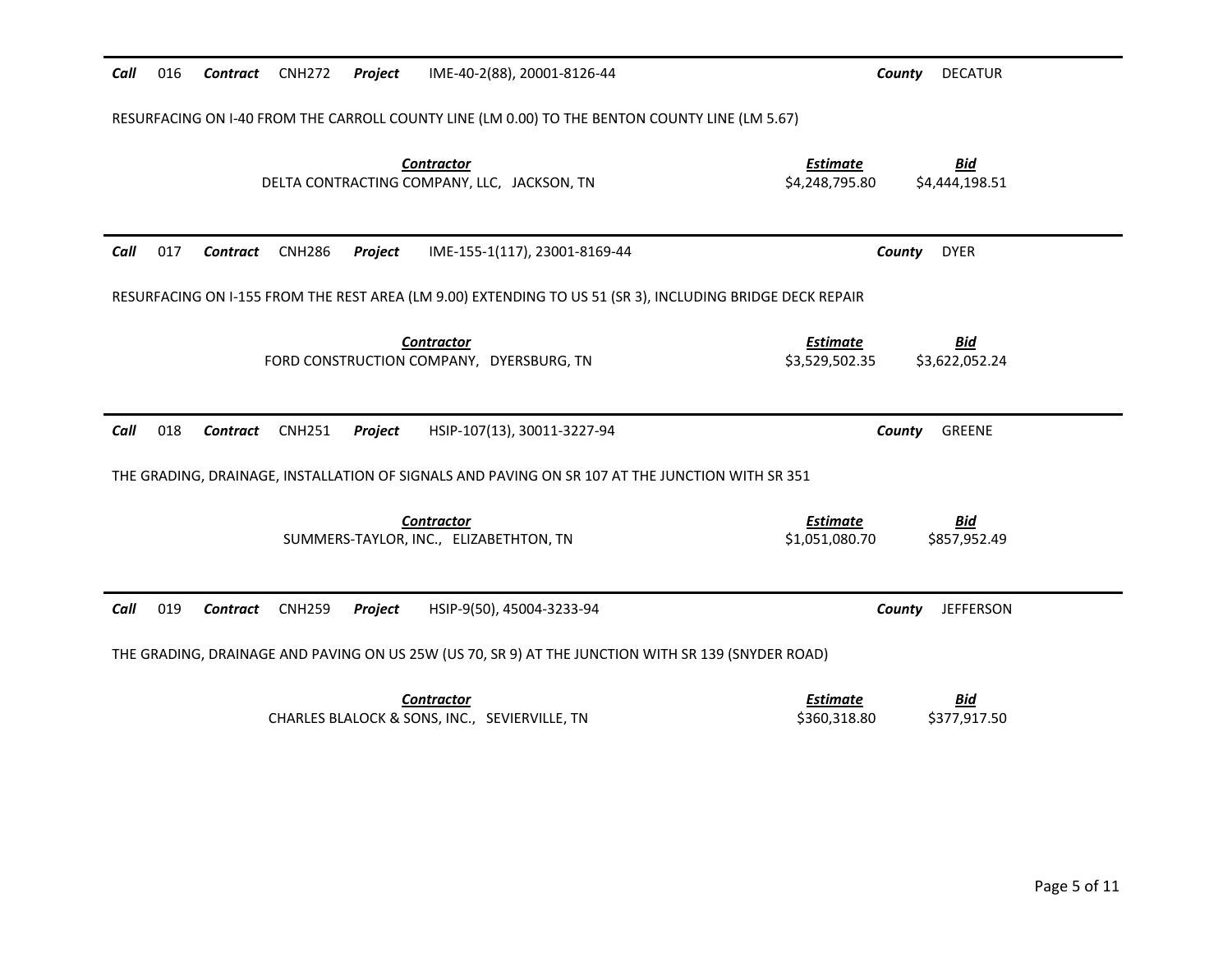| Call | 016 | Contract CNH272 |               | Project        | IME-40-2(88), 20001-8126-44                                                                               | County                            | <b>DECATUR</b>               |
|------|-----|-----------------|---------------|----------------|-----------------------------------------------------------------------------------------------------------|-----------------------------------|------------------------------|
|      |     |                 |               |                | RESURFACING ON 1-40 FROM THE CARROLL COUNTY LINE (LM 0.00) TO THE BENTON COUNTY LINE (LM 5.67)            |                                   |                              |
|      |     |                 |               |                | <b>Contractor</b><br>DELTA CONTRACTING COMPANY, LLC, JACKSON, TN                                          | <b>Estimate</b><br>\$4,248,795.80 | <b>Bid</b><br>\$4,444,198.51 |
| Call | 017 | Contract        | <b>CNH286</b> | Project        | IME-155-1(117), 23001-8169-44                                                                             | County                            | <b>DYER</b>                  |
|      |     |                 |               |                | RESURFACING ON I-155 FROM THE REST AREA (LM 9.00) EXTENDING TO US 51 (SR 3), INCLUDING BRIDGE DECK REPAIR |                                   |                              |
|      |     |                 |               |                | <b>Contractor</b><br>FORD CONSTRUCTION COMPANY, DYERSBURG, TN                                             | <b>Estimate</b><br>\$3,529,502.35 | <u>Bid</u><br>\$3,622,052.24 |
|      |     |                 |               |                |                                                                                                           |                                   |                              |
| Call | 018 | Contract        | <b>CNH251</b> | <b>Project</b> | HSIP-107(13), 30011-3227-94                                                                               | County                            | <b>GREENE</b>                |
|      |     |                 |               |                | THE GRADING, DRAINAGE, INSTALLATION OF SIGNALS AND PAVING ON SR 107 AT THE JUNCTION WITH SR 351           |                                   |                              |
|      |     |                 |               |                | <b>Contractor</b><br>SUMMERS-TAYLOR, INC., ELIZABETHTON, TN                                               | <b>Estimate</b><br>\$1,051,080.70 | <u>Bid</u><br>\$857,952.49   |
| Call | 019 | <b>Contract</b> | <b>CNH259</b> | Project        | HSIP-9(50), 45004-3233-94                                                                                 | County                            | <b>JEFFERSON</b>             |
|      |     |                 |               |                | THE GRADING, DRAINAGE AND PAVING ON US 25W (US 70, SR 9) AT THE JUNCTION WITH SR 139 (SNYDER ROAD)        |                                   |                              |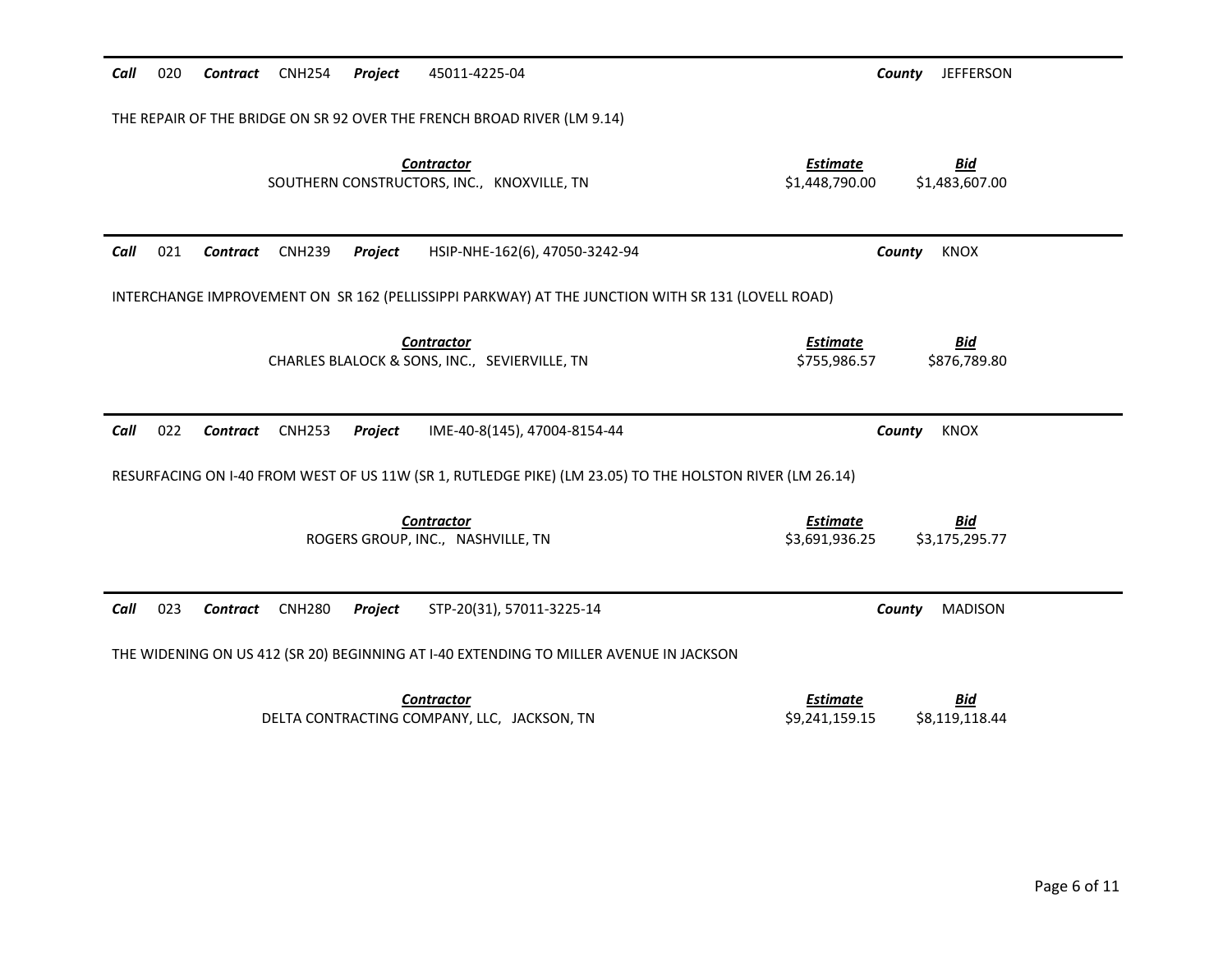| Call<br>020 | <b>CNH254</b><br>Contract                                                                         | Project<br>45011-4225-04                                                                                 | County<br><b>JEFFERSON</b>                                        |  |  |  |  |  |  |
|-------------|---------------------------------------------------------------------------------------------------|----------------------------------------------------------------------------------------------------------|-------------------------------------------------------------------|--|--|--|--|--|--|
|             |                                                                                                   | THE REPAIR OF THE BRIDGE ON SR 92 OVER THE FRENCH BROAD RIVER (LM 9.14)                                  |                                                                   |  |  |  |  |  |  |
|             |                                                                                                   | <b>Contractor</b><br>SOUTHERN CONSTRUCTORS, INC., KNOXVILLE, TN                                          | <u>Estimate</u><br><u>Bid</u><br>\$1,448,790.00<br>\$1,483,607.00 |  |  |  |  |  |  |
| Call<br>021 | <b>CNH239</b><br>Contract                                                                         | Project<br>HSIP-NHE-162(6), 47050-3242-94                                                                | County<br><b>KNOX</b>                                             |  |  |  |  |  |  |
|             | INTERCHANGE IMPROVEMENT ON SR 162 (PELLISSIPPI PARKWAY) AT THE JUNCTION WITH SR 131 (LOVELL ROAD) |                                                                                                          |                                                                   |  |  |  |  |  |  |
|             |                                                                                                   | <b>Contractor</b><br>CHARLES BLALOCK & SONS, INC., SEVIERVILLE, TN                                       | <b>Estimate</b><br><b>Bid</b><br>\$755,986.57<br>\$876,789.80     |  |  |  |  |  |  |
| Call<br>022 | <b>Contract</b><br><b>CNH253</b>                                                                  | Project<br>IME-40-8(145), 47004-8154-44                                                                  | <b>KNOX</b><br>County                                             |  |  |  |  |  |  |
|             |                                                                                                   | RESURFACING ON I-40 FROM WEST OF US 11W (SR 1, RUTLEDGE PIKE) (LM 23.05) TO THE HOLSTON RIVER (LM 26.14) |                                                                   |  |  |  |  |  |  |
|             |                                                                                                   | <b>Contractor</b><br>ROGERS GROUP, INC., NASHVILLE, TN                                                   | <b>Bid</b><br><b>Estimate</b><br>\$3,691,936.25<br>\$3,175,295.77 |  |  |  |  |  |  |
| Call<br>023 | <b>Contract</b><br><b>CNH280</b>                                                                  | STP-20(31), 57011-3225-14<br>Project                                                                     | County<br><b>MADISON</b>                                          |  |  |  |  |  |  |
|             |                                                                                                   | THE WIDENING ON US 412 (SR 20) BEGINNING AT I-40 EXTENDING TO MILLER AVENUE IN JACKSON                   |                                                                   |  |  |  |  |  |  |
|             |                                                                                                   | <b>Contractor</b><br>DELTA CONTRACTING COMPANY, LLC, JACKSON, TN                                         | <b>Estimate</b><br><u>Bid</u><br>\$8,119,118.44<br>\$9,241,159.15 |  |  |  |  |  |  |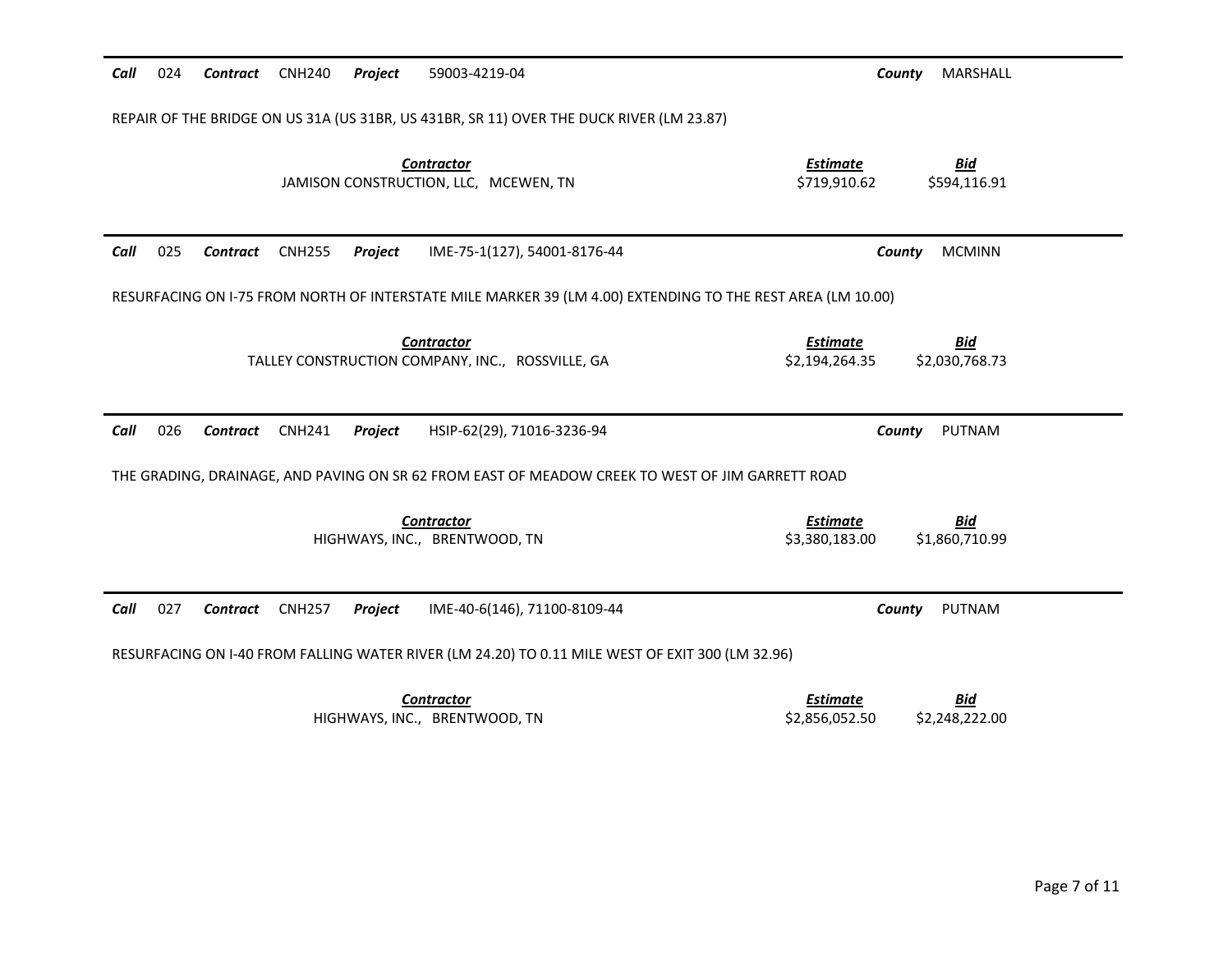| 024<br>Call                                                                              | Contract                                                                                                    | <b>CNH240</b> | Project | 59003-4219-04                                                                                    | County                            | MARSHALL                     |  |  |  |
|------------------------------------------------------------------------------------------|-------------------------------------------------------------------------------------------------------------|---------------|---------|--------------------------------------------------------------------------------------------------|-----------------------------------|------------------------------|--|--|--|
| REPAIR OF THE BRIDGE ON US 31A (US 31BR, US 431BR, SR 11) OVER THE DUCK RIVER (LM 23.87) |                                                                                                             |               |         |                                                                                                  |                                   |                              |  |  |  |
|                                                                                          |                                                                                                             |               |         | <b>Contractor</b><br>JAMISON CONSTRUCTION, LLC, MCEWEN, TN                                       | <b>Estimate</b><br>\$719,910.62   | <b>Bid</b><br>\$594,116.91   |  |  |  |
| 025<br>Call                                                                              | Contract                                                                                                    | <b>CNH255</b> | Project | IME-75-1(127), 54001-8176-44                                                                     | County                            | <b>MCMINN</b>                |  |  |  |
|                                                                                          | RESURFACING ON I-75 FROM NORTH OF INTERSTATE MILE MARKER 39 (LM 4.00) EXTENDING TO THE REST AREA (LM 10.00) |               |         |                                                                                                  |                                   |                              |  |  |  |
|                                                                                          |                                                                                                             |               |         | <b>Contractor</b><br>TALLEY CONSTRUCTION COMPANY, INC., ROSSVILLE, GA                            | <b>Estimate</b><br>\$2,194,264.35 | <b>Bid</b><br>\$2,030,768.73 |  |  |  |
| Call<br>026                                                                              |                                                                                                             |               |         | HSIP-62(29), 71016-3236-94                                                                       |                                   |                              |  |  |  |
|                                                                                          | <b>Contract</b>                                                                                             | <b>CNH241</b> | Project |                                                                                                  | County                            | PUTNAM                       |  |  |  |
|                                                                                          |                                                                                                             |               |         | THE GRADING, DRAINAGE, AND PAVING ON SR 62 FROM EAST OF MEADOW CREEK TO WEST OF JIM GARRETT ROAD |                                   |                              |  |  |  |
|                                                                                          |                                                                                                             |               |         | <b>Contractor</b><br>HIGHWAYS, INC., BRENTWOOD, TN                                               | <b>Estimate</b><br>\$3,380,183.00 | <b>Bid</b><br>\$1,860,710.99 |  |  |  |
| Call<br>027                                                                              | Contract                                                                                                    | <b>CNH257</b> | Project | IME-40-6(146), 71100-8109-44                                                                     | County                            | PUTNAM                       |  |  |  |
|                                                                                          |                                                                                                             |               |         | RESURFACING ON I-40 FROM FALLING WATER RIVER (LM 24.20) TO 0.11 MILE WEST OF EXIT 300 (LM 32.96) |                                   |                              |  |  |  |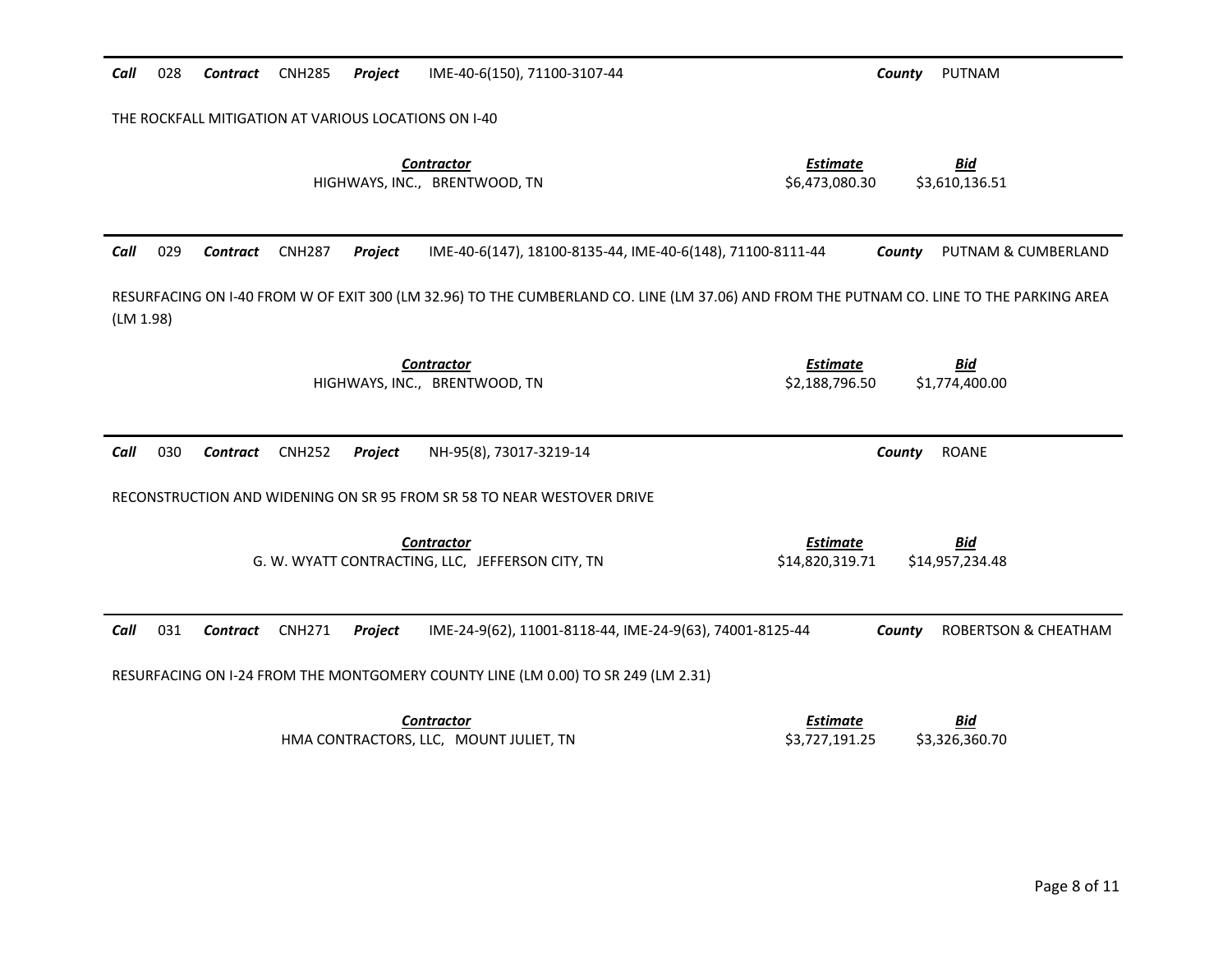| Call      | 028 | <b>Contract</b> | <b>CNH285</b> | Project | IME-40-6(150), 71100-3107-44                                                                                                             | PUTNAM<br>County                                                    |  |
|-----------|-----|-----------------|---------------|---------|------------------------------------------------------------------------------------------------------------------------------------------|---------------------------------------------------------------------|--|
|           |     |                 |               |         | THE ROCKFALL MITIGATION AT VARIOUS LOCATIONS ON I-40                                                                                     |                                                                     |  |
|           |     |                 |               |         | <b>Contractor</b><br>HIGHWAYS, INC., BRENTWOOD, TN                                                                                       | <b>Estimate</b><br><b>Bid</b><br>\$6,473,080.30<br>\$3,610,136.51   |  |
| Call      | 029 | <b>Contract</b> | <b>CNH287</b> | Project | IME-40-6(147), 18100-8135-44, IME-40-6(148), 71100-8111-44                                                                               | County<br>PUTNAM & CUMBERLAND                                       |  |
| (LM 1.98) |     |                 |               |         | RESURFACING ON I-40 FROM W OF EXIT 300 (LM 32.96) TO THE CUMBERLAND CO. LINE (LM 37.06) AND FROM THE PUTNAM CO. LINE TO THE PARKING AREA |                                                                     |  |
|           |     |                 |               |         | <b>Contractor</b><br>HIGHWAYS, INC., BRENTWOOD, TN                                                                                       | <b>Estimate</b><br><b>Bid</b><br>\$1,774,400.00<br>\$2,188,796.50   |  |
| Call      | 030 | Contract        | <b>CNH252</b> | Project | NH-95(8), 73017-3219-14                                                                                                                  | <b>ROANE</b><br>County                                              |  |
|           |     |                 |               |         | RECONSTRUCTION AND WIDENING ON SR 95 FROM SR 58 TO NEAR WESTOVER DRIVE                                                                   |                                                                     |  |
|           |     |                 |               |         | <b>Contractor</b><br>G. W. WYATT CONTRACTING, LLC, JEFFERSON CITY, TN                                                                    | <b>Estimate</b><br><u>Bid</u><br>\$14,820,319.71<br>\$14,957,234.48 |  |
| Call      | 031 | Contract        | <b>CNH271</b> | Project | IME-24-9(62), 11001-8118-44, IME-24-9(63), 74001-8125-44                                                                                 | <b>ROBERTSON &amp; CHEATHAM</b><br>County                           |  |
|           |     |                 |               |         | RESURFACING ON I-24 FROM THE MONTGOMERY COUNTY LINE (LM 0.00) TO SR 249 (LM 2.31)                                                        |                                                                     |  |
|           |     |                 |               |         | <b>Contractor</b><br>HMA CONTRACTORS, LLC, MOUNT JULIET, TN                                                                              | <b>Estimate</b><br><u>Bid</u><br>\$3,727,191.25<br>\$3,326,360.70   |  |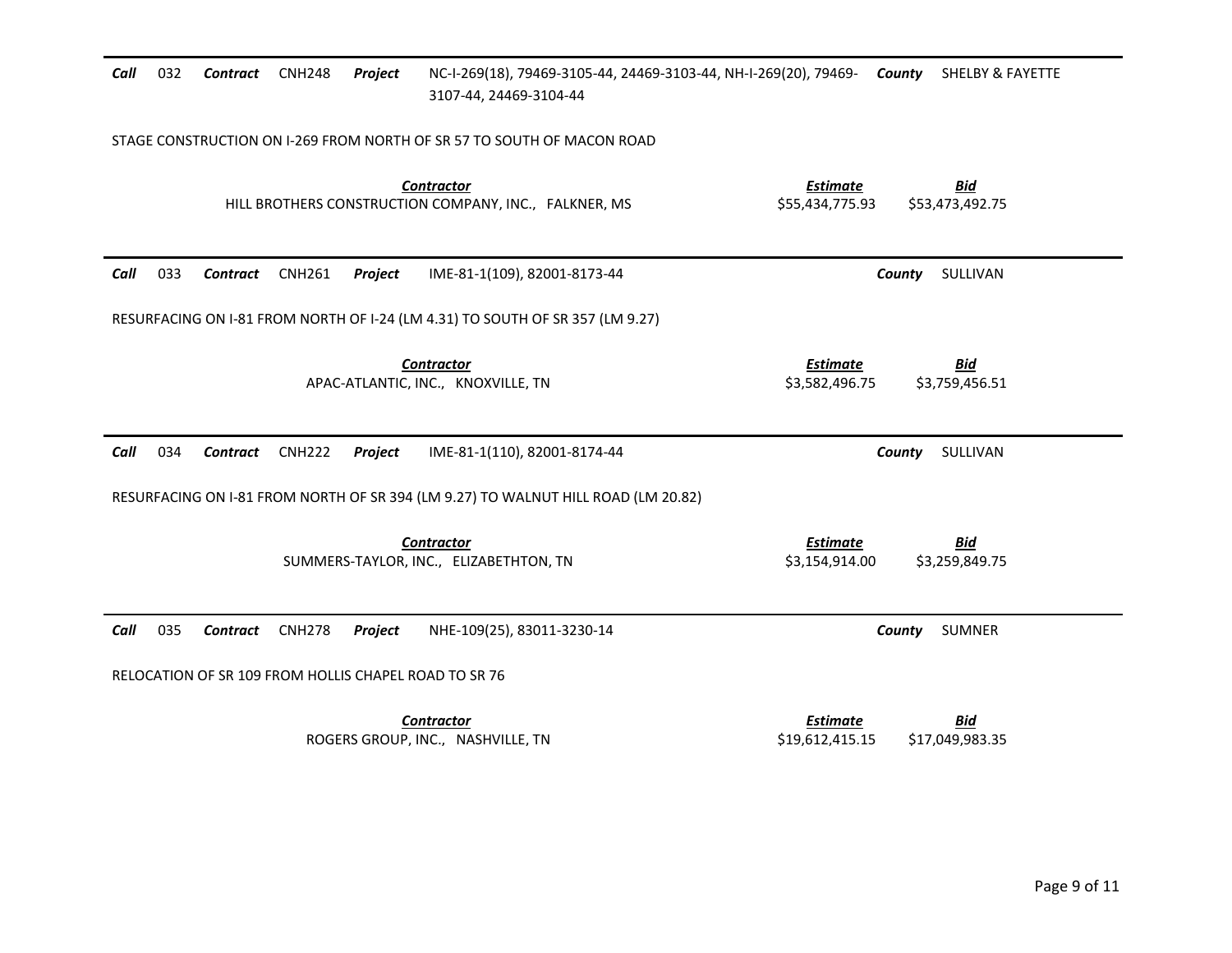| Call | 032 | <b>Contract</b> | <b>CNH248</b> | Project | NC-I-269(18), 79469-3105-44, 24469-3103-44, NH-I-269(20), 79469- County<br>3107-44, 24469-3104-44 |                                    | <b>SHELBY &amp; FAYETTE</b>   |
|------|-----|-----------------|---------------|---------|---------------------------------------------------------------------------------------------------|------------------------------------|-------------------------------|
|      |     |                 |               |         | STAGE CONSTRUCTION ON I-269 FROM NORTH OF SR 57 TO SOUTH OF MACON ROAD                            |                                    |                               |
|      |     |                 |               |         | <b>Contractor</b><br>HILL BROTHERS CONSTRUCTION COMPANY, INC., FALKNER, MS                        | <b>Estimate</b><br>\$55,434,775.93 | <b>Bid</b><br>\$53,473,492.75 |
| Call | 033 | <b>Contract</b> | <b>CNH261</b> | Project | IME-81-1(109), 82001-8173-44                                                                      |                                    | County<br>SULLIVAN            |
|      |     |                 |               |         | RESURFACING ON I-81 FROM NORTH OF I-24 (LM 4.31) TO SOUTH OF SR 357 (LM 9.27)                     |                                    |                               |
|      |     |                 |               |         | <b>Contractor</b><br>APAC-ATLANTIC, INC., KNOXVILLE, TN                                           | <b>Estimate</b><br>\$3,582,496.75  | <u>Bid</u><br>\$3,759,456.51  |
| Call | 034 | <b>Contract</b> | <b>CNH222</b> | Project | IME-81-1(110), 82001-8174-44                                                                      |                                    | SULLIVAN<br>County            |
|      |     |                 |               |         | RESURFACING ON I-81 FROM NORTH OF SR 394 (LM 9.27) TO WALNUT HILL ROAD (LM 20.82)                 |                                    |                               |
|      |     |                 |               |         | <b>Contractor</b><br>SUMMERS-TAYLOR, INC., ELIZABETHTON, TN                                       | <b>Estimate</b><br>\$3,154,914.00  | <b>Bid</b><br>\$3,259,849.75  |
| Call | 035 | <b>Contract</b> | <b>CNH278</b> | Project | NHE-109(25), 83011-3230-14                                                                        |                                    | <b>SUMNER</b><br>County       |
|      |     |                 |               |         | RELOCATION OF SR 109 FROM HOLLIS CHAPEL ROAD TO SR 76                                             |                                    |                               |
|      |     |                 |               |         | <b>Contractor</b><br>ROGERS GROUP, INC., NASHVILLE, TN                                            | <b>Estimate</b><br>\$19,612,415.15 | <b>Bid</b><br>\$17,049,983.35 |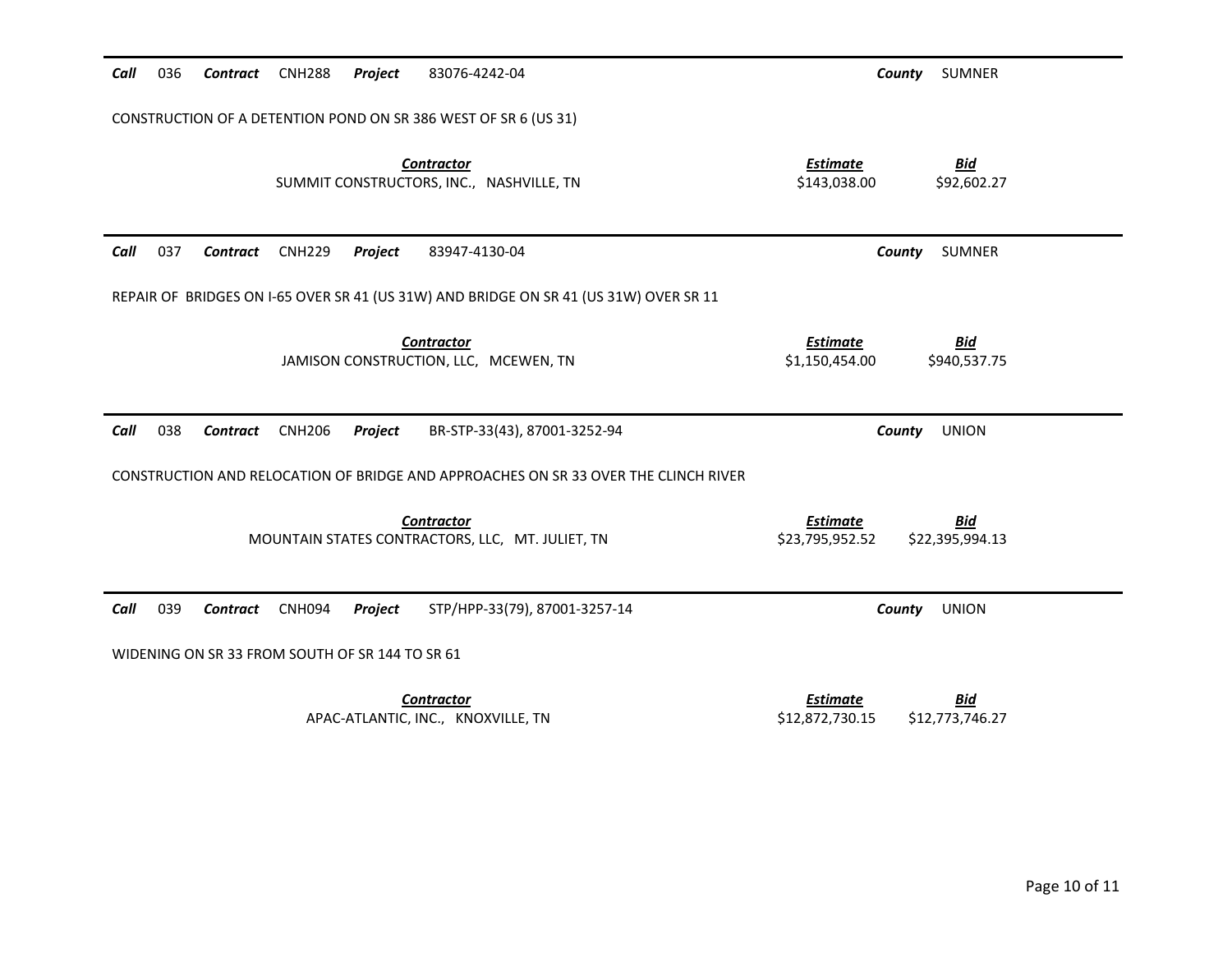| Call | 036                                                             | Contract | <b>CNH288</b> | Project                                         | 83076-4242-04                                                                         | County                             | <b>SUMNER</b>                 |  |  |  |
|------|-----------------------------------------------------------------|----------|---------------|-------------------------------------------------|---------------------------------------------------------------------------------------|------------------------------------|-------------------------------|--|--|--|
|      | CONSTRUCTION OF A DETENTION POND ON SR 386 WEST OF SR 6 (US 31) |          |               |                                                 |                                                                                       |                                    |                               |  |  |  |
|      |                                                                 |          |               |                                                 | <b>Contractor</b><br>SUMMIT CONSTRUCTORS, INC., NASHVILLE, TN                         | <b>Estimate</b><br>\$143,038.00    | <b>Bid</b><br>\$92,602.27     |  |  |  |
| Call | 037                                                             | Contract | <b>CNH229</b> | Project                                         | 83947-4130-04                                                                         | County                             | <b>SUMNER</b>                 |  |  |  |
|      |                                                                 |          |               |                                                 | REPAIR OF BRIDGES ON I-65 OVER SR 41 (US 31W) AND BRIDGE ON SR 41 (US 31W) OVER SR 11 |                                    |                               |  |  |  |
|      |                                                                 |          |               |                                                 | <b>Contractor</b><br>JAMISON CONSTRUCTION, LLC, MCEWEN, TN                            | <b>Estimate</b><br>\$1,150,454.00  | <b>Bid</b><br>\$940,537.75    |  |  |  |
| Call | 038                                                             | Contract | <b>CNH206</b> | Project                                         | BR-STP-33(43), 87001-3252-94                                                          | County                             | <b>UNION</b>                  |  |  |  |
|      |                                                                 |          |               |                                                 | CONSTRUCTION AND RELOCATION OF BRIDGE AND APPROACHES ON SR 33 OVER THE CLINCH RIVER   |                                    |                               |  |  |  |
|      |                                                                 |          |               |                                                 | <b>Contractor</b><br>MOUNTAIN STATES CONTRACTORS, LLC, MT. JULIET, TN                 | <b>Estimate</b><br>\$23,795,952.52 | <u>Bid</u><br>\$22,395,994.13 |  |  |  |
| Call | 039                                                             | Contract | CNH094        | Project                                         | STP/HPP-33(79), 87001-3257-14                                                         | County                             | <b>UNION</b>                  |  |  |  |
|      |                                                                 |          |               | WIDENING ON SR 33 FROM SOUTH OF SR 144 TO SR 61 |                                                                                       |                                    |                               |  |  |  |
|      |                                                                 |          |               |                                                 | <b>Contractor</b><br>APAC-ATLANTIC, INC., KNOXVILLE, TN                               | <b>Estimate</b><br>\$12,872,730.15 | <b>Bid</b><br>\$12,773,746.27 |  |  |  |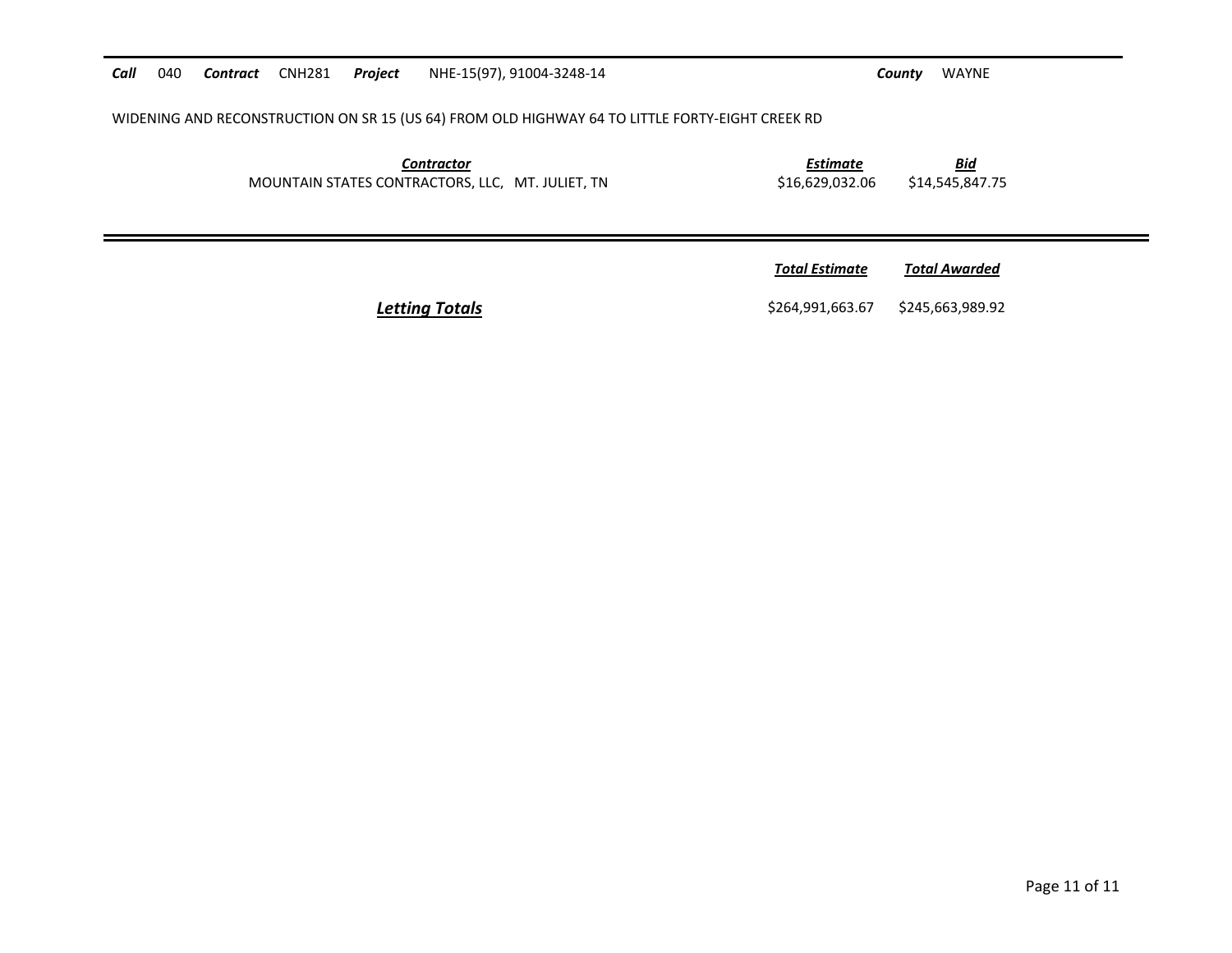*Call* 040 *Contract* CNH281 *Project* NHE-15(97), 91004-3248-14 *County* WAYNE WIDENING AND RECONSTRUCTION ON SR 15 (US 64) FROM OLD HIGHWAY 64 TO LITTLE FORTY-EIGHT CREEK RD *Contractor Estimate Bid* MOUNTAIN STATES CONTRACTORS, LLC, MT. JULIET, TN \$16,629,032.06 \$14,545,847.75 *<u>Total Estimate</u>* **Total Awarded Letting Totals Example 264,991,663.67** \$245,663,989.92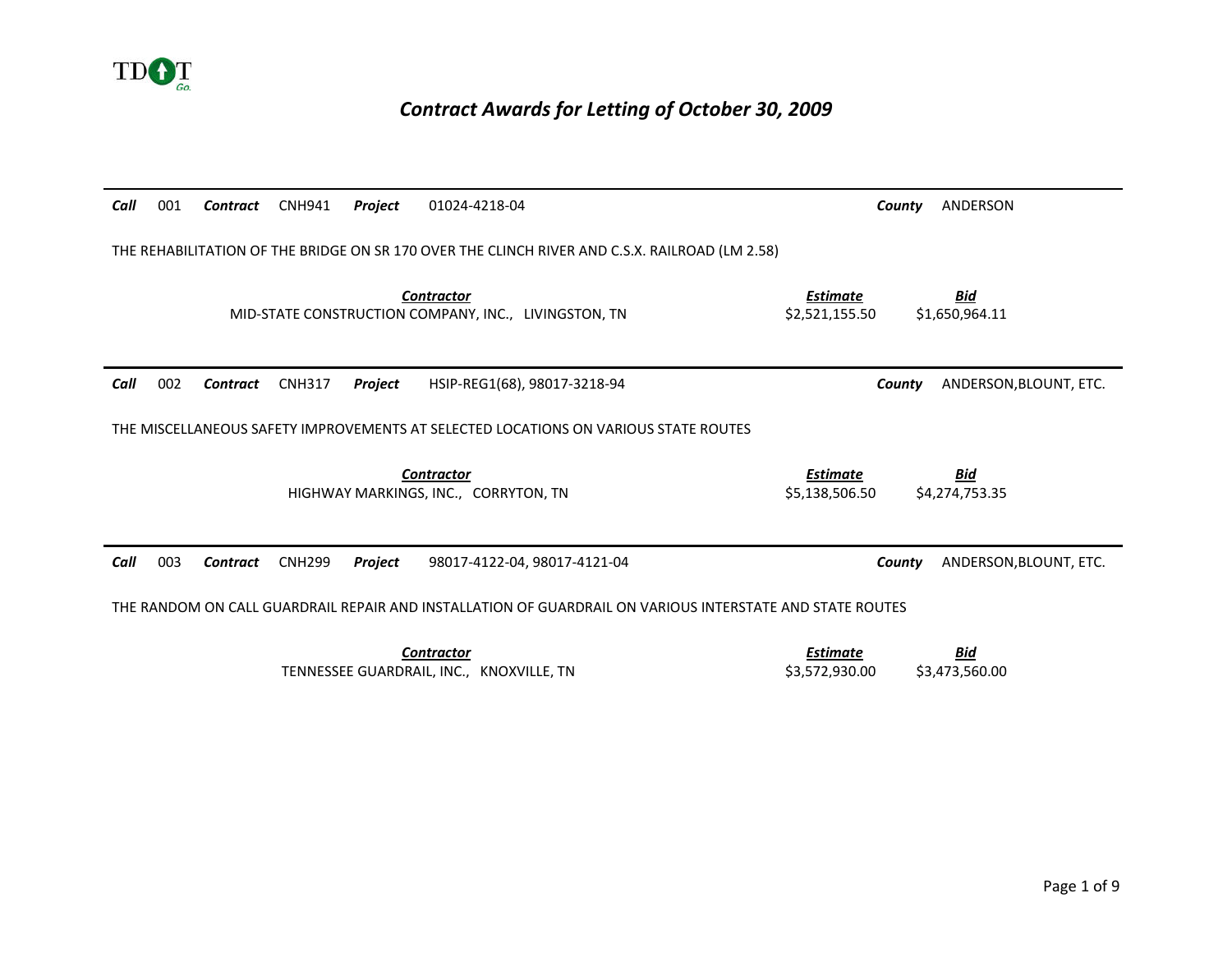

### *Contract Awards for Letting of October 30, 2009*

| Call                                                                                           | 001                                                                                                      | Contract | <b>CNH941</b> | Project | 01024-4218-04                                                                       |                                   | ANDERSON<br>County               |  |
|------------------------------------------------------------------------------------------------|----------------------------------------------------------------------------------------------------------|----------|---------------|---------|-------------------------------------------------------------------------------------|-----------------------------------|----------------------------------|--|
| THE REHABILITATION OF THE BRIDGE ON SR 170 OVER THE CLINCH RIVER AND C.S.X. RAILROAD (LM 2.58) |                                                                                                          |          |               |         |                                                                                     |                                   |                                  |  |
|                                                                                                |                                                                                                          |          |               |         | <b>Contractor</b><br>MID-STATE CONSTRUCTION COMPANY, INC., LIVINGSTON, TN           | <b>Estimate</b><br>\$2,521,155.50 | <b>Bid</b><br>\$1,650,964.11     |  |
| Call                                                                                           | 002                                                                                                      | Contract | <b>CNH317</b> | Project | HSIP-REG1(68), 98017-3218-94                                                        |                                   | ANDERSON, BLOUNT, ETC.<br>County |  |
|                                                                                                |                                                                                                          |          |               |         | THE MISCELLANEOUS SAFETY IMPROVEMENTS AT SELECTED LOCATIONS ON VARIOUS STATE ROUTES |                                   |                                  |  |
|                                                                                                |                                                                                                          |          |               |         | <b>Contractor</b><br>HIGHWAY MARKINGS, INC., CORRYTON, TN                           | <b>Estimate</b><br>\$5.138.506.50 | <u>Bid</u><br>\$4,274,753.35     |  |
| Call                                                                                           | 003                                                                                                      | Contract | <b>CNH299</b> | Project | 98017-4122-04, 98017-4121-04                                                        |                                   | ANDERSON, BLOUNT, ETC.<br>County |  |
|                                                                                                | THE RANDOM ON CALL GUARDRAIL REPAIR AND INSTALLATION OF GUARDRAIL ON VARIOUS INTERSTATE AND STATE ROUTES |          |               |         |                                                                                     |                                   |                                  |  |
|                                                                                                |                                                                                                          |          |               |         | <b>Contractor</b><br>TENNESSEE GUARDRAIL, INC., KNOXVILLE, TN                       | <b>Estimate</b><br>\$3,572,930.00 | <b>Bid</b><br>\$3,473,560.00     |  |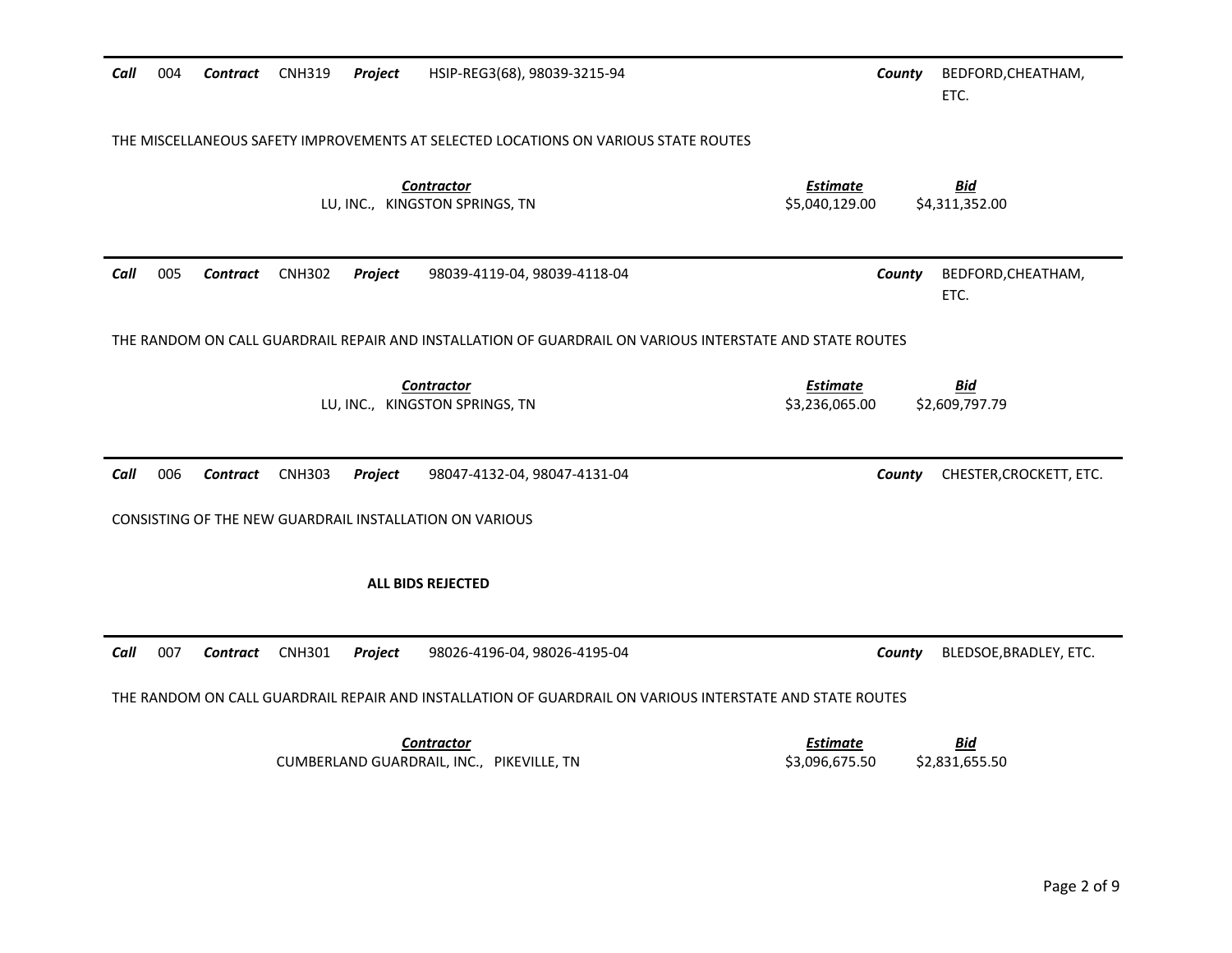| Call | 004 | Contract        | <b>CNH319</b> | Project | HSIP-REG3(68), 98039-3215-94                                                                             |                                   | County | BEDFORD, CHEATHAM,<br>ETC.   |
|------|-----|-----------------|---------------|---------|----------------------------------------------------------------------------------------------------------|-----------------------------------|--------|------------------------------|
|      |     |                 |               |         | THE MISCELLANEOUS SAFETY IMPROVEMENTS AT SELECTED LOCATIONS ON VARIOUS STATE ROUTES                      |                                   |        |                              |
|      |     |                 |               |         | <b>Contractor</b><br>LU, INC., KINGSTON SPRINGS, TN                                                      | <b>Estimate</b><br>\$5,040,129.00 |        | <b>Bid</b><br>\$4,311,352.00 |
| Call | 005 | <b>Contract</b> | <b>CNH302</b> | Project | 98039-4119-04, 98039-4118-04                                                                             |                                   | County | BEDFORD, CHEATHAM,<br>ETC.   |
|      |     |                 |               |         | THE RANDOM ON CALL GUARDRAIL REPAIR AND INSTALLATION OF GUARDRAIL ON VARIOUS INTERSTATE AND STATE ROUTES |                                   |        |                              |
|      |     |                 |               |         | <b>Contractor</b><br>LU, INC., KINGSTON SPRINGS, TN                                                      | <b>Estimate</b><br>\$3,236,065.00 |        | <b>Bid</b><br>\$2,609,797.79 |
| Call | 006 | Contract        | <b>CNH303</b> | Project | 98047-4132-04, 98047-4131-04                                                                             |                                   | County | CHESTER, CROCKETT, ETC.      |
|      |     |                 |               |         | CONSISTING OF THE NEW GUARDRAIL INSTALLATION ON VARIOUS                                                  |                                   |        |                              |
|      |     |                 |               |         | <b>ALL BIDS REJECTED</b>                                                                                 |                                   |        |                              |
| Call | 007 | <b>Contract</b> | <b>CNH301</b> | Project | 98026-4196-04, 98026-4195-04                                                                             |                                   | County | BLEDSOE, BRADLEY, ETC.       |
|      |     |                 |               |         | THE RANDOM ON CALL GUARDRAIL REPAIR AND INSTALLATION OF GUARDRAIL ON VARIOUS INTERSTATE AND STATE ROUTES |                                   |        |                              |
|      |     |                 |               |         | <b>Contractor</b><br>CUMBERLAND GUARDRAIL, INC., PIKEVILLE, TN                                           | <b>Estimate</b><br>\$3,096,675.50 |        | <u>Bid</u><br>\$2,831,655.50 |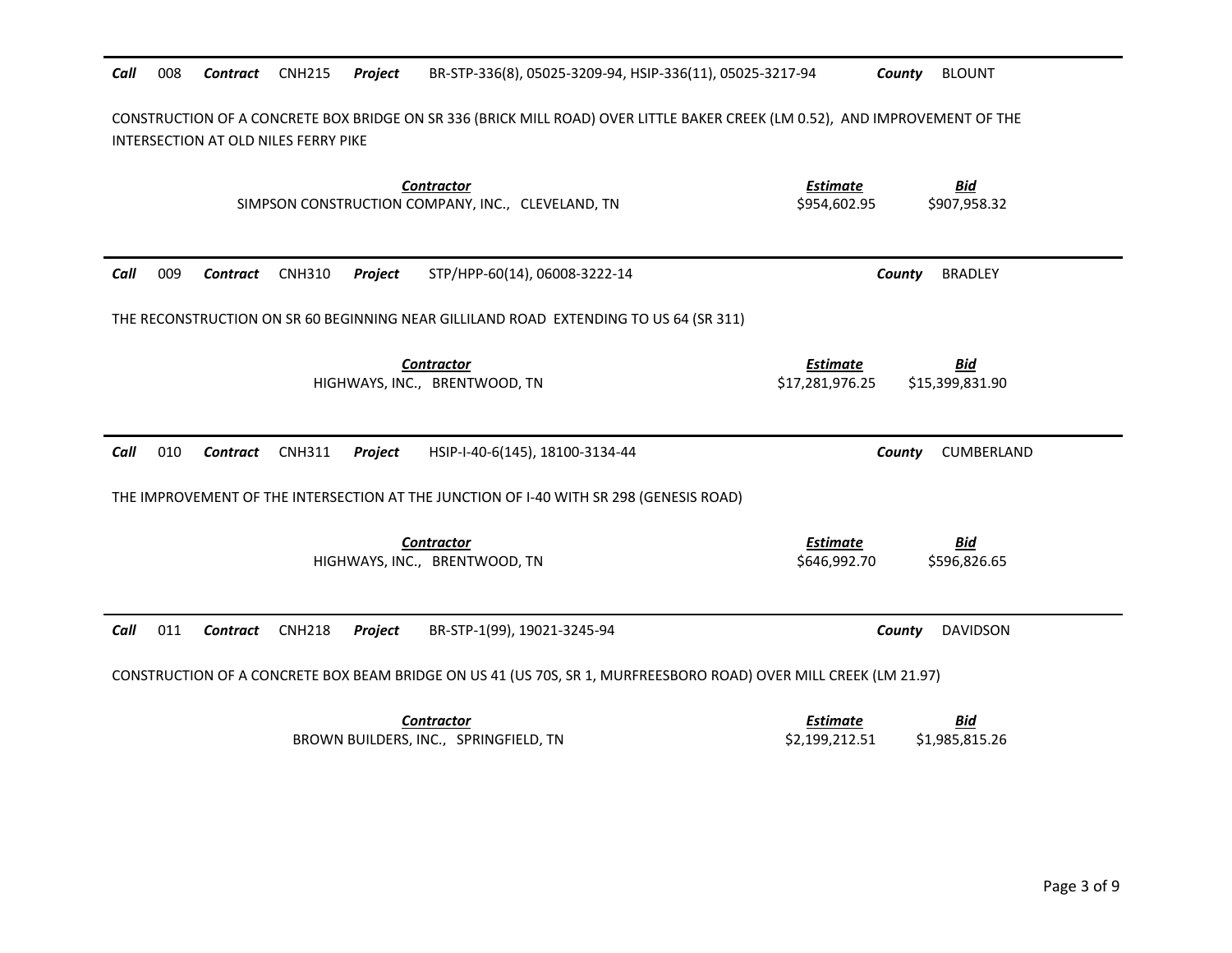| Call | 008                                                                                                                                                                 | Contract        | <b>CNH215</b> | Project | BR-STP-336(8), 05025-3209-94, HSIP-336(11), 05025-3217-94                              | <b>BLOUNT</b><br>County                                                                                          |  |
|------|---------------------------------------------------------------------------------------------------------------------------------------------------------------------|-----------------|---------------|---------|----------------------------------------------------------------------------------------|------------------------------------------------------------------------------------------------------------------|--|
|      | CONSTRUCTION OF A CONCRETE BOX BRIDGE ON SR 336 (BRICK MILL ROAD) OVER LITTLE BAKER CREEK (LM 0.52), AND IMPROVEMENT OF THE<br>INTERSECTION AT OLD NILES FERRY PIKE |                 |               |         |                                                                                        |                                                                                                                  |  |
|      |                                                                                                                                                                     |                 |               |         | <b>Contractor</b><br>SIMPSON CONSTRUCTION COMPANY, INC., CLEVELAND, TN                 | <b>Bid</b><br><b>Estimate</b><br>\$954,602.95<br>\$907,958.32                                                    |  |
| Call | 009                                                                                                                                                                 | <b>Contract</b> | <b>CNH310</b> | Project | STP/HPP-60(14), 06008-3222-14                                                          | <b>BRADLEY</b><br>County                                                                                         |  |
|      | THE RECONSTRUCTION ON SR 60 BEGINNING NEAR GILLILAND ROAD EXTENDING TO US 64 (SR 311)                                                                               |                 |               |         |                                                                                        |                                                                                                                  |  |
|      |                                                                                                                                                                     |                 |               |         | <b>Contractor</b><br>HIGHWAYS, INC., BRENTWOOD, TN                                     | <u>Bid</u><br>Estimate<br>\$17,281,976.25<br>\$15,399,831.90                                                     |  |
| Call | 010                                                                                                                                                                 | Contract        | <b>CNH311</b> | Project | HSIP-I-40-6(145), 18100-3134-44                                                        | County<br>CUMBERLAND                                                                                             |  |
|      |                                                                                                                                                                     |                 |               |         | THE IMPROVEMENT OF THE INTERSECTION AT THE JUNCTION OF I-40 WITH SR 298 (GENESIS ROAD) |                                                                                                                  |  |
|      |                                                                                                                                                                     |                 |               |         | <b>Contractor</b><br>HIGHWAYS, INC., BRENTWOOD, TN                                     | <b>Estimate</b><br><b>Bid</b><br>\$646,992.70<br>\$596,826.65                                                    |  |
| Call | 011                                                                                                                                                                 | <b>Contract</b> | <b>CNH218</b> | Project | BR-STP-1(99), 19021-3245-94                                                            | County<br><b>DAVIDSON</b>                                                                                        |  |
|      |                                                                                                                                                                     |                 |               |         |                                                                                        | CONSTRUCTION OF A CONCRETE BOX BEAM BRIDGE ON US 41 (US 70S, SR 1, MURFREESBORO ROAD) OVER MILL CREEK (LM 21.97) |  |
|      |                                                                                                                                                                     |                 |               |         | <b>Contractor</b><br>BROWN BUILDERS, INC., SPRINGFIELD, TN                             | <b>Estimate</b><br><b>Bid</b><br>\$2,199,212.51<br>\$1,985,815.26                                                |  |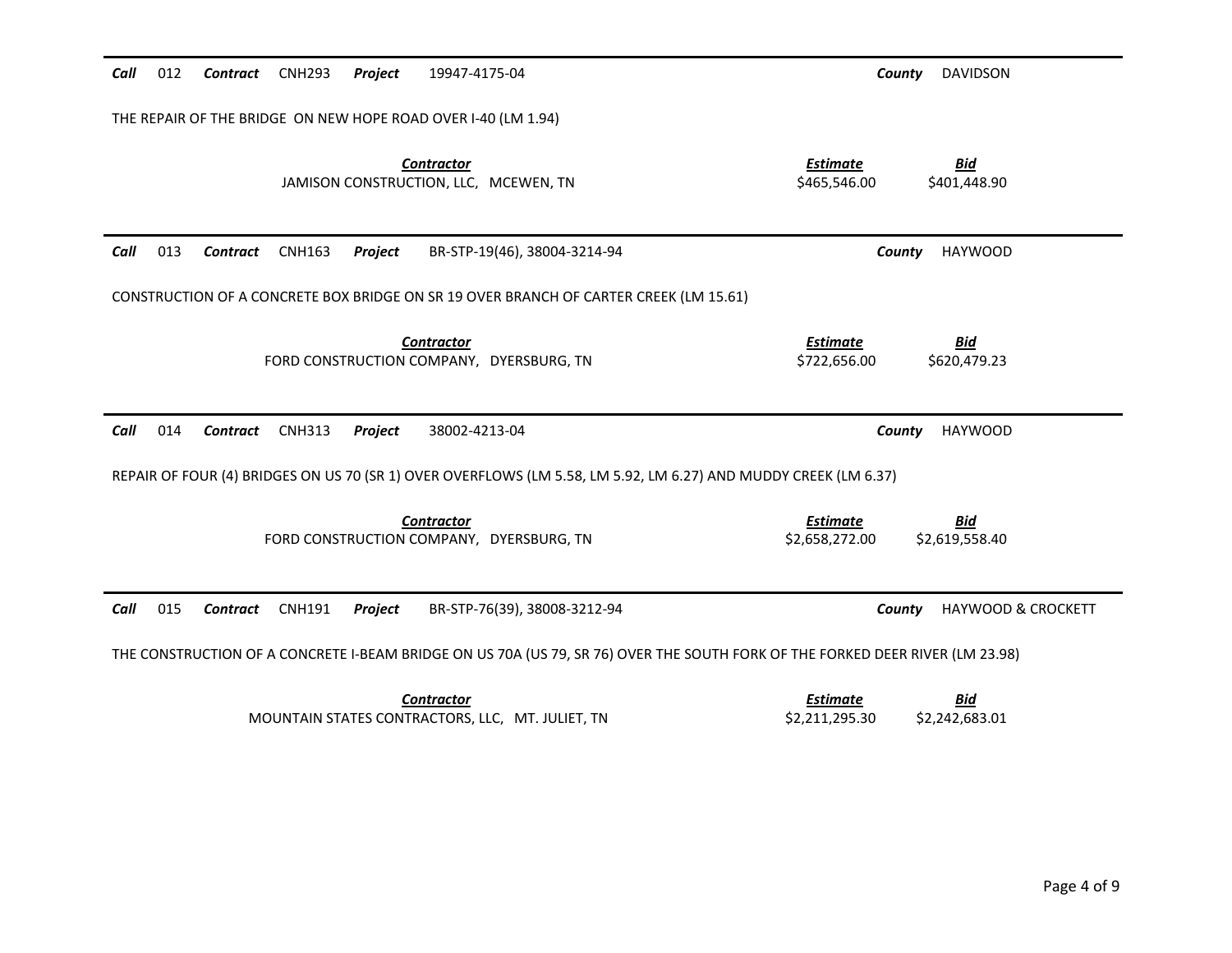| Call<br>012                    | 19947-4175-04<br><b>Contract</b> CNH293<br>Project                                                              | <b>DAVIDSON</b><br>County                                                                                                     |
|--------------------------------|-----------------------------------------------------------------------------------------------------------------|-------------------------------------------------------------------------------------------------------------------------------|
|                                | THE REPAIR OF THE BRIDGE ON NEW HOPE ROAD OVER I-40 (LM 1.94)                                                   |                                                                                                                               |
|                                | <b>Contractor</b><br>JAMISON CONSTRUCTION, LLC, MCEWEN, TN                                                      | <b>Estimate</b><br><b>Bid</b><br>\$465,546.00<br>\$401,448.90                                                                 |
| Call<br>013<br><b>Contract</b> | <b>CNH163</b><br>Project<br>BR-STP-19(46), 38004-3214-94                                                        | <b>HAYWOOD</b><br>County                                                                                                      |
|                                | CONSTRUCTION OF A CONCRETE BOX BRIDGE ON SR 19 OVER BRANCH OF CARTER CREEK (LM 15.61)                           |                                                                                                                               |
|                                | <b>Contractor</b><br>FORD CONSTRUCTION COMPANY, DYERSBURG, TN                                                   | <b>Estimate</b><br><u>Bid</u><br>\$722,656.00<br>\$620,479.23                                                                 |
| Call<br>014<br>Contract        | <b>CNH313</b><br>Project<br>38002-4213-04                                                                       | <b>HAYWOOD</b><br>County                                                                                                      |
|                                | REPAIR OF FOUR (4) BRIDGES ON US 70 (SR 1) OVER OVERFLOWS (LM 5.58, LM 5.92, LM 6.27) AND MUDDY CREEK (LM 6.37) |                                                                                                                               |
|                                | <b>Contractor</b><br>FORD CONSTRUCTION COMPANY, DYERSBURG, TN                                                   | <b>Estimate</b><br><b>Bid</b><br>\$2,658,272.00<br>\$2,619,558.40                                                             |
| 015<br>Call<br>Contract        | <b>CNH191</b><br>Project<br>BR-STP-76(39), 38008-3212-94                                                        | <b>HAYWOOD &amp; CROCKETT</b><br>County                                                                                       |
|                                |                                                                                                                 | THE CONSTRUCTION OF A CONCRETE I-BEAM BRIDGE ON US 70A (US 79, SR 76) OVER THE SOUTH FORK OF THE FORKED DEER RIVER (LM 23.98) |
|                                | <b>Contractor</b><br>MOUNTAIN STATES CONTRACTORS, LLC, MT. JULIET, TN                                           | <b>Estimate</b><br><u>Bid</u><br>\$2,211,295.30<br>\$2,242,683.01                                                             |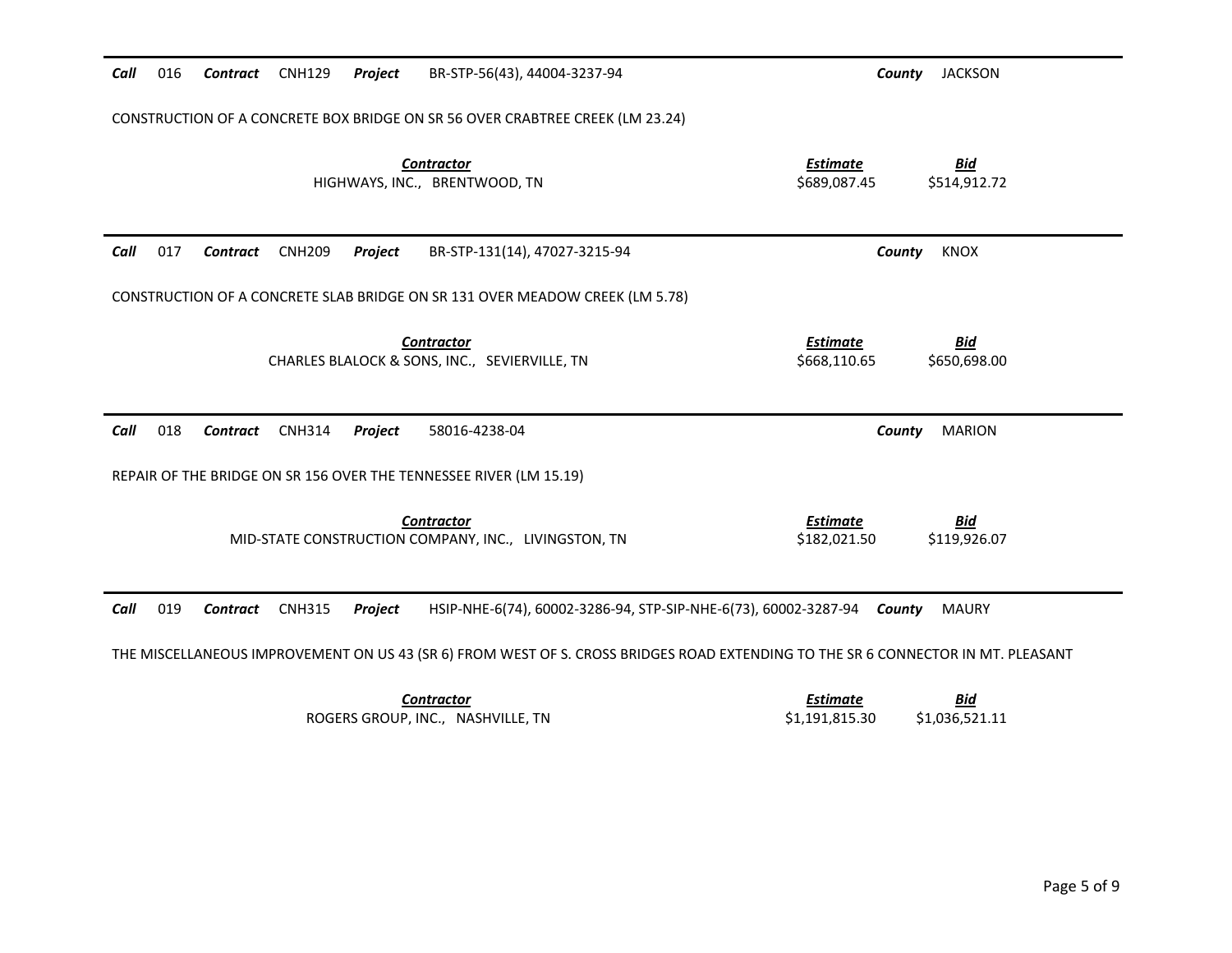| Call | 016                                                                                                                              | <b>Contract</b> | <b>CNH129</b> | Project        | BR-STP-56(43), 44004-3237-94                                                  | County                          | <b>JACKSON</b>             |
|------|----------------------------------------------------------------------------------------------------------------------------------|-----------------|---------------|----------------|-------------------------------------------------------------------------------|---------------------------------|----------------------------|
|      |                                                                                                                                  |                 |               |                | CONSTRUCTION OF A CONCRETE BOX BRIDGE ON SR 56 OVER CRABTREE CREEK (LM 23.24) |                                 |                            |
|      |                                                                                                                                  |                 |               |                | <b>Contractor</b><br>HIGHWAYS, INC., BRENTWOOD, TN                            | <b>Estimate</b><br>\$689,087.45 | <u>Bid</u><br>\$514,912.72 |
| Call | 017                                                                                                                              | <b>Contract</b> | <b>CNH209</b> | <b>Project</b> | BR-STP-131(14), 47027-3215-94                                                 | County                          | <b>KNOX</b>                |
|      |                                                                                                                                  |                 |               |                | CONSTRUCTION OF A CONCRETE SLAB BRIDGE ON SR 131 OVER MEADOW CREEK (LM 5.78)  |                                 |                            |
|      |                                                                                                                                  |                 |               |                | <b>Contractor</b><br>CHARLES BLALOCK & SONS, INC., SEVIERVILLE, TN            | <b>Estimate</b><br>\$668,110.65 | <b>Bid</b><br>\$650,698.00 |
| Call | 018                                                                                                                              | Contract        | <b>CNH314</b> | Project        | 58016-4238-04                                                                 | County                          | <b>MARION</b>              |
|      |                                                                                                                                  |                 |               |                | REPAIR OF THE BRIDGE ON SR 156 OVER THE TENNESSEE RIVER (LM 15.19)            |                                 |                            |
|      |                                                                                                                                  |                 |               |                | <b>Contractor</b><br>MID-STATE CONSTRUCTION COMPANY, INC., LIVINGSTON, TN     | <b>Estimate</b><br>\$182,021.50 | <u>Bid</u><br>\$119,926.07 |
| Call | 019                                                                                                                              | Contract        | <b>CNH315</b> | Project        | HSIP-NHE-6(74), 60002-3286-94, STP-SIP-NHE-6(73), 60002-3287-94 County        |                                 | <b>MAURY</b>               |
|      | THE MISCELLANEOUS IMPROVEMENT ON US 43 (SR 6) FROM WEST OF S. CROSS BRIDGES ROAD EXTENDING TO THE SR 6 CONNECTOR IN MT. PLEASANT |                 |               |                |                                                                               |                                 |                            |
|      |                                                                                                                                  |                 |               |                | <b>Contractor</b>                                                             | <b>Estimate</b>                 | <u>Bid</u>                 |

ROGERS GROUP, INC., NASHVILLE, TN

| csumale        | DIU            |
|----------------|----------------|
| \$1,191,815.30 | \$1.036.521.11 |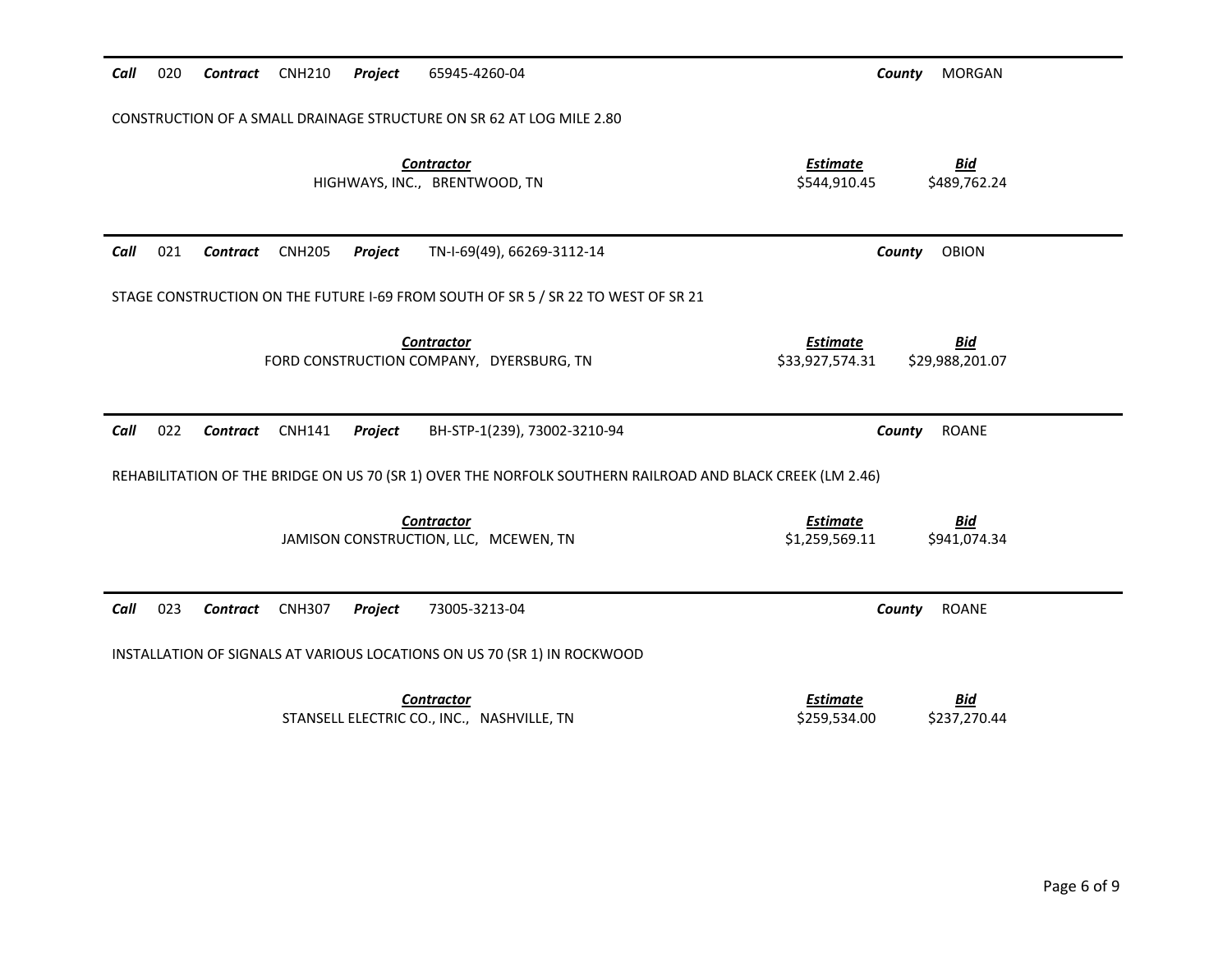| Call | 020 | Contract CNH210 |               | Project | 65945-4260-04                                                                                             |                                    | <b>MORGAN</b><br>County       |  |
|------|-----|-----------------|---------------|---------|-----------------------------------------------------------------------------------------------------------|------------------------------------|-------------------------------|--|
|      |     |                 |               |         | CONSTRUCTION OF A SMALL DRAINAGE STRUCTURE ON SR 62 AT LOG MILE 2.80                                      |                                    |                               |  |
|      |     |                 |               |         | <b>Contractor</b><br>HIGHWAYS, INC., BRENTWOOD, TN                                                        | <b>Estimate</b><br>\$544,910.45    | <b>Bid</b><br>\$489,762.24    |  |
| Call | 021 | Contract        | <b>CNH205</b> | Project | TN-I-69(49), 66269-3112-14                                                                                |                                    | <b>OBION</b><br>County        |  |
|      |     |                 |               |         | STAGE CONSTRUCTION ON THE FUTURE I-69 FROM SOUTH OF SR 5 / SR 22 TO WEST OF SR 21                         |                                    |                               |  |
|      |     |                 |               |         | <b>Contractor</b><br>FORD CONSTRUCTION COMPANY, DYERSBURG, TN                                             | <b>Estimate</b><br>\$33,927,574.31 | <b>Bid</b><br>\$29,988,201.07 |  |
| Call | 022 | Contract        | <b>CNH141</b> | Project | BH-STP-1(239), 73002-3210-94                                                                              |                                    | <b>ROANE</b><br>County        |  |
|      |     |                 |               |         | REHABILITATION OF THE BRIDGE ON US 70 (SR 1) OVER THE NORFOLK SOUTHERN RAILROAD AND BLACK CREEK (LM 2.46) |                                    |                               |  |
|      |     |                 |               |         | <b>Contractor</b><br>JAMISON CONSTRUCTION, LLC, MCEWEN, TN                                                | <b>Estimate</b><br>\$1,259,569.11  | <b>Bid</b><br>\$941,074.34    |  |
| Call | 023 | Contract        | <b>CNH307</b> | Project | 73005-3213-04                                                                                             |                                    | <b>ROANE</b><br>County        |  |
|      |     |                 |               |         | INSTALLATION OF SIGNALS AT VARIOUS LOCATIONS ON US 70 (SR 1) IN ROCKWOOD                                  |                                    |                               |  |
|      |     |                 |               |         |                                                                                                           |                                    |                               |  |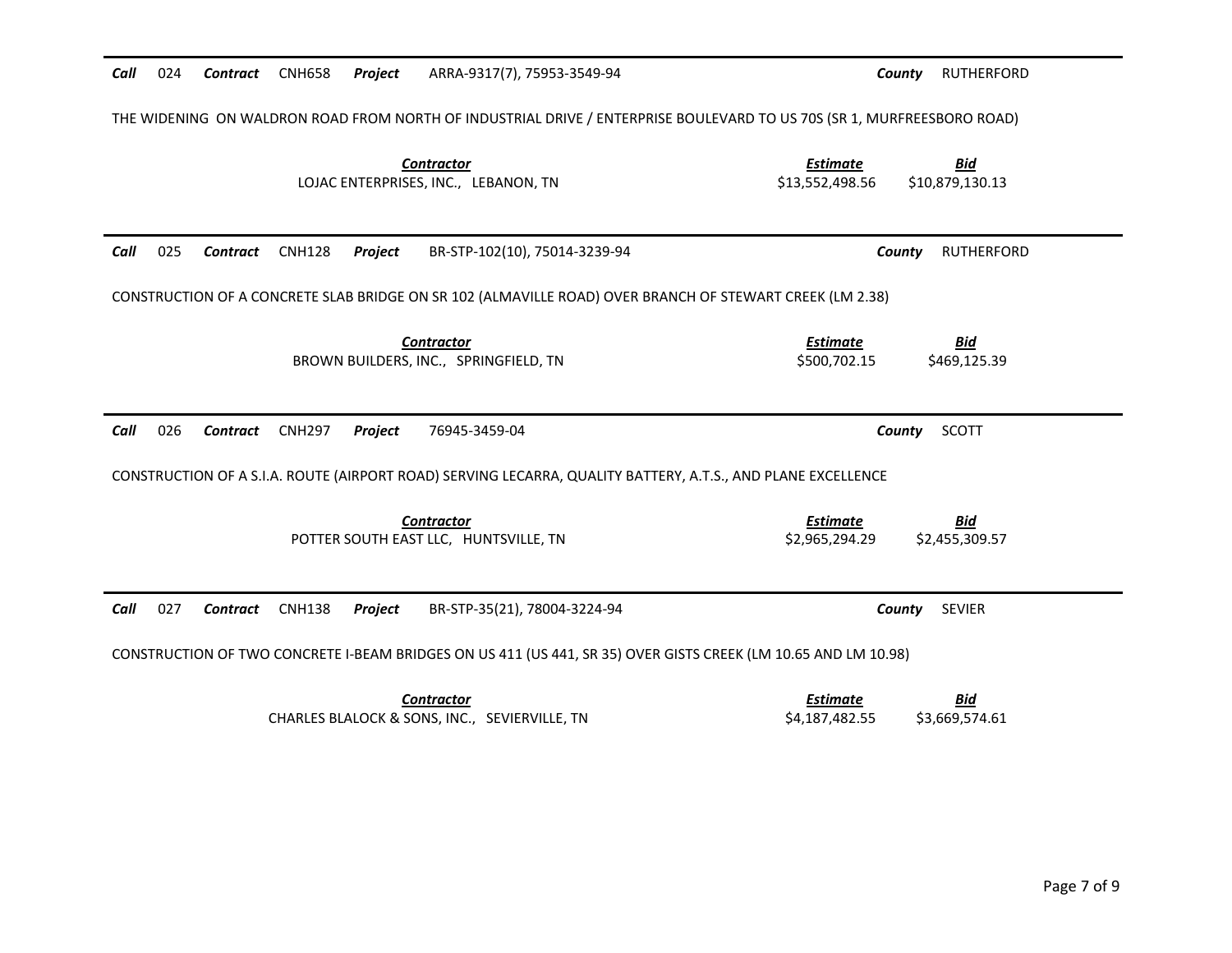| Call | 024                                                                                                                    | Contract        | <b>CNH658</b> | Project | ARRA-9317(7), 75953-3549-94                                                                                    | County                             | <b>RUTHERFORD</b>             |  |
|------|------------------------------------------------------------------------------------------------------------------------|-----------------|---------------|---------|----------------------------------------------------------------------------------------------------------------|------------------------------------|-------------------------------|--|
|      | THE WIDENING ON WALDRON ROAD FROM NORTH OF INDUSTRIAL DRIVE / ENTERPRISE BOULEVARD TO US 70S (SR 1, MURFREESBORO ROAD) |                 |               |         |                                                                                                                |                                    |                               |  |
|      |                                                                                                                        |                 |               |         | <b>Contractor</b><br>LOJAC ENTERPRISES, INC., LEBANON, TN                                                      | <b>Estimate</b><br>\$13,552,498.56 | <b>Bid</b><br>\$10,879,130.13 |  |
| Call | 025                                                                                                                    | Contract        | <b>CNH128</b> | Project | BR-STP-102(10), 75014-3239-94                                                                                  | County                             | <b>RUTHERFORD</b>             |  |
|      | CONSTRUCTION OF A CONCRETE SLAB BRIDGE ON SR 102 (ALMAVILLE ROAD) OVER BRANCH OF STEWART CREEK (LM 2.38)               |                 |               |         |                                                                                                                |                                    |                               |  |
|      |                                                                                                                        |                 |               |         | <b>Contractor</b><br>BROWN BUILDERS, INC., SPRINGFIELD, TN                                                     | <b>Estimate</b><br>\$500.702.15    | <b>Bid</b><br>\$469,125.39    |  |
|      |                                                                                                                        |                 |               |         |                                                                                                                |                                    |                               |  |
| Call | 026                                                                                                                    | <b>Contract</b> | <b>CNH297</b> | Project | 76945-3459-04                                                                                                  | County                             | SCOTT                         |  |
|      |                                                                                                                        |                 |               |         | CONSTRUCTION OF A S.I.A. ROUTE (AIRPORT ROAD) SERVING LECARRA, QUALITY BATTERY, A.T.S., AND PLANE EXCELLENCE   |                                    |                               |  |
|      |                                                                                                                        |                 |               |         | <b>Contractor</b><br>POTTER SOUTH EAST LLC, HUNTSVILLE, TN                                                     | <b>Estimate</b><br>\$2,965,294.29  | <b>Bid</b><br>\$2,455,309.57  |  |
| Call | 027                                                                                                                    | <b>Contract</b> | <b>CNH138</b> | Project | BR-STP-35(21), 78004-3224-94                                                                                   | County                             | <b>SEVIER</b>                 |  |
|      |                                                                                                                        |                 |               |         | CONSTRUCTION OF TWO CONCRETE I-BEAM BRIDGES ON US 411 (US 441, SR 35) OVER GISTS CREEK (LM 10.65 AND LM 10.98) |                                    |                               |  |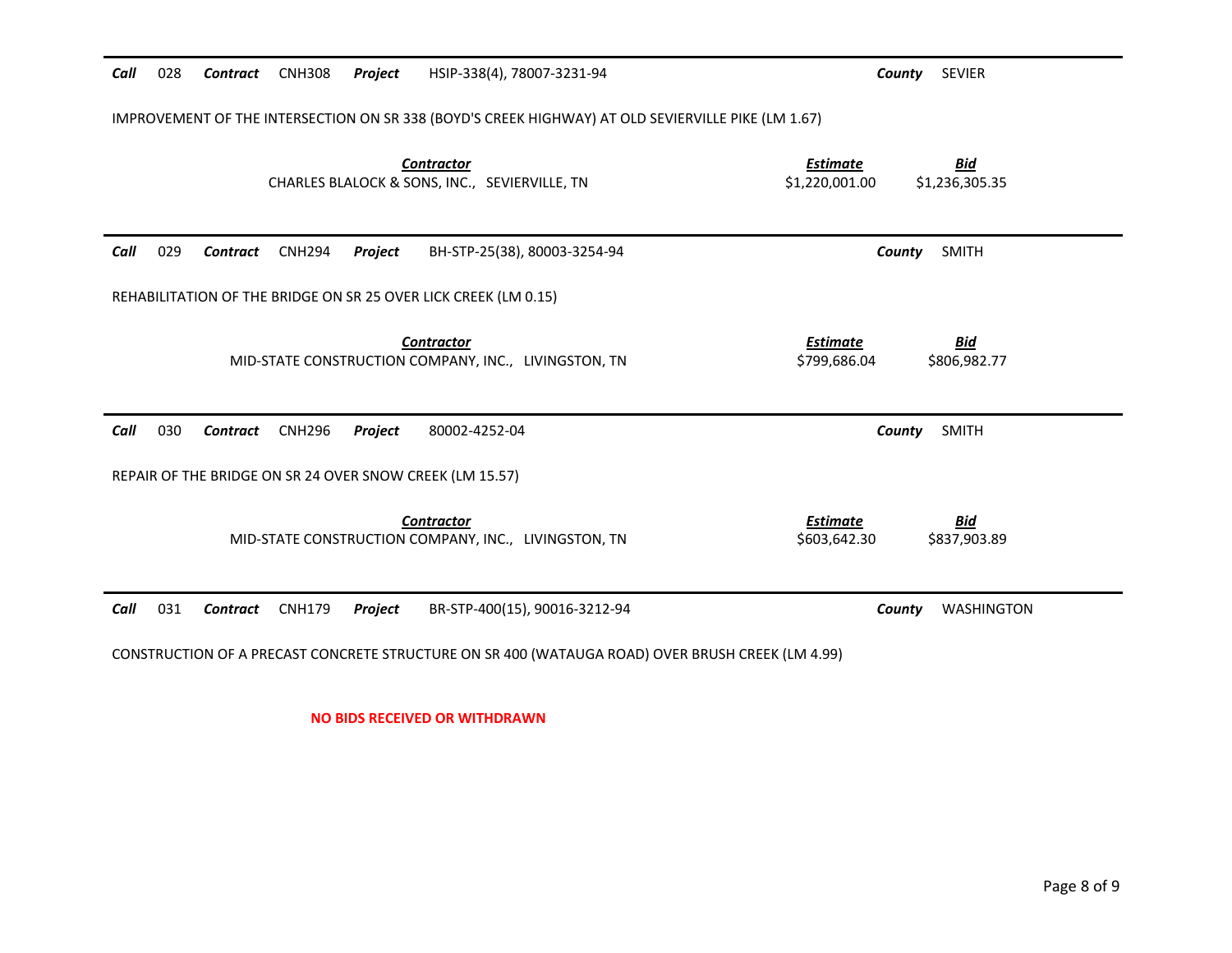| Call | 028                                                                                                | Contract        | <b>CNH308</b> | Project | HSIP-338(4), 78007-3231-94                                                | County                            | <b>SEVIER</b>                |
|------|----------------------------------------------------------------------------------------------------|-----------------|---------------|---------|---------------------------------------------------------------------------|-----------------------------------|------------------------------|
|      | IMPROVEMENT OF THE INTERSECTION ON SR 338 (BOYD'S CREEK HIGHWAY) AT OLD SEVIERVILLE PIKE (LM 1.67) |                 |               |         |                                                                           |                                   |                              |
|      |                                                                                                    |                 |               |         | <b>Contractor</b><br>CHARLES BLALOCK & SONS, INC., SEVIERVILLE, TN        | <b>Estimate</b><br>\$1,220,001.00 | <b>Bid</b><br>\$1,236,305.35 |
| Call | 029                                                                                                | Contract        | <b>CNH294</b> | Project | BH-STP-25(38), 80003-3254-94                                              | County                            | SMITH                        |
|      |                                                                                                    |                 |               |         | REHABILITATION OF THE BRIDGE ON SR 25 OVER LICK CREEK (LM 0.15)           |                                   |                              |
|      |                                                                                                    |                 |               |         | <b>Contractor</b><br>MID-STATE CONSTRUCTION COMPANY, INC., LIVINGSTON, TN | <b>Estimate</b><br>\$799,686.04   | <b>Bid</b><br>\$806,982.77   |
| Call | 030                                                                                                | <b>Contract</b> | <b>CNH296</b> | Project | 80002-4252-04                                                             | County                            | <b>SMITH</b>                 |
|      |                                                                                                    |                 |               |         | REPAIR OF THE BRIDGE ON SR 24 OVER SNOW CREEK (LM 15.57)                  |                                   |                              |
|      |                                                                                                    |                 |               |         | <b>Contractor</b><br>MID-STATE CONSTRUCTION COMPANY, INC., LIVINGSTON, TN | <b>Estimate</b><br>\$603,642.30   | <b>Bid</b><br>\$837,903.89   |
| Call | 031                                                                                                | Contract        | <b>CNH179</b> | Project | BR-STP-400(15), 90016-3212-94                                             | County                            | WASHINGTON                   |
|      | CONSTRUCTION OF A PRECAST CONCRETE STRUCTURE ON SR 400 (WATAUGA ROAD) OVER BRUSH CREEK (LM 4.99)   |                 |               |         |                                                                           |                                   |                              |

**NO BIDS RECEIVED OR WITHDRAWN**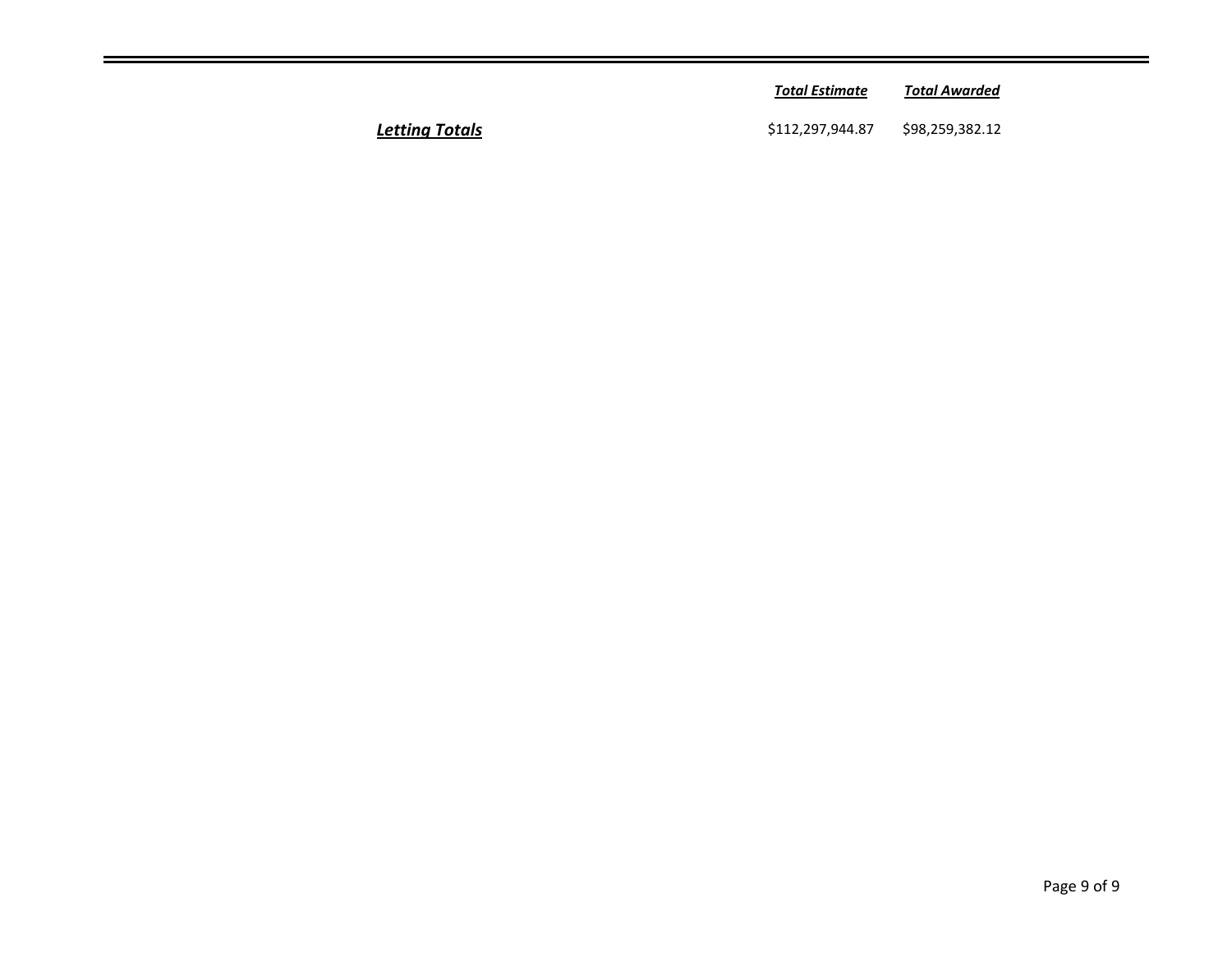|        | <b>Total Estimate</b> | <b>Total Awarded</b> |  |
|--------|-----------------------|----------------------|--|
| Totals | \$112,297,944.87      | \$98,259,382.12      |  |

**Letting Totals**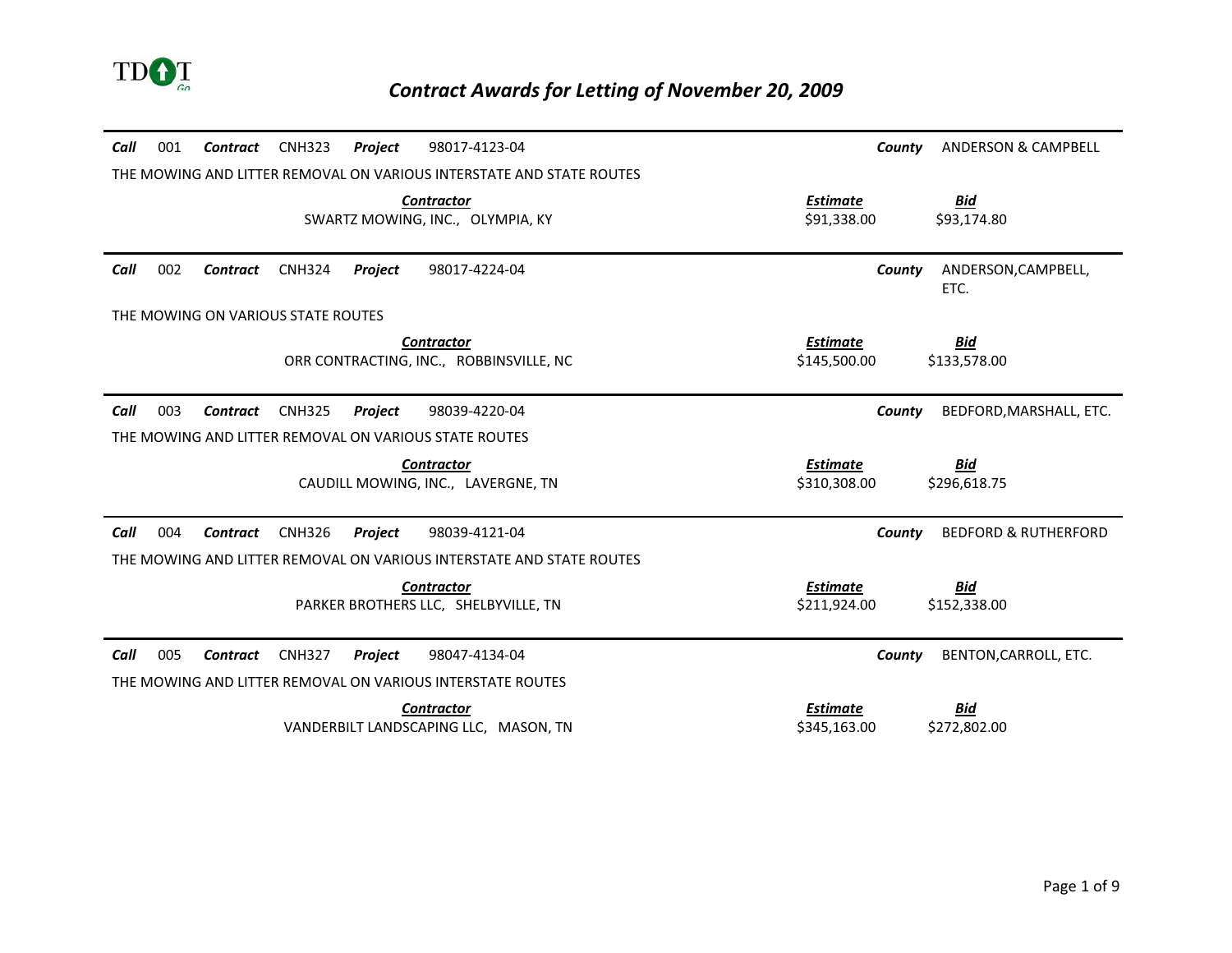

| 001<br>Call | Contract                           | <b>CNH323</b> | Project | 98017-4123-04                                                        |                                 | County | <b>ANDERSON &amp; CAMPBELL</b>  |
|-------------|------------------------------------|---------------|---------|----------------------------------------------------------------------|---------------------------------|--------|---------------------------------|
|             |                                    |               |         | THE MOWING AND LITTER REMOVAL ON VARIOUS INTERSTATE AND STATE ROUTES |                                 |        |                                 |
|             |                                    |               |         | <b>Contractor</b><br>SWARTZ MOWING, INC., OLYMPIA, KY                | <b>Estimate</b><br>\$91,338.00  |        | <u>Bid</u><br>\$93,174.80       |
| Call<br>002 | Contract                           | <b>CNH324</b> | Project | 98017-4224-04                                                        |                                 | County | ANDERSON, CAMPBELL,<br>ETC.     |
|             | THE MOWING ON VARIOUS STATE ROUTES |               |         |                                                                      |                                 |        |                                 |
|             |                                    |               |         | <b>Contractor</b><br>ORR CONTRACTING, INC., ROBBINSVILLE, NC         | <b>Estimate</b><br>\$145,500.00 |        | <u>Bid</u><br>\$133,578.00      |
| Call<br>003 | <b>Contract</b>                    | <b>CNH325</b> | Project | 98039-4220-04                                                        |                                 | County | BEDFORD, MARSHALL, ETC.         |
|             |                                    |               |         | THE MOWING AND LITTER REMOVAL ON VARIOUS STATE ROUTES                |                                 |        |                                 |
|             |                                    |               |         | <b>Contractor</b><br>CAUDILL MOWING, INC., LAVERGNE, TN              | <b>Estimate</b><br>\$310,308.00 |        | Bid<br>\$296,618.75             |
| Call<br>004 | Contract                           | <b>CNH326</b> | Project | 98039-4121-04                                                        |                                 | County | <b>BEDFORD &amp; RUTHERFORD</b> |
|             |                                    |               |         | THE MOWING AND LITTER REMOVAL ON VARIOUS INTERSTATE AND STATE ROUTES |                                 |        |                                 |
|             |                                    |               |         | <b>Contractor</b><br>PARKER BROTHERS LLC, SHELBYVILLE, TN            | <b>Estimate</b><br>\$211,924.00 |        | <b>Bid</b><br>\$152,338.00      |
| Call<br>005 | Contract                           | <b>CNH327</b> | Project | 98047-4134-04                                                        |                                 | County | BENTON, CARROLL, ETC.           |
|             |                                    |               |         | THE MOWING AND LITTER REMOVAL ON VARIOUS INTERSTATE ROUTES           |                                 |        |                                 |
|             |                                    |               |         | <b>Contractor</b>                                                    | <b>Estimate</b>                 |        | Bid                             |
|             |                                    |               |         | VANDERBILT LANDSCAPING LLC, MASON, TN                                | \$345,163.00                    |        | \$272,802.00                    |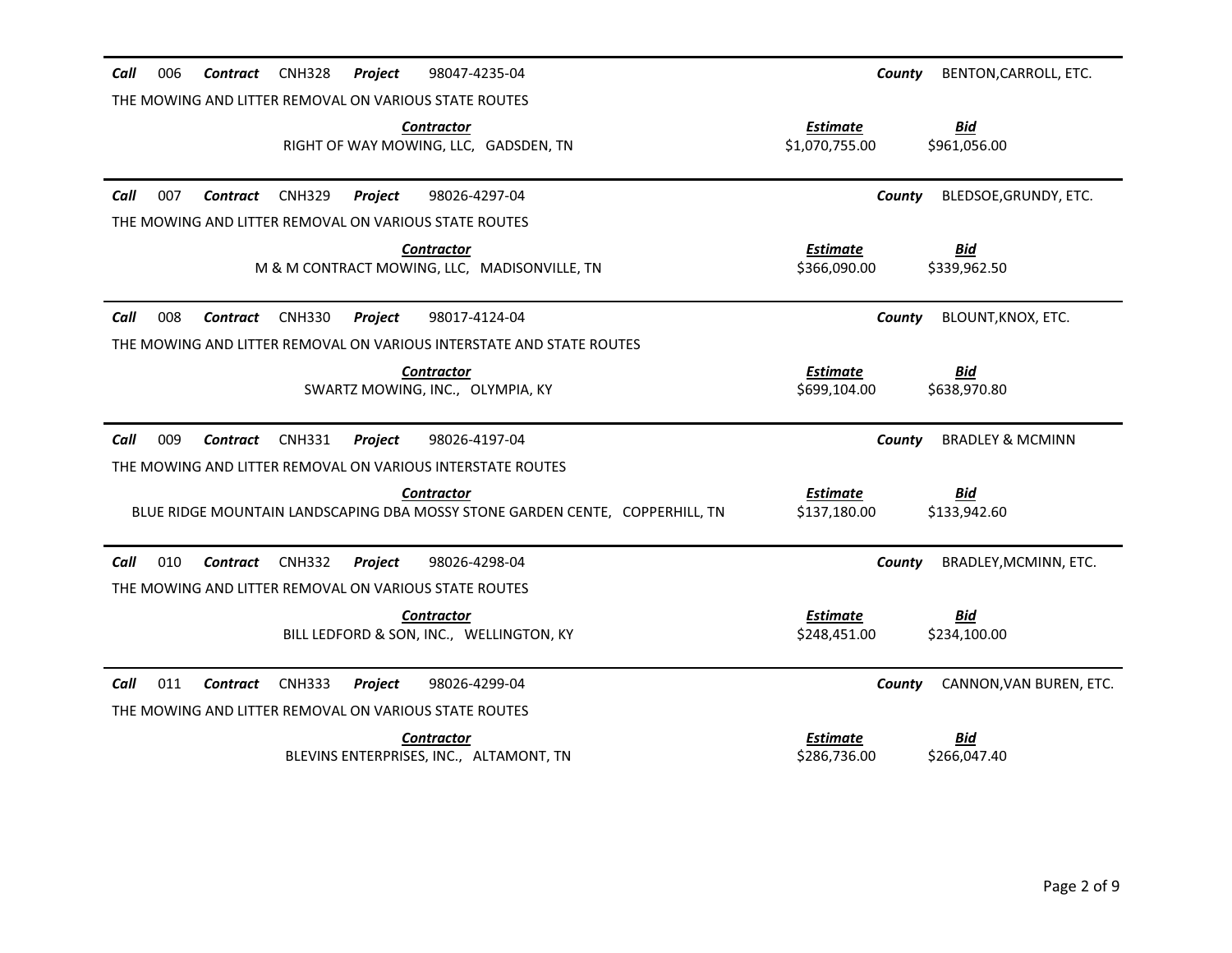| 006<br>Call<br><b>CNH328</b><br>98047-4235-04<br>Contract<br>Project               | BENTON, CARROLL, ETC.<br>County                               |
|------------------------------------------------------------------------------------|---------------------------------------------------------------|
| THE MOWING AND LITTER REMOVAL ON VARIOUS STATE ROUTES                              |                                                               |
| <b>Contractor</b><br>RIGHT OF WAY MOWING, LLC, GADSDEN, TN                         | <b>Estimate</b><br>Bid<br>\$1,070,755.00<br>\$961,056.00      |
| 007<br>Call<br>98026-4297-04<br>Contract<br><b>CNH329</b><br><b>Project</b>        | BLEDSOE, GRUNDY, ETC.<br>County                               |
| THE MOWING AND LITTER REMOVAL ON VARIOUS STATE ROUTES                              |                                                               |
| <b>Contractor</b><br>M & M CONTRACT MOWING, LLC, MADISONVILLE, TN                  | <b>Estimate</b><br><b>Bid</b><br>\$366,090.00<br>\$339,962.50 |
| 008<br>Call<br>98017-4124-04<br>Contract<br><b>CNH330</b><br><b>Project</b>        | BLOUNT, KNOX, ETC.<br>County                                  |
| THE MOWING AND LITTER REMOVAL ON VARIOUS INTERSTATE AND STATE ROUTES               |                                                               |
| <b>Contractor</b><br>SWARTZ MOWING, INC., OLYMPIA, KY                              | <b>Estimate</b><br>Bid<br>\$699,104.00<br>\$638,970.80        |
|                                                                                    |                                                               |
| Call<br>009<br><b>Contract</b><br><b>CNH331</b><br>98026-4197-04<br>Project        | <b>BRADLEY &amp; MCMINN</b><br>County                         |
| THE MOWING AND LITTER REMOVAL ON VARIOUS INTERSTATE ROUTES                         |                                                               |
| <b>Contractor</b>                                                                  | <b>Estimate</b><br><b>Bid</b>                                 |
| BLUE RIDGE MOUNTAIN LANDSCAPING DBA MOSSY STONE GARDEN CENTE, COPPERHILL, TN       | \$137,180.00<br>\$133,942.60                                  |
| Call<br>010<br><b>CNH332</b><br>98026-4298-04<br>Contract<br><b>Project</b>        | BRADLEY, MCMINN, ETC.<br>County                               |
| THE MOWING AND LITTER REMOVAL ON VARIOUS STATE ROUTES                              |                                                               |
| <b>Contractor</b>                                                                  | <b>Bid</b><br><b>Estimate</b>                                 |
| BILL LEDFORD & SON, INC., WELLINGTON, KY                                           | \$248,451.00<br>\$234,100.00                                  |
| Call<br>011<br>98026-4299-04<br><b>Contract</b><br><b>CNH333</b><br><b>Project</b> | CANNON, VAN BUREN, ETC.<br>County                             |
| THE MOWING AND LITTER REMOVAL ON VARIOUS STATE ROUTES                              |                                                               |
| <b>Contractor</b>                                                                  | <b>Estimate</b><br><b>Bid</b>                                 |
| BLEVINS ENTERPRISES, INC., ALTAMONT, TN                                            | \$286,736.00<br>\$266,047.40                                  |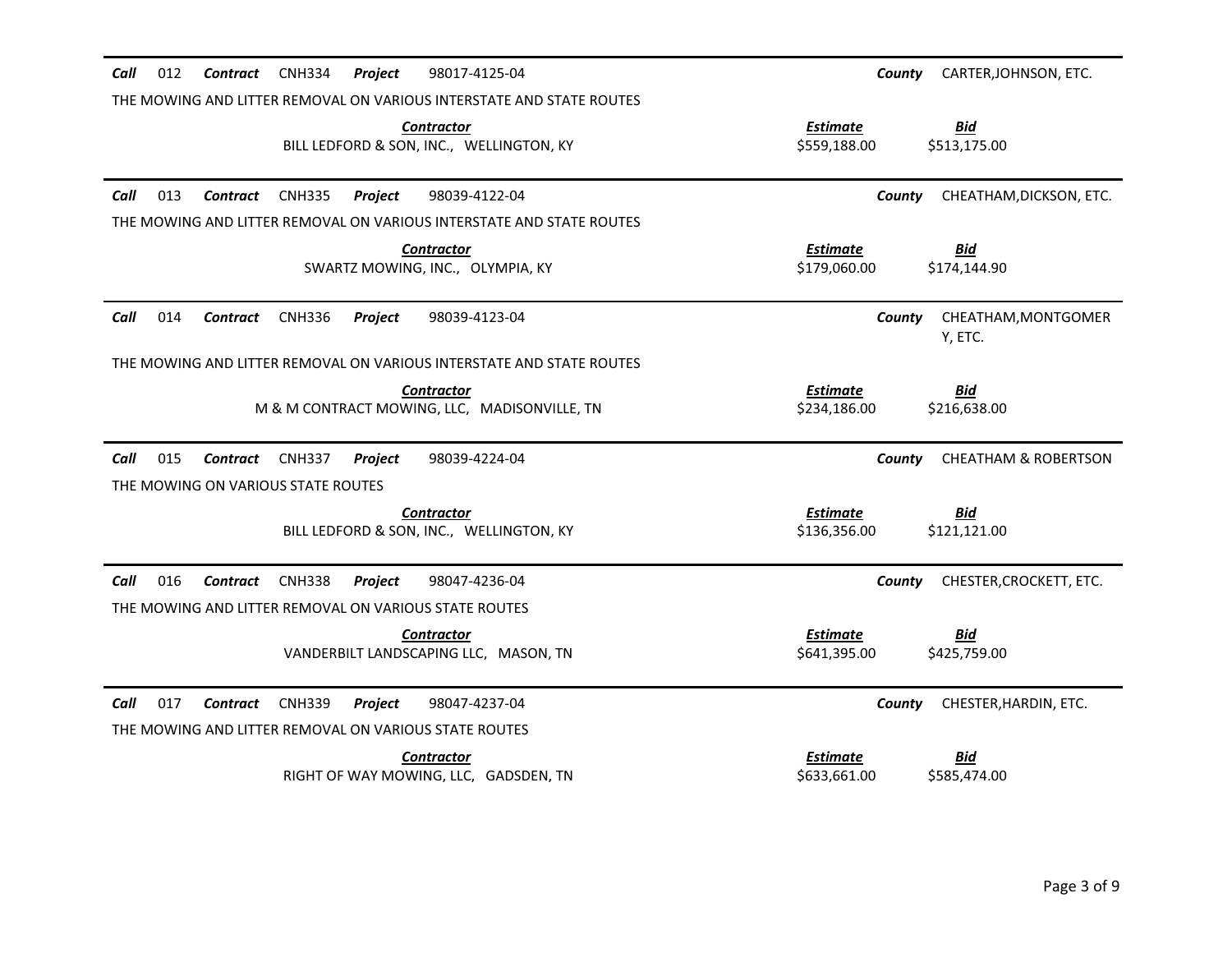| Call<br>012<br><b>Contract</b>     | <b>CNH334</b><br><b>Project</b><br>98017-4125-04                     | CARTER, JOHNSON, ETC.<br>County                               |
|------------------------------------|----------------------------------------------------------------------|---------------------------------------------------------------|
|                                    | THE MOWING AND LITTER REMOVAL ON VARIOUS INTERSTATE AND STATE ROUTES |                                                               |
|                                    | <b>Contractor</b><br>BILL LEDFORD & SON, INC., WELLINGTON, KY        | <b>Estimate</b><br><u>Bid</u><br>\$559,188.00<br>\$513,175.00 |
| Call<br>013<br><b>Contract</b>     | <b>CNH335</b><br>Project<br>98039-4122-04                            | CHEATHAM, DICKSON, ETC.<br>County                             |
|                                    | THE MOWING AND LITTER REMOVAL ON VARIOUS INTERSTATE AND STATE ROUTES |                                                               |
|                                    | <b>Contractor</b><br>SWARTZ MOWING, INC., OLYMPIA, KY                | <b>Estimate</b><br>Bid<br>\$179,060.00<br>\$174,144.90        |
| Call<br>014<br><b>Contract</b>     | <b>CNH336</b><br>98039-4123-04<br>Project                            | CHEATHAM, MONTGOMER<br>County<br>Y, ETC.                      |
|                                    | THE MOWING AND LITTER REMOVAL ON VARIOUS INTERSTATE AND STATE ROUTES |                                                               |
|                                    | <b>Contractor</b><br>M & M CONTRACT MOWING, LLC, MADISONVILLE, TN    | <b>Estimate</b><br><u>Bid</u><br>\$234,186.00<br>\$216,638.00 |
| 015<br>Call<br><b>Contract</b>     | <b>CNH337</b><br>Project<br>98039-4224-04                            | <b>CHEATHAM &amp; ROBERTSON</b><br>County                     |
| THE MOWING ON VARIOUS STATE ROUTES |                                                                      |                                                               |
|                                    | <b>Contractor</b><br>BILL LEDFORD & SON, INC., WELLINGTON, KY        | <b>Bid</b><br><b>Estimate</b><br>\$136,356.00<br>\$121,121.00 |
| Call<br>016<br>Contract            | <b>CNH338</b><br>Project<br>98047-4236-04                            | CHESTER, CROCKETT, ETC.<br>County                             |
|                                    | THE MOWING AND LITTER REMOVAL ON VARIOUS STATE ROUTES                |                                                               |
|                                    | <b>Contractor</b><br>VANDERBILT LANDSCAPING LLC, MASON, TN           | <b>Estimate</b><br><u>Bid</u><br>\$641,395.00<br>\$425,759.00 |
| Call<br>017<br><b>Contract</b>     | <b>CNH339</b><br>98047-4237-04<br>Project                            | County<br>CHESTER, HARDIN, ETC.                               |
|                                    | THE MOWING AND LITTER REMOVAL ON VARIOUS STATE ROUTES                |                                                               |
|                                    | <b>Contractor</b><br>RIGHT OF WAY MOWING, LLC, GADSDEN, TN           | <b>Estimate</b><br><u>Bid</u><br>\$585,474.00<br>\$633.661.00 |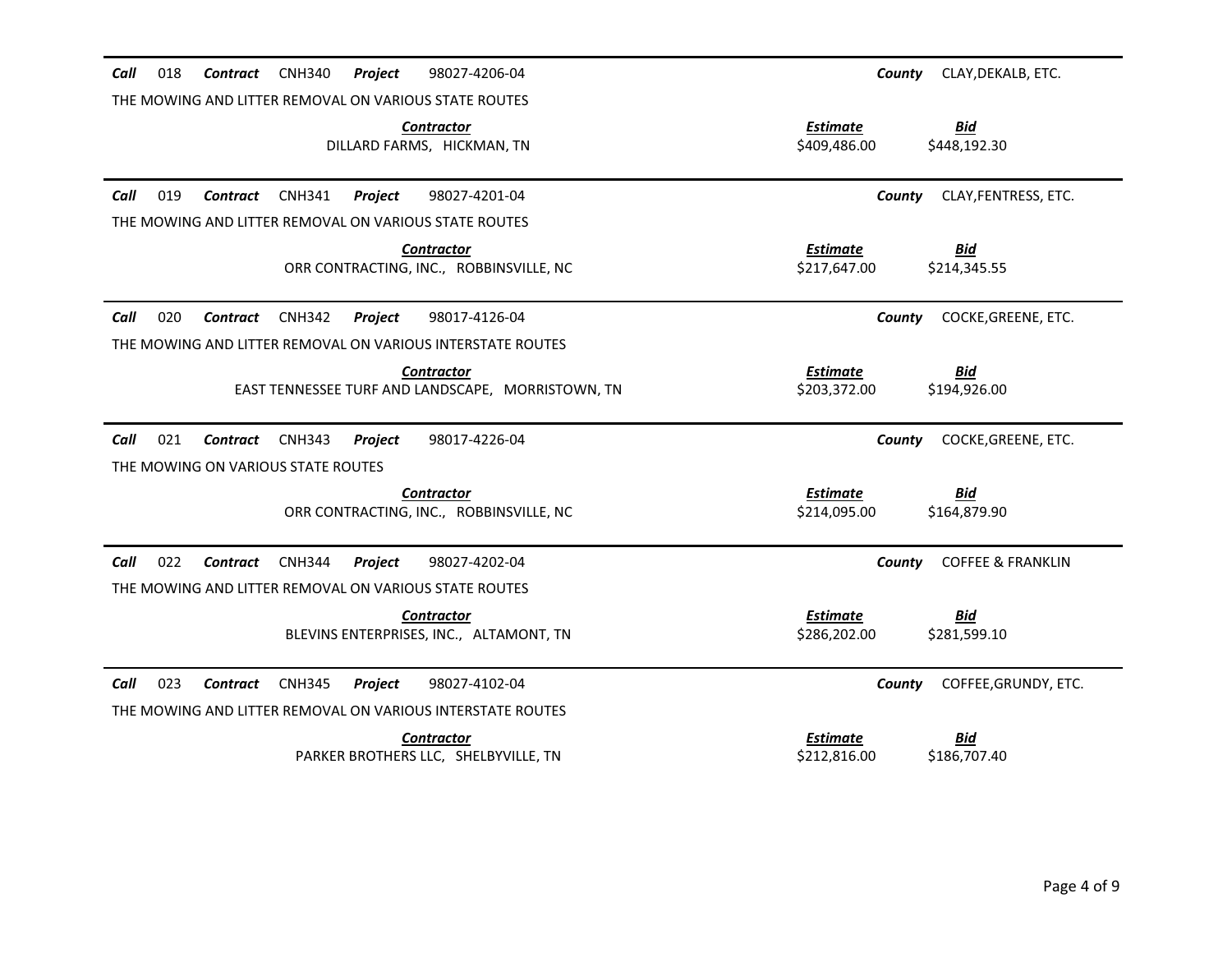| <b>CNH340</b><br>Call<br>018<br>Contract              | 98027-4206-04<br><b>Project</b>                                                        | County                          | CLAY, DEKALB, ETC.           |
|-------------------------------------------------------|----------------------------------------------------------------------------------------|---------------------------------|------------------------------|
| THE MOWING AND LITTER REMOVAL ON VARIOUS STATE ROUTES |                                                                                        |                                 |                              |
|                                                       | <b>Contractor</b><br>DILLARD FARMS, HICKMAN, TN                                        | <b>Estimate</b><br>\$409,486.00 | <u>Bid</u><br>\$448,192.30   |
| Call<br>019<br><b>CNH341</b><br><b>Contract</b>       | 98027-4201-04<br>Project                                                               | County                          | CLAY, FENTRESS, ETC.         |
| THE MOWING AND LITTER REMOVAL ON VARIOUS STATE ROUTES |                                                                                        |                                 |                              |
|                                                       | <b>Contractor</b><br>ORR CONTRACTING, INC., ROBBINSVILLE, NC                           | <b>Estimate</b><br>\$217,647.00 | <b>Bid</b><br>\$214,345.55   |
| 020<br>Call<br><b>CNH342</b><br>Contract              | Project<br>98017-4126-04                                                               | County                          | COCKE, GREENE, ETC.          |
|                                                       | THE MOWING AND LITTER REMOVAL ON VARIOUS INTERSTATE ROUTES                             |                                 |                              |
|                                                       | <b>Contractor</b><br>EAST TENNESSEE TURF AND LANDSCAPE, MORRISTOWN, TN                 | <b>Estimate</b><br>\$203,372.00 | <u>Bid</u><br>\$194,926.00   |
| 021<br>Call<br><b>CNH343</b><br>Contract              | 98017-4226-04<br>Project                                                               | County                          | COCKE, GREENE, ETC.          |
| THE MOWING ON VARIOUS STATE ROUTES                    |                                                                                        |                                 |                              |
|                                                       | <b>Contractor</b><br>ORR CONTRACTING, INC., ROBBINSVILLE, NC                           | <b>Estimate</b><br>\$214,095.00 | <b>Bid</b><br>\$164,879.90   |
| 022<br>Call<br><b>CNH344</b><br>Contract              | 98027-4202-04<br><b>Project</b>                                                        | County                          | <b>COFFEE &amp; FRANKLIN</b> |
| THE MOWING AND LITTER REMOVAL ON VARIOUS STATE ROUTES |                                                                                        |                                 |                              |
|                                                       | <b>Contractor</b>                                                                      | <b>Estimate</b>                 | <u>Bid</u>                   |
|                                                       | BLEVINS ENTERPRISES, INC., ALTAMONT, TN                                                | \$286,202.00                    | \$281,599.10                 |
| Call<br>023<br><b>Contract</b><br><b>CNH345</b>       | Project<br>98027-4102-04<br>THE MOWING AND LITTER REMOVAL ON VARIOUS INTERSTATE ROUTES | County                          | COFFEE, GRUNDY, ETC.         |
|                                                       | <b>Contractor</b>                                                                      | <b>Estimate</b>                 | <u>Bid</u>                   |
|                                                       | PARKER BROTHERS LLC, SHELBYVILLE, TN                                                   | \$212,816.00                    | \$186,707.40                 |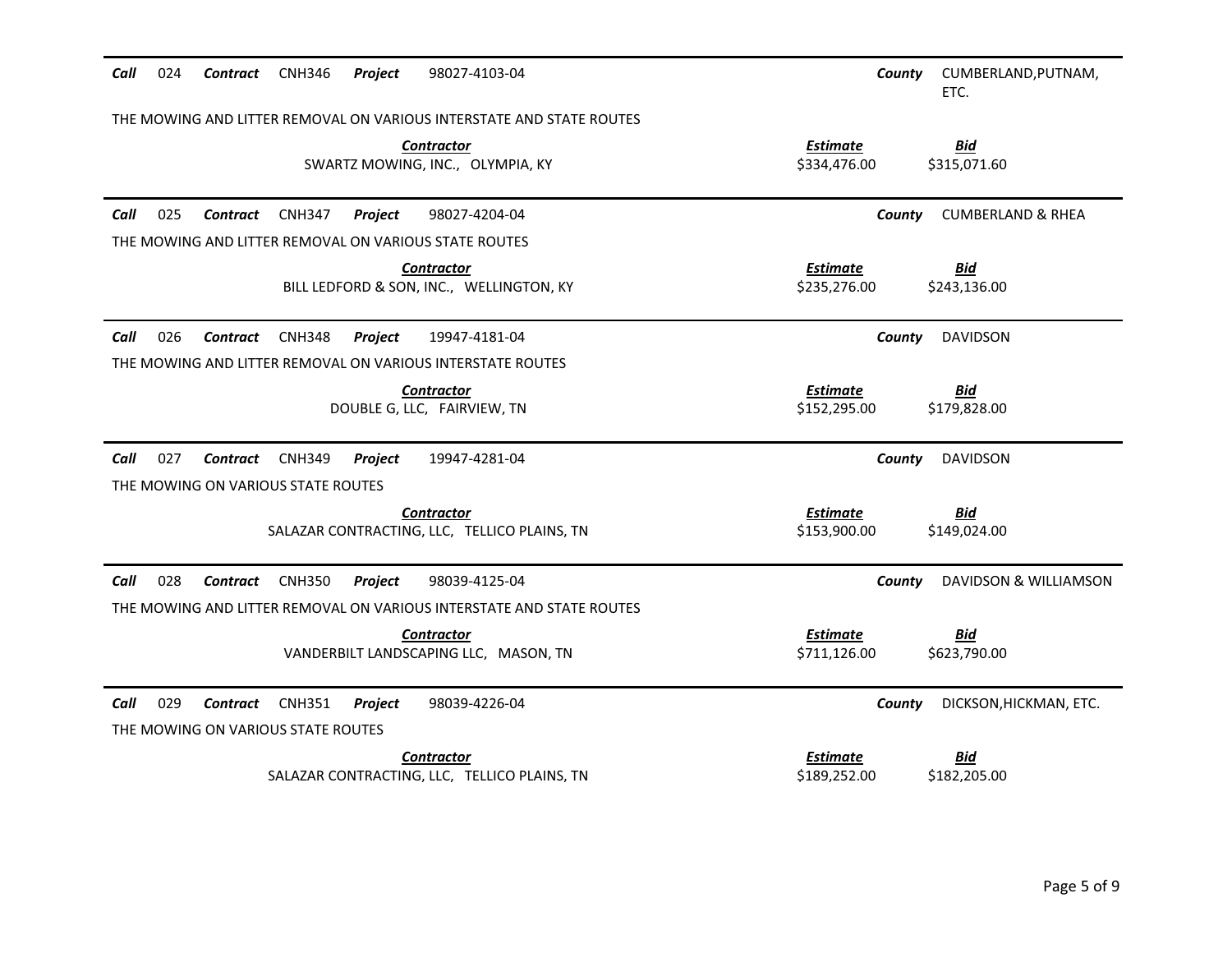| 024<br>Contract CNH346<br>Project<br>98027-4103-04<br>Call                  | CUMBERLAND, PUTNAM,<br>County<br>ETC.                         |  |  |  |  |  |  |
|-----------------------------------------------------------------------------|---------------------------------------------------------------|--|--|--|--|--|--|
| THE MOWING AND LITTER REMOVAL ON VARIOUS INTERSTATE AND STATE ROUTES        |                                                               |  |  |  |  |  |  |
| <b>Contractor</b><br>SWARTZ MOWING, INC., OLYMPIA, KY                       | <b>Estimate</b><br><b>Bid</b><br>\$334,476.00<br>\$315,071.60 |  |  |  |  |  |  |
| Call<br>025<br>Contract CNH347<br>98027-4204-04<br>Project                  | <b>CUMBERLAND &amp; RHEA</b><br>County                        |  |  |  |  |  |  |
| THE MOWING AND LITTER REMOVAL ON VARIOUS STATE ROUTES                       |                                                               |  |  |  |  |  |  |
| <b>Contractor</b><br>BILL LEDFORD & SON, INC., WELLINGTON, KY               | <b>Estimate</b><br><u>Bid</u><br>\$235,276.00<br>\$243,136.00 |  |  |  |  |  |  |
| Call<br>026<br><b>CNH348</b><br>19947-4181-04<br>Contract<br><b>Project</b> | <b>DAVIDSON</b><br>County                                     |  |  |  |  |  |  |
| THE MOWING AND LITTER REMOVAL ON VARIOUS INTERSTATE ROUTES                  |                                                               |  |  |  |  |  |  |
| <b>Contractor</b><br>DOUBLE G, LLC, FAIRVIEW, TN                            | <b>Estimate</b><br><b>Bid</b><br>\$152,295.00<br>\$179,828.00 |  |  |  |  |  |  |
| Call<br>027<br>Contract CNH349<br>Project<br>19947-4281-04                  | <b>DAVIDSON</b><br>County                                     |  |  |  |  |  |  |
| THE MOWING ON VARIOUS STATE ROUTES                                          |                                                               |  |  |  |  |  |  |
| <b>Contractor</b><br>SALAZAR CONTRACTING, LLC, TELLICO PLAINS, TN           | <b>Estimate</b><br><b>Bid</b><br>\$153,900.00<br>\$149,024.00 |  |  |  |  |  |  |
| Call<br>028<br><b>CNH350</b><br>Project<br>98039-4125-04<br>Contract        | DAVIDSON & WILLIAMSON<br>County                               |  |  |  |  |  |  |
| THE MOWING AND LITTER REMOVAL ON VARIOUS INTERSTATE AND STATE ROUTES        |                                                               |  |  |  |  |  |  |
| <b>Contractor</b>                                                           | <b>Estimate</b><br><b>Bid</b>                                 |  |  |  |  |  |  |
| VANDERBILT LANDSCAPING LLC, MASON, TN                                       | \$711,126.00<br>\$623,790.00                                  |  |  |  |  |  |  |
| Call<br>029<br><b>Contract</b> CNH351<br>Project<br>98039-4226-04           | DICKSON, HICKMAN, ETC.<br>County                              |  |  |  |  |  |  |
| THE MOWING ON VARIOUS STATE ROUTES                                          |                                                               |  |  |  |  |  |  |
| <b>Contractor</b>                                                           | <b>Estimate</b><br><u>Bid</u>                                 |  |  |  |  |  |  |
| SALAZAR CONTRACTING, LLC, TELLICO PLAINS, TN                                | \$189,252.00<br>\$182,205.00                                  |  |  |  |  |  |  |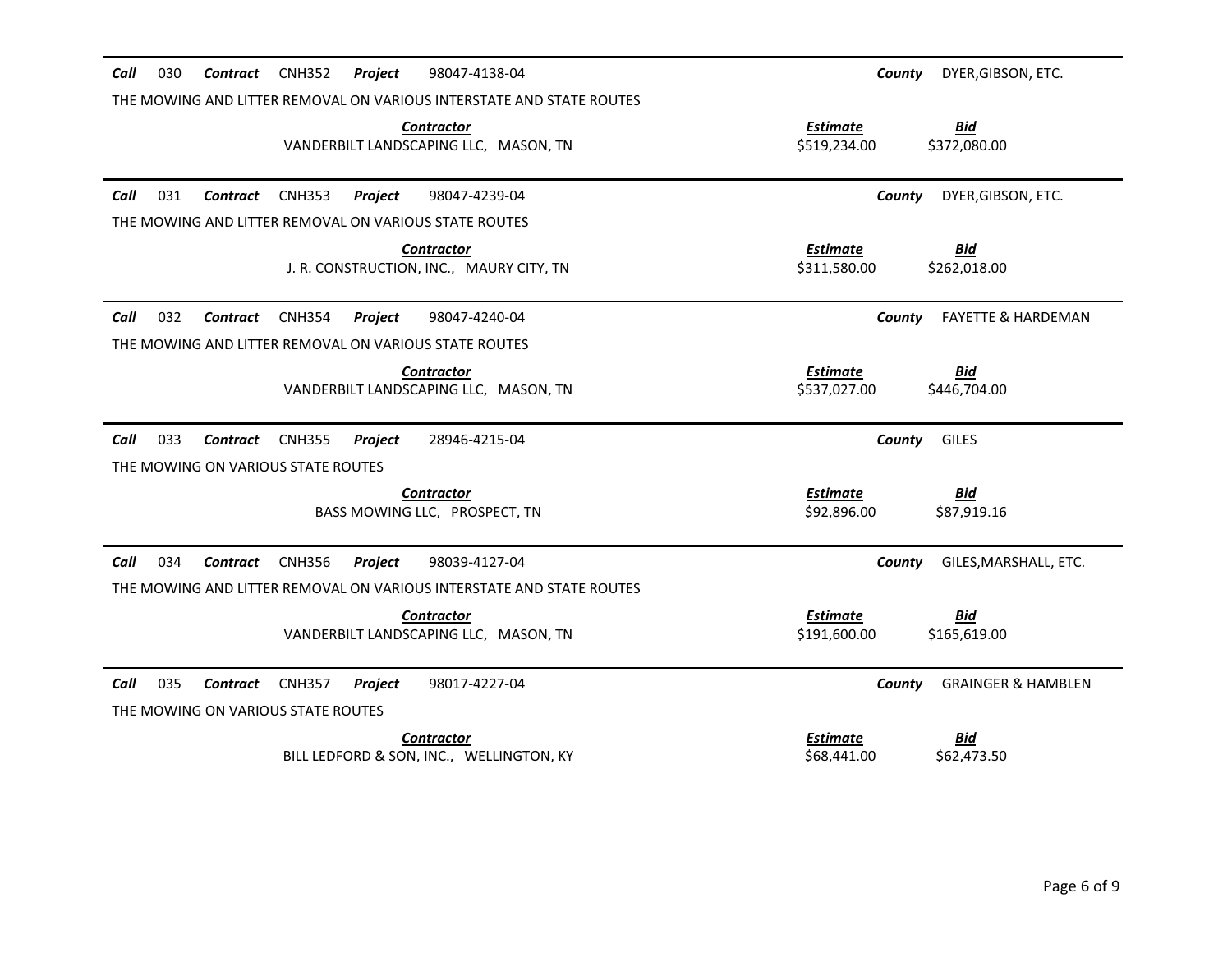| 030<br><b>CNH352</b><br>98047-4138-04<br>Call<br><b>Contract</b><br><b>Project</b>                         | DYER, GIBSON, ETC.<br>County                                  |
|------------------------------------------------------------------------------------------------------------|---------------------------------------------------------------|
| THE MOWING AND LITTER REMOVAL ON VARIOUS INTERSTATE AND STATE ROUTES                                       |                                                               |
| <b>Contractor</b><br>VANDERBILT LANDSCAPING LLC, MASON, TN                                                 | <b>Estimate</b><br>Bid<br>\$519,234.00<br>\$372,080.00        |
| Call<br>031<br>98047-4239-04<br>Contract<br><b>CNH353</b><br>Project                                       | DYER, GIBSON, ETC.<br>County                                  |
| THE MOWING AND LITTER REMOVAL ON VARIOUS STATE ROUTES                                                      |                                                               |
| <b>Contractor</b><br>J. R. CONSTRUCTION, INC., MAURY CITY, TN                                              | <b>Estimate</b><br><u>Bid</u><br>\$311,580.00<br>\$262,018.00 |
| 032<br>Call<br><b>CNH354</b><br>98047-4240-04<br>Contract<br><b>Project</b>                                | <b>FAYETTE &amp; HARDEMAN</b><br>County                       |
| THE MOWING AND LITTER REMOVAL ON VARIOUS STATE ROUTES                                                      |                                                               |
| <b>Contractor</b><br>VANDERBILT LANDSCAPING LLC, MASON, TN                                                 | <b>Estimate</b><br><b>Bid</b><br>\$537,027.00<br>\$446,704.00 |
| Call<br>033<br><b>CNH355</b><br><b>Contract</b><br>Project<br>28946-4215-04                                | <b>GILES</b><br>County                                        |
| THE MOWING ON VARIOUS STATE ROUTES                                                                         |                                                               |
| <b>Contractor</b><br>BASS MOWING LLC, PROSPECT, TN                                                         | <b>Estimate</b><br>Bid<br>\$92,896.00<br>\$87,919.16          |
| 034<br>98039-4127-04<br>Call<br><b>Contract</b><br><b>CNH356</b><br>Project                                | GILES, MARSHALL, ETC.<br>County                               |
| THE MOWING AND LITTER REMOVAL ON VARIOUS INTERSTATE AND STATE ROUTES                                       |                                                               |
| <b>Contractor</b>                                                                                          | <b>Estimate</b><br><b>Bid</b>                                 |
| VANDERBILT LANDSCAPING LLC, MASON, TN                                                                      | \$191,600.00<br>\$165,619.00                                  |
| Call<br>035<br><b>CNH357</b><br>98017-4227-04<br>Contract<br>Project<br>THE MOWING ON VARIOUS STATE ROUTES | <b>GRAINGER &amp; HAMBLEN</b><br>County                       |
| <b>Contractor</b>                                                                                          | <b>Estimate</b><br><u>Bid</u>                                 |
| BILL LEDFORD & SON, INC., WELLINGTON, KY                                                                   | \$68,441.00<br>\$62,473.50                                    |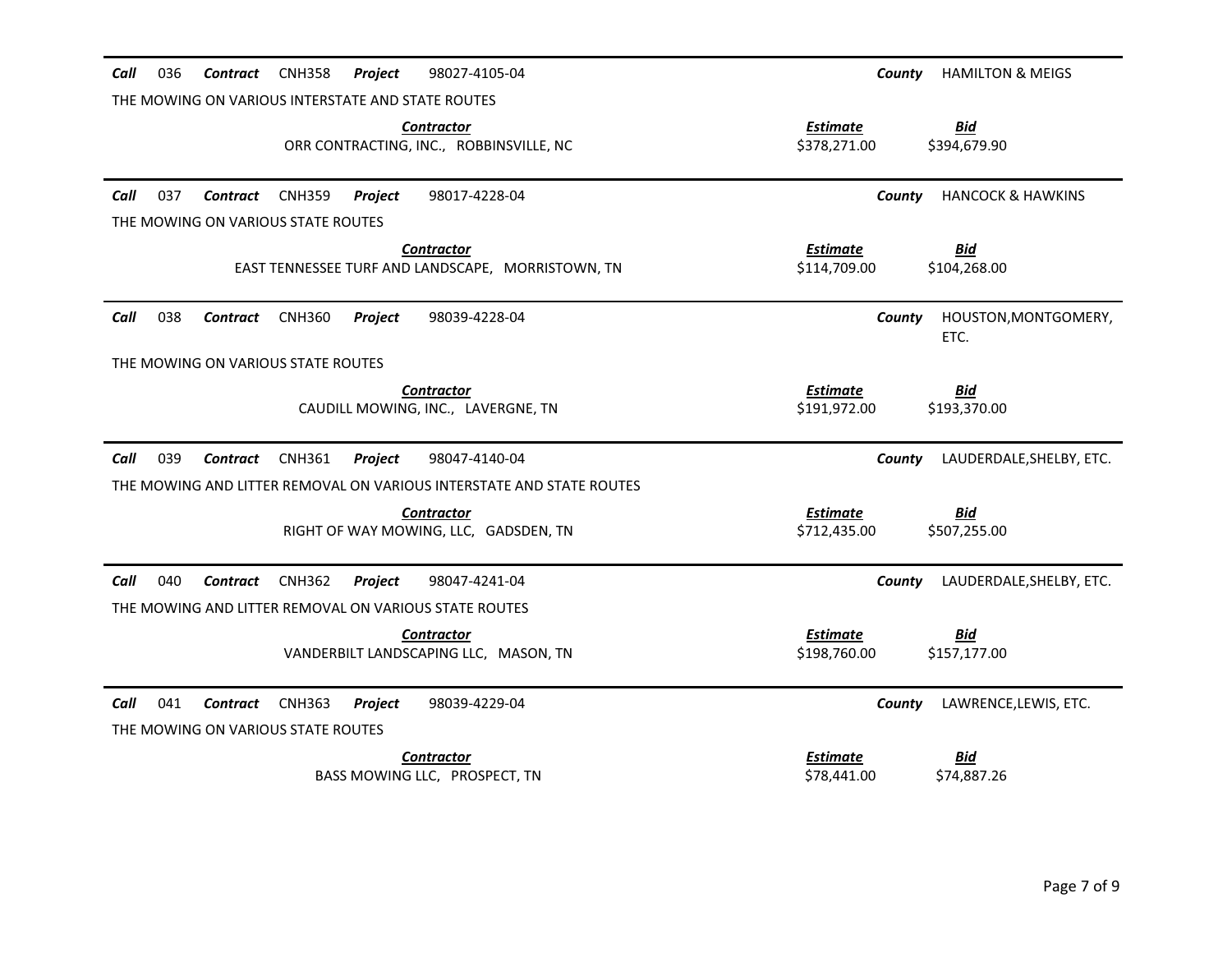| 98027-4105-04<br>Call<br>036<br><b>Contract</b><br><b>CNH358</b><br><b>Project</b> | <b>HAMILTON &amp; MEIGS</b><br>County                         |
|------------------------------------------------------------------------------------|---------------------------------------------------------------|
| THE MOWING ON VARIOUS INTERSTATE AND STATE ROUTES                                  |                                                               |
| <b>Contractor</b><br>ORR CONTRACTING, INC., ROBBINSVILLE, NC                       | <b>Estimate</b><br><b>Bid</b><br>\$378,271.00<br>\$394,679.90 |
| Call<br>037<br><b>CNH359</b><br>98017-4228-04<br><b>Contract</b><br><b>Project</b> | <b>HANCOCK &amp; HAWKINS</b><br>County                        |
| THE MOWING ON VARIOUS STATE ROUTES                                                 |                                                               |
| Contractor<br>EAST TENNESSEE TURF AND LANDSCAPE, MORRISTOWN, TN                    | <b>Estimate</b><br><u>Bid</u><br>\$114,709.00<br>\$104,268.00 |
| 038<br>Call<br>98039-4228-04<br>Contract<br><b>CNH360</b><br><b>Project</b>        | HOUSTON, MONTGOMERY,<br>County<br>ETC.                        |
| THE MOWING ON VARIOUS STATE ROUTES                                                 |                                                               |
| <b>Contractor</b><br>CAUDILL MOWING, INC., LAVERGNE, TN                            | <b>Estimate</b><br><u>Bid</u><br>\$191,972.00<br>\$193,370.00 |
| 039<br>Call<br><b>CNH361</b><br>Project<br>98047-4140-04<br><b>Contract</b>        | LAUDERDALE, SHELBY, ETC.<br>County                            |
| THE MOWING AND LITTER REMOVAL ON VARIOUS INTERSTATE AND STATE ROUTES               |                                                               |
| <b>Contractor</b><br>RIGHT OF WAY MOWING, LLC, GADSDEN, TN                         | <b>Estimate</b><br><b>Bid</b><br>\$712,435.00<br>\$507,255.00 |
| Call<br>040<br><b>Contract</b><br><b>CNH362</b><br>98047-4241-04<br><b>Project</b> | LAUDERDALE, SHELBY, ETC.<br>County                            |
| THE MOWING AND LITTER REMOVAL ON VARIOUS STATE ROUTES                              |                                                               |
| <b>Contractor</b><br>VANDERBILT LANDSCAPING LLC, MASON, TN                         | <b>Estimate</b><br><u>Bid</u><br>\$198,760.00<br>\$157,177.00 |
| Call<br>041<br>98039-4229-04<br><b>Contract</b><br><b>CNH363</b><br>Project        | LAWRENCE, LEWIS, ETC.<br>County                               |
| THE MOWING ON VARIOUS STATE ROUTES                                                 |                                                               |
| <b>Contractor</b><br>BASS MOWING LLC, PROSPECT, TN                                 | <b>Estimate</b><br>Bid<br>\$74,887.26<br>\$78,441.00          |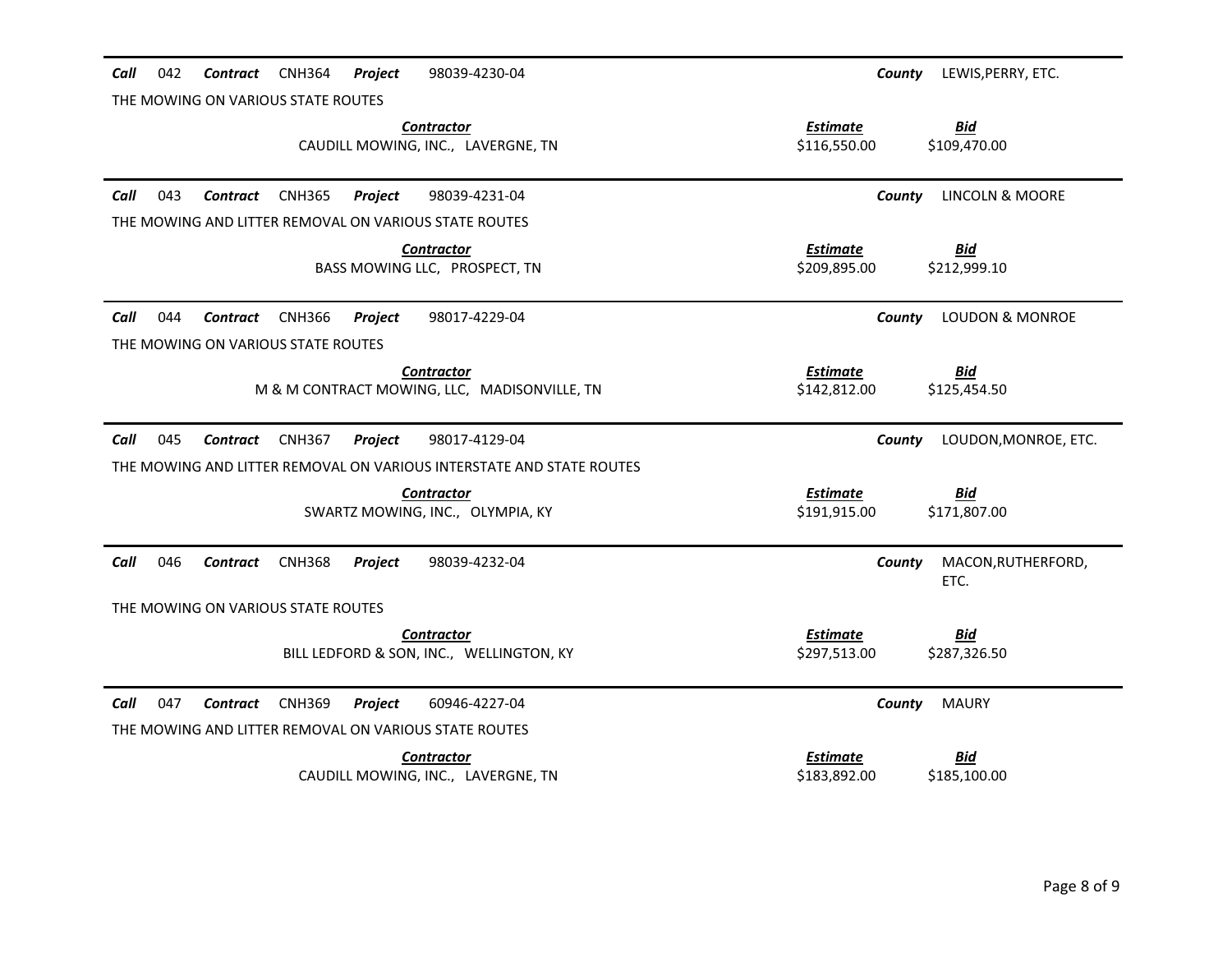| 042<br><b>CNH364</b><br>Project<br>Call<br>Contract<br>98039-4230-04<br>THE MOWING ON VARIOUS STATE ROUTES        | LEWIS, PERRY, ETC.<br>County                                  |
|-------------------------------------------------------------------------------------------------------------------|---------------------------------------------------------------|
| <b>Contractor</b>                                                                                                 | <b>Bid</b><br><b>Estimate</b>                                 |
| CAUDILL MOWING, INC., LAVERGNE, TN                                                                                | \$116,550.00<br>\$109,470.00                                  |
| Call<br>043<br><b>CNH365</b><br>Project<br>98039-4231-04<br>Contract                                              | <b>LINCOLN &amp; MOORE</b><br>County                          |
| THE MOWING AND LITTER REMOVAL ON VARIOUS STATE ROUTES                                                             |                                                               |
| <b>Contractor</b><br>BASS MOWING LLC, PROSPECT, TN                                                                | <b>Estimate</b><br><u>Bid</u><br>\$209,895.00<br>\$212,999.10 |
| Call<br>044<br><b>CNH366</b><br>98017-4229-04<br>Contract<br><b>Project</b><br>THE MOWING ON VARIOUS STATE ROUTES | <b>LOUDON &amp; MONROE</b><br>County                          |
| <b>Contractor</b>                                                                                                 | <b>Estimate</b><br><b>Bid</b>                                 |
| M & M CONTRACT MOWING, LLC, MADISONVILLE, TN                                                                      | \$142,812.00<br>\$125,454.50                                  |
|                                                                                                                   |                                                               |
| Call<br>045<br>98017-4129-04<br>Contract<br><b>CNH367</b><br>Project                                              | LOUDON, MONROE, ETC.<br>County                                |
| THE MOWING AND LITTER REMOVAL ON VARIOUS INTERSTATE AND STATE ROUTES                                              |                                                               |
| <b>Contractor</b><br>SWARTZ MOWING, INC., OLYMPIA, KY                                                             | <b>Estimate</b><br><b>Bid</b><br>\$191,915.00<br>\$171,807.00 |
| Call<br>046<br>Contract<br><b>CNH368</b><br>Project<br>98039-4232-04                                              | MACON, RUTHERFORD,<br>County<br>ETC.                          |
| THE MOWING ON VARIOUS STATE ROUTES                                                                                |                                                               |
| <b>Contractor</b><br>BILL LEDFORD & SON, INC., WELLINGTON, KY                                                     | <b>Bid</b><br><b>Estimate</b><br>\$297,513.00<br>\$287,326.50 |
| Call<br>047<br>60946-4227-04<br>Contract<br><b>CNH369</b><br>Project                                              | County<br><b>MAURY</b>                                        |
| THE MOWING AND LITTER REMOVAL ON VARIOUS STATE ROUTES                                                             |                                                               |
| <b>Contractor</b><br>CAUDILL MOWING, INC., LAVERGNE, TN                                                           | <b>Estimate</b><br><b>Bid</b><br>\$183,892.00<br>\$185,100.00 |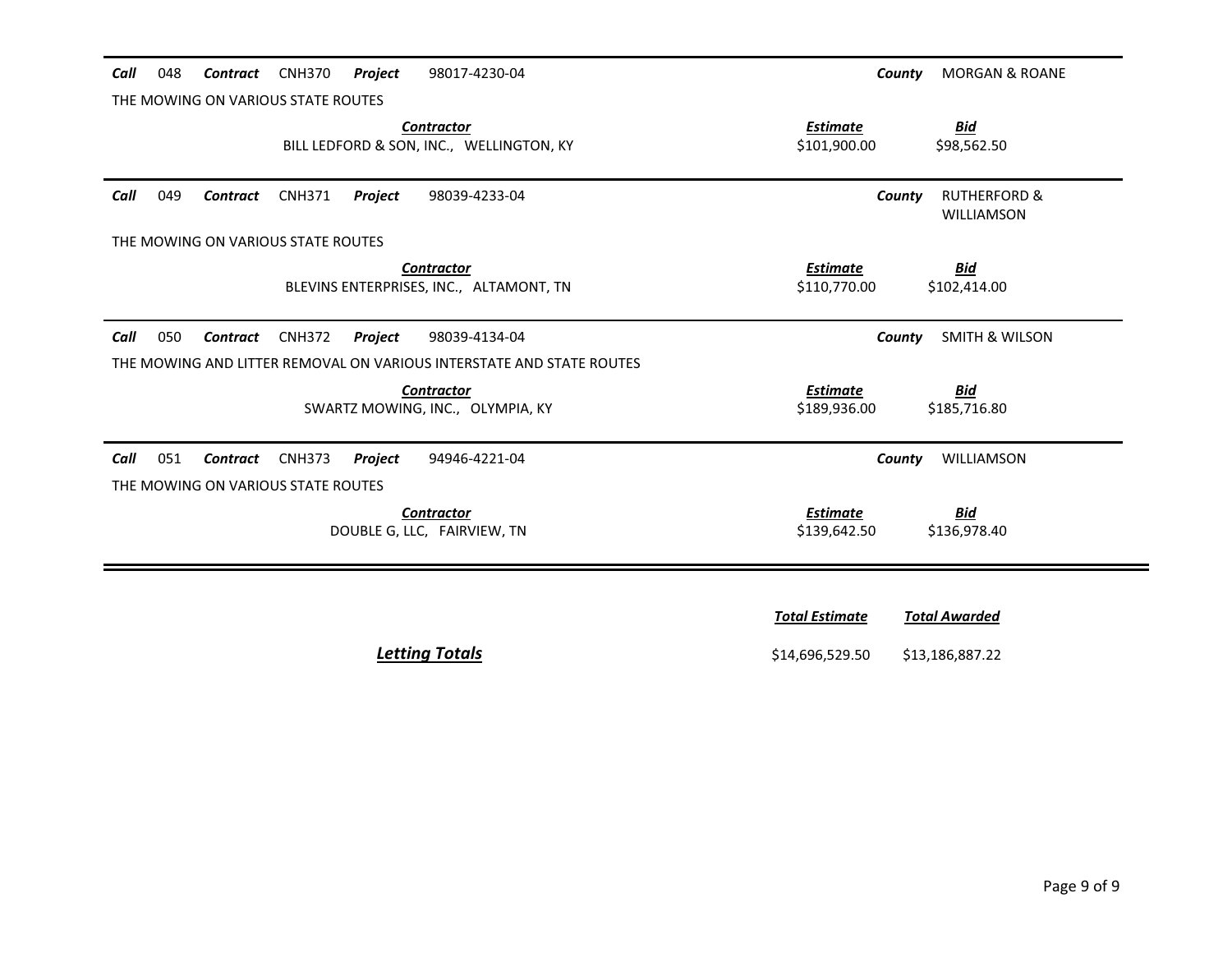| 048<br>Call<br>Contract            | CNH370<br>Project<br>98017-4230-04                                   | <b>MORGAN &amp; ROANE</b><br>County                           |
|------------------------------------|----------------------------------------------------------------------|---------------------------------------------------------------|
| THE MOWING ON VARIOUS STATE ROUTES |                                                                      |                                                               |
|                                    | <b>Contractor</b><br>BILL LEDFORD & SON, INC., WELLINGTON, KY        | <u>Bid</u><br><b>Estimate</b><br>\$101,900.00<br>\$98,562.50  |
| Call<br>049<br>Contract            | <b>CNH371</b><br>Project<br>98039-4233-04                            | <b>RUTHERFORD &amp;</b><br>County<br><b>WILLIAMSON</b>        |
| THE MOWING ON VARIOUS STATE ROUTES |                                                                      |                                                               |
|                                    | <b>Contractor</b><br>BLEVINS ENTERPRISES, INC., ALTAMONT, TN         | <b>Estimate</b><br><u>Bid</u><br>\$110,770.00<br>\$102,414.00 |
|                                    |                                                                      |                                                               |
| Call<br>050<br><b>Contract</b>     | <b>CNH372</b><br>Project<br>98039-4134-04                            | <b>SMITH &amp; WILSON</b><br>County                           |
|                                    | THE MOWING AND LITTER REMOVAL ON VARIOUS INTERSTATE AND STATE ROUTES |                                                               |
|                                    | <b>Contractor</b><br>SWARTZ MOWING, INC., OLYMPIA, KY                | <b>Estimate</b><br><u>Bid</u><br>\$189,936.00<br>\$185,716.80 |
| 051<br>Call<br>Contract            | <b>CNH373</b><br>Project<br>94946-4221-04                            | WILLIAMSON<br>County                                          |
| THE MOWING ON VARIOUS STATE ROUTES |                                                                      |                                                               |

|--|

*<u>Total Estimate</u>* <u>Total Awarded</u> **Letting Totals Example 20 and 20 and 20 and 314,696,529.50** \$13,186,887.22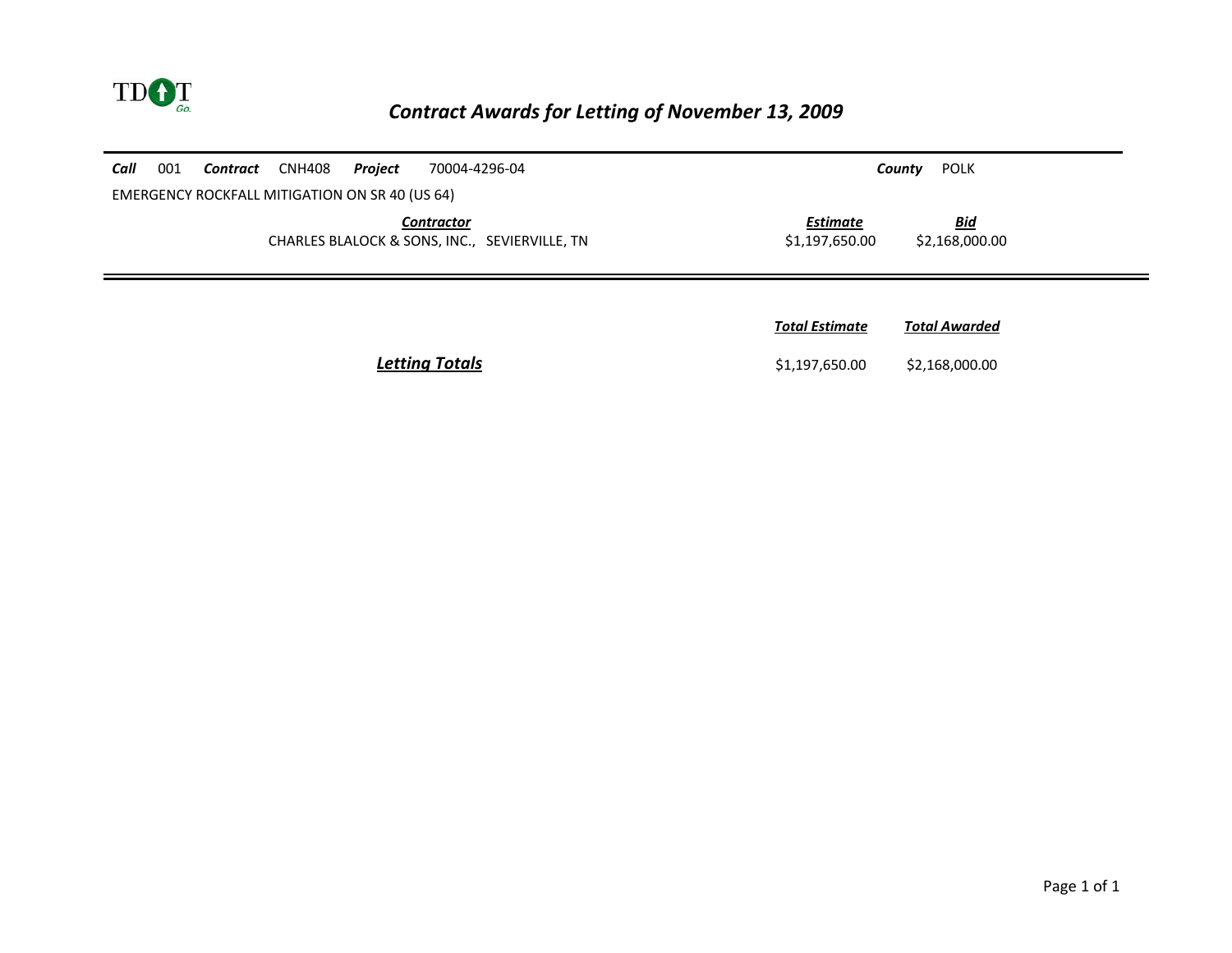

### *Contract Awards for Letting of November 13, 2009*

| Call                                                               | 001                                            | <b>Contract</b> CNH408 | Project | 70004-4296-04 |                                   | POLK<br>County               |
|--------------------------------------------------------------------|------------------------------------------------|------------------------|---------|---------------|-----------------------------------|------------------------------|
|                                                                    | EMERGENCY ROCKFALL MITIGATION ON SR 40 (US 64) |                        |         |               |                                   |                              |
| <b>Contractor</b><br>CHARLES BLALOCK & SONS, INC., SEVIERVILLE, TN |                                                |                        |         |               | <b>Estimate</b><br>\$1,197,650.00 | <b>Bid</b><br>\$2,168,000.00 |
|                                                                    |                                                |                        |         |               |                                   |                              |
|                                                                    |                                                |                        |         |               |                                   |                              |
|                                                                    |                                                |                        |         |               | <b>Total Estimate</b>             | <b>Total Awarded</b>         |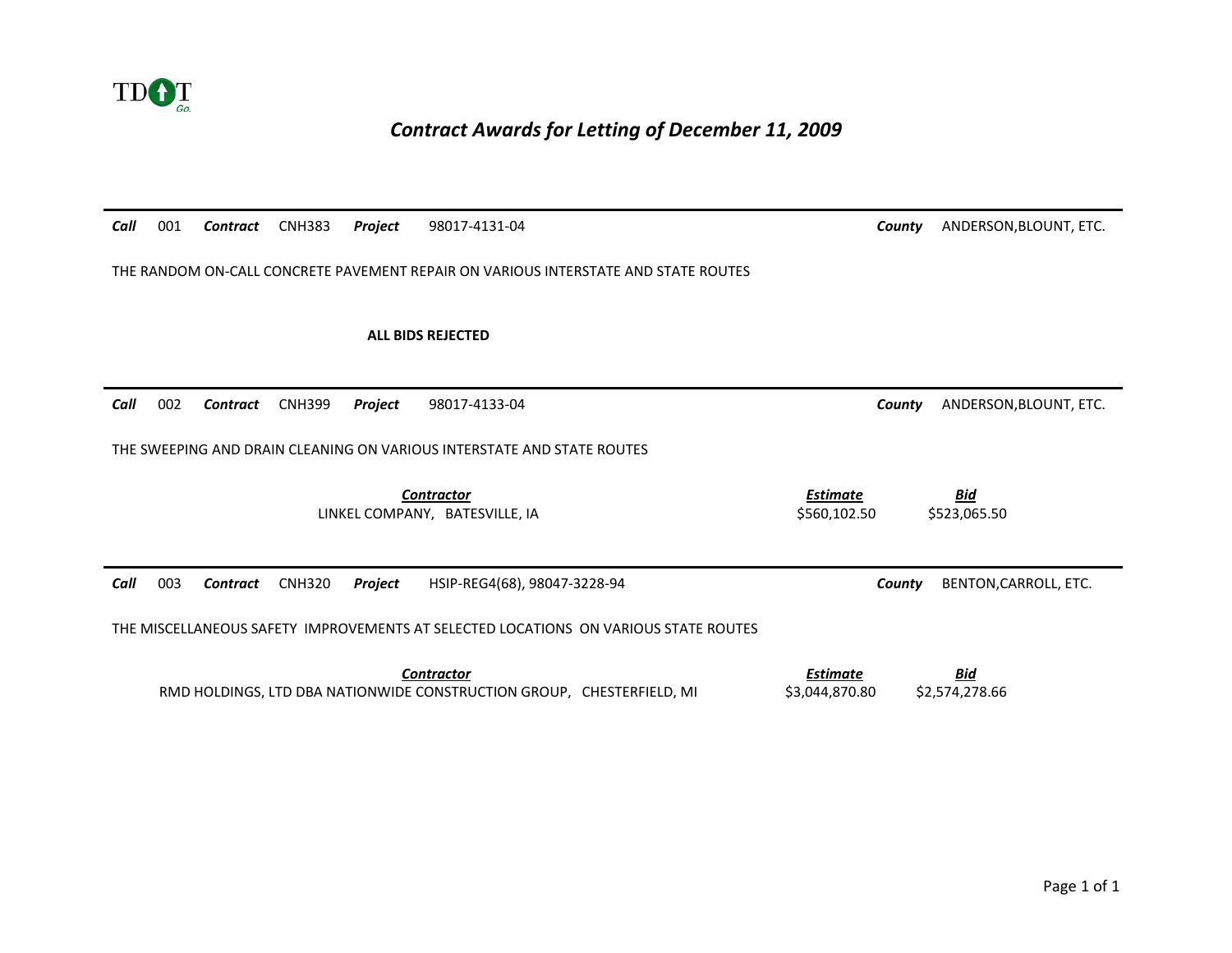

#### *Contract Awards for Letting of December 11, 2009*

| Call | 001 | <b>Contract</b> | <b>CNH383</b> | Project | 98017-4131-04                                                                       | ANDERSON, BLOUNT, ETC.<br>County                              |
|------|-----|-----------------|---------------|---------|-------------------------------------------------------------------------------------|---------------------------------------------------------------|
|      |     |                 |               |         |                                                                                     |                                                               |
|      |     |                 |               |         | THE RANDOM ON-CALL CONCRETE PAVEMENT REPAIR ON VARIOUS INTERSTATE AND STATE ROUTES  |                                                               |
|      |     |                 |               |         |                                                                                     |                                                               |
|      |     |                 |               |         | <b>ALL BIDS REJECTED</b>                                                            |                                                               |
|      |     |                 |               |         |                                                                                     |                                                               |
| Call | 002 | Contract        | <b>CNH399</b> | Project | 98017-4133-04                                                                       | ANDERSON, BLOUNT, ETC.<br>County                              |
|      |     |                 |               |         |                                                                                     |                                                               |
|      |     |                 |               |         | THE SWEEPING AND DRAIN CLEANING ON VARIOUS INTERSTATE AND STATE ROUTES              |                                                               |
|      |     |                 |               |         |                                                                                     |                                                               |
|      |     |                 |               |         | <b>Contractor</b><br>LINKEL COMPANY, BATESVILLE, IA                                 | <b>Estimate</b><br><u>Bid</u><br>\$560,102.50<br>\$523,065.50 |
|      |     |                 |               |         |                                                                                     |                                                               |
|      |     |                 |               |         |                                                                                     |                                                               |
| Call | 003 | <b>Contract</b> | <b>CNH320</b> | Project | HSIP-REG4(68), 98047-3228-94                                                        | BENTON, CARROLL, ETC.<br>County                               |
|      |     |                 |               |         | THE MISCELLANEOUS SAFETY IMPROVEMENTS AT SELECTED LOCATIONS ON VARIOUS STATE ROUTES |                                                               |
|      |     |                 |               |         |                                                                                     |                                                               |
|      |     |                 |               |         | <b>Contractor</b>                                                                   | <b>Bid</b><br><b>Estimate</b>                                 |
|      |     |                 |               |         | RMD HOLDINGS, LTD DBA NATIONWIDE CONSTRUCTION GROUP, CHESTERFIELD, MI               | \$3,044,870.80<br>\$2,574,278.66                              |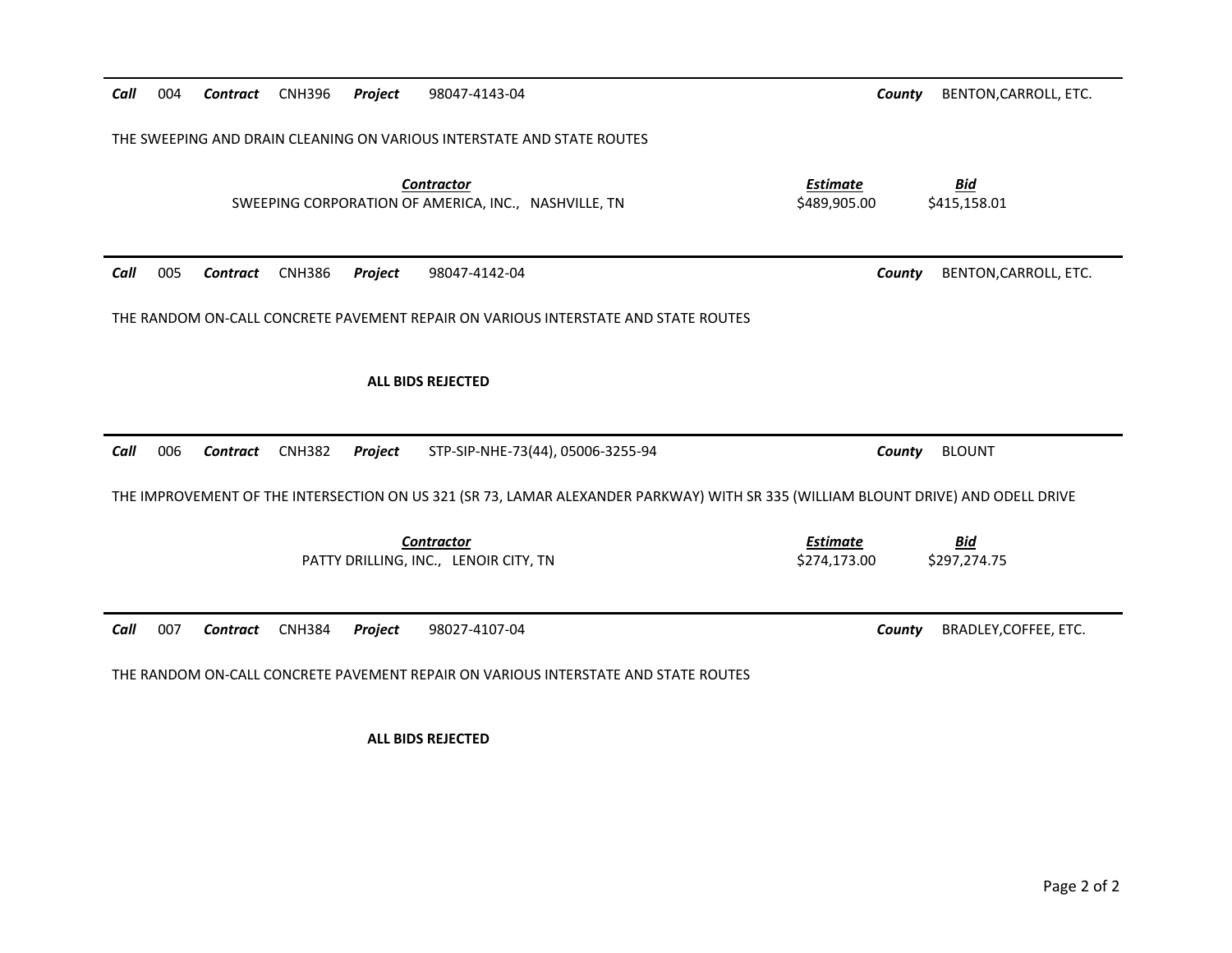# THE SWEEPING AND DRAIN CLEANING ON VARIOUS INTERSTATE AND STATE ROUTES*Contractor Estimate Bid* SWEEPING CORPORATION OF AMERICA, INC., NASHVILLE, TN \$489,905.00 \$415,158.01 Call 005 **Contract** CNH386 **Project** 98047-4142-04 **Contract COUNTY BENTON,CARROLL, ETC.** THE RANDOM ON-CALL CONCRETE PAVEMENT REPAIR ON VARIOUS INTERSTATE AND STATE ROUTES **ALL BIDS REJECTED**  *Call* 006 *Contract* CNH382 *Project* STP-SIP-NHE-73(44), 05006-3255-94 *County* BLOUNT THE IMPROVEMENT OF THE INTERSECTION ON US 321 (SR 73, LAMAR ALEXANDER PARKWAY) WITH SR 335 (WILLIAM BLOUNT DRIVE) AND ODELL DRIVE *Contractor Estimate Bid*PATTY DRILLING, INC., LENOIR CITY, TN \$274,173.00 \$297,274.75 *Call***Contract** CNH384 **Project** 98027-4107-04 **Contract COUNTY BRADLEY, COFFEE, ETC.** THE RANDOM ON-CALL CONCRETE PAVEMENT REPAIR ON VARIOUS INTERSTATE AND STATE ROUTES **ALL BIDS REJECTED**

*Call*

**Contract** CNH396 **Project** 98047-4143-04 **Contract** COUNTY BENTON,CARROLL, ETC.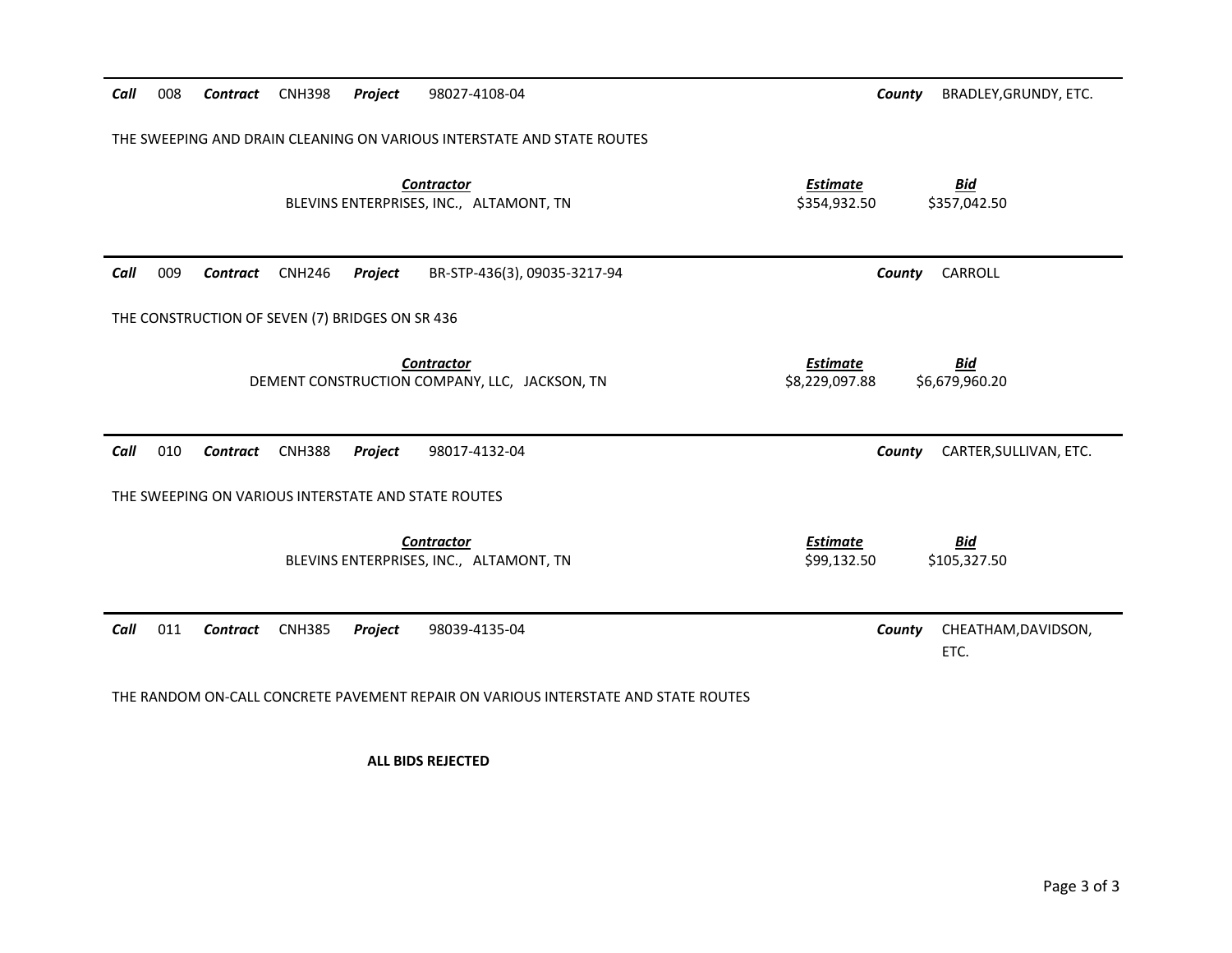| Call | 008                                                                    | <b>Contract</b>                                 | <b>CNH398</b> | Project | 98027-4108-04                                                                      | County                            | BRADLEY, GRUNDY, ETC.        |  |
|------|------------------------------------------------------------------------|-------------------------------------------------|---------------|---------|------------------------------------------------------------------------------------|-----------------------------------|------------------------------|--|
|      | THE SWEEPING AND DRAIN CLEANING ON VARIOUS INTERSTATE AND STATE ROUTES |                                                 |               |         |                                                                                    |                                   |                              |  |
|      |                                                                        |                                                 |               |         | <b>Contractor</b><br>BLEVINS ENTERPRISES, INC., ALTAMONT, TN                       | <b>Estimate</b><br>\$354,932.50   | <b>Bid</b><br>\$357,042.50   |  |
| Call | 009                                                                    | Contract                                        | <b>CNH246</b> | Project | BR-STP-436(3), 09035-3217-94                                                       | County                            | CARROLL                      |  |
|      |                                                                        | THE CONSTRUCTION OF SEVEN (7) BRIDGES ON SR 436 |               |         |                                                                                    |                                   |                              |  |
|      |                                                                        |                                                 |               |         | <b>Contractor</b><br>DEMENT CONSTRUCTION COMPANY, LLC, JACKSON, TN                 | <b>Estimate</b><br>\$8,229,097.88 | <b>Bid</b><br>\$6,679,960.20 |  |
| Call | 010                                                                    | <b>Contract</b>                                 | <b>CNH388</b> | Project | 98017-4132-04                                                                      | County                            | CARTER, SULLIVAN, ETC.       |  |
|      | THE SWEEPING ON VARIOUS INTERSTATE AND STATE ROUTES                    |                                                 |               |         |                                                                                    |                                   |                              |  |
|      |                                                                        |                                                 |               |         | <b>Contractor</b><br>BLEVINS ENTERPRISES, INC., ALTAMONT, TN                       | <b>Estimate</b><br>\$99,132.50    | <b>Bid</b><br>\$105,327.50   |  |
| Call | 011                                                                    | Contract                                        | <b>CNH385</b> | Project | 98039-4135-04                                                                      | County                            | CHEATHAM, DAVIDSON,<br>ETC.  |  |
|      |                                                                        |                                                 |               |         | THE RANDOM ON-CALL CONCRETE PAVEMENT REPAIR ON VARIOUS INTERSTATE AND STATE ROUTES |                                   |                              |  |

**ALL BIDS REJECTED**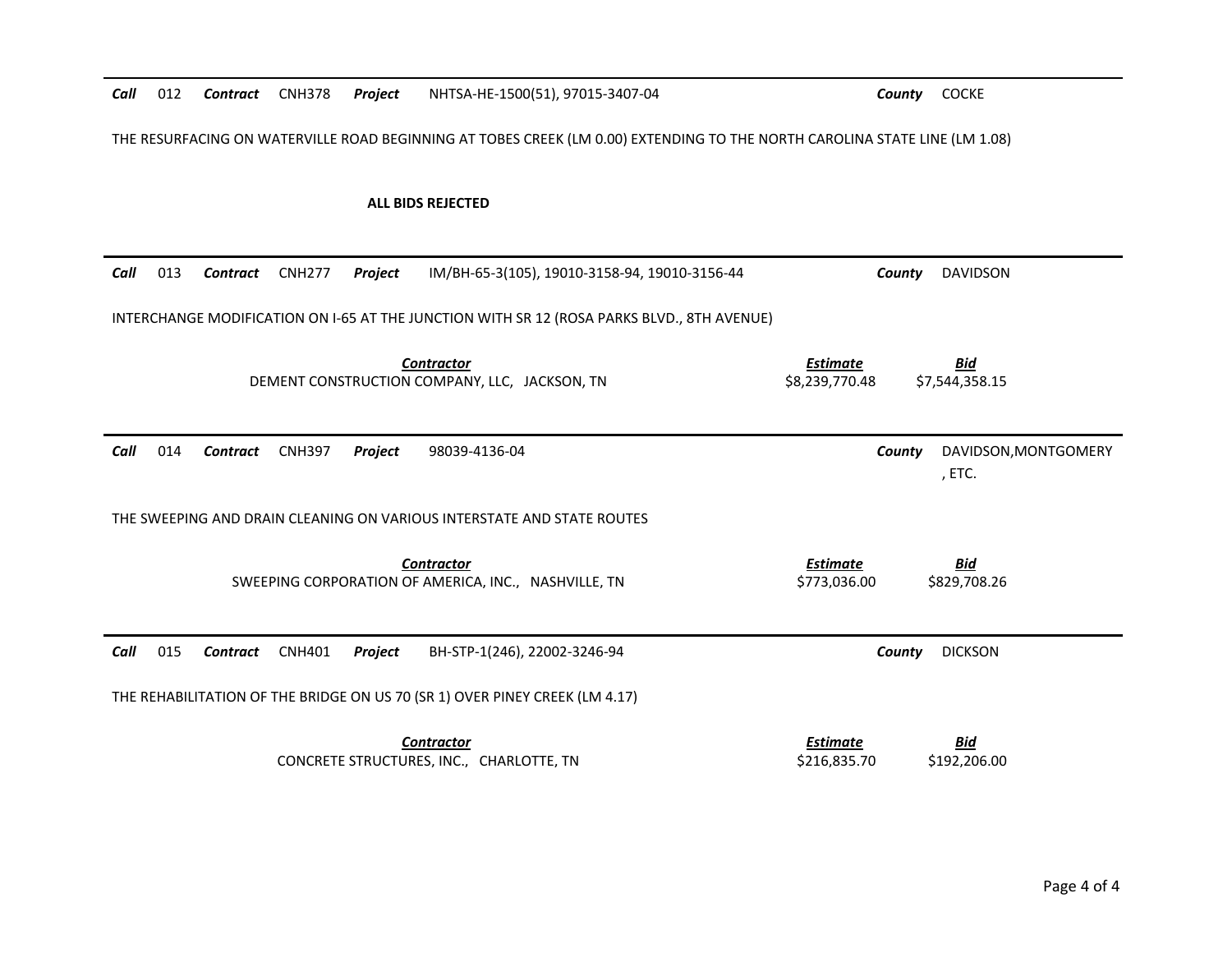| Call | 012                                                                                                                        | Contract        | <b>CNH378</b> | <b>Project</b> | NHTSA-HE-1500(51), 97015-3407-04                                                           |                                   | County COCKE                             |  |
|------|----------------------------------------------------------------------------------------------------------------------------|-----------------|---------------|----------------|--------------------------------------------------------------------------------------------|-----------------------------------|------------------------------------------|--|
|      | THE RESURFACING ON WATERVILLE ROAD BEGINNING AT TOBES CREEK (LM 0.00) EXTENDING TO THE NORTH CAROLINA STATE LINE (LM 1.08) |                 |               |                |                                                                                            |                                   |                                          |  |
|      |                                                                                                                            |                 |               |                | <b>ALL BIDS REJECTED</b>                                                                   |                                   |                                          |  |
| Call | 013                                                                                                                        | <b>Contract</b> | <b>CNH277</b> | <b>Project</b> | IM/BH-65-3(105), 19010-3158-94, 19010-3156-44                                              |                                   | <b>DAVIDSON</b><br>County                |  |
|      |                                                                                                                            |                 |               |                | INTERCHANGE MODIFICATION ON I-65 AT THE JUNCTION WITH SR 12 (ROSA PARKS BLVD., 8TH AVENUE) |                                   |                                          |  |
|      |                                                                                                                            |                 |               |                | <b>Contractor</b><br>DEMENT CONSTRUCTION COMPANY, LLC, JACKSON, TN                         | <b>Estimate</b><br>\$8,239,770.48 | <b>Bid</b><br>\$7,544,358.15             |  |
| Call | 014                                                                                                                        | <b>Contract</b> | <b>CNH397</b> | Project        | 98039-4136-04                                                                              |                                   | DAVIDSON, MONTGOMERY<br>County<br>, ETC. |  |
|      |                                                                                                                            |                 |               |                | THE SWEEPING AND DRAIN CLEANING ON VARIOUS INTERSTATE AND STATE ROUTES                     |                                   |                                          |  |
|      |                                                                                                                            |                 |               |                | <b>Contractor</b><br>SWEEPING CORPORATION OF AMERICA, INC., NASHVILLE, TN                  | <b>Estimate</b><br>\$773,036.00   | <b>Bid</b><br>\$829,708.26               |  |
| Call |                                                                                                                            |                 |               |                |                                                                                            |                                   |                                          |  |
|      | 015                                                                                                                        | Contract        | <b>CNH401</b> | Project        | BH-STP-1(246), 22002-3246-94                                                               |                                   | <b>DICKSON</b><br>County                 |  |
|      |                                                                                                                            |                 |               |                | THE REHABILITATION OF THE BRIDGE ON US 70 (SR 1) OVER PINEY CREEK (LM 4.17)                |                                   |                                          |  |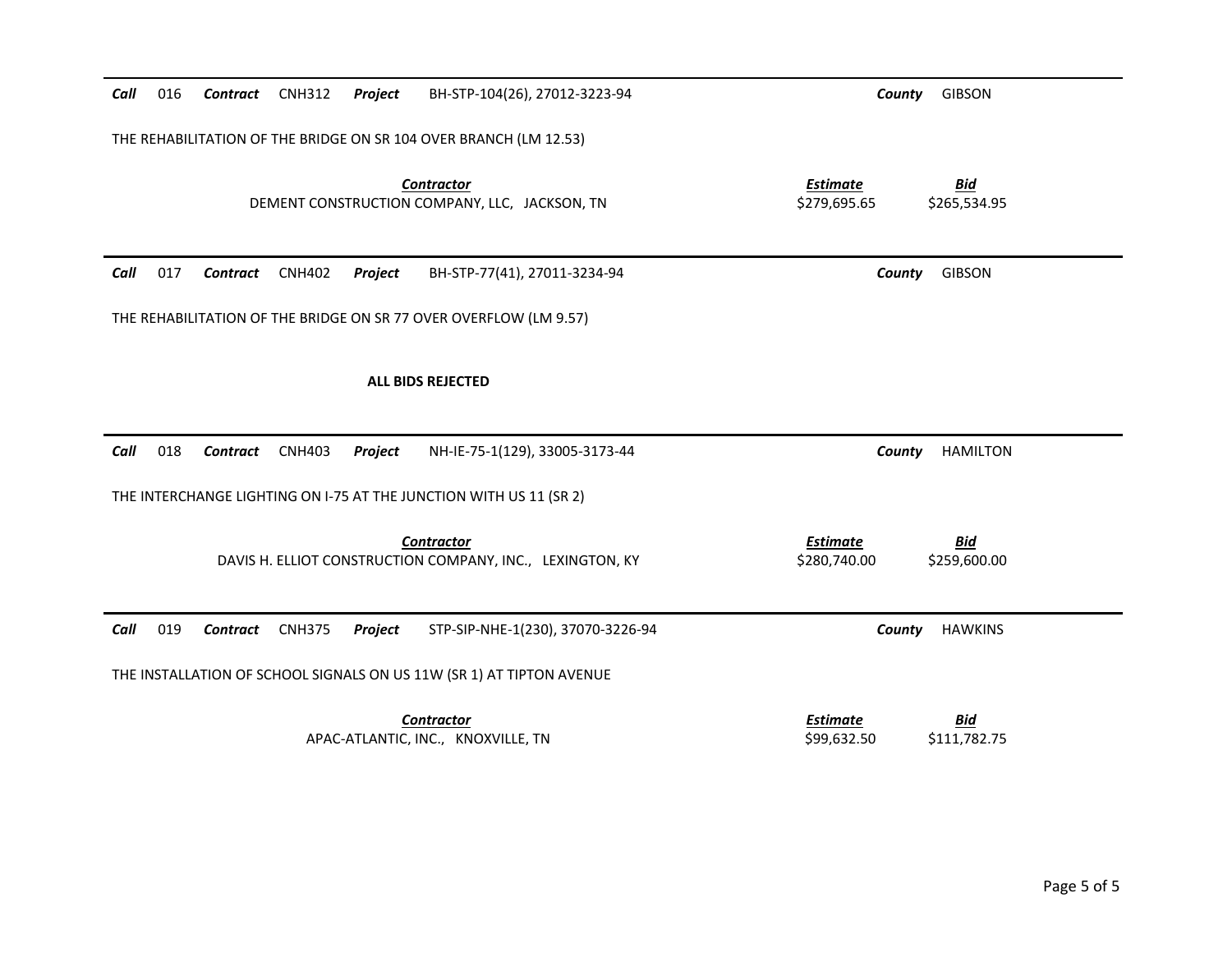| Call | 016                                                                                                                                 | Contract | <b>CNH312</b> | Project | BH-STP-104(26), 27012-3223-94                                                  | County                          | <b>GIBSON</b>              |  |  |
|------|-------------------------------------------------------------------------------------------------------------------------------------|----------|---------------|---------|--------------------------------------------------------------------------------|---------------------------------|----------------------------|--|--|
|      | THE REHABILITATION OF THE BRIDGE ON SR 104 OVER BRANCH (LM 12.53)                                                                   |          |               |         |                                                                                |                                 |                            |  |  |
|      | <b>Estimate</b><br><b>Bid</b><br><b>Contractor</b><br>DEMENT CONSTRUCTION COMPANY, LLC, JACKSON, TN<br>\$279,695.65<br>\$265,534.95 |          |               |         |                                                                                |                                 |                            |  |  |
| Call | 017                                                                                                                                 | Contract | <b>CNH402</b> | Project | BH-STP-77(41), 27011-3234-94                                                   | County                          | <b>GIBSON</b>              |  |  |
|      |                                                                                                                                     |          |               |         | THE REHABILITATION OF THE BRIDGE ON SR 77 OVER OVERFLOW (LM 9.57)              |                                 |                            |  |  |
|      |                                                                                                                                     |          |               |         | <b>ALL BIDS REJECTED</b>                                                       |                                 |                            |  |  |
| Call | 018                                                                                                                                 | Contract | <b>CNH403</b> | Project | NH-IE-75-1(129), 33005-3173-44                                                 | County                          | <b>HAMILTON</b>            |  |  |
|      |                                                                                                                                     |          |               |         | THE INTERCHANGE LIGHTING ON I-75 AT THE JUNCTION WITH US 11 (SR 2)             |                                 |                            |  |  |
|      |                                                                                                                                     |          |               |         | <b>Contractor</b><br>DAVIS H. ELLIOT CONSTRUCTION COMPANY, INC., LEXINGTON, KY | <b>Estimate</b><br>\$280,740.00 | <b>Bid</b><br>\$259,600.00 |  |  |
| Call | 019                                                                                                                                 | Contract | <b>CNH375</b> | Project | STP-SIP-NHE-1(230), 37070-3226-94                                              | County                          | <b>HAWKINS</b>             |  |  |
|      |                                                                                                                                     |          |               |         | THE INSTALLATION OF SCHOOL SIGNALS ON US 11W (SR 1) AT TIPTON AVENUE           |                                 |                            |  |  |
|      |                                                                                                                                     |          |               |         | <b>Contractor</b><br>APAC-ATLANTIC, INC., KNOXVILLE, TN                        | <b>Estimate</b><br>\$99,632.50  | <b>Bid</b><br>\$111,782.75 |  |  |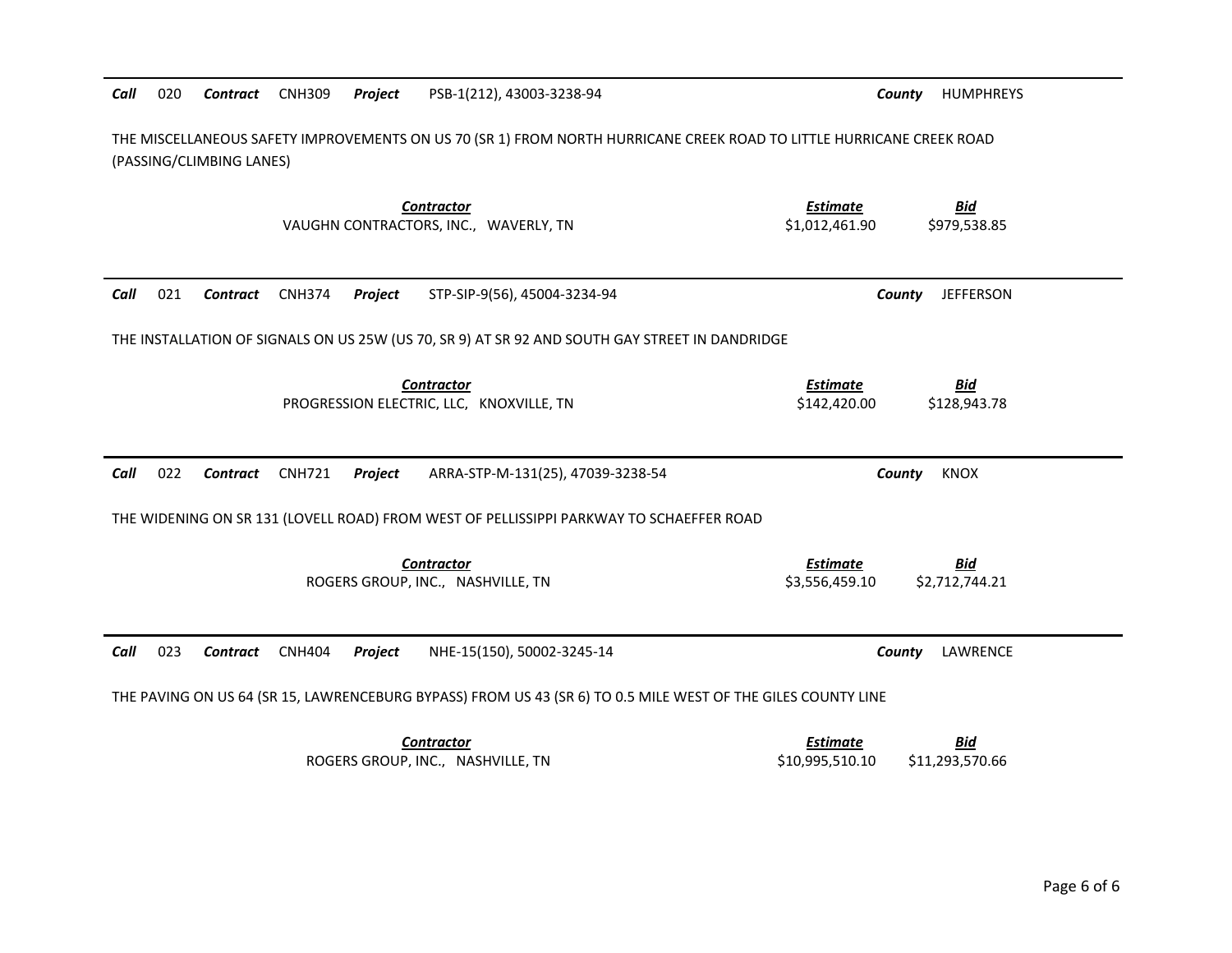| Call | 020 | Contract                 | <b>CNH309</b> | Project | PSB-1(212), 43003-3238-94                                                                                            | County                            | <b>HUMPHREYS</b>             |
|------|-----|--------------------------|---------------|---------|----------------------------------------------------------------------------------------------------------------------|-----------------------------------|------------------------------|
|      |     | (PASSING/CLIMBING LANES) |               |         | THE MISCELLANEOUS SAFETY IMPROVEMENTS ON US 70 (SR 1) FROM NORTH HURRICANE CREEK ROAD TO LITTLE HURRICANE CREEK ROAD |                                   |                              |
|      |     |                          |               |         | <b>Contractor</b><br>VAUGHN CONTRACTORS, INC., WAVERLY, TN                                                           | <b>Estimate</b><br>\$1,012,461.90 | <u>Bid</u><br>\$979,538.85   |
| Call | 021 | Contract                 | <b>CNH374</b> | Project | STP-SIP-9(56), 45004-3234-94                                                                                         | County                            | <b>JEFFERSON</b>             |
|      |     |                          |               |         | THE INSTALLATION OF SIGNALS ON US 25W (US 70, SR 9) AT SR 92 AND SOUTH GAY STREET IN DANDRIDGE                       |                                   |                              |
|      |     |                          |               |         | Contractor<br>PROGRESSION ELECTRIC, LLC, KNOXVILLE, TN                                                               | <b>Estimate</b><br>\$142,420.00   | <b>Bid</b><br>\$128,943.78   |
| Call | 022 | Contract                 | <b>CNH721</b> | Project | ARRA-STP-M-131(25), 47039-3238-54                                                                                    | County                            | <b>KNOX</b>                  |
|      |     |                          |               |         | THE WIDENING ON SR 131 (LOVELL ROAD) FROM WEST OF PELLISSIPPI PARKWAY TO SCHAEFFER ROAD                              |                                   |                              |
|      |     |                          |               |         | <b>Contractor</b><br>ROGERS GROUP, INC., NASHVILLE, TN                                                               | <b>Estimate</b>                   | <b>Bid</b><br>\$2,712,744.21 |
|      |     |                          |               |         |                                                                                                                      | \$3,556,459.10                    |                              |
| Call | 023 | <b>Contract</b>          | <b>CNH404</b> | Project | NHE-15(150), 50002-3245-14                                                                                           | County                            | LAWRENCE                     |
|      |     |                          |               |         | THE PAVING ON US 64 (SR 15, LAWRENCEBURG BYPASS) FROM US 43 (SR 6) TO 0.5 MILE WEST OF THE GILES COUNTY LINE         |                                   |                              |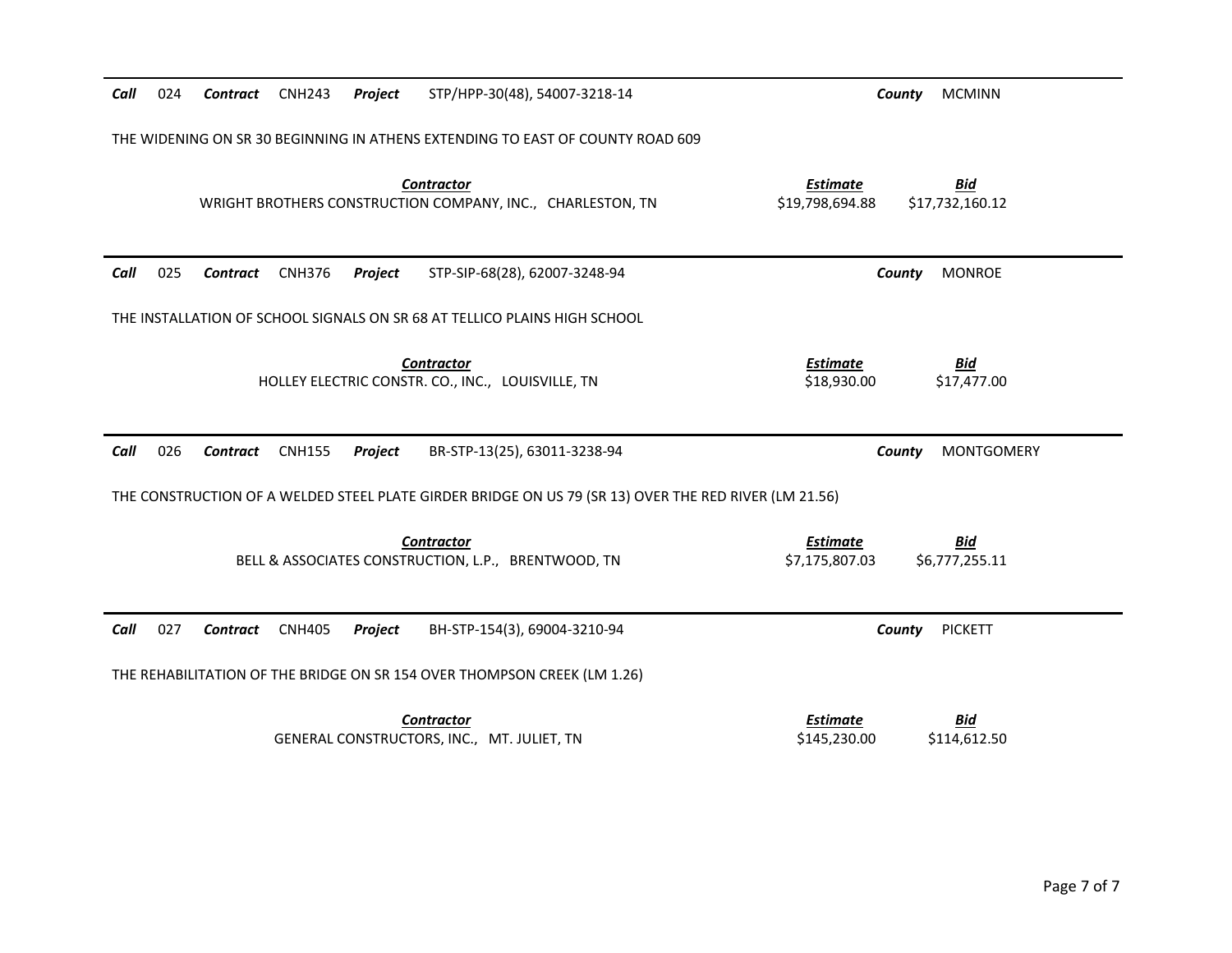| Call | 024 | Contract        | <b>CNH243</b> | Project | STP/HPP-30(48), 54007-3218-14                                                                         | County<br><b>MCMINN</b>                                             |
|------|-----|-----------------|---------------|---------|-------------------------------------------------------------------------------------------------------|---------------------------------------------------------------------|
|      |     |                 |               |         | THE WIDENING ON SR 30 BEGINNING IN ATHENS EXTENDING TO EAST OF COUNTY ROAD 609                        |                                                                     |
|      |     |                 |               |         | <b>Contractor</b><br>WRIGHT BROTHERS CONSTRUCTION COMPANY, INC., CHARLESTON, TN                       | <b>Estimate</b><br><u>Bid</u><br>\$19,798,694.88<br>\$17,732,160.12 |
| Call | 025 | Contract        | <b>CNH376</b> | Project | STP-SIP-68(28), 62007-3248-94                                                                         | <b>MONROE</b><br>County                                             |
|      |     |                 |               |         | THE INSTALLATION OF SCHOOL SIGNALS ON SR 68 AT TELLICO PLAINS HIGH SCHOOL                             |                                                                     |
|      |     |                 |               |         | <b>Contractor</b><br>HOLLEY ELECTRIC CONSTR. CO., INC., LOUISVILLE, TN                                | <b>Estimate</b><br><b>Bid</b><br>\$18,930.00<br>\$17,477.00         |
| Call | 026 | <b>Contract</b> | <b>CNH155</b> | Project | BR-STP-13(25), 63011-3238-94                                                                          | <b>MONTGOMERY</b><br>County                                         |
|      |     |                 |               |         | THE CONSTRUCTION OF A WELDED STEEL PLATE GIRDER BRIDGE ON US 79 (SR 13) OVER THE RED RIVER (LM 21.56) |                                                                     |
|      |     |                 |               |         | <b>Contractor</b><br>BELL & ASSOCIATES CONSTRUCTION, L.P., BRENTWOOD, TN                              | <b>Estimate</b><br><u>Bid</u><br>\$7,175,807.03<br>\$6,777,255.11   |
|      |     |                 |               |         |                                                                                                       |                                                                     |
| Call | 027 | Contract        | <b>CNH405</b> | Project | BH-STP-154(3), 69004-3210-94                                                                          | <b>PICKETT</b><br>County                                            |
|      |     |                 |               |         | THE REHABILITATION OF THE BRIDGE ON SR 154 OVER THOMPSON CREEK (LM 1.26)                              |                                                                     |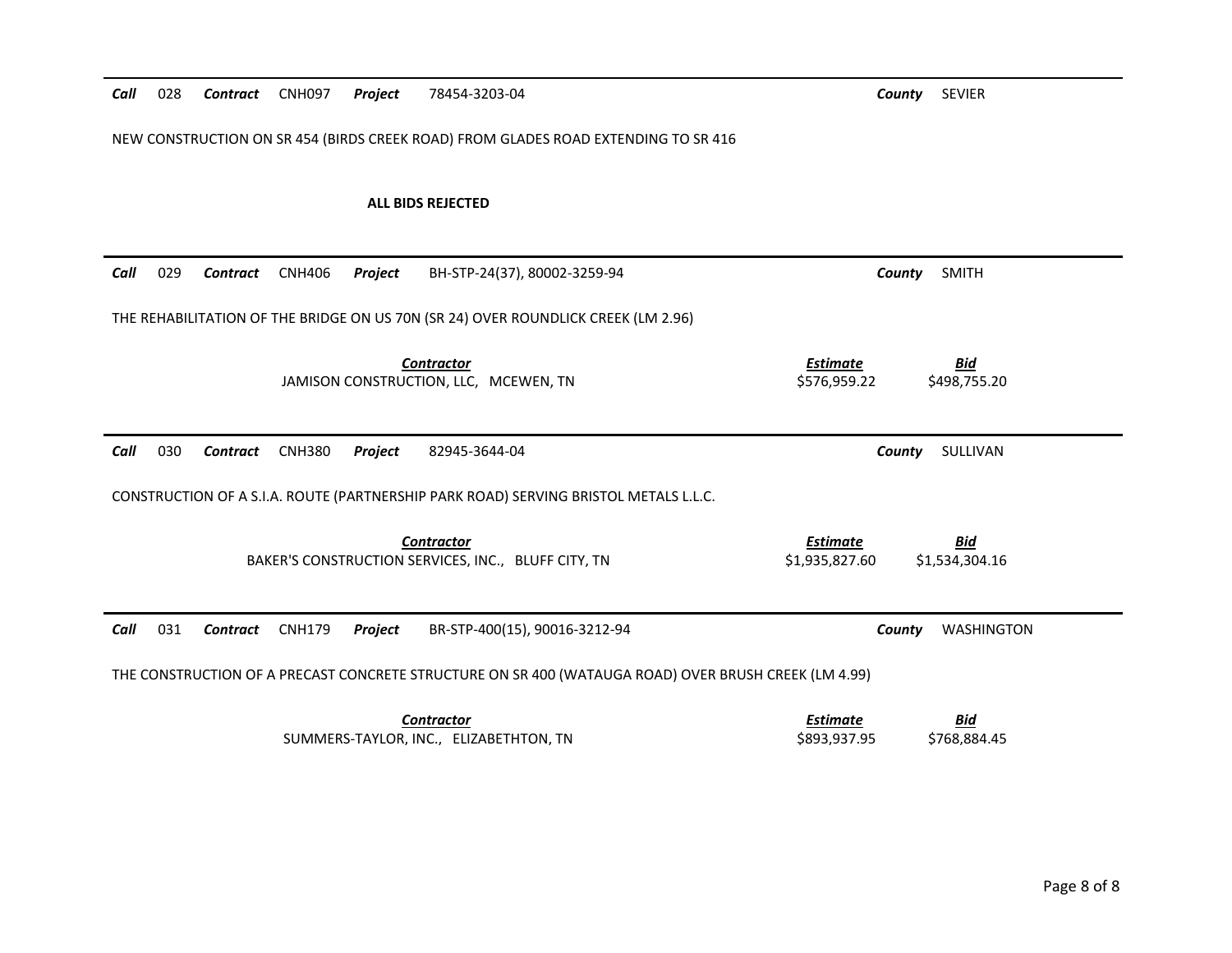| Call | 028 | Contract        | CNH097        | <b>Project</b> | 78454-3203-04                                                                                        |                                   | County<br><b>SEVIER</b>      |
|------|-----|-----------------|---------------|----------------|------------------------------------------------------------------------------------------------------|-----------------------------------|------------------------------|
|      |     |                 |               |                | NEW CONSTRUCTION ON SR 454 (BIRDS CREEK ROAD) FROM GLADES ROAD EXTENDING TO SR 416                   |                                   |                              |
|      |     |                 |               |                | <b>ALL BIDS REJECTED</b>                                                                             |                                   |                              |
| Call | 029 | Contract        | <b>CNH406</b> | Project        | BH-STP-24(37), 80002-3259-94                                                                         |                                   | <b>SMITH</b><br>County       |
|      |     |                 |               |                | THE REHABILITATION OF THE BRIDGE ON US 70N (SR 24) OVER ROUNDLICK CREEK (LM 2.96)                    |                                   |                              |
|      |     |                 |               |                | <b>Contractor</b><br>JAMISON CONSTRUCTION, LLC, MCEWEN, TN                                           | <b>Estimate</b><br>\$576,959.22   | <b>Bid</b><br>\$498,755.20   |
| Call | 030 | <b>Contract</b> | <b>CNH380</b> | Project        | 82945-3644-04                                                                                        |                                   | County<br>SULLIVAN           |
|      |     |                 |               |                | CONSTRUCTION OF A S.I.A. ROUTE (PARTNERSHIP PARK ROAD) SERVING BRISTOL METALS L.L.C.                 |                                   |                              |
|      |     |                 |               |                | <b>Contractor</b><br>BAKER'S CONSTRUCTION SERVICES, INC., BLUFF CITY, TN                             | <b>Estimate</b><br>\$1,935,827.60 | <b>Bid</b><br>\$1,534,304.16 |
| Call | 031 | Contract CNH179 |               | Project        | BR-STP-400(15), 90016-3212-94                                                                        |                                   | <b>WASHINGTON</b><br>County  |
|      |     |                 |               |                | THE CONSTRUCTION OF A PRECAST CONCRETE STRUCTURE ON SR 400 (WATAUGA ROAD) OVER BRUSH CREEK (LM 4.99) |                                   |                              |
|      |     |                 |               |                | <b>Contractor</b><br>SUMMERS-TAYLOR, INC., ELIZABETHTON, TN                                          | <b>Estimate</b><br>\$893,937.95   | <b>Bid</b><br>\$768,884.45   |